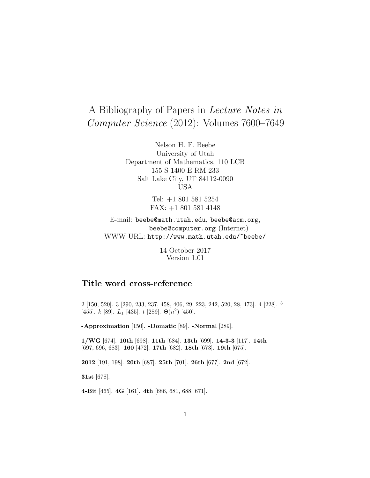# A Bibliography of Papers in Lecture Notes in Computer Science (2012): Volumes 7600–7649

Nelson H. F. Beebe University of Utah Department of Mathematics, 110 LCB 155 S 1400 E RM 233 Salt Lake City, UT 84112-0090 USA

> Tel: +1 801 581 5254 FAX: +1 801 581 4148

E-mail: beebe@math.utah.edu, beebe@acm.org, beebe@computer.org (Internet) WWW URL: http://www.math.utah.edu/~beebe/

> 14 October 2017 Version 1.01

# **Title word cross-reference**

2 [150, 520]. 3 [290, 233, 237, 458, 406, 29, 223, 242, 520, 28, 473]. 4 [228]. <sup>3</sup> [455].  $k$  [89].  $L_1$  [435].  $t$  [289].  $\Theta(n^2)$  [450].

**-Approximation** [150]. **-Domatic** [89]. **-Normal** [289].

**1/WG** [674]. **10th** [698]. **11th** [684]. **13th** [699]. **14-3-3** [117]. **14th** [697, 696, 683]. **160** [472]. **17th** [682]. **18th** [673]. **19th** [675].

**2012** [191, 198]. **20th** [687]. **25th** [701]. **26th** [677]. **2nd** [672].

**31st** [678].

**4-Bit** [465]. **4G** [161]. **4th** [686, 681, 688, 671].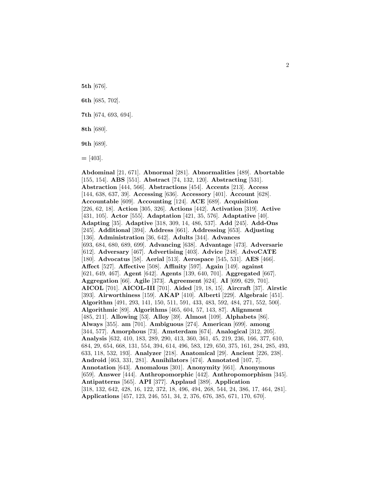**5th** [676].

**6th** [685, 702].

**7th** [674, 693, 694].

**8th** [680].

**9th** [689].

**=** [403].

**Abdominal** [21, 671]. **Abnormal** [281]. **Abnormalities** [489]. **Abortable** [155, 154]. **ABS** [551]. **Abstract** [74, 132, 120]. **Abstracting** [531]. **Abstraction** [444, 566]. **Abstractions** [454]. **Accents** [213]. **Access** [144, 638, 637, 39]. **Accessing** [636]. **Accessory** [401]. **Account** [628]. **Accountable** [609]. **Accounting** [124]. **ACE** [689]. **Acquisition** [226, 62, 18]. **Action** [305, 326]. **Actions** [442]. **Activation** [319]. **Active** [431, 105]. **Actor** [555]. **Adaptation** [421, 35, 576]. **Adaptative** [40]. **Adapting** [35]. **Adaptive** [318, 309, 14, 486, 537]. **Add** [245]. **Add-Ons** [245]. **Additional** [394]. **Address** [661]. **Addressing** [653]. **Adjusting** [136]. **Administration** [36, 642]. **Adults** [344]. **Advances** [693, 684, 680, 689, 699]. **Advancing** [638]. **Advantage** [473]. **Adversarie** [612]. **Adversary** [467]. **Advertising** [403]. **Advice** [248]. **AdvoCATE** [180]. **Advocatus** [58]. **Aerial** [513]. **Aerospace** [545, 531]. **AES** [466]. **Affect** [527]. **Affective** [508]. **Affinity** [597]. **Again** [149]. **against** [621, 649, 467]. **Agent** [642]. **Agents** [139, 640, 701]. **Aggregated** [667]. **Aggregation** [66]. **Agile** [373]. **Agreement** [624]. **AI** [699, 629, 701]. **AICOL** [701]. **AICOL-III** [701]. **Aided** [19, 18, 15]. **Aircraft** [37]. **Airstic** [393]. **Airworthiness** [159]. **AKAP** [410]. **Alberti** [229]. **Algebraic** [451]. **Algorithm** [491, 293, 141, 150, 511, 591, 433, 483, 592, 484, 271, 552, 500]. **Algorithmic** [89]. **Algorithms** [465, 604, 57, 143, 87]. **Alignment** [485, 211]. **Allowing** [53]. **Alloy** [39]. **Almost** [109]. **Alphabets** [86]. **Always** [355]. **am** [701]. **Ambiguous** [274]. **American** [699]. **among** [344, 577]. **Amorphous** [73]. **Amsterdam** [674]. **Analogical** [312, 205]. **Analysis** [632, 410, 183, 289, 290, 413, 360, 361, 45, 219, 236, 166, 377, 610, 684, 29, 654, 668, 131, 554, 394, 614, 496, 583, 129, 650, 375, 161, 284, 285, 493, 633, 118, 532, 193]. **Analyzer** [218]. **Anatomical** [29]. **Ancient** [226, 238]. **Android** [463, 331, 281]. **Annihilators** [474]. **Annotated** [107, 7]. **Annotation** [643]. **Anomalous** [301]. **Anonymity** [661]. **Anonymous** [659]. **Answer** [444]. **Anthropomorphic** [442]. **Anthropomorphism** [345]. **Antipatterns** [565]. **API** [377]. **Applaud** [389]. **Application** [318, 132, 642, 428, 16, 122, 372, 18, 496, 494, 268, 544, 24, 386, 17, 464, 281]. **Applications** [457, 123, 246, 551, 34, 2, 376, 676, 385, 671, 170, 670].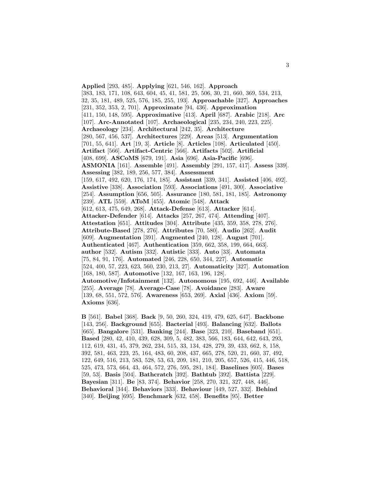**Applied** [293, 485]. **Applying** [621, 546, 162]. **Approach** [383, 183, 171, 108, 643, 604, 45, 41, 581, 25, 506, 30, 21, 660, 369, 534, 213, 32, 35, 181, 489, 525, 576, 185, 255, 193]. **Approachable** [327]. **Approaches** [231, 352, 353, 2, 701]. **Approximate** [94, 436]. **Approximation** [411, 150, 148, 595]. **Approximative** [413]. **April** [687]. **Arabic** [218]. **Arc** [107]. **Arc-Annotated** [107]. **Archaeological** [235, 234, 240, 223, 225]. **Archaeology** [234]. **Architectural** [242, 35]. **Architecture** [280, 567, 456, 537]. **Architectures** [229]. **Areas** [513]. **Argumentation** [701, 55, 641]. **Art** [19, 3]. **Article** [8]. **Articles** [108]. **Articulated** [450]. **Artifact** [566]. **Artifact-Centric** [566]. **Artifacts** [502]. **Artificial** [408, 699]. **ASCoMS** [679, 191]. **Asia** [696]. **Asia-Pacific** [696]. **ASMONIA** [161]. **Assemble** [491]. **Assembly** [291, 157, 417]. **Assess** [339]. **Assessing** [382, 189, 256, 577, 384]. **Assessment** [159, 617, 492, 620, 176, 174, 185]. **Assistant** [339, 341]. **Assisted** [406, 492]. **Assistive** [338]. **Association** [593]. **Associations** [491, 300]. **Associative** [254]. **Assumption** [656, 505]. **Assurance** [180, 581, 181, 185]. **Astronomy** [239]. **ATL** [559]. **AToM** [455]. **Atomic** [548]. **Attack** [612, 613, 475, 649, 268]. **Attack-Defense** [613]. **Attacker** [614]. **Attacker-Defender** [614]. **Attacks** [257, 267, 474]. **Attending** [407]. **Attestation** [651]. **Attitudes** [304]. **Attribute** [435, 359, 358, 278, 276]. **Attribute-Based** [278, 276]. **Attributes** [70, 580]. **Audio** [262]. **Audit** [609]. **Augmentation** [391]. **Augmented** [240, 128]. **August** [701]. **Authenticated** [467]. **Authentication** [359, 662, 358, 199, 664, 663]. **author** [532]. **Autism** [332]. **Autistic** [333]. **Auto** [33]. **Automata** [75, 84, 91, 176]. **Automated** [246, 228, 650, 344, 227]. **Automatic** [524, 400, 57, 223, 623, 560, 230, 213, 27]. **Automaticity** [327]. **Automation** [168, 180, 587]. **Automotive** [132, 167, 163, 196, 128]. **Automotive/Infotainment** [132]. **Autonomous** [195, 692, 446]. **Available** [255]. **Average** [78]. **Average-Case** [78]. **Avoidance** [283]. **Aware** [139, 68, 551, 572, 576]. **Awareness** [653, 269]. **Axial** [436]. **Axiom** [59]. **Axioms** [636].

**B** [561]. **Babel** [368]. **Back** [9, 50, 260, 324, 419, 479, 625, 647]. **Backbone** [143, 256]. **Background** [655]. **Bacterial** [493]. **Balancing** [632]. **Ballots** [665]. **Bangalore** [531]. **Banking** [244]. **Base** [323, 210]. **Baseband** [651]. **Based** [280, 42, 410, 439, 628, 309, 5, 482, 383, 566, 183, 644, 642, 643, 293, 112, 619, 431, 45, 379, 262, 234, 515, 33, 134, 428, 279, 39, 433, 662, 8, 158, 392, 581, 463, 223, 25, 164, 483, 60, 208, 437, 665, 278, 520, 21, 660, 37, 492, 122, 649, 516, 213, 583, 528, 53, 63, 209, 181, 210, 205, 657, 526, 415, 446, 518, 525, 473, 573, 664, 43, 464, 572, 276, 595, 281, 184]. **Baselines** [605]. **Bases** [59, 53]. **Basis** [504]. **Bathcratch** [392]. **Bathtub** [392]. **Battista** [229]. **Bayesian** [311]. **Be** [83, 374]. **Behavior** [258, 270, 321, 327, 448, 446]. **Behavioral** [344]. **Behaviors** [333]. **Behaviour** [449, 527, 332]. **Behind** [340]. **Beijing** [695]. **Benchmark** [632, 458]. **Benefits** [95]. **Better**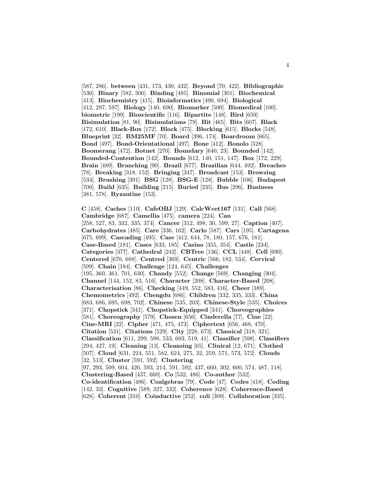[587, 286]. **between** [431, 173, 430, 432]. **Beyond** [70, 422]. **Bibliographic** [530]. **Binary** [582, 306]. **Binding** [485]. **Binomial** [301]. **Biochemical** [413]. **Biochemistry** [415]. **Bioinformatics** [490, 694]. **Biological** [412, 297, 597]. **Biology** [140, 690]. **Biomarker** [500]. **Biomedical** [100]. **biometric** [199]. **Bioscientific** [116]. **Bipartite** [148]. **Bird** [659]. **Bisimulation** [81, 90]. **Bisimulations** [79]. **Bit** [465]. **Bits** [607]. **Black** [172, 610]. **Black-Box** [172]. **Block** [475]. **Blocking** [615]. **Blocks** [548]. **Blueprint** [32]. **BM25MF** [70]. **Board** [396, 174]. **Boardroom** [665]. **Bond** [497]. **Bond-Orientational** [497]. **Bone** [412]. **Bonolo** [528]. **Boomerang** [472]. **Botnet** [270]. **Boundary** [640, 23]. **Bounded** [142]. **Bounded-Contention** [142]. **Bounds** [612, 140, 151, 147]. **Box** [172, 229]. **Brain** [489]. **Branching** [90]. **Brazil** [677]. **Brazilian** [644, 492]. **Breaches** [78]. **Breaking** [318, 152]. **Bringing** [347]. **Broadcast** [153]. **Browsing** [534]. **Brushing** [391]. **BSG** [128]. **BSG-E** [128]. **Bubble** [106]. **Budapest** [700]. **Build** [635]. **Building** [215]. **Buried** [235]. **Bus** [296]. **Business** [381, 578]. **Byzantine** [153].

**C** [458]. **Caches** [110]. **CafeOBJ** [129]. **CalcWcet167** [131]. **Call** [568]. **Cambridge** [687]. **Camellia** [475]. **camera** [224]. **Can** [258, 527, 83, 332, 335, 374]. **Cancer** [312, 498, 30, 599, 27]. **Caption** [407]. **Carbohydrates** [485]. **Care** [336, 162]. **Carlo** [587]. **Cars** [195]. **Cartagena** [675, 699]. **Cascading** [495]. **Case** [412, 644, 78, 180, 157, 676, 181]. **Case-Based** [181]. **Cases** [633, 185]. **Casino** [355, 354]. **Castle** [234]. **Categories** [377]. **Cathedral** [242]. **CBTree** [136]. **CCL** [448]. **Cell** [690]. **Centered** [670, 688]. **Centred** [369]. **Centric** [566, 182, 534]. **Cervical** [599]. **Chain** [184]. **Challenge** [124, 645]. **Challenges** [195, 360, 361, 701, 630]. **Chandy** [552]. **Change** [569]. **Changing** [304]. **Channel** [144, 152, 83, 516]. **Character** [208]. **Character-Based** [208]. **Characterisation** [86]. **Checking** [449, 552, 583, 416]. **Cheer** [389]. **Chemometrics** [492]. **Chengdu** [686]. **Children** [332, 335, 333]. **China** [683, 686, 695, 698, 702]. **Chinese** [535, 203]. **Chinese-Style** [535]. **Choices** [371]. **Chopstick** [341]. **Chopstick-Equipped** [341]. **Choreographies** [581]. **Choreography** [579]. **Chosen** [656]. **Cinderella** [77]. **Cine** [22]. **Cine-MRI** [22]. **Cipher** [471, 475, 473]. **Ciphertext** [656, 468, 470]. **Citation** [531]. **Citations** [529]. **City** [228, 673]. **Classical** [318, 321]. **Classification** [611, 299, 598, 533, 603, 519, 41]. **Classifier** [598]. **Classifiers** [294, 427, 19]. **Cleaning** [13]. **Cleansing** [65]. **Clinical** [12, 671]. **Clothed** [507]. **Cloud** [631, 224, 551, 582, 624, 275, 32, 259, 571, 573, 572]. **Clouds** [32, 513]. **Cluster** [591, 592]. **Clustering** [97, 293, 509, 604, 426, 593, 214, 591, 592, 437, 660, 302, 600, 574, 487, 118]. **Clustering-Based** [437, 660]. **Co** [532, 486]. **Co-author** [532]. **Co-identification** [486]. **Coalgebras** [79]. **Code** [47]. **Codes** [418]. **Coding** [142, 33]. **Cognitive** [589, 327, 332]. **Coherence** [628]. **Coherence-Based** [628]. **Coherent** [310]. **Coinductive** [252]. **coli** [309]. **Collaboration** [335].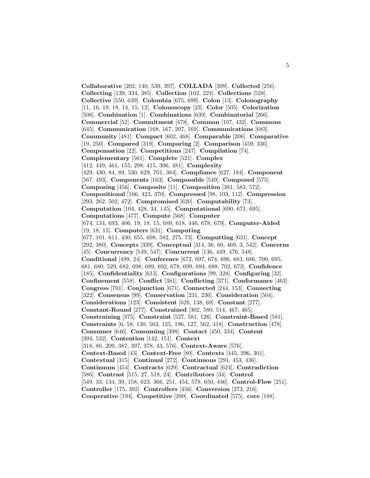**Collaborative** [202, 140, 539, 397]. **COLLADA** [399]. **Collected** [256]. **Collecting** [139, 334, 385]. **Collection** [102, 224]. **Collections** [528]. **Collective** [550, 639]. **Colombia** [675, 699]. **Colon** [13]. **Colonography** [11, 16, 19, 18, 14, 15, 12]. **Colonoscopy** [23]. **Color** [505]. **Colorization** [508]. **Combination** [1]. **Combinations** [639]. **Combinatorial** [266]. **Commercial** [52]. **Commitment** [478]. **Common** [107, 432]. **Commons** [645]. **Communication** [168, 167, 207, 169]. **Communications** [683]. **Community** [481]. **Compact** [602, 468]. **Comparable** [206]. **Comparative** [19, 250]. **Compared** [319]. **Comparing** [2]. **Comparison** [459, 336]. **Compensation** [22]. **Competitions** [247]. **Compilation** [74]. **Complementary** [561]. **Complete** [521]. **Complex** [412, 449, 461, 155, 298, 415, 306, 481]. **Complexity** [429, 430, 84, 89, 530, 629, 701, 384]. **Compliance** [627, 184]. **Component** [567, 493]. **Components** [163]. **Composable** [549]. **Composed** [575]. **Composing** [456]. **Composite** [11]. **Composition** [381, 583, 572]. **Compositional** [166, 423, 370]. **Compressed** [98, 103, 112]. **Compression** [293, 262, 502, 472]. **Compromised** [620]. **Computability** [73]. **Computation** [104, 428, 34, 145]. **Computational** [690, 671, 695]. **Computations** [477]. **Compute** [568]. **Computer** [674, 134, 693, 406, 19, 18, 15, 689, 618, 446, 678, 679]. **Computer-Aided** [19, 18, 15]. **Computers** [631]. **Computing** [677, 101, 611, 430, 655, 698, 582, 275, 73]. **Computting** [631]. **Concept** [292, 380]. **Concepts** [339]. **Conceptual** [314, 36, 60, 469, 3, 542]. **Concerns** [45]. **Concurrency** [549, 547]. **Concurrent** [136, 449, 476, 548]. **Conditional** [499, 24]. **Conference** [672, 697, 674, 696, 683, 686, 700, 695, 681, 680, 529, 682, 698, 689, 692, 678, 699, 694, 688, 702, 673]. **Confidence** [185]. **Confidentiality** [613]. **Configurations** [99, 328]. **Configuring** [32]. **Confinement** [558]. **Conflict** [381]. **Conflicting** [371]. **Conformance** [463]. **Congress** [701]. **Conjunction** [671]. **Connected** [244, 153]. **Connecting** [322]. **Consensus** [99]. **Conservation** [231, 236]. **Consideration** [504]. **Considerations** [123]. **Consistent** [628, 138, 69]. **Constant** [277]. **Constant-Round** [277]. **Constrained** [302, 580, 514, 467, 465]. **Constraining** [375]. **Constraint** [527, 581, 126]. **Constraint-Based** [581]. **Constraints** [6, 58, 130, 563, 125, 196, 127, 562, 418]. **Construction** [478]. **Consumer** [646]. **Consuming** [398]. **Contact** [450, 334]. **Content** [394, 532]. **Contention** [142, 151]. **Context** [318, 80, 209, 387, 397, 378, 43, 576]. **Context-Aware** [576]. **Context-Based** [43]. **Context-Free** [80]. **Contexts** [445, 296, 301]. **Contextual** [315]. **Continual** [272]. **Continuous** [291, 453, 436]. **Continuum** [454]. **Contracts** [629]. **Contractual** [624]. **Contradiction** [586]. **Contrast** [515, 27, 518, 24]. **Contributors** [34]. **Control** [549, 33, 134, 39, 158, 623, 366, 251, 454, 578, 650, 446]. **Control-Flow** [251]. **Controller** [175, 392]. **Controllers** [456]. **Conversion** [273, 216]. **Cooperative** [194]. **Coopetitive** [280]. **Coordinated** [575]. **core** [188].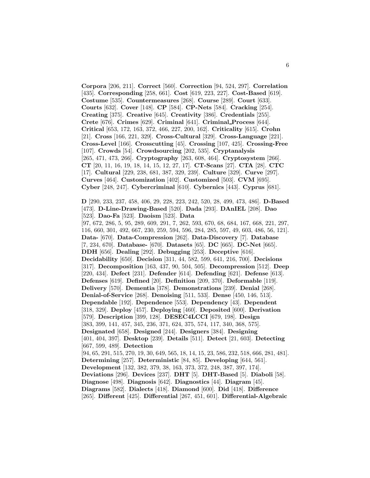**Corpora** [206, 211]. **Correct** [560]. **Correction** [94, 524, 297]. **Correlation** [435]. **Corresponding** [258, 661]. **Cost** [619, 223, 227]. **Cost-Based** [619]. **Costume** [535]. **Countermeasures** [268]. **Course** [289]. **Court** [633]. **Courts** [632]. **Cover** [148]. **CP** [584]. **CP-Nets** [584]. **Cracking** [254]. **Creating** [375]. **Creative** [645]. **Creativity** [386]. **Credentials** [255]. **Crete** [676]. **Crimes** [629]. **Criminal** [641]. **Criminal Process** [644]. **Critical** [653, 172, 163, 372, 466, 227, 200, 162]. **Criticality** [615]. **Crohn** [21]. **Cross** [166, 221, 329]. **Cross-Cultural** [329]. **Cross-Language** [221]. **Cross-Level** [166]. **Crosscutting** [45]. **Crossing** [107, 425]. **Crossing-Free** [107]. **Crowds** [54]. **Crowdsourcing** [202, 535]. **Cryptanalysis** [265, 471, 473, 266]. **Cryptography** [263, 608, 464]. **Cryptosystem** [266]. **CT** [20, 11, 16, 19, 18, 14, 15, 12, 27, 17]. **CT-Scans** [27]. **CTA** [28]. **CTC** [17]. **Cultural** [229, 238, 681, 387, 329, 239]. **Culture** [329]. **Curve** [297]. **Curves** [464]. **Customization** [402]. **Customized** [503]. **CVM** [695]. **Cyber** [248, 247]. **Cybercriminal** [610]. **Cybernics** [443]. **Cyprus** [681].

**D** [290, 233, 237, 458, 406, 29, 228, 223, 242, 520, 28, 499, 473, 486]. **D-Based** [473]. **D-Line-Drawing-Based** [520]. **Dada** [293]. **DAnIEL** [208]. **Dao** [523]. **Dao-Fa** [523]. **Daoism** [523]. **Data** [97, 672, 286, 5, 95, 289, 609, 291, 7, 262, 593, 670, 68, 684, 167, 668, 221, 297, 116, 660, 301, 492, 667, 230, 259, 594, 596, 284, 285, 597, 49, 603, 486, 56, 121]. **Data-** [670]. **Data-Compression** [262]. **Data-Discovery** [7]. **Database** [7, 234, 670]. **Database-** [670]. **Datasets** [65]. **DC** [665]. **DC-Net** [665]. **DDH** [656]. **Dealing** [292]. **Debugging** [253]. **Deceptive** [616]. **Decidability** [650]. **Decision** [311, 44, 582, 599, 641, 216, 700]. **Decisions** [317]. **Decomposition** [163, 437, 90, 504, 505]. **Decompression** [512]. **Deep** [220, 434]. **Defect** [231]. **Defender** [614]. **Defending** [621]. **Defense** [613]. **Defenses** [619]. **Defined** [20]. **Definition** [209, 370]. **Deformable** [119]. **Delivery** [570]. **Dementia** [378]. **Demonstrations** [239]. **Denial** [268]. **Denial-of-Service** [268]. **Denoising** [511, 533]. **Dense** [450, 146, 513]. **Dependable** [192]. **Dependence** [553]. **Dependency** [43]. **Dependent** [318, 329]. **Deploy** [457]. **Deploying** [460]. **Deposited** [600]. **Derivation** [579]. **Description** [399, 128]. **DESEC4LCCI** [679, 198]. **Design** [383, 399, 141, 457, 345, 236, 371, 624, 375, 574, 117, 340, 368, 575]. **Designated** [658]. **Designed** [244]. **Designers** [384]. **Designing** [401, 404, 397]. **Desktop** [239]. **Details** [511]. **Detect** [21, 603]. **Detecting** [667, 599, 489]. **Detection** [94, 65, 291, 515, 270, 19, 30, 649, 565, 18, 14, 15, 23, 586, 232, 518, 666, 281, 481]. **Determining** [257]. **Deterministic** [84, 85]. **Developing** [644, 561]. **Development** [132, 382, 379, 38, 163, 373, 372, 248, 387, 397, 174]. **Deviations** [296]. **Devices** [237]. **DHT** [5]. **DHT-Based** [5]. **Diaboli** [58]. **Diagnose** [498]. **Diagnosis** [642]. **Diagnostics** [44]. **Diagram** [45]. **Diagrams** [582]. **Dialects** [418]. **Diamond** [600]. **Did** [418]. **Difference** [265]. **Different** [425]. **Differential** [267, 451, 601]. **Differential-Algebraic**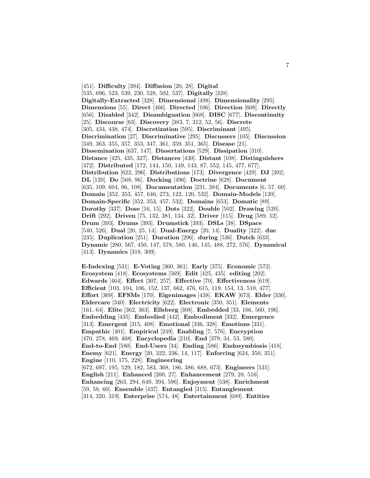[451]. **Difficulty** [394]. **Diffusion** [20, 28]. **Digital** [535, 696, 523, 539, 230, 528, 502, 537]. **Digitally** [328]. **Digitally-Extracted** [328]. **Dimensional** [498]. **Dimensionality** [295]. **Dimensions** [55]. **Direct** [466]. **Directed** [106]. **Direction** [608]. **Directly** [656]. **Disabled** [342]. **Disambiguation** [668]. **DISC** [677]. **Discontinuity** [25]. **Discourse** [63]. **Discovery** [383, 7, 312, 52, 56]. **Discrete** [305, 434, 438, 474]. **Discretization** [595]. **Discriminant** [495]. **Discrimination** [27]. **Discriminative** [295]. **Discussers** [105]. **Discussion** [349, 363, 355, 357, 353, 347, 361, 359, 351, 365]. **Disease** [21]. **Dissemination** [637, 147]. **Dissertations** [529]. **Dissipation** [310]. **Distance** [425, 435, 327]. **Distances** [430]. **Distant** [108]. **Distinguishers** [472]. **Distributed** [172, 144, 150, 149, 143, 87, 552, 145, 477, 677]. **Distribution** [622, 296]. **Distributions** [173]. **Divergence** [429]. **DJ** [392]. **DL** [120]. **Do** [568, 96]. **Docking** [496]. **Doctrine** [628]. **Document** [635, 109, 604, 96, 108]. **Documentation** [231, 384]. **Documents** [6, 57, 60]. **Domain** [352, 353, 457, 646, 273, 122, 120, 532]. **Domain-Models** [120]. **Domain-Specific** [352, 353, 457, 532]. **Domains** [653]. **Domatic** [89]. **Dorothy** [337]. **Dose** [16, 15]. **Dots** [322]. **Double** [502]. **Drawing** [520]. **Drift** [292]. **Driven** [75, 132, 381, 134, 32]. **Driver** [115]. **Drug** [589, 52]. **Drum** [393]. **Drums** [393]. **Drumstick** [393]. **DSLs** [38]. **DSpace** [540, 526]. **Dual** [20, 25, 14]. **Dual-Energy** [20, 14]. **Duality** [322]. **due** [235]. **Duplication** [251]. **Duration** [296]. **during** [536]. **Dutch** [633]. **Dynamic** [280, 567, 450, 147, 578, 580, 146, 145, 488, 272, 576]. **Dynamical** [413]. **Dynamics** [318, 309].

**E-Indexing** [531]. **E-Voting** [360, 361]. **Early** [375]. **Economic** [572]. **Ecosystem** [418]. **Ecosystems** [569]. **Edit** [425, 435]. **editing** [202]. **Edwards** [464]. **Effect** [307, 257]. **Effective** [70]. **Effectiveness** [619]. **Efficient** [103, 104, 106, 152, 137, 662, 476, 615, 119, 154, 13, 510, 477]. **Effort** [369]. **EFSMs** [170]. **Eigenimages** [438]. **EKAW** [673]. **Elder** [336]. **Eldercare** [340]. **Electricity** [622]. **Electronic** [350, 351]. **Elements** [161, 64]. **Elite** [362, 363]. **Ellsberg** [308]. **Embedded** [33, 166, 560, 196]. **Embedding** [435]. **Embodied** [442]. **Embodiment** [332]. **Emergence** [313]. **Emergent** [315, 408]. **Emotional** [336, 328]. **Emotions** [331]. **Empathic** [401]. **Empirical** [249]. **Enabling** [7, 576]. **Encryption** [470, 278, 469, 468]. **Encyclopedia** [210]. **End** [379, 34, 53, 580]. **End-to-End** [580]. **End-Users** [34]. **Ending** [586]. **Endosymbiosis** [418]. **Enemy** [621]. **Energy** [20, 322, 236, 14, 117]. **Enforcing** [624, 350, 351]. **Engine** [110, 175, 228]. **Engineering** [672, 697, 195, 529, 182, 583, 368, 186, 386, 688, 673]. **Engineers** [531]. **English** [211]. **Enhanced** [200, 27]. **Enhancement** [279, 28, 516]. **Enhancing** [263, 294, 649, 394, 596]. **Enjoyment** [538]. **Enrichment** [59, 58, 60]. **Ensemble** [437]. **Entangled** [315]. **Entanglement** [314, 320, 319]. **Enterprise** [574, 48]. **Entertainment** [689]. **Entities**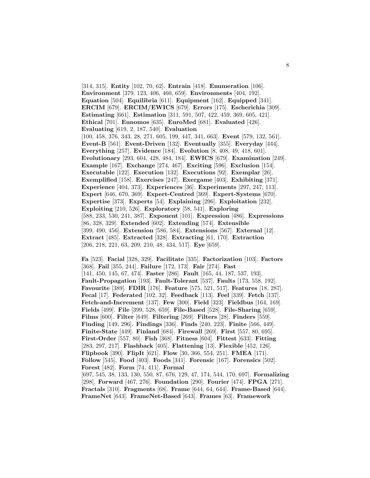[314, 315]. **Entity** [102, 70, 62]. **Entrain** [418]. **Enumeration** [106]. **Environment** [379, 123, 406, 460, 659]. **Environments** [404, 192]. **Equation** [504]. **Equilibria** [611]. **Equipment** [162]. **Equipped** [341]. **ERCIM** [679]. **ERCIM/EWICS** [679]. **Errors** [175]. **Escherichia** [309]. **Estimating** [661]. **Estimation** [311, 591, 507, 422, 459, 369, 605, 421]. **Ethical** [701]. **Eunomos** [635]. **EuroMed** [681]. **Evaluated** [426]. **Evaluating** [619, 2, 187, 540]. **Evaluation** [100, 458, 376, 343, 28, 271, 605, 199, 447, 341, 663]. **Event** [579, 132, 561]. **Event-B** [561]. **Event-Driven** [132]. **Eventually** [355]. **Everyday** [444]. **Everything** [257]. **Evidence** [184]. **Evolution** [8, 408, 49, 418, 601]. **Evolutionary** [293, 604, 428, 484, 184]. **EWICS** [679]. **Examination** [249]. **Example** [167]. **Exchange** [274, 467]. **Exciting** [596]. **Exclusion** [154]. **Executable** [122]. **Execution** [132]. **Executions** [92]. **Exemplar** [26]. **Exemplified** [158]. **Exercises** [247]. **Exergame** [403]. **Exhibiting** [371]. **Experience** [404, 373]. **Experiences** [36]. **Experiments** [297, 247, 113]. **Expert** [646, 670, 369]. **Expert-Centred** [369]. **Expert-Systems** [670]. **Expertise** [373]. **Experts** [54]. **Explaining** [296]. **Exploitation** [232]. **Exploiting** [210, 526]. **Exploratory** [58, 541]. **Exploring** [588, 233, 530, 241, 387]. **Exponent** [101]. **Expression** [486]. **Expressions** [86, 328, 329]. **Extended** [602]. **Extending** [574]. **Extensible** [399, 490, 456]. **Extension** [586, 584]. **Extensions** [567]. **External** [12]. **Extract** [485]. **Extracted** [328]. **Extracting** [61, 170]. **Extraction** [206, 218, 221, 63, 209, 210, 48, 434, 517]. **Eye** [659].

**Fa** [523]. **Facial** [328, 329]. **Facilitate** [335]. **Factorization** [103]. **Factors** [368]. **Fail** [355, 244]. **Failure** [172, 173]. **Fair** [274]. **Fast** [141, 450, 145, 67, 474]. **Faster** [286]. **Fault** [165, 44, 187, 537, 193]. **Fault-Propagation** [193]. **Fault-Tolerant** [537]. **Faults** [173, 558, 192]. **Favourite** [389]. **FDIR** [176]. **Feature** [575, 521, 517]. **Features** [18, 287]. **Fecal** [17]. **Federated** [102, 32]. **Feedback** [113]. **Feel** [339]. **Fetch** [137]. **Fetch-and-Increment** [137]. **Few** [300]. **Field** [323]. **Fieldbus** [164, 169]. **Fields** [499]. **File** [399, 528, 659]. **File-Based** [528]. **File-Sharing** [659]. **Films** [600]. **Filter** [649]. **Filtering** [269]. **Filters** [28]. **Finders** [559]. **Finding** [149, 296]. **Findings** [336]. **Finds** [240, 223]. **Finite** [566, 449]. **Finite-State** [449]. **Finland** [684]. **Firewall** [269]. **First** [557, 80, 695]. **First-Order** [557, 80]. **Fish** [368]. **Fitness** [604]. **Fittest** [633]. **Fitting** [283, 297, 217]. **Flashback** [405]. **Flattening** [13]. **Flexible** [452, 126]. **Flipbook** [390]. **FlipIt** [621]. **Flow** [30, 366, 554, 251]. **FMEA** [171]. **Follow** [545]. **Food** [403]. **Foods** [341]. **Forensic** [167]. **Forensics** [502]. **Forest** [482]. **Form** [74, 411]. **Formal** [697, 545, 38, 133, 130, 550, 87, 676, 129, 47, 174, 544, 170, 697]. **Formalizing** [298]. **Forward** [467, 276]. **Foundation** [290]. **Fourier** [474]. **FPGA** [271]. **Fractals** [310]. **Fragments** [68]. **Frame** [644, 64, 644]. **Frame-Based** [644]. **FrameNet** [643]. **FrameNet-Based** [643]. **Frames** [63]. **Framework**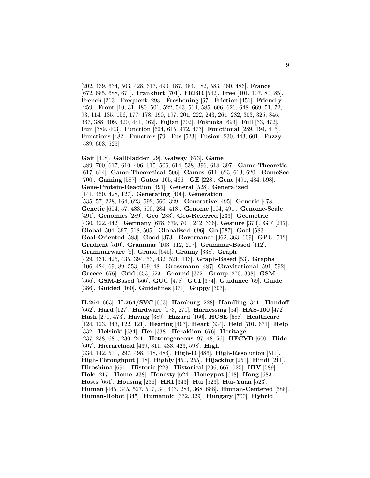[202, 439, 634, 503, 428, 617, 490, 187, 484, 182, 583, 460, 486]. **France** [672, 685, 688, 671]. **Frankfurt** [701]. **FRBR** [542]. **Free** [101, 107, 80, 85]. **French** [213]. **Frequent** [298]. **Freshening** [67]. **Friction** [451]. **Friendly** [259]. **Front** [10, 31, 480, 501, 522, 543, 564, 585, 606, 626, 648, 669, 51, 72, 93, 114, 135, 156, 177, 178, 190, 197, 201, 222, 243, 261, 282, 303, 325, 346, 367, 388, 409, 420, 441, 462]. **Fujian** [702]. **Fukuoka** [693]. **Full** [33, 472]. **Fun** [389, 403]. **Function** [604, 615, 472, 473]. **Functional** [289, 194, 415]. **Functions** [482]. **Functors** [79]. **Fus** [523]. **Fusion** [230, 443, 601]. **Fuzzy** [589, 603, 525].

**Gait** [408]. **Gallbladder** [29]. **Galway** [673]. **Game** [389, 700, 617, 610, 406, 615, 506, 614, 538, 396, 618, 397]. **Game-Theoretic** [617, 614]. **Game-Theoretical** [506]. **Games** [611, 623, 613, 620]. **GameSec** [700]. **Gaming** [587]. **Gates** [165, 466]. **GE** [228]. **Gene** [491, 484, 598]. **Gene-Protein-Reaction** [491]. **General** [528]. **Generalized** [141, 450, 428, 127]. **Generating** [400]. **Generation** [535, 57, 228, 164, 623, 592, 560, 329]. **Generative** [495]. **Generic** [478]. **Genetic** [604, 57, 483, 500, 284, 418]. **Genome** [104, 491]. **Genome-Scale** [491]. **Genomics** [289]. **Geo** [233]. **Geo-Referred** [233]. **Geometric** [430, 422, 442]. **Germany** [678, 679, 701, 242, 336]. **Gesture** [370]. **GF** [217]. **Global** [504, 397, 518, 505]. **Globalized** [696]. **Go** [587]. **Goal** [583]. **Goal-Oriented** [583]. **Good** [373]. **Governance** [362, 363, 609]. **GPU** [512]. **Gradient** [510]. **Grammar** [103, 112, 217]. **Grammar-Based** [112]. **Grammarware** [6]. **Grand** [645]. **Granny** [338]. **Graph** [429, 431, 425, 435, 394, 53, 432, 521, 113]. **Graph-Based** [53]. **Graphs** [106, 424, 69, 89, 553, 469, 48]. **Grassmann** [487]. **Gravitational** [591, 592]. **Greece** [676]. **Grid** [653, 623]. **Ground** [372]. **Group** [270, 398]. **GSM** [566]. **GSM-Based** [566]. **GUC** [478]. **GUI** [374]. **Guidance** [69]. **Guide** [386]. **Guided** [160]. **Guidelines** [371]. **Guppy** [307].

**H.264** [663]. **H.264/SVC** [663]. **Hamburg** [228]. **Handling** [341]. **Handoff** [662]. **Hard** [127]. **Hardware** [173, 271]. **Harnessing** [54]. **HAS-160** [472]. **Hash** [271, 473]. **Having** [389]. **Hazard** [160]. **HCSE** [688]. **Healthcare** [124, 123, 343, 122, 121]. **Hearing** [407]. **Heart** [334]. **Held** [701, 671]. **Help** [332]. **Helsinki** [684]. **Her** [338]. **Heraklion** [676]. **Heritage** [237, 238, 681, 230, 241]. **Heterogeneous** [97, 48, 56]. **HFCVD** [600]. **Hide** [607]. **Hierarchical** [439, 311, 433, 423, 598]. **High** [334, 142, 511, 297, 498, 118, 486]. **High-D** [486]. **High-Resolution** [511]. **High-Throughput** [118]. **Highly** [450, 255]. **Hijacking** [251]. **Hindi** [211]. **Hiroshima** [691]. **Historic** [228]. **Historical** [236, 667, 525]. **HIV** [589]. **Hole** [217]. **Home** [338]. **Honesty** [624]. **Honeypot** [618]. **Hong** [683]. **Hosts** [661]. **Housing** [236]. **HRI** [343]. **Hui** [523]. **Hui-Yuan** [523]. **Human** [445, 345, 527, 507, 34, 443, 284, 368, 688]. **Human-Centered** [688]. **Human-Robot** [345]. **Humanoid** [332, 329]. **Hungary** [700]. **Hybrid**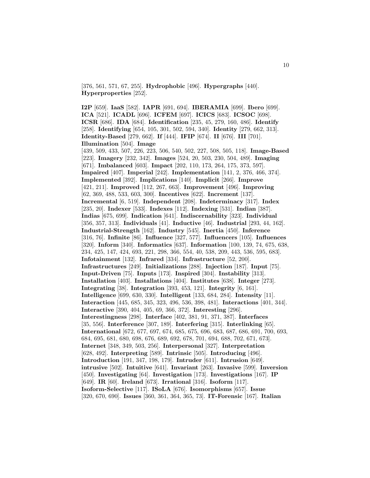[376, 561, 571, 67, 255]. **Hydrophobic** [496]. **Hypergraphs** [440]. **Hyperproperties** [252].

**I2P** [659]. **IaaS** [582]. **IAPR** [691, 694]. **IBERAMIA** [699]. **Ibero** [699]. **ICA** [521]. **ICADL** [696]. **ICFEM** [697]. **ICICS** [683]. **ICSOC** [698]. **ICSR** [686]. **IDA** [684]. **Identification** [235, 45, 279, 160, 486]. **Identify** [258]. **Identifying** [654, 105, 301, 502, 594, 340]. **Identity** [279, 662, 313]. **Identity-Based** [279, 662]. **If** [444]. **IFIP** [674]. **II** [676]. **III** [701]. **Illumination** [504]. **Image** [439, 509, 433, 507, 226, 223, 506, 540, 502, 227, 508, 505, 118]. **Image-Based** [223]. **Imagery** [232, 342]. **Images** [524, 20, 503, 230, 504, 489]. **Imaging** [671]. **Imbalanced** [603]. **Impact** [202, 110, 173, 264, 175, 373, 597]. **Impaired** [407]. **Imperial** [242]. **Implementation** [141, 2, 376, 466, 374]. **Implemented** [392]. **Implications** [140]. **Implicit** [266]. **Improve** [421, 211]. **Improved** [112, 267, 663]. **Improvement** [496]. **Improving** [62, 369, 488, 533, 603, 300]. **Incentives** [622]. **Increment** [137]. **Incremental** [6, 519]. **Independent** [208]. **Indeterminacy** [317]. **Index** [235, 20]. **Indexer** [533]. **Indexes** [112]. **Indexing** [531]. **Indian** [387]. **Indias** [675, 699]. **Indication** [641]. **Indiscernability** [323]. **Individual** [356, 357, 313]. **Individuals** [41]. **Inductive** [46]. **Industrial** [293, 44, 162]. **Industrial-Strength** [162]. **Industry** [545]. **Inertia** [450]. **Inference** [316, 76]. **Infinite** [86]. **Influence** [327, 577]. **Influencers** [105]. **Influences** [320]. **Inform** [340]. **Informatics** [637]. **Information** [100, 139, 74, 675, 638, 234, 425, 147, 424, 693, 221, 298, 366, 554, 40, 538, 209, 443, 536, 595, 683]. **Infotainment** [132]. **Infrared** [334]. **Infrastructure** [52, 200]. **Infrastructures** [249]. **Initializations** [288]. **Injection** [187]. **Input** [75]. **Input-Driven** [75]. **Inputs** [173]. **Inspired** [304]. **Instability** [313]. **Installation** [403]. **Installations** [404]. **Institutes** [638]. **Integer** [273]. **Integrating** [38]. **Integration** [393, 453, 121]. **Integrity** [6, 161]. **Intelligence** [699, 630, 330]. **Intelligent** [133, 684, 284]. **Intensity** [11]. **Interaction** [445, 685, 345, 323, 496, 536, 398, 481]. **Interactions** [401, 344]. **Interactive** [390, 404, 405, 69, 366, 372]. **Interesting** [296]. **Interestingness** [298]. **Interface** [402, 381, 91, 371, 387]. **Interfaces** [35, 556]. **Interference** [307, 189]. **Interfering** [315]. **Interlinking** [65]. **International** [672, 677, 697, 674, 685, 675, 696, 683, 687, 686, 691, 700, 693, 684, 695, 681, 680, 698, 676, 689, 692, 678, 701, 694, 688, 702, 671, 673]. **Internet** [348, 349, 503, 256]. **Interpersonal** [327]. **Interpretation** [628, 492]. **Interpreting** [589]. **Intrinsic** [505]. **Introducing** [496]. **Introduction** [191, 347, 198, 179]. **Intruder** [611]. **Intrusion** [649]. **intrusive** [502]. **Intuitive** [641]. **Invariant** [263]. **Invasive** [599]. **Inversion** [450]. **Investigating** [64]. **Investigation** [173]. **Investigations** [167]. **IP** [649]. **IR** [60]. **Ireland** [673]. **Irrational** [316]. **Isoform** [117]. **Isoform-Selective** [117]. **ISoLA** [676]. **Isomorphisms** [657]. **Issue** [320, 670, 690]. **Issues** [360, 361, 364, 365, 73]. **IT-Forensic** [167]. **Italian**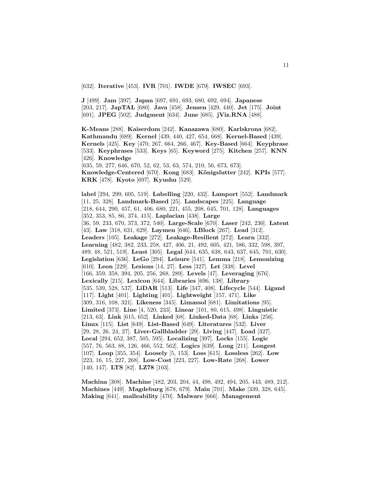[632]. **Iterative** [453]. **IVR** [701]. **IWDE** [679]. **IWSEC** [693].

**J** [499]. **Jam** [397]. **Japan** [697, 691, 693, 680, 692, 694]. **Japanese** [203, 217]. **JapTAL** [680]. **Java** [458]. **Jensen** [429, 440]. **Jet** [175]. **Joint** [691]. **JPEG** [502]. **Judgment** [634]. **June** [685]. **jViz.RNA** [488].

**K-Means** [288]. **Kaiserdom** [242]. **Kanazawa** [680]. **Karlskrona** [682]. **Kathmandu** [689]. **Kernel** [439, 440, 427, 654, 668]. **Kernel-Based** [439]. **Kernels** [425]. **Key** [470, 267, 664, 266, 467]. **Key-Based** [664]. **Keyphrase** [533]. **Keyphrases** [533]. **Keys** [65]. **Keyword** [275]. **Kitchen** [257]. **KNN** [426]. **Knowledge**

[635, 59, 277, 646, 670, 52, 62, 53, 63, 574, 210, 56, 673, 673]. **Knowledge-Centered** [670]. **Kong** [683]. **K¨onigslutter** [242]. **KPIs** [577]. **KRK** [478]. **Kyoto** [697]. **Kyushu** [529].

**label** [294, 299, 605, 519]. **Labelling** [220, 432]. **Lamport** [552]. **Landmark** [11, 25, 328]. **Landmark-Based** [25]. **Landscapes** [225]. **Language** [218, 644, 290, 457, 61, 406, 680, 221, 455, 208, 645, 701, 128]. **Languages** [352, 353, 85, 86, 374, 415]. **Laplacian** [438]. **Large** [36, 59, 233, 670, 373, 372, 540]. **Large-Scale** [670]. **Laser** [242, 230]. **Latent** [43]. **Law** [318, 631, 629]. **Laymen** [646]. **LBlock** [267]. **Lead** [312]. **Leaders** [105]. **Leakage** [272]. **Leakage-Resilient** [272]. **Learn** [332]. **Learning** [482, 382, 233, 258, 427, 406, 21, 492, 605, 421, 586, 332, 598, 397, 489, 48, 521, 519]. **Least** [305]. **Legal** [644, 635, 638, 643, 637, 645, 701, 630]. **Legislation** [636]. **LeGo** [294]. **Leisure** [541]. **Lemma** [218]. **Lemonizing** [610]. **Leon** [229]. **Lesions** [14, 27]. **Less** [327]. **Let** [338]. **Level** [166, 359, 358, 394, 205, 256, 268, 289]. **Levels** [47]. **Leveraging** [676]. **Lexically** [215]. **Lexicon** [644]. **Libraries** [696, 138]. **Library** [535, 539, 528, 537]. **LiDAR** [513]. **Life** [347, 408]. **Lifecycle** [544]. **Ligand** [117]. **Light** [401]. **Lighting** [401]. **Lightweight** [157, 471]. **Like** [309, 316, 108, 321]. **Likeness** [345]. **Limassol** [681]. **Limitations** [95]. **Limited** [373]. **Line** [4, 520, 233]. **Linear** [101, 80, 615, 498]. **Linguistic** [213, 63]. **Link** [615, 652]. **Linked** [68]. **Linked-Data** [68]. **Links** [256]. **Linux** [115]. **List** [649]. **List-Based** [649]. **Literatures** [532]. **Liver** [29, 28, 26, 24, 27]. **Liver-Gallbladder** [29]. **Living** [447]. **Load** [327]. **Local** [294, 652, 387, 505, 595]. **Localizing** [397]. **Locks** [155]. **Logic** [557, 76, 563, 88, 126, 466, 552, 562]. **Logics** [639]. **Long** [211]. **Longest** [107]. **Loop** [355, 354]. **Loosely** [5, 153]. **Loss** [615]. **Lossless** [262]. **Low** [223, 16, 15, 227, 268]. **Low-Cost** [223, 227]. **Low-Rate** [268]. **Lower** [140, 147]. **LTS** [82]. **LZ78** [103].

**Machina** [308]. **Machine** [482, 203, 204, 44, 498, 492, 494, 205, 443, 489, 212]. **Machines** [449]. **Magdeburg** [678, 679]. **Main** [701]. **Make** [339, 328, 645]. **Making** [641]. **malleability** [470]. **Malware** [666]. **Management**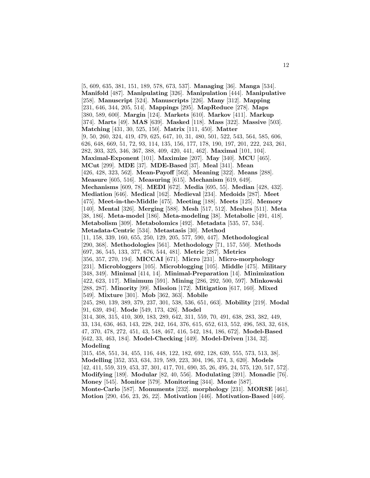[5, 609, 635, 381, 151, 189, 578, 673, 537]. **Managing** [36]. **Manga** [534]. **Manifold** [487]. **Manipulating** [326]. **Manipulation** [444]. **Manipulative** [258]. **Manuscript** [524]. **Manuscripts** [226]. **Many** [312]. **Mapping** [231, 646, 344, 205, 514]. **Mappings** [295]. **MapReduce** [278]. **Maps** [380, 589, 600]. **Margin** [124]. **Markets** [610]. **Markov** [411]. **Markup** [374]. **Marts** [49]. **MAS** [639]. **Masked** [118]. **Mass** [322]. **Massive** [503]. **Matching** [431, 30, 525, 150]. **Matrix** [111, 450]. **Matter** [9, 50, 260, 324, 419, 479, 625, 647, 10, 31, 480, 501, 522, 543, 564, 585, 606, 626, 648, 669, 51, 72, 93, 114, 135, 156, 177, 178, 190, 197, 201, 222, 243, 261, 282, 303, 325, 346, 367, 388, 409, 420, 441, 462]. **Maximal** [101, 104]. **Maximal-Exponent** [101]. **Maximize** [207]. **May** [340]. **MCU** [465]. **MCut** [299]. **MDE** [37]. **MDE-Based** [37]. **Meal** [341]. **Mean** [426, 428, 323, 562]. **Mean-Payoff** [562]. **Meaning** [322]. **Means** [288]. **Measure** [605, 516]. **Measuring** [615]. **Mechanism** [619, 649]. **Mechanisms** [609, 78]. **MEDI** [672]. **Media** [695, 55]. **Median** [428, 432]. **Mediation** [646]. **Medical** [162]. **Medieval** [234]. **Medoids** [287]. **Meet** [475]. **Meet-in-the-Middle** [475]. **Meeting** [188]. **Meets** [125]. **Memory** [140]. **Mental** [326]. **Merging** [588]. **Mesh** [517, 512]. **Meshes** [511]. **Meta** [38, 186]. **Meta-model** [186]. **Meta-modeling** [38]. **Metabolic** [491, 418]. **Metabolism** [309]. **Metabolomics** [492]. **Metadata** [535, 57, 534]. **Metadata-Centric** [534]. **Metastasis** [30]. **Method** [11, 158, 339, 160, 655, 250, 129, 205, 577, 590, 447]. **Methodological** [290, 368]. **Methodologies** [561]. **Methodology** [71, 157, 550]. **Methods** [697, 36, 545, 133, 377, 676, 544, 481]. **Metric** [287]. **Metrics** [356, 357, 270, 194]. **MICCAI** [671]. **Micro** [231]. **Micro-morphology** [231]. **Microbloggers** [105]. **Microblogging** [105]. **Middle** [475]. **Military** [348, 349]. **Minimal** [414, 14]. **Minimal-Preparation** [14]. **Minimization** [422, 623, 117]. **Minimum** [591]. **Mining** [286, 292, 500, 597]. **Minkowski** [288, 287]. **Minority** [99]. **Mission** [172]. **Mitigation** [617, 160]. **Mixed** [549]. **Mixture** [301]. **Mob** [362, 363]. **Mobile** [245, 280, 139, 389, 379, 237, 301, 538, 536, 651, 663]. **Mobility** [219]. **Modal** [91, 639, 494]. **Mode** [549, 173, 426]. **Model** [314, 308, 315, 410, 309, 183, 289, 642, 311, 559, 70, 491, 638, 283, 382, 449, 33, 134, 636, 463, 143, 228, 242, 164, 376, 615, 652, 613, 552, 496, 583, 32, 618, 47, 370, 478, 272, 451, 43, 548, 467, 416, 542, 184, 186, 672]. **Model-Based** [642, 33, 463, 184]. **Model-Checking** [449]. **Model-Driven** [134, 32]. **Modeling** [315, 458, 551, 34, 455, 116, 448, 122, 182, 692, 128, 639, 555, 573, 513, 38]. **Modelling** [352, 353, 634, 319, 589, 223, 304, 196, 374, 3, 620]. **Models** [42, 411, 559, 319, 453, 37, 301, 417, 701, 690, 35, 26, 495, 24, 575, 120, 517, 572]. **Modifying** [189]. **Modular** [82, 40, 556]. **Modulating** [391]. **Monadic** [76]. **Money** [545]. **Monitor** [579]. **Monitoring** [344]. **Monte** [587]. **Monte-Carlo** [587]. **Monuments** [232]. **morphology** [231]. **MORSE** [461].

**Motion** [290, 456, 23, 26, 22]. **Motivation** [446]. **Motivation-Based** [446].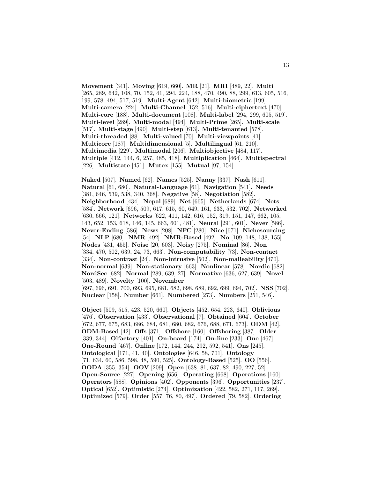**Movement** [341]. **Moving** [619, 660]. **MR** [21]. **MRI** [489, 22]. **Multi** [265, 289, 642, 108, 70, 152, 41, 294, 224, 188, 470, 490, 88, 299, 613, 605, 516, 199, 578, 494, 517, 519]. **Multi-Agent** [642]. **Multi-biometric** [199]. **Multi-camera** [224]. **Multi-Channel** [152, 516]. **Multi-ciphertext** [470]. **Multi-core** [188]. **Multi-document** [108]. **Multi-label** [294, 299, 605, 519]. **Multi-level** [289]. **Multi-modal** [494]. **Multi-Prime** [265]. **Multi-scale** [517]. **Multi-stage** [490]. **Multi-step** [613]. **Multi-tenanted** [578]. **Multi-threaded** [88]. **Multi-valued** [70]. **Multi-viewpoints** [41]. **Multicore** [187]. **Multidimensional** [5]. **Multilingual** [61, 210]. **Multimedia** [229]. **Multimodal** [206]. **Multiobjective** [484, 117]. **Multiple** [412, 144, 6, 257, 485, 418]. **Multiplication** [464]. **Multispectral** [226]. **Multistate** [451]. **Mutex** [155]. **Mutual** [97, 154].

**Naked** [507]. **Named** [62]. **Names** [525]. **Nanny** [337]. **Nash** [611]. **Natural** [61, 680]. **Natural-Language** [61]. **Navigation** [541]. **Needs** [381, 646, 539, 538, 340, 368]. **Negative** [58]. **Negotiation** [582]. **Neighborhood** [434]. **Nepal** [689]. **Net** [665]. **Netherlands** [674]. **Nets** [584]. **Network** [696, 509, 617, 615, 60, 649, 161, 633, 532, 702]. **Networked** [630, 666, 121]. **Networks** [622, 411, 142, 616, 152, 319, 151, 147, 662, 105, 143, 652, 153, 618, 146, 145, 663, 601, 481]. **Neural** [291, 601]. **Never** [586]. **Never-Ending** [586]. **News** [208]. **NFC** [280]. **Nice** [671]. **Nichesourcing** [54]. **NLP** [680]. **NMR** [492]. **NMR-Based** [492]. **No** [109, 148, 138, 155]. **Nodes** [431, 455]. **Noise** [20, 603]. **Noisy** [275]. **Nominal** [86]. **Non** [334, 470, 502, 639, 24, 73, 663]. **Non-computability** [73]. **Non-contact** [334]. **Non-contrast** [24]. **Non-intrusive** [502]. **Non-malleability** [470]. **Non-normal** [639]. **Non-stationary** [663]. **Nonlinear** [578]. **Nordic** [682]. **NordSec** [682]. **Normal** [289, 639, 27]. **Normative** [636, 627, 639]. **Novel** [503, 489]. **Novelty** [100]. **November**

[697, 696, 691, 700, 693, 695, 681, 682, 698, 689, 692, 699, 694, 702]. **NSS** [702]. **Nuclear** [158]. **Number** [661]. **Numbered** [273]. **Numbers** [251, 546].

**Object** [509, 515, 423, 520, 660]. **Objects** [452, 654, 223, 640]. **Oblivious** [476]. **Observation** [433]. **Observational** [7]. **Obtained** [604]. **October** [672, 677, 675, 683, 686, 684, 681, 680, 682, 676, 688, 671, 673]. **ODM** [42]. **ODM-Based** [42]. **Offs** [371]. **Offshore** [160]. **Offshoring** [387]. **Older** [339, 344]. **Olfactory** [401]. **On-board** [174]. **On-line** [233]. **One** [467]. **One-Round** [467]. **Online** [172, 144, 244, 292, 592, 541]. **Ons** [245]. **Ontological** [171, 41, 40]. **Ontologies** [646, 58, 701]. **Ontology** [71, 634, 60, 586, 598, 48, 590, 525]. **Ontology-Based** [525]. **OO** [556]. **OODA** [355, 354]. **OOV** [209]. **Open** [638, 81, 637, 82, 490, 227, 52]. **Open-Source** [227]. **Opening** [656]. **Operating** [668]. **Operations** [160]. **Operators** [588]. **Opinions** [402]. **Opponents** [396]. **Opportunities** [237]. **Optical** [652]. **Optimistic** [274]. **Optimization** [422, 582, 271, 117, 269]. **Optimized** [579]. **Order** [557, 76, 80, 497]. **Ordered** [79, 582]. **Ordering**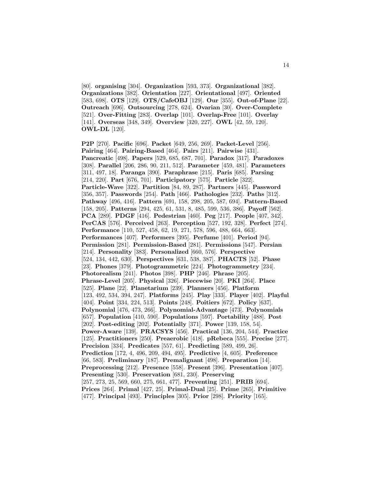[80]. **organising** [304]. **Organization** [593, 373]. **Organizational** [382]. **Organizations** [382]. **Orientation** [227]. **Orientational** [497]. **Oriented** [583, 698]. **OTS** [129]. **OTS/CafeOBJ** [129]. **Our** [355]. **Out-of-Plane** [22]. **Outreach** [696]. **Outsourcing** [278, 624]. **Ovarian** [30]. **Over-Complete** [521]. **Over-Fitting** [283]. **Overlap** [101]. **Overlap-Free** [101]. **Overlay** [141]. **Overseas** [348, 349]. **Overview** [320, 227]. **OWL** [42, 59, 120]. **OWL-DL** [120].

**P2P** [270]. **Pacific** [696]. **Packet** [649, 256, 269]. **Packet-Level** [256]. **Pairing** [464]. **Pairing-Based** [464]. **Pairs** [211]. **Pairwise** [431]. **Pancreatic** [498]. **Papers** [529, 685, 687, 701]. **Paradox** [317]. **Paradoxes** [308]. **Parallel** [206, 286, 90, 211, 512]. **Parameter** [459, 481]. **Parameters** [311, 497, 18]. **Paranga** [390]. **Paraphrase** [215]. **Paris** [685]. **Parsing** [214, 220]. **Part** [676, 701]. **Participatory** [575]. **Particle** [322]. **Particle-Wave** [322]. **Partition** [84, 89, 287]. **Partners** [445]. **Password** [356, 357]. **Passwords** [254]. **Path** [466]. **Pathologies** [232]. **Paths** [312]. **Pathway** [496, 416]. **Pattern** [691, 158, 298, 205, 587, 694]. **Pattern-Based** [158, 205]. **Patterns** [294, 425, 61, 531, 8, 485, 599, 536, 386]. **Payoff** [562]. **PCA** [289]. **PDGF** [416]. **Pedestrian** [460]. **Peg** [217]. **People** [407, 342]. **PerCAS** [576]. **Perceived** [263]. **Perception** [527, 192, 328]. **Perfect** [274]. **Performance** [110, 527, 458, 62, 19, 271, 578, 596, 488, 664, 663]. **Performances** [407]. **Performers** [395]. **Perfume** [401]. **Period** [94]. **Permission** [281]. **Permission-Based** [281]. **Permissions** [547]. **Persian** [214]. **Personality** [383]. **Personalized** [660, 576]. **Perspective** [524, 134, 442, 630]. **Perspectives** [631, 538, 387]. **PHACTS** [52]. **Phase** [23]. **Phones** [379]. **Photogrammetric** [224]. **Photogrammetry** [234]. **Photorealism** [241]. **Photos** [398]. **PHP** [246]. **Phrase** [205]. **Phrase-Level** [205]. **Physical** [326]. **Piecewise** [20]. **PKI** [264]. **Place** [525]. **Plane** [22]. **Planetarium** [239]. **Planners** [456]. **Platform** [123, 492, 534, 394, 247]. **Platforms** [245]. **Play** [333]. **Player** [402]. **Playful** [404]. **Point** [334, 224, 513]. **Points** [248]. **Poitiers** [672]. **Policy** [637]. **Polynomial** [476, 473, 266]. **Polynomial-Advantage** [473]. **Polynomials** [657]. **Population** [410, 590]. **Populations** [597]. **Portability** [488]. **Post** [202]. **Post-editing** [202]. **Potentially** [371]. **Power** [139, 158, 54]. **Power-Aware** [139]. **PRACSYS** [456]. **Practical** [136, 204, 544]. **Practice** [125]. **Practitioners** [250]. **Preaerobic** [418]. **pRebeca** [555]. **Precise** [277]. **Precision** [334]. **Predicates** [557, 61]. **Predicting** [589, 499, 26]. **Prediction** [172, 4, 496, 209, 494, 495]. **Predictive** [4, 605]. **Preference** [66, 583]. **Preliminary** [187]. **Premalignant** [498]. **Preparation** [14]. **Preprocessing** [212]. **Presence** [558]. **Present** [396]. **Presentation** [407]. **Presenting** [530]. **Preservation** [681, 230]. **Preserving** [257, 273, 25, 569, 660, 275, 661, 477]. **Preventing** [251]. **PRIB** [694]. **Prices** [264]. **Primal** [427, 25]. **Primal-Dual** [25]. **Prime** [265]. **Primitive** [477]. **Principal** [493]. **Principles** [305]. **Prior** [298]. **Priority** [165].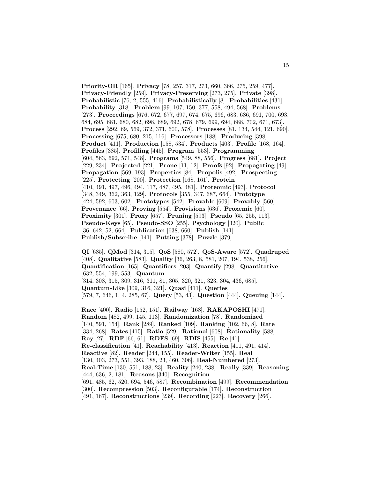**Priority-OR** [165]. **Privacy** [78, 257, 317, 273, 660, 366, 275, 259, 477]. **Privacy-Friendly** [259]. **Privacy-Preserving** [273, 275]. **Private** [398]. **Probabilistic** [76, 2, 555, 416]. **Probabilistically** [8]. **Probabilities** [431]. **Probability** [318]. **Problem** [99, 107, 150, 377, 558, 494, 568]. **Problems** [273]. **Proceedings** [676, 672, 677, 697, 674, 675, 696, 683, 686, 691, 700, 693, 684, 695, 681, 680, 682, 698, 689, 692, 678, 679, 699, 694, 688, 702, 671, 673]. **Process** [292, 69, 569, 372, 371, 600, 578]. **Processes** [81, 134, 544, 121, 690]. **Processing** [675, 680, 215, 116]. **Processors** [188]. **Producing** [398]. **Product** [411]. **Production** [158, 534]. **Products** [403]. **Profile** [168, 164]. **Profiles** [385]. **Profiling** [445]. **Program** [553]. **Programming** [604, 563, 692, 571, 548]. **Programs** [549, 88, 556]. **Progress** [681]. **Project** [229, 234]. **Projected** [221]. **Prone** [11, 12]. **Proofs** [92]. **Propagating** [49]. **Propagation** [569, 193]. **Properties** [84]. **Propolis** [492]. **Prospecting** [225]. **Protecting** [200]. **Protection** [168, 161]. **Protein** [410, 491, 497, 496, 494, 117, 487, 495, 481]. **Proteomic** [493]. **Protocol** [348, 349, 362, 363, 129]. **Protocols** [355, 347, 687, 664]. **Prototype** [424, 592, 603, 602]. **Prototypes** [542]. **Provable** [609]. **Provably** [560]. **Provenance** [66]. **Proving** [554]. **Provisions** [636]. **Proxemic** [60]. **Proximity** [301]. **Proxy** [657]. **Pruning** [593]. **Pseudo** [65, 255, 113]. **Pseudo-Keys** [65]. **Pseudo-SSO** [255]. **Psychology** [320]. **Public** [36, 642, 52, 664]. **Publication** [638, 660]. **Publish** [141]. **Publish/Subscribe** [141]. **Putting** [378]. **Puzzle** [379].

**QI** [685]. **QMod** [314, 315]. **QoS** [580, 572]. **QoS-Aware** [572]. **Quadruped** [408]. **Qualitative** [583]. **Quality** [36, 263, 8, 581, 207, 194, 538, 256]. **Quantification** [165]. **Quantifiers** [203]. **Quantify** [298]. **Quantitative** [632, 554, 199, 553]. **Quantum** [314, 308, 315, 309, 316, 311, 81, 305, 320, 321, 323, 304, 436, 685]. **Quantum-Like** [309, 316, 321]. **Quasi** [411]. **Queries** [579, 7, 646, 1, 4, 285, 67]. **Query** [53, 43]. **Question** [444]. **Queuing** [144].

**Race** [400]. **Radio** [152, 151]. **Railway** [168]. **RAKAPOSHI** [471]. **Random** [482, 499, 145, 113]. **Randomization** [78]. **Randomized** [140, 591, 154]. **Rank** [289]. **Ranked** [109]. **Ranking** [102, 66, 8]. **Rate** [334, 268]. **Rates** [415]. **Ratio** [529]. **Rational** [608]. **Rationality** [588]. **Ray** [27]. **RDF** [66, 61]. **RDFS** [69]. **RDIS** [455]. **Re** [41]. **Re-classification** [41]. **Reachability** [413]. **Reaction** [411, 491, 414]. **Reactive** [82]. **Reader** [244, 155]. **Reader-Writer** [155]. **Real** [130, 403, 273, 551, 393, 188, 23, 460, 306]. **Real-Numbered** [273]. **Real-Time** [130, 551, 188, 23]. **Reality** [240, 238]. **Really** [339]. **Reasoning** [444, 636, 2, 181]. **Reasons** [340]. **Recognition** [691, 485, 62, 520, 694, 546, 587]. **Recombination** [499]. **Recommendation** [300]. **Recompression** [503]. **Reconfigurable** [174]. **Reconstruction** [491, 167]. **Reconstructions** [239]. **Recording** [223]. **Recovery** [266].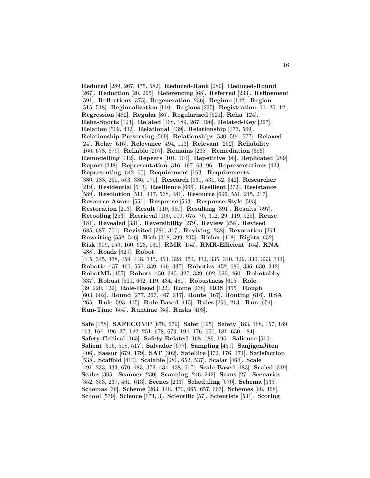**Reduced** [289, 267, 475, 582]. **Reduced-Rank** [289]. **Reduced-Round** [267]. **Reduction** [20, 295]. **Referencing** [68]. **Referred** [233]. **Refinement** [591]. **Reflections** [375]. **Regeneration** [236]. **Regime** [142]. **Region** [515, 518]. **Regionalization** [110]. **Regions** [235]. **Registration** [11, 25, 12]. **Regression** [482]. **Regular** [86]. **Regularized** [521]. **Reha** [124]. **Reha-Sports** [124]. **Related** [168, 189, 267, 196]. **Related-Key** [267]. **Relation** [509, 432]. **Relational** [439]. **Relationship** [173, 569]. **Relationship-Preserving** [569]. **Relationships** [530, 594, 577]. **Relaxed** [24]. **Relay** [616]. **Relevance** [494, 113]. **Relevant** [252]. **Reliability** [166, 678, 679]. **Reliable** [207]. **Remains** [235]. **Remediation** [666]. **Remodelling** [412]. **Repeats** [101, 104]. **Repetitive** [98]. **Replicated** [289]. **Report** [248]. **Representation** [316, 497, 63, 96]. **Representations** [423]. **Representing** [642, 60]. **Requirement** [163]. **Requirements** [380, 188, 250, 583, 386, 170]. **Research** [631, 531, 52, 342]. **Researcher** [219]. **Residential** [513]. **Resilience** [666]. **Resilient** [272]. **Resistance** [589]. **Resolution** [511, 417, 568, 481]. **Resource** [696, 551, 215, 217]. **Resource-Aware** [551]. **Response** [593]. **Response-Style** [593]. **Restoration** [213]. **Result** [110, 650]. **Resulting** [391]. **Results** [597]. **Retooling** [253]. **Retrieval** [100, 109, 675, 70, 312, 29, 119, 525]. **Reuse** [181]. **Revealed** [331]. **Reversibility** [279]. **Review** [258]. **Revised** [685, 687, 701]. **Revisited** [286, 317]. **Reviving** [238]. **Revocation** [264]. **Rewriting** [552, 546]. **Rich** [218, 399, 215]. **Richer** [418]. **Rights** [632]. **Risk** [609, 159, 160, 623, 161]. **RMR** [154]. **RMR-Efficient** [154]. **RNA** [488]. **Roads** [629]. **Robot** [445, 345, 338, 459, 448, 343, 453, 328, 454, 332, 335, 340, 329, 330, 333, 341]. **Robotic** [457, 461, 550, 339, 446, 337]. **Robotics** [452, 686, 336, 630, 342]. **RobotML** [457]. **Robots** [450, 345, 327, 339, 692, 629, 460]. **Robotubby** [337]. **Robust** [511, 662, 119, 434, 481]. **Robustness** [615]. **Role** [39, 220, 122]. **Role-Based** [122]. **Rome** [238]. **ROS** [455]. **Rough** [603, 602]. **Round** [277, 267, 467, 217]. **Route** [167]. **Routing** [616]. **RSA** [265]. **Rule** [593, 415]. **Rule-Based** [415]. **Rules** [296, 213]. **Run** [654].

**Run-Time** [654]. **Runtime** [35]. **Rusks** [403].

**Safe** [158]. **SAFECOMP** [678, 679]. **Safer** [195]. **Safety** [183, 168, 157, 189, 163, 164, 196, 37, 182, 251, 678, 679, 194, 176, 650, 181, 630, 184]. **Safety-Critical** [163]. **Safety-Related** [168, 189, 196]. **Salience** [516]. **Salient** [515, 518, 517]. **Salvador** [677]. **Sampling** [459]. **SanjigenJiten** [406]. **Sassur** [679, 179]. **SAT** [302]. **Satellite** [372, 176, 174]. **Satisfaction** [538]. **Scaffold** [410]. **Scalable** [280, 652, 537]. **Scalar** [464]. **Scale** [491, 233, 433, 670, 483, 372, 434, 438, 517]. **Scale-Based** [483]. **Scaled** [319]. **Scales** [305]. **Scanner** [230]. **Scanning** [246, 242]. **Scans** [27]. **Scenarios** [352, 353, 237, 461, 613]. **Scenes** [233]. **Scheduling** [570]. **Schema** [535]. **Schemas** [36]. **Scheme** [263, 148, 470, 665, 657, 663]. **Schemes** [68, 468]. **School** [539]. **Science** [674, 3]. **Scientific** [57]. **Scientists** [531]. **Scoring**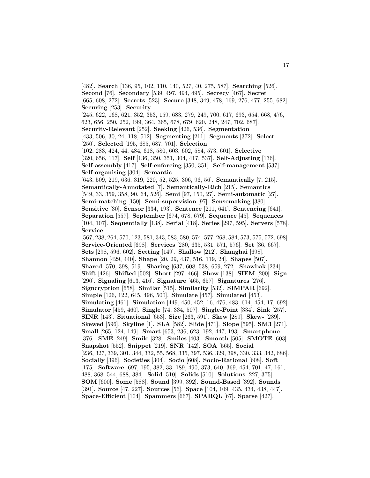[482]. **Search** [136, 95, 102, 110, 140, 527, 40, 275, 587]. **Searching** [526]. **Second** [76]. **Secondary** [539, 497, 494, 495]. **Secrecy** [467]. **Secret** [665, 608, 272]. **Secrets** [523]. **Secure** [348, 349, 478, 169, 276, 477, 255, 682]. **Securing** [253]. **Security** [245, 622, 168, 621, 352, 353, 159, 683, 279, 249, 700, 617, 693, 654, 668, 476, 623, 656, 250, 252, 199, 364, 365, 678, 679, 620, 248, 247, 702, 687]. **Security-Relevant** [252]. **Seeking** [426, 536]. **Segmentation** [433, 506, 30, 24, 118, 512]. **Segmenting** [211]. **Segments** [372]. **Select** [250]. **Selected** [195, 685, 687, 701]. **Selection** [102, 283, 424, 44, 484, 618, 580, 603, 602, 584, 573, 601]. **Selective** [320, 656, 117]. **Self** [136, 350, 351, 304, 417, 537]. **Self-Adjusting** [136]. **Self-assembly** [417]. **Self-enforcing** [350, 351]. **Self-management** [537]. **Self-organising** [304]. **Semantic** [643, 509, 219, 636, 319, 220, 52, 525, 306, 96, 56]. **Semantically** [7, 215]. **Semantically-Annotated** [7]. **Semantically-Rich** [215]. **Semantics** [549, 33, 359, 358, 90, 64, 526]. **Semi** [97, 150, 27]. **Semi-automatic** [27]. **Semi-matching** [150]. **Semi-supervision** [97]. **Sensemaking** [380]. **Sensitive** [30]. **Sensor** [334, 193]. **Sentence** [211, 641]. **Sentencing** [641]. **Separation** [557]. **September** [674, 678, 679]. **Sequence** [45]. **Sequences** [104, 107]. **Sequentially** [138]. **Serial** [418]. **Series** [297, 595]. **Servers** [578]. **Service** [567, 238, 264, 570, 123, 581, 343, 583, 580, 574, 577, 268, 584, 573, 575, 572, 698]. **Service-Oriented** [698]. **Services** [280, 635, 531, 571, 576]. **Set** [36, 667]. **Sets** [298, 596, 602]. **Setting** [149]. **Shallow** [212]. **Shanghai** [698]. **Shannon** [429, 440]. **Shape** [20, 29, 437, 516, 119, 24]. **Shapes** [507]. **Shared** [570, 398, 519]. **Sharing** [637, 608, 538, 659, 272]. **Shawbak** [234]. **Shift** [426]. **Shifted** [502]. **Short** [297, 466]. **Show** [138]. **SIEM** [200]. **Sign** [290]. **Signaling** [613, 416]. **Signature** [465, 657]. **Signatures** [276]. **Signcryption** [658]. **Similar** [515]. **Similarity** [532]. **SIMPAR** [692]. **Simple** [126, 122, 645, 496, 500]. **Simulate** [457]. **Simulated** [453]. **Simulating** [461]. **Simulation** [449, 450, 452, 16, 476, 483, 614, 454, 17, 692]. **Simulator** [459, 460]. **Single** [74, 334, 507]. **Single-Point** [334]. **Sink** [257]. **SINR** [143]. **Situational** [653]. **Size** [263, 591]. **Skew** [289]. **Skew-** [289]. **Skewed** [596]. **Skyline** [1]. **SLA** [582]. **Slide** [471]. **Slope** [595]. **SM3** [271]. **Small** [265, 124, 149]. **Smart** [653, 236, 623, 192, 447, 193]. **Smartphone** [376]. **SME** [249]. **Smile** [328]. **Smiles** [403]. **Smooth** [505]. **SMOTE** [603]. **Snapshot** [552]. **Snippet** [219]. **SNR** [142]. **SOA** [565]. **Social** [236, 327, 339, 301, 344, 332, 55, 568, 335, 397, 536, 329, 398, 330, 333, 342, 686]. **Socially** [396]. **Societies** [304]. **Socio** [608]. **Socio-Rational** [608]. **Soft** [175]. **Software** [697, 195, 382, 33, 189, 490, 373, 640, 369, 454, 701, 47, 161, 488, 368, 544, 688, 384]. **Solid** [510]. **Solids** [510]. **Solutions** [227, 375]. **SOM** [600]. **Some** [588]. **Sound** [399, 392]. **Sound-Based** [392]. **Sounds** [391]. **Source** [47, 227]. **Sources** [56]. **Space** [104, 109, 435, 434, 438, 447]. **Space-Efficient** [104]. **Spammers** [667]. **SPARQL** [67]. **Sparse** [427].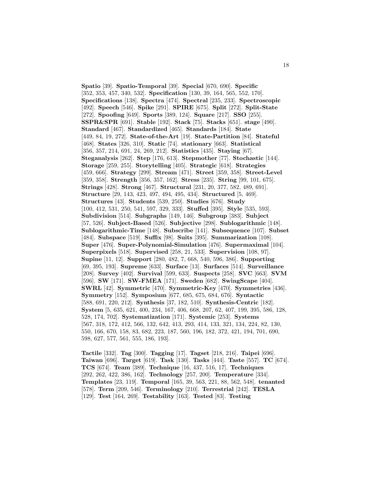**Spatio** [39]. **Spatio-Temporal** [39]. **Special** [670, 690]. **Specific** [352, 353, 457, 340, 532]. **Specification** [130, 39, 164, 565, 552, 170]. **Specifications** [138]. **Spectra** [474]. **Spectral** [235, 233]. **Spectroscopic** [492]. **Speech** [546]. **Spike** [291]. **SPIRE** [675]. **Split** [272]. **Split-State** [272]. **Spoofing** [649]. **Sports** [389, 124]. **Square** [217]. **SSO** [255]. **SSPR&SPR** [691]. **Stable** [192]. **Stack** [75]. **Stacks** [651]. **stage** [490]. **Standard** [467]. **Standardized** [465]. **Standards** [184]. **State** [449, 84, 19, 272]. **State-of-the-Art** [19]. **State-Partition** [84]. **Stateful** [468]. **States** [326, 310]. **Static** [74]. **stationary** [663]. **Statistical** [356, 357, 214, 691, 24, 269, 212]. **Statistics** [435]. **Staying** [67]. **Steganalysis** [262]. **Step** [176, 613]. **Stepmother** [77]. **Stochastic** [144]. **Storage** [259, 255]. **Storytelling** [405]. **Strategic** [618]. **Strategies** [459, 666]. **Strategy** [299]. **Stream** [471]. **Street** [359, 358]. **Street-Level** [359, 358]. **Strength** [356, 357, 162]. **Stress** [235]. **String** [99, 101, 675]. **Strings** [428]. **Strong** [467]. **Structural** [231, 20, 377, 582, 489, 691]. **Structure** [29, 143, 423, 497, 494, 495, 434]. **Structured** [5, 469]. **Structures** [43]. **Students** [539, 250]. **Studies** [676]. **Study** [100, 412, 531, 250, 541, 597, 329, 333]. **Stuffed** [395]. **Style** [535, 593]. **Subdivision** [514]. **Subgraphs** [149, 146]. **Subgroup** [383]. **Subject** [57, 526]. **Subject-Based** [526]. **Subjective** [298]. **Sublogarithmic** [148]. **Sublogarithmic-Time** [148]. **Subscribe** [141]. **Subsequence** [107]. **Subset** [484]. **Subspace** [519]. **Suffix** [98]. **Suits** [395]. **Summarization** [108]. **Super** [476]. **Super-Polynomial-Simulation** [476]. **Supermaximal** [104]. **Superpixels** [518]. **Supervised** [258, 21, 533]. **Supervision** [108, 97]. **Supine** [11, 12]. **Support** [280, 482, 7, 668, 540, 596, 386]. **Supporting** [69, 395, 193]. **Supreme** [633]. **Surface** [13]. **Surfaces** [514]. **Surveillance** [208]. **Survey** [402]. **Survival** [599, 633]. **Suspects** [258]. **SVC** [663]. **SVM** [596]. **SW** [171]. **SW-FMEA** [171]. **Sweden** [682]. **SwingScape** [404]. **SWRL** [42]. **Symmetric** [470]. **Symmetric-Key** [470]. **Symmetries** [436]. **Symmetry** [152]. **Symposium** [677, 685, 675, 684, 676]. **Syntactic** [588, 691, 220, 212]. **Synthesis** [37, 182, 510]. **Synthesis-Centric** [182]. **System** [5, 635, 621, 400, 234, 167, 406, 668, 207, 62, 407, 199, 395, 586, 128, 528, 174, 702]. **Systematization** [171]. **Systemic** [253]. **Systems** [567, 318, 172, 412, 566, 132, 642, 413, 293, 414, 133, 321, 134, 224, 82, 130, 550, 166, 670, 158, 83, 682, 223, 187, 560, 196, 182, 372, 421, 194, 701, 690, 598, 627, 577, 561, 555, 186, 193].

**Tactile** [332]. **Tag** [300]. **Tagging** [17]. **Tagset** [218, 216]. **Taipei** [696]. **Taiwan** [696]. **Target** [619]. **Task** [130]. **Tasks** [444]. **Taste** [557]. **TC** [674]. **TCS** [674]. **Team** [389]. **Technique** [16, 437, 516, 17]. **Techniques** [292, 262, 422, 386, 162]. **Technology** [257, 200]. **Temperature** [334]. **Templates** [23, 119]. **Temporal** [165, 39, 563, 221, 88, 562, 548]. **tenanted** [578]. **Term** [209, 546]. **Terminology** [210]. **Terrestrial** [242]. **TESLA** [129]. **Test** [164, 269]. **Testability** [163]. **Tested** [83]. **Testing**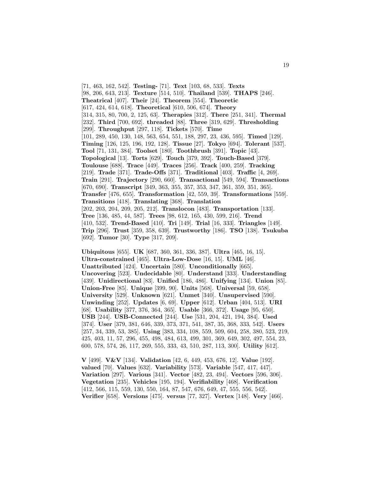[71, 463, 162, 542]. **Testing-** [71]. **Text** [103, 68, 533]. **Texts** [98, 206, 643, 213]. **Texture** [514, 510]. **Thailand** [539]. **THAPS** [246]. **Theatrical** [407]. **Their** [24]. **Theorem** [554]. **Theoretic** [617, 424, 614, 618]. **Theoretical** [610, 506, 674]. **Theory** [314, 315, 80, 700, 2, 125, 63]. **Therapies** [312]. **There** [251, 341]. **Thermal** [232]. **Third** [700, 692]. **threaded** [88]. **Three** [319, 629]. **Thresholding** [299]. **Throughput** [297, 118]. **Tickets** [570]. **Time** [101, 289, 450, 130, 148, 563, 654, 551, 188, 297, 23, 436, 595]. **Timed** [129]. **Timing** [126, 125, 196, 192, 128]. **Tissue** [27]. **Tokyo** [694]. **Tolerant** [537]. **Tool** [71, 131, 384]. **Toolset** [180]. **Toothbrush** [391]. **Topic** [43]. **Topological** [13]. **Torts** [629]. **Touch** [379, 392]. **Touch-Based** [379]. **Toulouse** [688]. **Trace** [449]. **Traces** [256]. **Track** [400, 259]. **Tracking** [219]. **Trade** [371]. **Trade-Offs** [371]. **Traditional** [403]. **Traffic** [4, 269]. **Train** [291]. **Trajectory** [290, 660]. **Transactional** [549, 594]. **Transactions** [670, 690]. **Transcript** [349, 363, 355, 357, 353, 347, 361, 359, 351, 365]. **Transfer** [476, 655]. **Transformation** [42, 559, 39]. **Transformations** [559]. **Transitions** [418]. **Translating** [368]. **Translation** [202, 203, 204, 209, 205, 212]. **Translocon** [483]. **Transportation** [133]. **Tree** [136, 485, 44, 587]. **Trees** [98, 612, 165, 430, 599, 216]. **Trend** [410, 532]. **Trend-Based** [410]. **Tri** [149]. **Trial** [16, 333]. **Triangles** [149]. **Trip** [296]. **Trust** [359, 358, 639]. **Trustworthy** [186]. **TSO** [138]. **Tsukuba** [692]. **Tumor** [30]. **Type** [317, 209].

**Ubiquitous** [655]. **UK** [687, 360, 361, 336, 387]. **Ultra** [465, 16, 15]. **Ultra-constrained** [465]. **Ultra-Low-Dose** [16, 15]. **UML** [46]. **Unattributed** [424]. **Uncertain** [580]. **Unconditionally** [665]. **Uncovering** [523]. **Undecidable** [80]. **Understand** [333]. **Understanding** [439]. **Unidirectional** [83]. **Unified** [186, 486]. **Unifying** [134]. **Union** [85]. **Union-Free** [85]. **Unique** [399, 90]. **Units** [568]. **Universal** [59, 658]. **University** [529]. **Unknown** [621]. **Unmet** [340]. **Unsupervised** [590]. **Unwinding** [252]. **Updates** [6, 69]. **Upper** [612]. **Urban** [404, 513]. **URI** [68]. **Usability** [377, 376, 364, 365]. **Usable** [366, 372]. **Usage** [95, 650]. **USB** [244]. **USB-Connected** [244]. **Use** [531, 204, 421, 194, 384]. **Used** [374]. **User** [379, 381, 646, 339, 373, 371, 541, 387, 35, 368, 333, 542]. **Users** [257, 34, 339, 53, 385]. **Using** [383, 334, 108, 559, 509, 604, 258, 380, 523, 219, 425, 403, 11, 57, 296, 455, 498, 484, 613, 499, 301, 369, 649, 302, 497, 554, 23, 600, 578, 574, 26, 117, 269, 555, 333, 43, 510, 287, 113, 300]. **Utility** [612].

**V** [499]. **V&V** [134]. **Validation** [42, 6, 449, 453, 676, 12]. **Value** [192]. **valued** [70]. **Values** [632]. **Variability** [573]. **Variable** [547, 417, 447]. **Variation** [297]. **Various** [341]. **Vector** [482, 23, 494]. **Vectors** [596, 306]. **Vegetation** [235]. **Vehicles** [195, 194]. **Verifiability** [468]. **Verification** [412, 566, 115, 559, 130, 550, 164, 87, 547, 676, 649, 47, 555, 556, 542]. **Verifier** [658]. **Versions** [475]. **versus** [77, 327]. **Vertex** [148]. **Very** [466].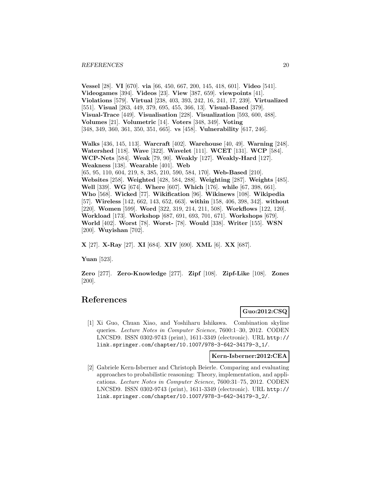**Vessel** [28]. **VI** [670]. **via** [66, 450, 667, 200, 145, 418, 601]. **Video** [541]. **Videogames** [394]. **Videos** [23]. **View** [387, 659]. **viewpoints** [41]. **Violations** [579]. **Virtual** [238, 403, 393, 242, 16, 241, 17, 239]. **Virtualized** [551]. **Visual** [263, 449, 379, 695, 455, 366, 13]. **Visual-Based** [379]. **Visual-Trace** [449]. **Visualisation** [228]. **Visualization** [593, 600, 488]. **Volumes** [21]. **Volumetric** [14]. **Voters** [348, 349]. **Voting** [348, 349, 360, 361, 350, 351, 665]. **vs** [458]. **Vulnerability** [617, 246].

**Walks** [436, 145, 113]. **Warcraft** [402]. **Warehouse** [40, 49]. **Warning** [248]. **Watershed** [118]. **Wave** [322]. **Wavelet** [111]. **WCET** [131]. **WCP** [584]. **WCP-Nets** [584]. **Weak** [79, 90]. **Weakly** [127]. **Weakly-Hard** [127]. **Weakness** [138]. **Wearable** [401]. **Web** [65, 95, 110, 604, 219, 8, 385, 210, 590, 584, 170]. **Web-Based** [210]. **Websites** [258]. **Weighted** [428, 584, 288]. **Weighting** [287]. **Weights** [485]. **Well** [339]. **WG** [674]. **Where** [607]. **Which** [176]. **while** [67, 398, 661]. **Who** [568]. **Wicked** [77]. **Wikification** [96]. **Wikinews** [108]. **Wikipedia** [57]. **Wireless** [142, 662, 143, 652, 663]. **within** [158, 406, 398, 342]. **without** [220]. **Women** [599]. **Word** [322, 319, 214, 211, 508]. **Workflows** [122, 120]. **Workload** [173]. **Workshop** [687, 691, 693, 701, 671]. **Workshops** [679]. **World** [402]. **Worst** [78]. **Worst-** [78]. **Would** [338]. **Writer** [155]. **WSN** [200]. **Wuyishan** [702].

**X** [27]. **X-Ray** [27]. **XI** [684]. **XIV** [690]. **XML** [6]. **XX** [687].

**Yuan** [523].

**Zero** [277]. **Zero-Knowledge** [277]. **Zipf** [108]. **Zipf-Like** [108]. **Zones** [200].

# **References**

# **Guo:2012:CSQ**

[1] Xi Guo, Chuan Xiao, and Yoshiharu Ishikawa. Combination skyline queries. Lecture Notes in Computer Science, 7600:1–30, 2012. CODEN LNCSD9. ISSN 0302-9743 (print), 1611-3349 (electronic). URL http:// link.springer.com/chapter/10.1007/978-3-642-34179-3\_1/.

**Kern-Isberner:2012:CEA**

[2] Gabriele Kern-Isberner and Christoph Beierle. Comparing and evaluating approaches to probabilistic reasoning: Theory, implementation, and applications. Lecture Notes in Computer Science, 7600:31–75, 2012. CODEN LNCSD9. ISSN 0302-9743 (print), 1611-3349 (electronic). URL http:// link.springer.com/chapter/10.1007/978-3-642-34179-3\_2/.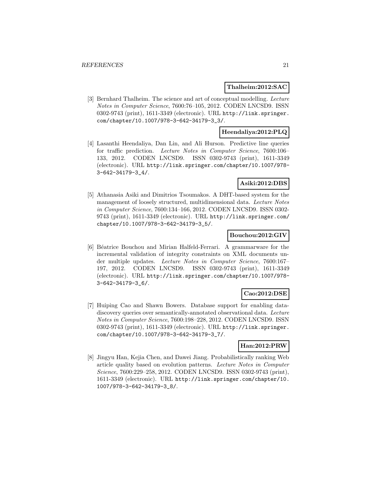#### **Thalheim:2012:SAC**

[3] Bernhard Thalheim. The science and art of conceptual modelling. Lecture Notes in Computer Science, 7600:76–105, 2012. CODEN LNCSD9. ISSN 0302-9743 (print), 1611-3349 (electronic). URL http://link.springer. com/chapter/10.1007/978-3-642-34179-3\_3/.

# **Heendaliya:2012:PLQ**

[4] Lasanthi Heendaliya, Dan Lin, and Ali Hurson. Predictive line queries for traffic prediction. Lecture Notes in Computer Science, 7600:106– 133, 2012. CODEN LNCSD9. ISSN 0302-9743 (print), 1611-3349 (electronic). URL http://link.springer.com/chapter/10.1007/978- 3-642-34179-3\_4/.

# **Asiki:2012:DBS**

[5] Athanasia Asiki and Dimitrios Tsoumakos. A DHT-based system for the management of loosely structured, multidimensional data. Lecture Notes in Computer Science, 7600:134–166, 2012. CODEN LNCSD9. ISSN 0302- 9743 (print), 1611-3349 (electronic). URL http://link.springer.com/ chapter/10.1007/978-3-642-34179-3\_5/.

#### **Bouchou:2012:GIV**

[6] B´eatrice Bouchou and Mirian Halfeld-Ferrari. A grammarware for the incremental validation of integrity constraints on XML documents under multiple updates. Lecture Notes in Computer Science, 7600:167– 197, 2012. CODEN LNCSD9. ISSN 0302-9743 (print), 1611-3349 (electronic). URL http://link.springer.com/chapter/10.1007/978- 3-642-34179-3\_6/.

#### **Cao:2012:DSE**

[7] Huiping Cao and Shawn Bowers. Database support for enabling datadiscovery queries over semantically-annotated observational data. Lecture Notes in Computer Science, 7600:198–228, 2012. CODEN LNCSD9. ISSN 0302-9743 (print), 1611-3349 (electronic). URL http://link.springer. com/chapter/10.1007/978-3-642-34179-3\_7/.

#### **Han:2012:PRW**

[8] Jingyu Han, Kejia Chen, and Dawei Jiang. Probabilistically ranking Web article quality based on evolution patterns. Lecture Notes in Computer Science, 7600:229–258, 2012. CODEN LNCSD9. ISSN 0302-9743 (print), 1611-3349 (electronic). URL http://link.springer.com/chapter/10. 1007/978-3-642-34179-3\_8/.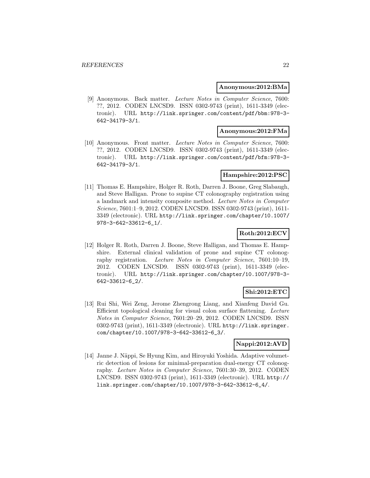#### **Anonymous:2012:BMa**

[9] Anonymous. Back matter. Lecture Notes in Computer Science, 7600: ??, 2012. CODEN LNCSD9. ISSN 0302-9743 (print), 1611-3349 (electronic). URL http://link.springer.com/content/pdf/bbm:978-3- 642-34179-3/1.

# **Anonymous:2012:FMa**

[10] Anonymous. Front matter. Lecture Notes in Computer Science, 7600: ??, 2012. CODEN LNCSD9. ISSN 0302-9743 (print), 1611-3349 (electronic). URL http://link.springer.com/content/pdf/bfm:978-3- 642-34179-3/1.

#### **Hampshire:2012:PSC**

[11] Thomas E. Hampshire, Holger R. Roth, Darren J. Boone, Greg Slabaugh, and Steve Halligan. Prone to supine CT colonography registration using a landmark and intensity composite method. Lecture Notes in Computer Science, 7601:1–9, 2012. CODEN LNCSD9. ISSN 0302-9743 (print), 1611- 3349 (electronic). URL http://link.springer.com/chapter/10.1007/ 978-3-642-33612-6\_1/.

# **Roth:2012:ECV**

[12] Holger R. Roth, Darren J. Boone, Steve Halligan, and Thomas E. Hampshire. External clinical validation of prone and supine CT colonography registration. Lecture Notes in Computer Science, 7601:10–19, 2012. CODEN LNCSD9. ISSN 0302-9743 (print), 1611-3349 (electronic). URL http://link.springer.com/chapter/10.1007/978-3- 642-33612-6\_2/.

# **Shi:2012:ETC**

[13] Rui Shi, Wei Zeng, Jerome Zhengrong Liang, and Xianfeng David Gu. Efficient topological cleaning for visual colon surface flattening. Lecture Notes in Computer Science, 7601:20–29, 2012. CODEN LNCSD9. ISSN 0302-9743 (print), 1611-3349 (electronic). URL http://link.springer. com/chapter/10.1007/978-3-642-33612-6\_3/.

#### **Nappi:2012:AVD**

[14] Janne J. Näppi, Se Hyung Kim, and Hiroyuki Yoshida. Adaptive volumetric detection of lesions for minimal-preparation dual-energy CT colonography. Lecture Notes in Computer Science, 7601:30–39, 2012. CODEN LNCSD9. ISSN 0302-9743 (print), 1611-3349 (electronic). URL http:// link.springer.com/chapter/10.1007/978-3-642-33612-6\_4/.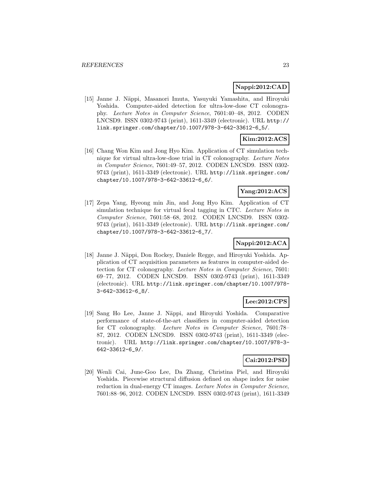# **Nappi:2012:CAD**

[15] Janne J. Näppi, Masanori Imuta, Yasuyuki Yamashita, and Hiroyuki Yoshida. Computer-aided detection for ultra-low-dose CT colonography. Lecture Notes in Computer Science, 7601:40–48, 2012. CODEN LNCSD9. ISSN 0302-9743 (print), 1611-3349 (electronic). URL http:// link.springer.com/chapter/10.1007/978-3-642-33612-6\_5/.

# **Kim:2012:ACS**

[16] Chang Won Kim and Jong Hyo Kim. Application of CT simulation technique for virtual ultra-low-dose trial in CT colonography. Lecture Notes in Computer Science, 7601:49–57, 2012. CODEN LNCSD9. ISSN 0302- 9743 (print), 1611-3349 (electronic). URL http://link.springer.com/ chapter/10.1007/978-3-642-33612-6\_6/.

# **Yang:2012:ACS**

[17] Zepa Yang, Hyeong min Jin, and Jong Hyo Kim. Application of CT simulation technique for virtual fecal tagging in CTC. Lecture Notes in Computer Science, 7601:58–68, 2012. CODEN LNCSD9. ISSN 0302- 9743 (print), 1611-3349 (electronic). URL http://link.springer.com/ chapter/10.1007/978-3-642-33612-6\_7/.

# **Nappi:2012:ACA**

[18] Janne J. N¨appi, Don Rockey, Daniele Regge, and Hiroyuki Yoshida. Application of CT acquisition parameters as features in computer-aided detection for CT colonography. Lecture Notes in Computer Science, 7601: 69–77, 2012. CODEN LNCSD9. ISSN 0302-9743 (print), 1611-3349 (electronic). URL http://link.springer.com/chapter/10.1007/978- 3-642-33612-6\_8/.

# **Lee:2012:CPS**

[19] Sang Ho Lee, Janne J. N¨appi, and Hiroyuki Yoshida. Comparative performance of state-of-the-art classifiers in computer-aided detection for CT colonography. Lecture Notes in Computer Science, 7601:78– 87, 2012. CODEN LNCSD9. ISSN 0302-9743 (print), 1611-3349 (electronic). URL http://link.springer.com/chapter/10.1007/978-3- 642-33612-6\_9/.

# **Cai:2012:PSD**

[20] Wenli Cai, June-Goo Lee, Da Zhang, Christina Piel, and Hiroyuki Yoshida. Piecewise structural diffusion defined on shape index for noise reduction in dual-energy CT images. Lecture Notes in Computer Science, 7601:88–96, 2012. CODEN LNCSD9. ISSN 0302-9743 (print), 1611-3349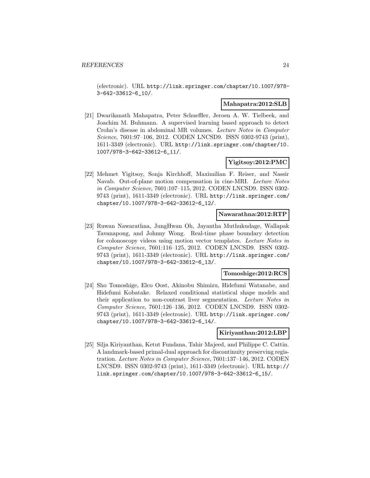(electronic). URL http://link.springer.com/chapter/10.1007/978- 3-642-33612-6\_10/.

#### **Mahapatra:2012:SLB**

[21] Dwarikanath Mahapatra, Peter Schueffler, Jeroen A. W. Tielbeek, and Joachim M. Buhmann. A supervised learning based approach to detect Crohn's disease in abdominal MR volumes. Lecture Notes in Computer Science, 7601:97–106, 2012. CODEN LNCSD9. ISSN 0302-9743 (print), 1611-3349 (electronic). URL http://link.springer.com/chapter/10. 1007/978-3-642-33612-6\_11/.

# **Yigitsoy:2012:PMC**

[22] Mehmet Yigitsoy, Sonja Kirchhoff, Maximilian F. Reiser, and Nassir Navab. Out-of-plane motion compensation in cine-MRI. Lecture Notes in Computer Science, 7601:107–115, 2012. CODEN LNCSD9. ISSN 0302- 9743 (print), 1611-3349 (electronic). URL http://link.springer.com/ chapter/10.1007/978-3-642-33612-6\_12/.

#### **Nawarathna:2012:RTP**

[23] Ruwan Nawarathna, JungHwan Oh, Jayantha Muthukudage, Wallapak Tavanapong, and Johnny Wong. Real-time phase boundary detection for colonoscopy videos using motion vector templates. Lecture Notes in Computer Science, 7601:116–125, 2012. CODEN LNCSD9. ISSN 0302- 9743 (print), 1611-3349 (electronic). URL http://link.springer.com/ chapter/10.1007/978-3-642-33612-6\_13/.

#### **Tomoshige:2012:RCS**

[24] Sho Tomoshige, Elco Oost, Akinobu Shimizu, Hidefumi Watanabe, and Hidefumi Kobatake. Relaxed conditional statistical shape models and their application to non-contrast liver segmentation. Lecture Notes in Computer Science, 7601:126–136, 2012. CODEN LNCSD9. ISSN 0302- 9743 (print), 1611-3349 (electronic). URL http://link.springer.com/ chapter/10.1007/978-3-642-33612-6\_14/.

#### **Kiriyanthan:2012:LBP**

[25] Silja Kiriyanthan, Ketut Fundana, Tahir Majeed, and Philippe C. Cattin. A landmark-based primal-dual approach for discontinuity preserving registration. Lecture Notes in Computer Science, 7601:137–146, 2012. CODEN LNCSD9. ISSN 0302-9743 (print), 1611-3349 (electronic). URL http:// link.springer.com/chapter/10.1007/978-3-642-33612-6\_15/.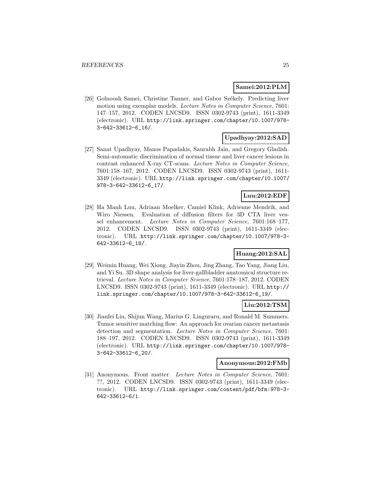#### **Samei:2012:PLM**

[26] Golnoosh Samei, Christine Tanner, and Gabor Székely. Predicting liver motion using exemplar models. Lecture Notes in Computer Science, 7601: 147–157, 2012. CODEN LNCSD9. ISSN 0302-9743 (print), 1611-3349 (electronic). URL http://link.springer.com/chapter/10.1007/978- 3-642-33612-6\_16/.

# **Upadhyay:2012:SAD**

[27] Sanat Upadhyay, Manos Papadakis, Saurabh Jain, and Gregory Gladish. Semi-automatic discrimination of normal tissue and liver cancer lesions in contrast enhanced X-ray CT-scans. Lecture Notes in Computer Science, 7601:158–167, 2012. CODEN LNCSD9. ISSN 0302-9743 (print), 1611- 3349 (electronic). URL http://link.springer.com/chapter/10.1007/ 978-3-642-33612-6\_17/.

### **Luu:2012:EDF**

[28] Ha Manh Luu, Adriaan Moelker, Camiel Klink, Adrienne Mendrik, and Wiro Niessen. Evaluation of diffusion filters for 3D CTA liver vessel enhancement. Lecture Notes in Computer Science, 7601:168–177, 2012. CODEN LNCSD9. ISSN 0302-9743 (print), 1611-3349 (electronic). URL http://link.springer.com/chapter/10.1007/978-3- 642-33612-6\_18/.

# **Huang:2012:SAL**

[29] Weimin Huang, Wei Xiong, Jiayin Zhou, Jing Zhang, Tao Yang, Jiang Liu, and Yi Su. 3D shape analysis for liver-gallbladder anatomical structure retrieval. Lecture Notes in Computer Science, 7601:178–187, 2012. CODEN LNCSD9. ISSN 0302-9743 (print), 1611-3349 (electronic). URL http:// link.springer.com/chapter/10.1007/978-3-642-33612-6\_19/.

# **Liu:2012:TSM**

[30] Jianfei Liu, Shijun Wang, Marius G. Linguraru, and Ronald M. Summers. Tumor sensitive matching flow: An approach for ovarian cancer metastasis detection and segmentation. Lecture Notes in Computer Science, 7601: 188–197, 2012. CODEN LNCSD9. ISSN 0302-9743 (print), 1611-3349 (electronic). URL http://link.springer.com/chapter/10.1007/978- 3-642-33612-6\_20/.

#### **Anonymous:2012:FMb**

[31] Anonymous. Front matter. Lecture Notes in Computer Science, 7601: ??, 2012. CODEN LNCSD9. ISSN 0302-9743 (print), 1611-3349 (electronic). URL http://link.springer.com/content/pdf/bfm:978-3- 642-33612-6/1.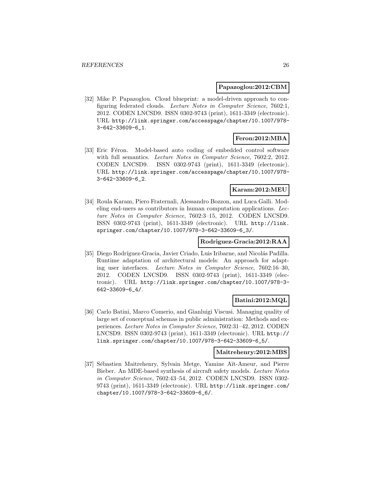### **Papazoglou:2012:CBM**

[32] Mike P. Papazoglou. Cloud blueprint: a model-driven approach to configuring federated clouds. Lecture Notes in Computer Science, 7602:1, 2012. CODEN LNCSD9. ISSN 0302-9743 (print), 1611-3349 (electronic). URL http://link.springer.com/accesspage/chapter/10.1007/978- 3-642-33609-6\_1.

#### **Feron:2012:MBA**

[33] Eric Féron. Model-based auto coding of embedded control software with full semantics. Lecture Notes in Computer Science, 7602:2, 2012. CODEN LNCSD9. ISSN 0302-9743 (print), 1611-3349 (electronic). URL http://link.springer.com/accesspage/chapter/10.1007/978- 3-642-33609-6\_2.

# **Karam:2012:MEU**

[34] Roula Karam, Piero Fraternali, Alessandro Bozzon, and Luca Galli. Modeling end-users as contributors in human computation applications. Lecture Notes in Computer Science, 7602:3–15, 2012. CODEN LNCSD9. ISSN 0302-9743 (print), 1611-3349 (electronic). URL http://link. springer.com/chapter/10.1007/978-3-642-33609-6\_3/.

#### **Rodriguez-Gracia:2012:RAA**

[35] Diego Rodríguez-Gracia, Javier Criado, Luis Iribarne, and Nicolás Padilla. Runtime adaptation of architectural models: An approach for adapting user interfaces. Lecture Notes in Computer Science, 7602:16–30, 2012. CODEN LNCSD9. ISSN 0302-9743 (print), 1611-3349 (electronic). URL http://link.springer.com/chapter/10.1007/978-3- 642-33609-6\_4/.

# **Batini:2012:MQL**

[36] Carlo Batini, Marco Comerio, and Gianluigi Viscusi. Managing quality of large set of conceptual schemas in public administration: Methods and experiences. Lecture Notes in Computer Science, 7602:31–42, 2012. CODEN LNCSD9. ISSN 0302-9743 (print), 1611-3349 (electronic). URL http:// link.springer.com/chapter/10.1007/978-3-642-33609-6\_5/.

#### **Maitrehenry:2012:MBS**

[37] Sébastien Maitrehenry, Sylvain Metge, Yamine Aït-Ameur, and Pierre Bieber. An MDE-based synthesis of aircraft safety models. Lecture Notes in Computer Science, 7602:43–54, 2012. CODEN LNCSD9. ISSN 0302- 9743 (print), 1611-3349 (electronic). URL http://link.springer.com/ chapter/10.1007/978-3-642-33609-6\_6/.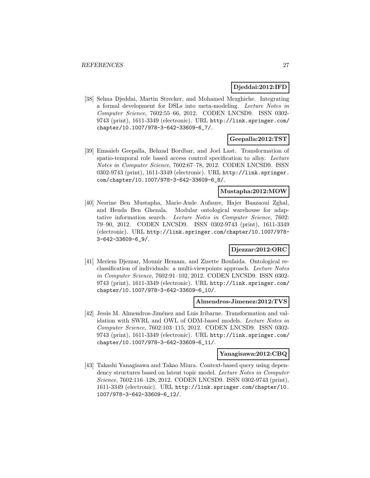### **Djeddai:2012:IFD**

[38] Selma Djeddai, Martin Strecker, and Mohamed Mezghiche. Integrating a formal development for DSLs into meta-modeling. Lecture Notes in Computer Science, 7602:55–66, 2012. CODEN LNCSD9. ISSN 0302- 9743 (print), 1611-3349 (electronic). URL http://link.springer.com/ chapter/10.1007/978-3-642-33609-6\_7/.

# **Geepalla:2012:TST**

[39] Emsaieb Geepalla, Behzad Bordbar, and Joel Last. Transformation of spatio-temporal role based access control specification to alloy. Lecture Notes in Computer Science, 7602:67–78, 2012. CODEN LNCSD9. ISSN 0302-9743 (print), 1611-3349 (electronic). URL http://link.springer. com/chapter/10.1007/978-3-642-33609-6\_8/.

# **Mustapha:2012:MOW**

[40] Nesrine Ben Mustapha, Marie-Aude Aufaure, Hajer Baazaoui Zghal, and Henda Ben Ghezala. Modular ontological warehouse for adaptative information search. Lecture Notes in Computer Science, 7602: 79–90, 2012. CODEN LNCSD9. ISSN 0302-9743 (print), 1611-3349 (electronic). URL http://link.springer.com/chapter/10.1007/978- 3-642-33609-6\_9/.

### **Djezzar:2012:ORC**

[41] Meriem Djezzar, Mounir Hemam, and Zizette Boufaida. Ontological reclassification of individuals: a multi-viewpoints approach. Lecture Notes in Computer Science, 7602:91–102, 2012. CODEN LNCSD9. ISSN 0302- 9743 (print), 1611-3349 (electronic). URL http://link.springer.com/ chapter/10.1007/978-3-642-33609-6\_10/.

#### **Almendros-Jimenez:2012:TVS**

[42] Jesús M. Almendros-Jiménez and Luis Iribarne. Transformation and validation with SWRL and OWL of ODM-based models. Lecture Notes in Computer Science, 7602:103–115, 2012. CODEN LNCSD9. ISSN 0302- 9743 (print), 1611-3349 (electronic). URL http://link.springer.com/ chapter/10.1007/978-3-642-33609-6\_11/.

#### **Yanagisawa:2012:CBQ**

[43] Takashi Yanagisawa and Takao Miura. Context-based query using dependency structures based on latent topic model. Lecture Notes in Computer Science, 7602:116–128, 2012. CODEN LNCSD9. ISSN 0302-9743 (print), 1611-3349 (electronic). URL http://link.springer.com/chapter/10. 1007/978-3-642-33609-6\_12/.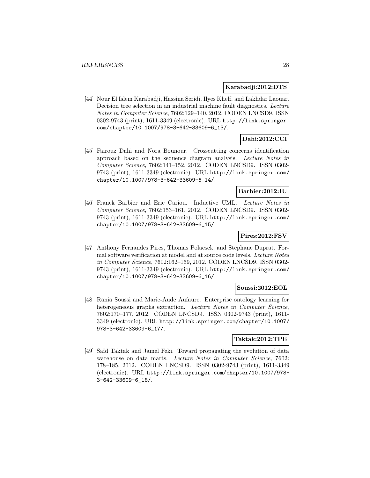#### **Karabadji:2012:DTS**

[44] Nour El Islem Karabadji, Hassina Seridi, Ilyes Khelf, and Lakhdar Laouar. Decision tree selection in an industrial machine fault diagnostics. Lecture Notes in Computer Science, 7602:129–140, 2012. CODEN LNCSD9. ISSN 0302-9743 (print), 1611-3349 (electronic). URL http://link.springer. com/chapter/10.1007/978-3-642-33609-6\_13/.

# **Dahi:2012:CCI**

[45] Fairouz Dahi and Nora Bounour. Crosscutting concerns identification approach based on the sequence diagram analysis. Lecture Notes in Computer Science, 7602:141–152, 2012. CODEN LNCSD9. ISSN 0302- 9743 (print), 1611-3349 (electronic). URL http://link.springer.com/ chapter/10.1007/978-3-642-33609-6\_14/.

# **Barbier:2012:IU**

[46] Franck Barbier and Eric Cariou. Inductive UML. Lecture Notes in Computer Science, 7602:153–161, 2012. CODEN LNCSD9. ISSN 0302- 9743 (print), 1611-3349 (electronic). URL http://link.springer.com/ chapter/10.1007/978-3-642-33609-6\_15/.

# **Pires:2012:FSV**

[47] Anthony Fernandes Pires, Thomas Polacsek, and Stéphane Duprat. Formal software verification at model and at source code levels. Lecture Notes in Computer Science, 7602:162–169, 2012. CODEN LNCSD9. ISSN 0302- 9743 (print), 1611-3349 (electronic). URL http://link.springer.com/ chapter/10.1007/978-3-642-33609-6\_16/.

#### **Soussi:2012:EOL**

[48] Rania Soussi and Marie-Aude Aufaure. Enterprise ontology learning for heterogeneous graphs extraction. Lecture Notes in Computer Science, 7602:170–177, 2012. CODEN LNCSD9. ISSN 0302-9743 (print), 1611- 3349 (electronic). URL http://link.springer.com/chapter/10.1007/ 978-3-642-33609-6\_17/.

# **Taktak:2012:TPE**

[49] Saïd Taktak and Jamel Feki. Toward propagating the evolution of data warehouse on data marts. Lecture Notes in Computer Science, 7602: 178–185, 2012. CODEN LNCSD9. ISSN 0302-9743 (print), 1611-3349 (electronic). URL http://link.springer.com/chapter/10.1007/978- 3-642-33609-6\_18/.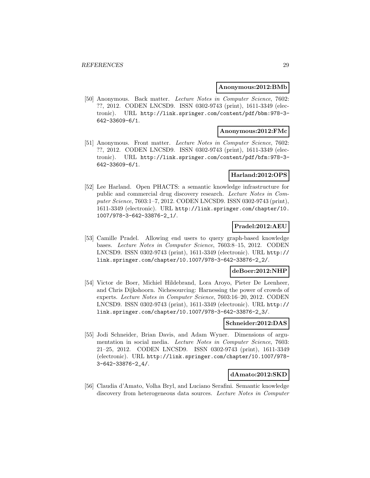#### **Anonymous:2012:BMb**

[50] Anonymous. Back matter. Lecture Notes in Computer Science, 7602: ??, 2012. CODEN LNCSD9. ISSN 0302-9743 (print), 1611-3349 (electronic). URL http://link.springer.com/content/pdf/bbm:978-3- 642-33609-6/1.

#### **Anonymous:2012:FMc**

[51] Anonymous. Front matter. Lecture Notes in Computer Science, 7602: ??, 2012. CODEN LNCSD9. ISSN 0302-9743 (print), 1611-3349 (electronic). URL http://link.springer.com/content/pdf/bfm:978-3- 642-33609-6/1.

#### **Harland:2012:OPS**

[52] Lee Harland. Open PHACTS: a semantic knowledge infrastructure for public and commercial drug discovery research. Lecture Notes in Computer Science, 7603:1–7, 2012. CODEN LNCSD9. ISSN 0302-9743 (print), 1611-3349 (electronic). URL http://link.springer.com/chapter/10. 1007/978-3-642-33876-2\_1/.

#### **Pradel:2012:AEU**

[53] Camille Pradel. Allowing end users to query graph-based knowledge bases. Lecture Notes in Computer Science, 7603:8–15, 2012. CODEN LNCSD9. ISSN 0302-9743 (print), 1611-3349 (electronic). URL http:// link.springer.com/chapter/10.1007/978-3-642-33876-2\_2/.

#### **deBoer:2012:NHP**

[54] Victor de Boer, Michiel Hildebrand, Lora Aroyo, Pieter De Leenheer, and Chris Dijkshoorn. Nichesourcing: Harnessing the power of crowds of experts. Lecture Notes in Computer Science, 7603:16–20, 2012. CODEN LNCSD9. ISSN 0302-9743 (print), 1611-3349 (electronic). URL http:// link.springer.com/chapter/10.1007/978-3-642-33876-2\_3/.

#### **Schneider:2012:DAS**

[55] Jodi Schneider, Brian Davis, and Adam Wyner. Dimensions of argumentation in social media. Lecture Notes in Computer Science, 7603: 21–25, 2012. CODEN LNCSD9. ISSN 0302-9743 (print), 1611-3349 (electronic). URL http://link.springer.com/chapter/10.1007/978- 3-642-33876-2\_4/.

#### **dAmato:2012:SKD**

[56] Claudia d'Amato, Volha Bryl, and Luciano Serafini. Semantic knowledge discovery from heterogeneous data sources. Lecture Notes in Computer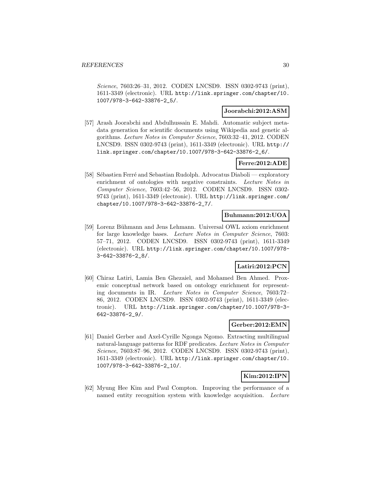Science, 7603:26–31, 2012. CODEN LNCSD9. ISSN 0302-9743 (print), 1611-3349 (electronic). URL http://link.springer.com/chapter/10. 1007/978-3-642-33876-2\_5/.

#### **Joorabchi:2012:ASM**

[57] Arash Joorabchi and Abdulhussain E. Mahdi. Automatic subject metadata generation for scientific documents using Wikipedia and genetic algorithms. Lecture Notes in Computer Science, 7603:32–41, 2012. CODEN LNCSD9. ISSN 0302-9743 (print), 1611-3349 (electronic). URL http:// link.springer.com/chapter/10.1007/978-3-642-33876-2\_6/.

#### **Ferre:2012:ADE**

[58] Sébastien Ferré and Sebastian Rudolph. Advocatus Diaboli — exploratory enrichment of ontologies with negative constraints. Lecture Notes in Computer Science, 7603:42–56, 2012. CODEN LNCSD9. ISSN 0302- 9743 (print), 1611-3349 (electronic). URL http://link.springer.com/ chapter/10.1007/978-3-642-33876-2\_7/.

#### **Buhmann:2012:UOA**

[59] Lorenz Bühmann and Jens Lehmann. Universal OWL axiom enrichment for large knowledge bases. Lecture Notes in Computer Science, 7603: 57–71, 2012. CODEN LNCSD9. ISSN 0302-9743 (print), 1611-3349 (electronic). URL http://link.springer.com/chapter/10.1007/978- 3-642-33876-2\_8/.

# **Latiri:2012:PCN**

[60] Chiraz Latiri, Lamia Ben Ghezaiel, and Mohamed Ben Ahmed. Proxemic conceptual network based on ontology enrichment for representing documents in IR. Lecture Notes in Computer Science, 7603:72– 86, 2012. CODEN LNCSD9. ISSN 0302-9743 (print), 1611-3349 (electronic). URL http://link.springer.com/chapter/10.1007/978-3- 642-33876-2\_9/.

### **Gerber:2012:EMN**

[61] Daniel Gerber and Axel-Cyrille Ngonga Ngomo. Extracting multilingual natural-language patterns for RDF predicates. Lecture Notes in Computer Science, 7603:87–96, 2012. CODEN LNCSD9. ISSN 0302-9743 (print), 1611-3349 (electronic). URL http://link.springer.com/chapter/10. 1007/978-3-642-33876-2\_10/.

# **Kim:2012:IPN**

[62] Myung Hee Kim and Paul Compton. Improving the performance of a named entity recognition system with knowledge acquisition. Lecture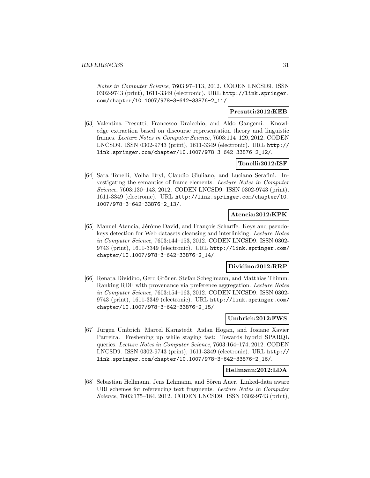Notes in Computer Science, 7603:97–113, 2012. CODEN LNCSD9. ISSN 0302-9743 (print), 1611-3349 (electronic). URL http://link.springer. com/chapter/10.1007/978-3-642-33876-2\_11/.

# **Presutti:2012:KEB**

[63] Valentina Presutti, Francesco Draicchio, and Aldo Gangemi. Knowledge extraction based on discourse representation theory and linguistic frames. Lecture Notes in Computer Science, 7603:114–129, 2012. CODEN LNCSD9. ISSN 0302-9743 (print), 1611-3349 (electronic). URL http:// link.springer.com/chapter/10.1007/978-3-642-33876-2\_12/.

#### **Tonelli:2012:ISF**

[64] Sara Tonelli, Volha Bryl, Claudio Giuliano, and Luciano Serafini. Investigating the semantics of frame elements. Lecture Notes in Computer Science, 7603:130–143, 2012. CODEN LNCSD9. ISSN 0302-9743 (print), 1611-3349 (electronic). URL http://link.springer.com/chapter/10. 1007/978-3-642-33876-2\_13/.

### **Atencia:2012:KPK**

[65] Manuel Atencia, Jérôme David, and François Scharffe. Keys and pseudokeys detection for Web datasets cleansing and interlinking. Lecture Notes in Computer Science, 7603:144–153, 2012. CODEN LNCSD9. ISSN 0302- 9743 (print), 1611-3349 (electronic). URL http://link.springer.com/ chapter/10.1007/978-3-642-33876-2\_14/.

# **Dividino:2012:RRP**

[66] Renata Dividino, Gerd Gröner, Stefan Scheglmann, and Matthias Thimm. Ranking RDF with provenance via preference aggregation. Lecture Notes in Computer Science, 7603:154–163, 2012. CODEN LNCSD9. ISSN 0302- 9743 (print), 1611-3349 (electronic). URL http://link.springer.com/ chapter/10.1007/978-3-642-33876-2\_15/.

# **Umbrich:2012:FWS**

[67] Jürgen Umbrich, Marcel Karnstedt, Aidan Hogan, and Josiane Xavier Parreira. Freshening up while staying fast: Towards hybrid SPARQL queries. Lecture Notes in Computer Science, 7603:164–174, 2012. CODEN LNCSD9. ISSN 0302-9743 (print), 1611-3349 (electronic). URL http:// link.springer.com/chapter/10.1007/978-3-642-33876-2\_16/.

# **Hellmann:2012:LDA**

[68] Sebastian Hellmann, Jens Lehmann, and Sören Auer. Linked-data aware URI schemes for referencing text fragments. Lecture Notes in Computer Science, 7603:175–184, 2012. CODEN LNCSD9. ISSN 0302-9743 (print),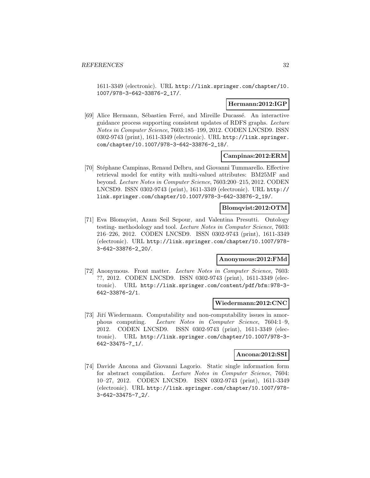1611-3349 (electronic). URL http://link.springer.com/chapter/10. 1007/978-3-642-33876-2\_17/.

#### **Hermann:2012:IGP**

[69] Alice Hermann, Sébastien Ferré, and Mireille Ducassé. An interactive guidance process supporting consistent updates of RDFS graphs. Lecture Notes in Computer Science, 7603:185–199, 2012. CODEN LNCSD9. ISSN 0302-9743 (print), 1611-3349 (electronic). URL http://link.springer. com/chapter/10.1007/978-3-642-33876-2\_18/.

#### **Campinas:2012:ERM**

[70] Stéphane Campinas, Renaud Delbru, and Giovanni Tummarello. Effective retrieval model for entity with multi-valued attributes: BM25MF and beyond. Lecture Notes in Computer Science, 7603:200–215, 2012. CODEN LNCSD9. ISSN 0302-9743 (print), 1611-3349 (electronic). URL http:// link.springer.com/chapter/10.1007/978-3-642-33876-2\_19/.

# **Blomqvist:2012:OTM**

[71] Eva Blomqvist, Azam Seil Sepour, and Valentina Presutti. Ontology testing- methodology and tool. Lecture Notes in Computer Science, 7603: 216–226, 2012. CODEN LNCSD9. ISSN 0302-9743 (print), 1611-3349 (electronic). URL http://link.springer.com/chapter/10.1007/978- 3-642-33876-2\_20/.

# **Anonymous:2012:FMd**

[72] Anonymous. Front matter. Lecture Notes in Computer Science, 7603: ??, 2012. CODEN LNCSD9. ISSN 0302-9743 (print), 1611-3349 (electronic). URL http://link.springer.com/content/pdf/bfm:978-3- 642-33876-2/1.

#### **Wiedermann:2012:CNC**

[73] Jiří Wiedermann. Computability and non-computability issues in amorphous computing. Lecture Notes in Computer Science, 7604:1–9, 2012. CODEN LNCSD9. ISSN 0302-9743 (print), 1611-3349 (electronic). URL http://link.springer.com/chapter/10.1007/978-3- 642-33475-7\_1/.

#### **Ancona:2012:SSI**

[74] Davide Ancona and Giovanni Lagorio. Static single information form for abstract compilation. Lecture Notes in Computer Science, 7604: 10–27, 2012. CODEN LNCSD9. ISSN 0302-9743 (print), 1611-3349 (electronic). URL http://link.springer.com/chapter/10.1007/978- 3-642-33475-7\_2/.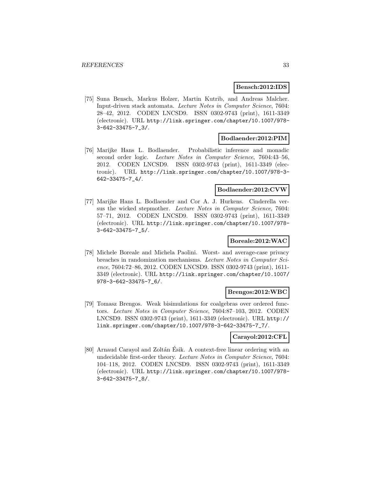#### **Bensch:2012:IDS**

[75] Suna Bensch, Markus Holzer, Martin Kutrib, and Andreas Malcher. Input-driven stack automata. Lecture Notes in Computer Science, 7604: 28–42, 2012. CODEN LNCSD9. ISSN 0302-9743 (print), 1611-3349 (electronic). URL http://link.springer.com/chapter/10.1007/978- 3-642-33475-7\_3/.

#### **Bodlaender:2012:PIM**

[76] Marijke Hans L. Bodlaender. Probabilistic inference and monadic second order logic. Lecture Notes in Computer Science, 7604:43–56, 2012. CODEN LNCSD9. ISSN 0302-9743 (print), 1611-3349 (electronic). URL http://link.springer.com/chapter/10.1007/978-3- 642-33475-7\_4/.

#### **Bodlaender:2012:CVW**

[77] Marijke Hans L. Bodlaender and Cor A. J. Hurkens. Cinderella versus the wicked stepmother. Lecture Notes in Computer Science, 7604: 57–71, 2012. CODEN LNCSD9. ISSN 0302-9743 (print), 1611-3349 (electronic). URL http://link.springer.com/chapter/10.1007/978- 3-642-33475-7\_5/.

# **Boreale:2012:WAC**

[78] Michele Boreale and Michela Paolini. Worst- and average-case privacy breaches in randomization mechanisms. Lecture Notes in Computer Science, 7604:72–86, 2012. CODEN LNCSD9. ISSN 0302-9743 (print), 1611- 3349 (electronic). URL http://link.springer.com/chapter/10.1007/ 978-3-642-33475-7\_6/.

#### **Brengos:2012:WBC**

[79] Tomasz Brengos. Weak bisimulations for coalgebras over ordered functors. Lecture Notes in Computer Science, 7604:87–103, 2012. CODEN LNCSD9. ISSN 0302-9743 (print), 1611-3349 (electronic). URL http:// link.springer.com/chapter/10.1007/978-3-642-33475-7\_7/.

#### **Carayol:2012:CFL**

[80] Arnaud Carayol and Zoltán Esik. A context-free linear ordering with an undecidable first-order theory. Lecture Notes in Computer Science, 7604: 104–118, 2012. CODEN LNCSD9. ISSN 0302-9743 (print), 1611-3349 (electronic). URL http://link.springer.com/chapter/10.1007/978- 3-642-33475-7\_8/.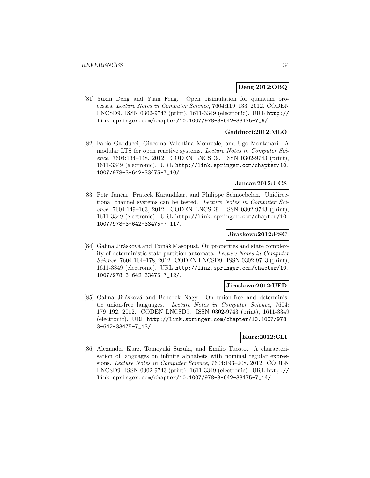#### **Deng:2012:OBQ**

[81] Yuxin Deng and Yuan Feng. Open bisimulation for quantum processes. Lecture Notes in Computer Science, 7604:119–133, 2012. CODEN LNCSD9. ISSN 0302-9743 (print), 1611-3349 (electronic). URL http:// link.springer.com/chapter/10.1007/978-3-642-33475-7\_9/.

#### **Gadducci:2012:MLO**

[82] Fabio Gadducci, Giacoma Valentina Monreale, and Ugo Montanari. A modular LTS for open reactive systems. Lecture Notes in Computer Science, 7604:134–148, 2012. CODEN LNCSD9. ISSN 0302-9743 (print), 1611-3349 (electronic). URL http://link.springer.com/chapter/10. 1007/978-3-642-33475-7\_10/.

### **Jancar:2012:UCS**

[83] Petr Jančar, Prateek Karandikar, and Philippe Schnoebelen. Unidirectional channel systems can be tested. Lecture Notes in Computer Science, 7604:149–163, 2012. CODEN LNCSD9. ISSN 0302-9743 (print), 1611-3349 (electronic). URL http://link.springer.com/chapter/10. 1007/978-3-642-33475-7\_11/.

#### **Jiraskova:2012:PSC**

[84] Galina Jirásková and Tomáš Masopust. On properties and state complexity of deterministic state-partition automata. Lecture Notes in Computer Science, 7604:164–178, 2012. CODEN LNCSD9. ISSN 0302-9743 (print), 1611-3349 (electronic). URL http://link.springer.com/chapter/10. 1007/978-3-642-33475-7\_12/.

#### **Jiraskova:2012:UFD**

[85] Galina Jirásková and Benedek Nagy. On union-free and deterministic union-free languages. Lecture Notes in Computer Science, 7604: 179–192, 2012. CODEN LNCSD9. ISSN 0302-9743 (print), 1611-3349 (electronic). URL http://link.springer.com/chapter/10.1007/978- 3-642-33475-7\_13/.

#### **Kurz:2012:CLI**

[86] Alexander Kurz, Tomoyuki Suzuki, and Emilio Tuosto. A characterisation of languages on infinite alphabets with nominal regular expressions. Lecture Notes in Computer Science, 7604:193–208, 2012. CODEN LNCSD9. ISSN 0302-9743 (print), 1611-3349 (electronic). URL http:// link.springer.com/chapter/10.1007/978-3-642-33475-7\_14/.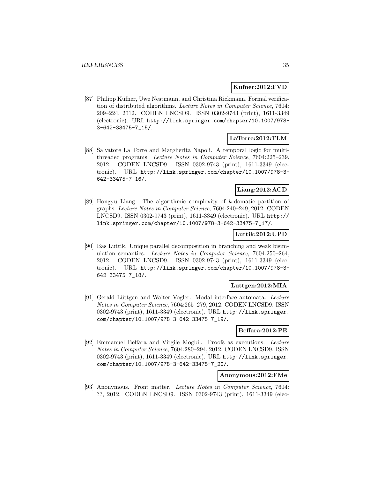#### **Kufner:2012:FVD**

[87] Philipp Küfner, Uwe Nestmann, and Christina Rickmann. Formal verification of distributed algorithms. Lecture Notes in Computer Science, 7604: 209–224, 2012. CODEN LNCSD9. ISSN 0302-9743 (print), 1611-3349 (electronic). URL http://link.springer.com/chapter/10.1007/978- 3-642-33475-7\_15/.

# **LaTorre:2012:TLM**

[88] Salvatore La Torre and Margherita Napoli. A temporal logic for multithreaded programs. Lecture Notes in Computer Science, 7604:225–239, 2012. CODEN LNCSD9. ISSN 0302-9743 (print), 1611-3349 (electronic). URL http://link.springer.com/chapter/10.1007/978-3- 642-33475-7\_16/.

# **Liang:2012:ACD**

[89] Hongyu Liang. The algorithmic complexity of k-domatic partition of graphs. Lecture Notes in Computer Science, 7604:240–249, 2012. CODEN LNCSD9. ISSN 0302-9743 (print), 1611-3349 (electronic). URL http:// link.springer.com/chapter/10.1007/978-3-642-33475-7\_17/.

#### **Luttik:2012:UPD**

[90] Bas Luttik. Unique parallel decomposition in branching and weak bisimulation semantics. Lecture Notes in Computer Science, 7604:250–264, 2012. CODEN LNCSD9. ISSN 0302-9743 (print), 1611-3349 (electronic). URL http://link.springer.com/chapter/10.1007/978-3- 642-33475-7\_18/.

#### **Luttgen:2012:MIA**

[91] Gerald Lüttgen and Walter Vogler. Modal interface automata. Lecture Notes in Computer Science, 7604:265–279, 2012. CODEN LNCSD9. ISSN 0302-9743 (print), 1611-3349 (electronic). URL http://link.springer. com/chapter/10.1007/978-3-642-33475-7\_19/.

#### **Beffara:2012:PE**

[92] Emmanuel Beffara and Virgile Mogbil. Proofs as executions. Lecture Notes in Computer Science, 7604:280–294, 2012. CODEN LNCSD9. ISSN 0302-9743 (print), 1611-3349 (electronic). URL http://link.springer. com/chapter/10.1007/978-3-642-33475-7\_20/.

#### **Anonymous:2012:FMe**

[93] Anonymous. Front matter. Lecture Notes in Computer Science, 7604: ??, 2012. CODEN LNCSD9. ISSN 0302-9743 (print), 1611-3349 (elec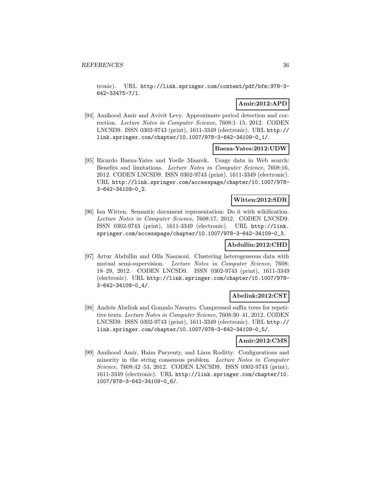tronic). URL http://link.springer.com/content/pdf/bfm:978-3- 642-33475-7/1.

# **Amir:2012:APD**

[94] Amihood Amir and Avivit Levy. Approximate period detection and correction. Lecture Notes in Computer Science, 7608:1–15, 2012. CODEN LNCSD9. ISSN 0302-9743 (print), 1611-3349 (electronic). URL http:// link.springer.com/chapter/10.1007/978-3-642-34109-0\_1/.

#### **Baeza-Yates:2012:UDW**

[95] Ricardo Baeza-Yates and Yoelle Maarek. Usage data in Web search: Benefits and limitations. Lecture Notes in Computer Science, 7608:16, 2012. CODEN LNCSD9. ISSN 0302-9743 (print), 1611-3349 (electronic). URL http://link.springer.com/accesspage/chapter/10.1007/978- 3-642-34109-0\_2.

# **Witten:2012:SDR**

[96] Ian Witten. Semantic document representation: Do it with wikification. Lecture Notes in Computer Science, 7608:17, 2012. CODEN LNCSD9. ISSN 0302-9743 (print), 1611-3349 (electronic). URL http://link. springer.com/accesspage/chapter/10.1007/978-3-642-34109-0\_3.

# **Abdullin:2012:CHD**

[97] Artur Abdullin and Olfa Nasraoui. Clustering heterogeneous data with mutual semi-supervision. Lecture Notes in Computer Science, 7608: 18–29, 2012. CODEN LNCSD9. ISSN 0302-9743 (print), 1611-3349 (electronic). URL http://link.springer.com/chapter/10.1007/978- 3-642-34109-0\_4/.

#### **Abeliuk:2012:CST**

[98] Andrés Abeliuk and Gonzalo Navarro. Compressed suffix trees for repetitive texts. Lecture Notes in Computer Science, 7608:30–41, 2012. CODEN LNCSD9. ISSN 0302-9743 (print), 1611-3349 (electronic). URL http:// link.springer.com/chapter/10.1007/978-3-642-34109-0\_5/.

#### **Amir:2012:CMS**

[99] Amihood Amir, Haim Paryenty, and Liam Roditty. Configurations and minority in the string consensus problem. Lecture Notes in Computer Science, 7608:42–53, 2012. CODEN LNCSD9. ISSN 0302-9743 (print), 1611-3349 (electronic). URL http://link.springer.com/chapter/10. 1007/978-3-642-34109-0\_6/.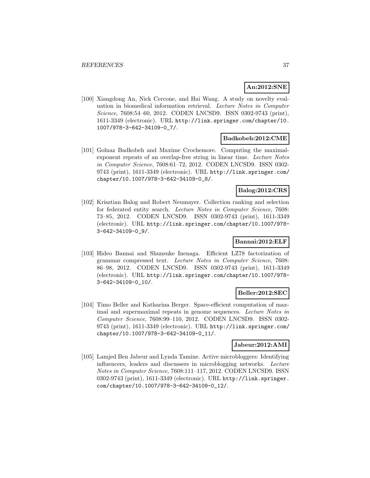## **An:2012:SNE**

[100] Xiangdong An, Nick Cercone, and Hai Wang. A study on novelty evaluation in biomedical information retrieval. Lecture Notes in Computer Science, 7608:54-60, 2012. CODEN LNCSD9. ISSN 0302-9743 (print), 1611-3349 (electronic). URL http://link.springer.com/chapter/10. 1007/978-3-642-34109-0\_7/.

#### **Badkobeh:2012:CME**

[101] Golnaz Badkobeh and Maxime Crochemore. Computing the maximalexponent repeats of an overlap-free string in linear time. Lecture Notes in Computer Science, 7608:61–72, 2012. CODEN LNCSD9. ISSN 0302- 9743 (print), 1611-3349 (electronic). URL http://link.springer.com/ chapter/10.1007/978-3-642-34109-0\_8/.

## **Balog:2012:CRS**

[102] Krisztian Balog and Robert Neumayer. Collection ranking and selection for federated entity search. Lecture Notes in Computer Science, 7608: 73–85, 2012. CODEN LNCSD9. ISSN 0302-9743 (print), 1611-3349 (electronic). URL http://link.springer.com/chapter/10.1007/978- 3-642-34109-0\_9/.

## **Bannai:2012:ELF**

[103] Hideo Bannai and Shunsuke Inenaga. Efficient LZ78 factorization of grammar compressed text. Lecture Notes in Computer Science, 7608: 86–98, 2012. CODEN LNCSD9. ISSN 0302-9743 (print), 1611-3349 (electronic). URL http://link.springer.com/chapter/10.1007/978- 3-642-34109-0\_10/.

#### **Beller:2012:SEC**

[104] Timo Beller and Katharina Berger. Space-efficient computation of maximal and supermaximal repeats in genome sequences. Lecture Notes in Computer Science, 7608:99–110, 2012. CODEN LNCSD9. ISSN 0302- 9743 (print), 1611-3349 (electronic). URL http://link.springer.com/ chapter/10.1007/978-3-642-34109-0\_11/.

## **Jabeur:2012:AMI**

[105] Lamjed Ben Jabeur and Lynda Tamine. Active microbloggers: Identifying influencers, leaders and discussers in microblogging networks. Lecture Notes in Computer Science, 7608:111–117, 2012. CODEN LNCSD9. ISSN 0302-9743 (print), 1611-3349 (electronic). URL http://link.springer. com/chapter/10.1007/978-3-642-34109-0\_12/.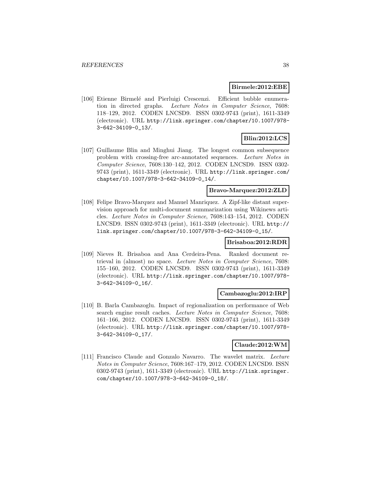#### **Birmele:2012:EBE**

[106] Etienne Birmelé and Pierluigi Crescenzi. Efficient bubble enumeration in directed graphs. Lecture Notes in Computer Science, 7608: 118–129, 2012. CODEN LNCSD9. ISSN 0302-9743 (print), 1611-3349 (electronic). URL http://link.springer.com/chapter/10.1007/978- 3-642-34109-0\_13/.

# **Blin:2012:LCS**

[107] Guillaume Blin and Minghui Jiang. The longest common subsequence problem with crossing-free arc-annotated sequences. Lecture Notes in Computer Science, 7608:130–142, 2012. CODEN LNCSD9. ISSN 0302- 9743 (print), 1611-3349 (electronic). URL http://link.springer.com/ chapter/10.1007/978-3-642-34109-0\_14/.

#### **Bravo-Marquez:2012:ZLD**

[108] Felipe Bravo-Marquez and Manuel Manriquez. A Zipf-like distant supervision approach for multi-document summarization using Wikinews articles. Lecture Notes in Computer Science, 7608:143–154, 2012. CODEN LNCSD9. ISSN 0302-9743 (print), 1611-3349 (electronic). URL http:// link.springer.com/chapter/10.1007/978-3-642-34109-0\_15/.

#### **Brisaboa:2012:RDR**

[109] Nieves R. Brisaboa and Ana Cerdeira-Pena. Ranked document retrieval in (almost) no space. Lecture Notes in Computer Science, 7608: 155–160, 2012. CODEN LNCSD9. ISSN 0302-9743 (print), 1611-3349 (electronic). URL http://link.springer.com/chapter/10.1007/978- 3-642-34109-0\_16/.

#### **Cambazoglu:2012:IRP**

[110] B. Barla Cambazoglu. Impact of regionalization on performance of Web search engine result caches. Lecture Notes in Computer Science, 7608: 161–166, 2012. CODEN LNCSD9. ISSN 0302-9743 (print), 1611-3349 (electronic). URL http://link.springer.com/chapter/10.1007/978- 3-642-34109-0\_17/.

#### **Claude:2012:WM**

[111] Francisco Claude and Gonzalo Navarro. The wavelet matrix. Lecture Notes in Computer Science, 7608:167–179, 2012. CODEN LNCSD9. ISSN 0302-9743 (print), 1611-3349 (electronic). URL http://link.springer. com/chapter/10.1007/978-3-642-34109-0\_18/.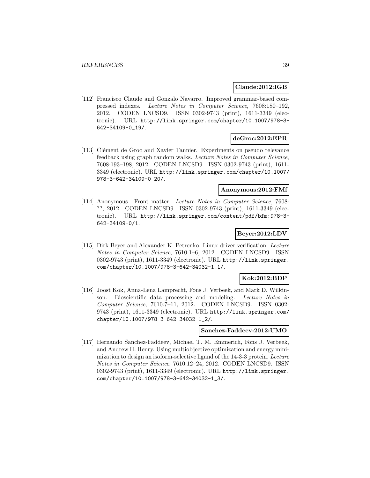#### **Claude:2012:IGB**

[112] Francisco Claude and Gonzalo Navarro. Improved grammar-based compressed indexes. Lecture Notes in Computer Science, 7608:180–192, 2012. CODEN LNCSD9. ISSN 0302-9743 (print), 1611-3349 (electronic). URL http://link.springer.com/chapter/10.1007/978-3- 642-34109-0\_19/.

#### **deGroc:2012:EPR**

[113] Clément de Groc and Xavier Tannier. Experiments on pseudo relevance feedback using graph random walks. Lecture Notes in Computer Science, 7608:193–198, 2012. CODEN LNCSD9. ISSN 0302-9743 (print), 1611- 3349 (electronic). URL http://link.springer.com/chapter/10.1007/ 978-3-642-34109-0\_20/.

## **Anonymous:2012:FMf**

[114] Anonymous. Front matter. Lecture Notes in Computer Science, 7608: ??, 2012. CODEN LNCSD9. ISSN 0302-9743 (print), 1611-3349 (electronic). URL http://link.springer.com/content/pdf/bfm:978-3- 642-34109-0/1.

## **Beyer:2012:LDV**

[115] Dirk Beyer and Alexander K. Petrenko. Linux driver verification. Lecture Notes in Computer Science, 7610:1–6, 2012. CODEN LNCSD9. ISSN 0302-9743 (print), 1611-3349 (electronic). URL http://link.springer. com/chapter/10.1007/978-3-642-34032-1\_1/.

## **Kok:2012:BDP**

[116] Joost Kok, Anna-Lena Lamprecht, Fons J. Verbeek, and Mark D. Wilkinson. Bioscientific data processing and modeling. Lecture Notes in Computer Science, 7610:7–11, 2012. CODEN LNCSD9. ISSN 0302- 9743 (print), 1611-3349 (electronic). URL http://link.springer.com/ chapter/10.1007/978-3-642-34032-1\_2/.

#### **Sanchez-Faddeev:2012:UMO**

[117] Hernando Sanchez-Faddeev, Michael T. M. Emmerich, Fons J. Verbeek, and Andrew H. Henry. Using multiobjective optimization and energy minimization to design an isoform-selective ligand of the 14-3-3 protein. Lecture Notes in Computer Science, 7610:12–24, 2012. CODEN LNCSD9. ISSN 0302-9743 (print), 1611-3349 (electronic). URL http://link.springer. com/chapter/10.1007/978-3-642-34032-1\_3/.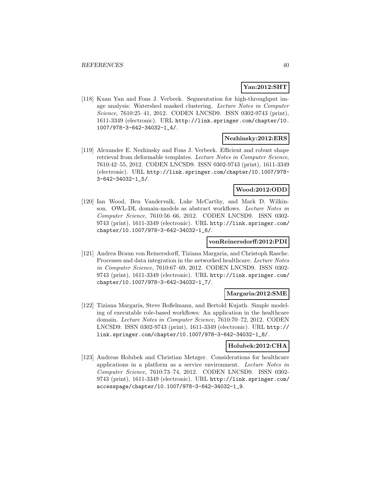## **Yan:2012:SHT**

[118] Kuan Yan and Fons J. Verbeek. Segmentation for high-throughput image analysis: Watershed masked clustering. Lecture Notes in Computer Science, 7610:25–41, 2012. CODEN LNCSD9. ISSN 0302-9743 (print), 1611-3349 (electronic). URL http://link.springer.com/chapter/10. 1007/978-3-642-34032-1\_4/.

#### **Nezhinsky:2012:ERS**

[119] Alexander E. Nezhinsky and Fons J. Verbeek. Efficient and robust shape retrieval from deformable templates. Lecture Notes in Computer Science, 7610:42–55, 2012. CODEN LNCSD9. ISSN 0302-9743 (print), 1611-3349 (electronic). URL http://link.springer.com/chapter/10.1007/978- 3-642-34032-1\_5/.

## **Wood:2012:ODD**

[120] Ian Wood, Ben Vandervalk, Luke McCarthy, and Mark D. Wilkinson. OWL-DL domain-models as abstract workflows. Lecture Notes in Computer Science, 7610:56–66, 2012. CODEN LNCSD9. ISSN 0302- 9743 (print), 1611-3349 (electronic). URL http://link.springer.com/ chapter/10.1007/978-3-642-34032-1\_6/.

#### **vonReinersdorff:2012:PDI**

[121] Andrea Braun von Reinersdorff, Tiziana Margaria, and Christoph Rasche. Processes and data integration in the networked healthcare. Lecture Notes in Computer Science, 7610:67–69, 2012. CODEN LNCSD9. ISSN 0302- 9743 (print), 1611-3349 (electronic). URL http://link.springer.com/ chapter/10.1007/978-3-642-34032-1\_7/.

#### **Margaria:2012:SME**

[122] Tiziana Margaria, Steve Boßelmann, and Bertold Kujath. Simple modeling of executable role-based workflows: An application in the healthcare domain. Lecture Notes in Computer Science, 7610:70–72, 2012. CODEN LNCSD9. ISSN 0302-9743 (print), 1611-3349 (electronic). URL http:// link.springer.com/chapter/10.1007/978-3-642-34032-1\_8/.

#### **Holubek:2012:CHA**

[123] Andreas Holubek and Christian Metzger. Considerations for healthcare applications in a platform as a service environment. Lecture Notes in Computer Science, 7610:73–74, 2012. CODEN LNCSD9. ISSN 0302- 9743 (print), 1611-3349 (electronic). URL http://link.springer.com/ accesspage/chapter/10.1007/978-3-642-34032-1\_9.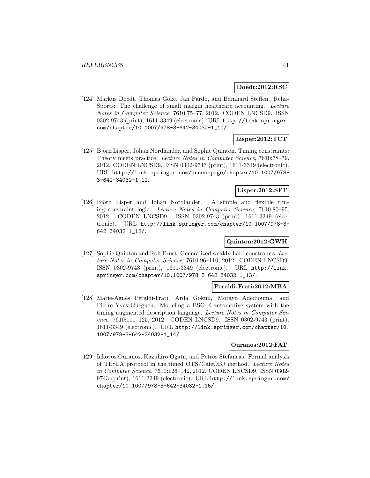## **Doedt:2012:RSC**

[124] Markus Doedt, Thomas Göke, Jan Pardo, and Bernhard Steffen. Reha-Sports: The challenge of small margin healthcare accounting. Lecture Notes in Computer Science, 7610:75–77, 2012. CODEN LNCSD9. ISSN 0302-9743 (print), 1611-3349 (electronic). URL http://link.springer. com/chapter/10.1007/978-3-642-34032-1\_10/.

# **Lisper:2012:TCT**

[125] Björn Lisper, Johan Nordlander, and Sophie Quinton. Timing constraints: Theory meets practice. Lecture Notes in Computer Science, 7610:78–79, 2012. CODEN LNCSD9. ISSN 0302-9743 (print), 1611-3349 (electronic). URL http://link.springer.com/accesspage/chapter/10.1007/978- 3-642-34032-1\_11.

#### **Lisper:2012:SFT**

[126] Björn Lisper and Johan Nordlander. A simple and flexible timing constraint logic. Lecture Notes in Computer Science, 7610:80–95, 2012. CODEN LNCSD9. ISSN 0302-9743 (print), 1611-3349 (electronic). URL http://link.springer.com/chapter/10.1007/978-3- 642-34032-1\_12/.

## **Quinton:2012:GWH**

[127] Sophie Quinton and Rolf Ernst. Generalized weakly-hard constraints. Lecture Notes in Computer Science, 7610:96–110, 2012. CODEN LNCSD9. ISSN 0302-9743 (print), 1611-3349 (electronic). URL http://link. springer.com/chapter/10.1007/978-3-642-34032-1\_13/.

## **Peraldi-Frati:2012:MBA**

[128] Marie-Agn`es Peraldi-Frati, Arda Goknil, Morayo Adedjouma, and Pierre Yves Gueguen. Modeling a BSG-E automotive system with the timing augmented description language. Lecture Notes in Computer Science, 7610:111–125, 2012. CODEN LNCSD9. ISSN 0302-9743 (print), 1611-3349 (electronic). URL http://link.springer.com/chapter/10. 1007/978-3-642-34032-1\_14/.

#### **Ouranos:2012:FAT**

[129] Iakovos Ouranos, Kazuhiro Ogata, and Petros Stefaneas. Formal analysis of TESLA protocol in the timed OTS/CafeOBJ method. Lecture Notes in Computer Science, 7610:126–142, 2012. CODEN LNCSD9. ISSN 0302- 9743 (print), 1611-3349 (electronic). URL http://link.springer.com/ chapter/10.1007/978-3-642-34032-1\_15/.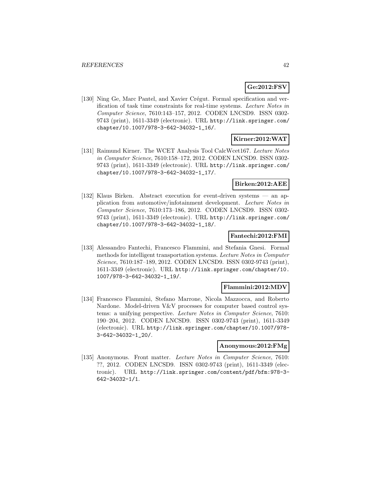## **Ge:2012:FSV**

[130] Ning Ge, Marc Pantel, and Xavier Crégut. Formal specification and verification of task time constraints for real-time systems. Lecture Notes in Computer Science, 7610:143–157, 2012. CODEN LNCSD9. ISSN 0302- 9743 (print), 1611-3349 (electronic). URL http://link.springer.com/ chapter/10.1007/978-3-642-34032-1\_16/.

# **Kirner:2012:WAT**

[131] Raimund Kirner. The WCET Analysis Tool CalcWcet167. Lecture Notes in Computer Science, 7610:158–172, 2012. CODEN LNCSD9. ISSN 0302- 9743 (print), 1611-3349 (electronic). URL http://link.springer.com/ chapter/10.1007/978-3-642-34032-1\_17/.

## **Birken:2012:AEE**

[132] Klaus Birken. Abstract execution for event-driven systems — an application from automotive/infotainment development. Lecture Notes in Computer Science, 7610:173–186, 2012. CODEN LNCSD9. ISSN 0302- 9743 (print), 1611-3349 (electronic). URL http://link.springer.com/ chapter/10.1007/978-3-642-34032-1\_18/.

## **Fantechi:2012:FMI**

[133] Alessandro Fantechi, Francesco Flammini, and Stefania Gnesi. Formal methods for intelligent transportation systems. Lecture Notes in Computer Science, 7610:187–189, 2012. CODEN LNCSD9. ISSN 0302-9743 (print), 1611-3349 (electronic). URL http://link.springer.com/chapter/10. 1007/978-3-642-34032-1\_19/.

#### **Flammini:2012:MDV**

[134] Francesco Flammini, Stefano Marrone, Nicola Mazzocca, and Roberto Nardone. Model-driven V&V processes for computer based control systems: a unifying perspective. Lecture Notes in Computer Science, 7610: 190–204, 2012. CODEN LNCSD9. ISSN 0302-9743 (print), 1611-3349 (electronic). URL http://link.springer.com/chapter/10.1007/978- 3-642-34032-1\_20/.

#### **Anonymous:2012:FMg**

[135] Anonymous. Front matter. Lecture Notes in Computer Science, 7610: ??, 2012. CODEN LNCSD9. ISSN 0302-9743 (print), 1611-3349 (electronic). URL http://link.springer.com/content/pdf/bfm:978-3- 642-34032-1/1.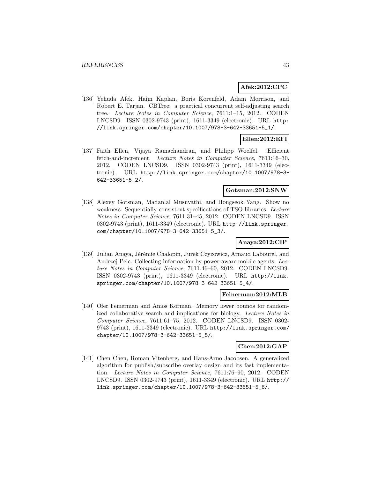#### **Afek:2012:CPC**

[136] Yehuda Afek, Haim Kaplan, Boris Korenfeld, Adam Morrison, and Robert E. Tarjan. CBTree: a practical concurrent self-adjusting search tree. Lecture Notes in Computer Science, 7611:1–15, 2012. CODEN LNCSD9. ISSN 0302-9743 (print), 1611-3349 (electronic). URL http: //link.springer.com/chapter/10.1007/978-3-642-33651-5\_1/.

# **Ellen:2012:EFI**

[137] Faith Ellen, Vijaya Ramachandran, and Philipp Woelfel. Efficient fetch-and-increment. Lecture Notes in Computer Science, 7611:16–30, 2012. CODEN LNCSD9. ISSN 0302-9743 (print), 1611-3349 (electronic). URL http://link.springer.com/chapter/10.1007/978-3- 642-33651-5\_2/.

#### **Gotsman:2012:SNW**

[138] Alexey Gotsman, Madanlal Musuvathi, and Hongseok Yang. Show no weakness: Sequentially consistent specifications of TSO libraries. Lecture Notes in Computer Science, 7611:31–45, 2012. CODEN LNCSD9. ISSN 0302-9743 (print), 1611-3349 (electronic). URL http://link.springer. com/chapter/10.1007/978-3-642-33651-5\_3/.

## **Anaya:2012:CIP**

[139] Julian Anaya, Jérémie Chalopin, Jurek Czyzowicz, Arnaud Labourel, and Andrzej Pelc. Collecting information by power-aware mobile agents. Lecture Notes in Computer Science, 7611:46–60, 2012. CODEN LNCSD9. ISSN 0302-9743 (print), 1611-3349 (electronic). URL http://link. springer.com/chapter/10.1007/978-3-642-33651-5\_4/.

#### **Feinerman:2012:MLB**

[140] Ofer Feinerman and Amos Korman. Memory lower bounds for randomized collaborative search and implications for biology. Lecture Notes in Computer Science, 7611:61–75, 2012. CODEN LNCSD9. ISSN 0302- 9743 (print), 1611-3349 (electronic). URL http://link.springer.com/ chapter/10.1007/978-3-642-33651-5\_5/.

#### **Chen:2012:GAP**

[141] Chen Chen, Roman Vitenberg, and Hans-Arno Jacobsen. A generalized algorithm for publish/subscribe overlay design and its fast implementation. Lecture Notes in Computer Science, 7611:76–90, 2012. CODEN LNCSD9. ISSN 0302-9743 (print), 1611-3349 (electronic). URL http:// link.springer.com/chapter/10.1007/978-3-642-33651-5\_6/.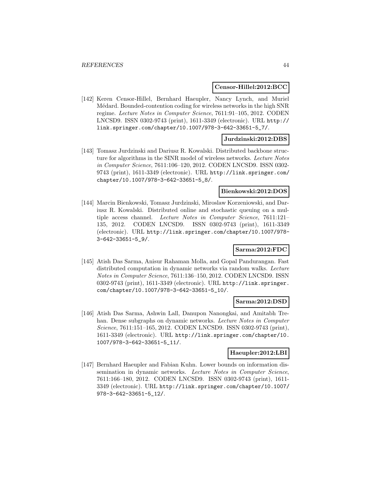#### **Censor-Hillel:2012:BCC**

[142] Keren Censor-Hillel, Bernhard Haeupler, Nancy Lynch, and Muriel M´edard. Bounded-contention coding for wireless networks in the high SNR regime. Lecture Notes in Computer Science, 7611:91–105, 2012. CODEN LNCSD9. ISSN 0302-9743 (print), 1611-3349 (electronic). URL http:// link.springer.com/chapter/10.1007/978-3-642-33651-5\_7/.

### **Jurdzinski:2012:DBS**

[143] Tomasz Jurdzinski and Dariusz R. Kowalski. Distributed backbone structure for algorithms in the SINR model of wireless networks. Lecture Notes in Computer Science, 7611:106–120, 2012. CODEN LNCSD9. ISSN 0302- 9743 (print), 1611-3349 (electronic). URL http://link.springer.com/ chapter/10.1007/978-3-642-33651-5\_8/.

#### **Bienkowski:2012:DOS**

[144] Marcin Bienkowski, Tomasz Jurdzinski, Miroslaw Korzeniowski, and Dariusz R. Kowalski. Distributed online and stochastic queuing on a multiple access channel. Lecture Notes in Computer Science, 7611:121– 135, 2012. CODEN LNCSD9. ISSN 0302-9743 (print), 1611-3349 (electronic). URL http://link.springer.com/chapter/10.1007/978- 3-642-33651-5\_9/.

## **Sarma:2012:FDC**

[145] Atish Das Sarma, Anisur Rahaman Molla, and Gopal Pandurangan. Fast distributed computation in dynamic networks via random walks. Lecture Notes in Computer Science, 7611:136–150, 2012. CODEN LNCSD9. ISSN 0302-9743 (print), 1611-3349 (electronic). URL http://link.springer. com/chapter/10.1007/978-3-642-33651-5\_10/.

## **Sarma:2012:DSD**

[146] Atish Das Sarma, Ashwin Lall, Danupon Nanongkai, and Amitabh Trehan. Dense subgraphs on dynamic networks. Lecture Notes in Computer Science, 7611:151–165, 2012. CODEN LNCSD9. ISSN 0302-9743 (print), 1611-3349 (electronic). URL http://link.springer.com/chapter/10. 1007/978-3-642-33651-5\_11/.

## **Haeupler:2012:LBI**

[147] Bernhard Haeupler and Fabian Kuhn. Lower bounds on information dissemination in dynamic networks. Lecture Notes in Computer Science, 7611:166–180, 2012. CODEN LNCSD9. ISSN 0302-9743 (print), 1611- 3349 (electronic). URL http://link.springer.com/chapter/10.1007/ 978-3-642-33651-5\_12/.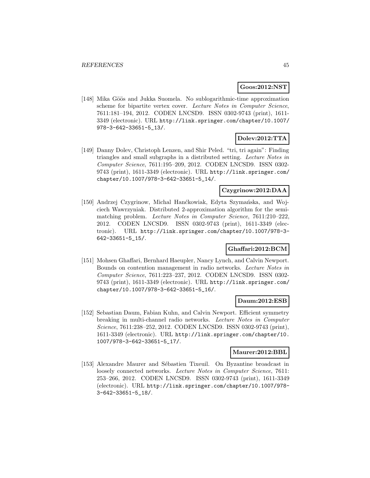#### **Goos:2012:NST**

[148] Mika Göös and Jukka Suomela. No sublogarithmic-time approximation scheme for bipartite vertex cover. Lecture Notes in Computer Science, 7611:181–194, 2012. CODEN LNCSD9. ISSN 0302-9743 (print), 1611- 3349 (electronic). URL http://link.springer.com/chapter/10.1007/ 978-3-642-33651-5\_13/.

# **Dolev:2012:TTA**

[149] Danny Dolev, Christoph Lenzen, and Shir Peled. "tri, tri again": Finding triangles and small subgraphs in a distributed setting. Lecture Notes in Computer Science, 7611:195–209, 2012. CODEN LNCSD9. ISSN 0302- 9743 (print), 1611-3349 (electronic). URL http://link.springer.com/ chapter/10.1007/978-3-642-33651-5\_14/.

### **Czygrinow:2012:DAA**

[150] Andrzej Czygrinow, Michal Hanćkowiak, Edyta Szymańska, and Wojciech Wawrzyniak. Distributed 2-approximation algorithm for the semimatching problem. Lecture Notes in Computer Science, 7611:210-222, 2012. CODEN LNCSD9. ISSN 0302-9743 (print), 1611-3349 (electronic). URL http://link.springer.com/chapter/10.1007/978-3- 642-33651-5\_15/.

# **Ghaffari:2012:BCM**

[151] Mohsen Ghaffari, Bernhard Haeupler, Nancy Lynch, and Calvin Newport. Bounds on contention management in radio networks. Lecture Notes in Computer Science, 7611:223–237, 2012. CODEN LNCSD9. ISSN 0302- 9743 (print), 1611-3349 (electronic). URL http://link.springer.com/ chapter/10.1007/978-3-642-33651-5\_16/.

#### **Daum:2012:ESB**

[152] Sebastian Daum, Fabian Kuhn, and Calvin Newport. Efficient symmetry breaking in multi-channel radio networks. Lecture Notes in Computer Science, 7611:238–252, 2012. CODEN LNCSD9. ISSN 0302-9743 (print), 1611-3349 (electronic). URL http://link.springer.com/chapter/10. 1007/978-3-642-33651-5\_17/.

#### **Maurer:2012:BBL**

[153] Alexandre Maurer and Sébastien Tixeuil. On Byzantine broadcast in loosely connected networks. Lecture Notes in Computer Science, 7611: 253–266, 2012. CODEN LNCSD9. ISSN 0302-9743 (print), 1611-3349 (electronic). URL http://link.springer.com/chapter/10.1007/978- 3-642-33651-5\_18/.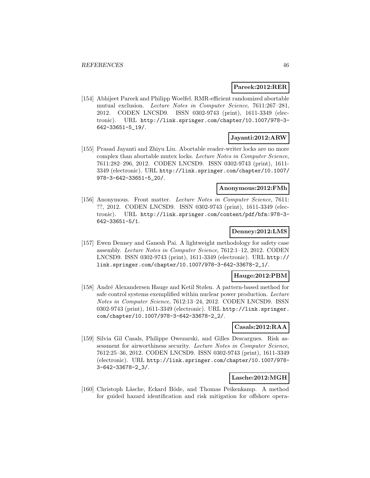#### **Pareek:2012:RER**

[154] Abhijeet Pareek and Philipp Woelfel. RMR-efficient randomized abortable mutual exclusion. Lecture Notes in Computer Science, 7611:267–281, 2012. CODEN LNCSD9. ISSN 0302-9743 (print), 1611-3349 (electronic). URL http://link.springer.com/chapter/10.1007/978-3- 642-33651-5\_19/.

## **Jayanti:2012:ARW**

[155] Prasad Jayanti and Zhiyu Liu. Abortable reader-writer locks are no more complex than abortable mutex locks. Lecture Notes in Computer Science, 7611:282–296, 2012. CODEN LNCSD9. ISSN 0302-9743 (print), 1611- 3349 (electronic). URL http://link.springer.com/chapter/10.1007/ 978-3-642-33651-5\_20/.

### **Anonymous:2012:FMh**

[156] Anonymous. Front matter. Lecture Notes in Computer Science, 7611: ??, 2012. CODEN LNCSD9. ISSN 0302-9743 (print), 1611-3349 (electronic). URL http://link.springer.com/content/pdf/bfm:978-3- 642-33651-5/1.

## **Denney:2012:LMS**

[157] Ewen Denney and Ganesh Pai. A lightweight methodology for safety case assembly. Lecture Notes in Computer Science, 7612:1–12, 2012. CODEN LNCSD9. ISSN 0302-9743 (print), 1611-3349 (electronic). URL http:// link.springer.com/chapter/10.1007/978-3-642-33678-2\_1/.

## **Hauge:2012:PBM**

[158] André Alexandersen Hauge and Ketil Stølen. A pattern-based method for safe control systems exemplified within nuclear power production. Lecture Notes in Computer Science, 7612:13–24, 2012. CODEN LNCSD9. ISSN 0302-9743 (print), 1611-3349 (electronic). URL http://link.springer. com/chapter/10.1007/978-3-642-33678-2\_2/.

#### **Casals:2012:RAA**

[159] Silvia Gil Casals, Philippe Owezarski, and Gilles Descargues. Risk assessment for airworthiness security. Lecture Notes in Computer Science, 7612:25–36, 2012. CODEN LNCSD9. ISSN 0302-9743 (print), 1611-3349 (electronic). URL http://link.springer.com/chapter/10.1007/978- 3-642-33678-2\_3/.

## **Lasche:2012:MGH**

[160] Christoph Läsche, Eckard Böde, and Thomas Peikenkamp. A method for guided hazard identification and risk mitigation for offshore opera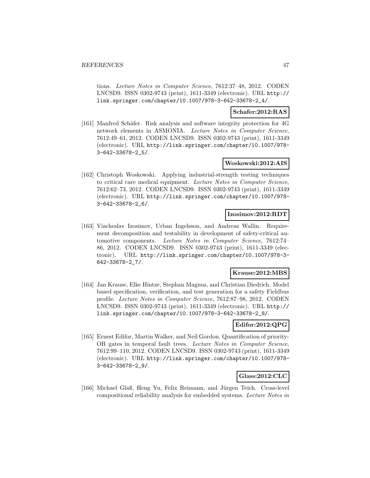tions. Lecture Notes in Computer Science, 7612:37–48, 2012. CODEN LNCSD9. ISSN 0302-9743 (print), 1611-3349 (electronic). URL http:// link.springer.com/chapter/10.1007/978-3-642-33678-2\_4/.

#### **Schafer:2012:RAS**

[161] Manfred Schäfer. Risk analysis and software integrity protection for 4G network elements in ASMONIA. Lecture Notes in Computer Science, 7612:49–61, 2012. CODEN LNCSD9. ISSN 0302-9743 (print), 1611-3349 (electronic). URL http://link.springer.com/chapter/10.1007/978- 3-642-33678-2\_5/.

### **Woskowski:2012:AIS**

[162] Christoph Woskowski. Applying industrial-strength testing techniques to critical care medical equipment. Lecture Notes in Computer Science, 7612:62–73, 2012. CODEN LNCSD9. ISSN 0302-9743 (print), 1611-3349 (electronic). URL http://link.springer.com/chapter/10.1007/978- 3-642-33678-2\_6/.

### **Izosimov:2012:RDT**

[163] Viacheslav Izosimov, Urban Ingelsson, and Andreas Wallin. Requirement decomposition and testability in development of safety-critical automotive components. Lecture Notes in Computer Science, 7612:74– 86, 2012. CODEN LNCSD9. ISSN 0302-9743 (print), 1611-3349 (electronic). URL http://link.springer.com/chapter/10.1007/978-3- 642-33678-2\_7/.

## **Krause:2012:MBS**

[164] Jan Krause, Elke Hintze, Stephan Magnus, and Christian Diedrich. Model based specification, verification, and test generation for a safety Fieldbus profile. Lecture Notes in Computer Science, 7612:87–98, 2012. CODEN LNCSD9. ISSN 0302-9743 (print), 1611-3349 (electronic). URL http:// link.springer.com/chapter/10.1007/978-3-642-33678-2\_8/.

#### **Edifor:2012:QPG**

[165] Ernest Edifor, Martin Walker, and Neil Gordon. Quantification of priority-OR gates in temporal fault trees. Lecture Notes in Computer Science, 7612:99–110, 2012. CODEN LNCSD9. ISSN 0302-9743 (print), 1611-3349 (electronic). URL http://link.springer.com/chapter/10.1007/978- 3-642-33678-2\_9/.

## **Glass:2012:CLC**

[166] Michael Glaß, Heng Yu, Felix Reimann, and Jürgen Teich. Cross-level compositional reliability analysis for embedded systems. Lecture Notes in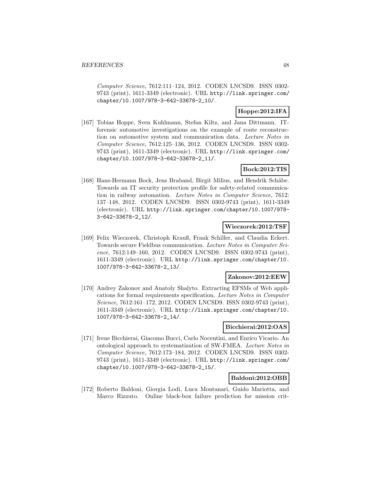Computer Science, 7612:111–124, 2012. CODEN LNCSD9. ISSN 0302- 9743 (print), 1611-3349 (electronic). URL http://link.springer.com/ chapter/10.1007/978-3-642-33678-2\_10/.

# **Hoppe:2012:IFA**

[167] Tobias Hoppe, Sven Kuhlmann, Stefan Kiltz, and Jana Dittmann. ITforensic automotive investigations on the example of route reconstruction on automotive system and communication data. Lecture Notes in Computer Science, 7612:125–136, 2012. CODEN LNCSD9. ISSN 0302- 9743 (print), 1611-3349 (electronic). URL http://link.springer.com/ chapter/10.1007/978-3-642-33678-2\_11/.

# **Bock:2012:TIS**

[168] Hans-Hermann Bock, Jens Braband, Birgit Milius, and Hendrik Schäbe. Towards an IT security protection profile for safety-related communication in railway automation. Lecture Notes in Computer Science, 7612: 137–148, 2012. CODEN LNCSD9. ISSN 0302-9743 (print), 1611-3349 (electronic). URL http://link.springer.com/chapter/10.1007/978- 3-642-33678-2\_12/.

#### **Wieczorek:2012:TSF**

[169] Felix Wieczorek, Christoph Krauß, Frank Schiller, and Claudia Eckert. Towards secure Fieldbus communication. Lecture Notes in Computer Science, 7612:149–160, 2012. CODEN LNCSD9. ISSN 0302-9743 (print), 1611-3349 (electronic). URL http://link.springer.com/chapter/10. 1007/978-3-642-33678-2\_13/.

#### **Zakonov:2012:EEW**

[170] Andrey Zakonov and Anatoly Shalyto. Extracting EFSMs of Web applications for formal requirements specification. Lecture Notes in Computer Science, 7612:161–172, 2012. CODEN LNCSD9. ISSN 0302-9743 (print), 1611-3349 (electronic). URL http://link.springer.com/chapter/10. 1007/978-3-642-33678-2\_14/.

## **Bicchierai:2012:OAS**

[171] Irene Bicchierai, Giacomo Bucci, Carlo Nocentini, and Enrico Vicario. An ontological approach to systematization of SW-FMEA. Lecture Notes in Computer Science, 7612:173–184, 2012. CODEN LNCSD9. ISSN 0302- 9743 (print), 1611-3349 (electronic). URL http://link.springer.com/ chapter/10.1007/978-3-642-33678-2\_15/.

## **Baldoni:2012:OBB**

[172] Roberto Baldoni, Giorgia Lodi, Luca Montanari, Guido Mariotta, and Marco Rizzuto. Online black-box failure prediction for mission crit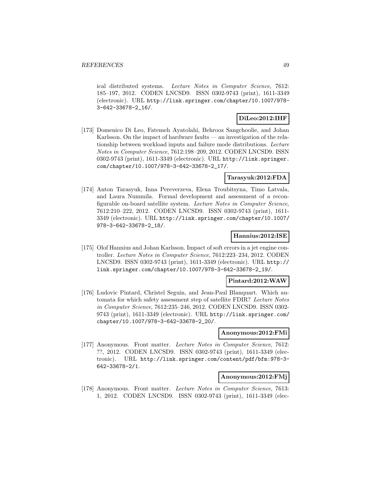ical distributed systems. Lecture Notes in Computer Science, 7612: 185–197, 2012. CODEN LNCSD9. ISSN 0302-9743 (print), 1611-3349 (electronic). URL http://link.springer.com/chapter/10.1007/978- 3-642-33678-2\_16/.

## **DiLeo:2012:IHF**

[173] Domenico Di Leo, Fatemeh Ayatolahi, Behrooz Sangchoolie, and Johan Karlsson. On the impact of hardware faults — an investigation of the relationship between workload inputs and failure mode distributions. Lecture Notes in Computer Science, 7612:198–209, 2012. CODEN LNCSD9. ISSN 0302-9743 (print), 1611-3349 (electronic). URL http://link.springer. com/chapter/10.1007/978-3-642-33678-2\_17/.

## **Tarasyuk:2012:FDA**

[174] Anton Tarasyuk, Inna Pereverzeva, Elena Troubitsyna, Timo Latvala, and Laura Nummila. Formal development and assessment of a reconfigurable on-board satellite system. Lecture Notes in Computer Science, 7612:210–222, 2012. CODEN LNCSD9. ISSN 0302-9743 (print), 1611- 3349 (electronic). URL http://link.springer.com/chapter/10.1007/ 978-3-642-33678-2\_18/.

## **Hannius:2012:ISE**

[175] Olof Hannius and Johan Karlsson. Impact of soft errors in a jet engine controller. Lecture Notes in Computer Science, 7612:223–234, 2012. CODEN LNCSD9. ISSN 0302-9743 (print), 1611-3349 (electronic). URL http:// link.springer.com/chapter/10.1007/978-3-642-33678-2\_19/.

#### **Pintard:2012:WAW**

[176] Ludovic Pintard, Christel Seguin, and Jean-Paul Blanquart. Which automata for which safety assessment step of satellite FDIR? Lecture Notes in Computer Science, 7612:235–246, 2012. CODEN LNCSD9. ISSN 0302- 9743 (print), 1611-3349 (electronic). URL http://link.springer.com/ chapter/10.1007/978-3-642-33678-2\_20/.

#### **Anonymous:2012:FMi**

[177] Anonymous. Front matter. Lecture Notes in Computer Science, 7612: ??, 2012. CODEN LNCSD9. ISSN 0302-9743 (print), 1611-3349 (electronic). URL http://link.springer.com/content/pdf/bfm:978-3- 642-33678-2/1.

#### **Anonymous:2012:FMj**

[178] Anonymous. Front matter. Lecture Notes in Computer Science, 7613: 1, 2012. CODEN LNCSD9. ISSN 0302-9743 (print), 1611-3349 (elec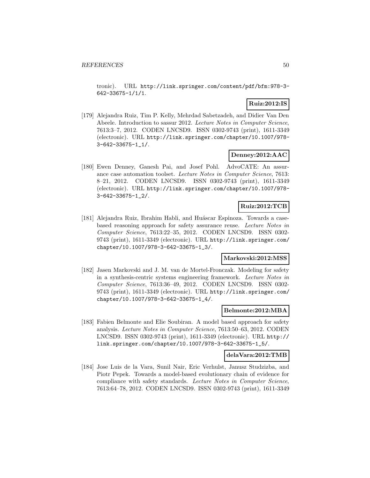tronic). URL http://link.springer.com/content/pdf/bfm:978-3- 642-33675-1/1/1.

# **Ruiz:2012:IS**

[179] Alejandra Ruiz, Tim P. Kelly, Mehrdad Sabetzadeh, and Didier Van Den Abeele. Introduction to sassur 2012. Lecture Notes in Computer Science, 7613:3–7, 2012. CODEN LNCSD9. ISSN 0302-9743 (print), 1611-3349 (electronic). URL http://link.springer.com/chapter/10.1007/978- 3-642-33675-1\_1/.

## **Denney:2012:AAC**

[180] Ewen Denney, Ganesh Pai, and Josef Pohl. AdvoCATE: An assurance case automation toolset. Lecture Notes in Computer Science, 7613: 8–21, 2012. CODEN LNCSD9. ISSN 0302-9743 (print), 1611-3349 (electronic). URL http://link.springer.com/chapter/10.1007/978- 3-642-33675-1\_2/.

## **Ruiz:2012:TCB**

[181] Alejandra Ruiz, Ibrahim Habli, and Huáscar Espinoza. Towards a casebased reasoning approach for safety assurance reuse. Lecture Notes in Computer Science, 7613:22–35, 2012. CODEN LNCSD9. ISSN 0302- 9743 (print), 1611-3349 (electronic). URL http://link.springer.com/ chapter/10.1007/978-3-642-33675-1\_3/.

## **Markovski:2012:MSS**

[182] Jasen Markovski and J. M. van de Mortel-Fronczak. Modeling for safety in a synthesis-centric systems engineering framework. Lecture Notes in Computer Science, 7613:36–49, 2012. CODEN LNCSD9. ISSN 0302- 9743 (print), 1611-3349 (electronic). URL http://link.springer.com/ chapter/10.1007/978-3-642-33675-1\_4/.

#### **Belmonte:2012:MBA**

[183] Fabien Belmonte and Elie Soubiran. A model based approach for safety analysis. Lecture Notes in Computer Science, 7613:50–63, 2012. CODEN LNCSD9. ISSN 0302-9743 (print), 1611-3349 (electronic). URL http:// link.springer.com/chapter/10.1007/978-3-642-33675-1\_5/.

#### **delaVara:2012:TMB**

[184] Jose Luis de la Vara, Sunil Nair, Eric Verhulst, Janusz Studzizba, and Piotr Pepek. Towards a model-based evolutionary chain of evidence for compliance with safety standards. Lecture Notes in Computer Science, 7613:64–78, 2012. CODEN LNCSD9. ISSN 0302-9743 (print), 1611-3349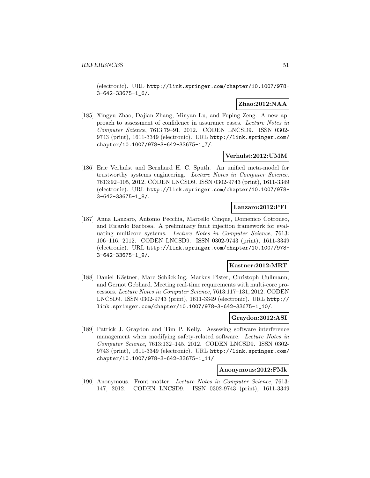(electronic). URL http://link.springer.com/chapter/10.1007/978- 3-642-33675-1\_6/.

## **Zhao:2012:NAA**

[185] Xingyu Zhao, Dajian Zhang, Minyan Lu, and Fuping Zeng. A new approach to assessment of confidence in assurance cases. Lecture Notes in Computer Science, 7613:79–91, 2012. CODEN LNCSD9. ISSN 0302- 9743 (print), 1611-3349 (electronic). URL http://link.springer.com/ chapter/10.1007/978-3-642-33675-1\_7/.

## **Verhulst:2012:UMM**

[186] Eric Verhulst and Bernhard H. C. Sputh. An unified meta-model for trustworthy systems engineering. Lecture Notes in Computer Science, 7613:92–105, 2012. CODEN LNCSD9. ISSN 0302-9743 (print), 1611-3349 (electronic). URL http://link.springer.com/chapter/10.1007/978- 3-642-33675-1\_8/.

## **Lanzaro:2012:PFI**

[187] Anna Lanzaro, Antonio Pecchia, Marcello Cinque, Domenico Cotroneo, and Ricardo Barbosa. A preliminary fault injection framework for evaluating multicore systems. Lecture Notes in Computer Science, 7613: 106–116, 2012. CODEN LNCSD9. ISSN 0302-9743 (print), 1611-3349 (electronic). URL http://link.springer.com/chapter/10.1007/978- 3-642-33675-1\_9/.

## **Kastner:2012:MRT**

[188] Daniel Kästner, Marc Schlickling, Markus Pister, Christoph Cullmann, and Gernot Gebhard. Meeting real-time requirements with multi-core processors. Lecture Notes in Computer Science, 7613:117–131, 2012. CODEN LNCSD9. ISSN 0302-9743 (print), 1611-3349 (electronic). URL http:// link.springer.com/chapter/10.1007/978-3-642-33675-1\_10/.

## **Graydon:2012:ASI**

[189] Patrick J. Graydon and Tim P. Kelly. Assessing software interference management when modifying safety-related software. Lecture Notes in Computer Science, 7613:132–145, 2012. CODEN LNCSD9. ISSN 0302- 9743 (print), 1611-3349 (electronic). URL http://link.springer.com/ chapter/10.1007/978-3-642-33675-1\_11/.

#### **Anonymous:2012:FMk**

[190] Anonymous. Front matter. Lecture Notes in Computer Science, 7613: 147, 2012. CODEN LNCSD9. ISSN 0302-9743 (print), 1611-3349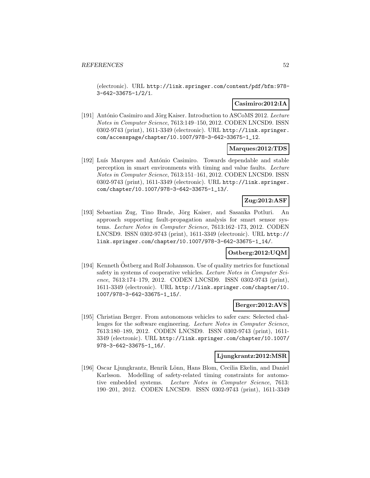(electronic). URL http://link.springer.com/content/pdf/bfm:978- 3-642-33675-1/2/1.

## **Casimiro:2012:IA**

[191] António Casimiro and Jörg Kaiser. Introduction to ASCoMS 2012. Lecture Notes in Computer Science, 7613:149–150, 2012. CODEN LNCSD9. ISSN 0302-9743 (print), 1611-3349 (electronic). URL http://link.springer. com/accesspage/chapter/10.1007/978-3-642-33675-1\_12.

### **Marques:2012:TDS**

[192] Luís Marques and António Casimiro. Towards dependable and stable perception in smart environments with timing and value faults. Lecture Notes in Computer Science, 7613:151–161, 2012. CODEN LNCSD9. ISSN 0302-9743 (print), 1611-3349 (electronic). URL http://link.springer. com/chapter/10.1007/978-3-642-33675-1\_13/.

## **Zug:2012:ASF**

[193] Sebastian Zug, Tino Brade, Jörg Kaiser, and Sasanka Potluri. An approach supporting fault-propagation analysis for smart sensor systems. Lecture Notes in Computer Science, 7613:162–173, 2012. CODEN LNCSD9. ISSN 0302-9743 (print), 1611-3349 (electronic). URL http:// link.springer.com/chapter/10.1007/978-3-642-33675-1\_14/.

#### **Ostberg:2012:UQM**

[194] Kenneth Ostberg and Rolf Johansson. Use of quality metrics for functional safety in systems of cooperative vehicles. Lecture Notes in Computer Science, 7613:174–179, 2012. CODEN LNCSD9. ISSN 0302-9743 (print), 1611-3349 (electronic). URL http://link.springer.com/chapter/10. 1007/978-3-642-33675-1\_15/.

#### **Berger:2012:AVS**

[195] Christian Berger. From autonomous vehicles to safer cars: Selected challenges for the software engineering. Lecture Notes in Computer Science, 7613:180–189, 2012. CODEN LNCSD9. ISSN 0302-9743 (print), 1611- 3349 (electronic). URL http://link.springer.com/chapter/10.1007/ 978-3-642-33675-1\_16/.

#### **Ljungkrantz:2012:MSR**

[196] Oscar Ljungkrantz, Henrik Lönn, Hans Blom, Cecilia Ekelin, and Daniel Karlsson. Modelling of safety-related timing constraints for automotive embedded systems. Lecture Notes in Computer Science, 7613: 190–201, 2012. CODEN LNCSD9. ISSN 0302-9743 (print), 1611-3349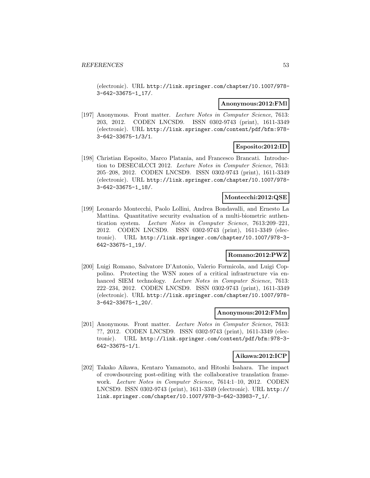(electronic). URL http://link.springer.com/chapter/10.1007/978- 3-642-33675-1\_17/.

#### **Anonymous:2012:FMl**

[197] Anonymous. Front matter. Lecture Notes in Computer Science, 7613: 203, 2012. CODEN LNCSD9. ISSN 0302-9743 (print), 1611-3349 (electronic). URL http://link.springer.com/content/pdf/bfm:978- 3-642-33675-1/3/1.

#### **Esposito:2012:ID**

[198] Christian Esposito, Marco Platania, and Francesco Brancati. Introduction to DESEC4LCCI 2012. Lecture Notes in Computer Science, 7613: 205–208, 2012. CODEN LNCSD9. ISSN 0302-9743 (print), 1611-3349 (electronic). URL http://link.springer.com/chapter/10.1007/978- 3-642-33675-1\_18/.

#### **Montecchi:2012:QSE**

[199] Leonardo Montecchi, Paolo Lollini, Andrea Bondavalli, and Ernesto La Mattina. Quantitative security evaluation of a multi-biometric authentication system. Lecture Notes in Computer Science, 7613:209–221, 2012. CODEN LNCSD9. ISSN 0302-9743 (print), 1611-3349 (electronic). URL http://link.springer.com/chapter/10.1007/978-3- 642-33675-1\_19/.

#### **Romano:2012:PWZ**

[200] Luigi Romano, Salvatore D'Antonio, Valerio Formicola, and Luigi Coppolino. Protecting the WSN zones of a critical infrastructure via enhanced SIEM technology. Lecture Notes in Computer Science, 7613: 222–234, 2012. CODEN LNCSD9. ISSN 0302-9743 (print), 1611-3349 (electronic). URL http://link.springer.com/chapter/10.1007/978- 3-642-33675-1\_20/.

#### **Anonymous:2012:FMm**

[201] Anonymous. Front matter. Lecture Notes in Computer Science, 7613: ??, 2012. CODEN LNCSD9. ISSN 0302-9743 (print), 1611-3349 (electronic). URL http://link.springer.com/content/pdf/bfm:978-3- 642-33675-1/1.

#### **Aikawa:2012:ICP**

[202] Takako Aikawa, Kentaro Yamamoto, and Hitoshi Isahara. The impact of crowdsourcing post-editing with the collaborative translation framework. Lecture Notes in Computer Science, 7614:1–10, 2012. CODEN LNCSD9. ISSN 0302-9743 (print), 1611-3349 (electronic). URL http:// link.springer.com/chapter/10.1007/978-3-642-33983-7\_1/.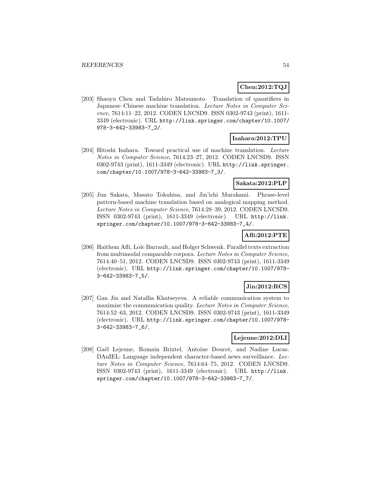### **Chen:2012:TQJ**

[203] Shaoyu Chen and Tadahiro Matsumoto. Translation of quantifiers in Japanese–Chinese machine translation. Lecture Notes in Computer Science, 7614:11–22, 2012. CODEN LNCSD9. ISSN 0302-9743 (print), 1611- 3349 (electronic). URL http://link.springer.com/chapter/10.1007/ 978-3-642-33983-7\_2/.

#### **Isahara:2012:TPU**

[204] Hitoshi Isahara. Toward practical use of machine translation. Lecture Notes in Computer Science, 7614:23–27, 2012. CODEN LNCSD9. ISSN 0302-9743 (print), 1611-3349 (electronic). URL http://link.springer. com/chapter/10.1007/978-3-642-33983-7\_3/.

## **Sakata:2012:PLP**

[205] Jun Sakata, Masato Tokuhisa, and Jin'ichi Murakami. Phrase-level pattern-based machine translation based on analogical mapping method. Lecture Notes in Computer Science, 7614:28–39, 2012. CODEN LNCSD9. ISSN 0302-9743 (print), 1611-3349 (electronic). URL http://link. springer.com/chapter/10.1007/978-3-642-33983-7\_4/.

## **Afli:2012:PTE**

[206] Haithem Afli, Loïc Barrault, and Holger Schwenk. Parallel texts extraction from multimodal comparable corpora. Lecture Notes in Computer Science, 7614:40–51, 2012. CODEN LNCSD9. ISSN 0302-9743 (print), 1611-3349 (electronic). URL http://link.springer.com/chapter/10.1007/978- 3-642-33983-7\_5/.

## **Jin:2012:RCS**

[207] Gan Jin and Natallia Khatseyeva. A reliable communication system to maximize the communication quality. Lecture Notes in Computer Science, 7614:52–63, 2012. CODEN LNCSD9. ISSN 0302-9743 (print), 1611-3349 (electronic). URL http://link.springer.com/chapter/10.1007/978- 3-642-33983-7\_6/.

## **Lejeune:2012:DLI**

[208] Gaël Lejeune, Romain Brixtel, Antoine Doucet, and Nadine Lucas. DAnIEL: Language independent character-based news surveillance. Lecture Notes in Computer Science, 7614:64–75, 2012. CODEN LNCSD9. ISSN 0302-9743 (print), 1611-3349 (electronic). URL http://link. springer.com/chapter/10.1007/978-3-642-33983-7\_7/.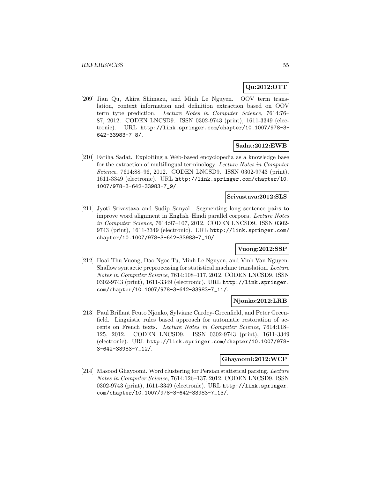# **Qu:2012:OTT**

[209] Jian Qu, Akira Shimazu, and Minh Le Nguyen. OOV term translation, context information and definition extraction based on OOV term type prediction. Lecture Notes in Computer Science, 7614:76– 87, 2012. CODEN LNCSD9. ISSN 0302-9743 (print), 1611-3349 (electronic). URL http://link.springer.com/chapter/10.1007/978-3- 642-33983-7\_8/.

## **Sadat:2012:EWB**

[210] Fatiha Sadat. Exploiting a Web-based encyclopedia as a knowledge base for the extraction of multilingual terminology. Lecture Notes in Computer Science, 7614:88–96, 2012. CODEN LNCSD9. ISSN 0302-9743 (print), 1611-3349 (electronic). URL http://link.springer.com/chapter/10. 1007/978-3-642-33983-7\_9/.

## **Srivastava:2012:SLS**

[211] Jyoti Srivastava and Sudip Sanyal. Segmenting long sentence pairs to improve word alignment in English–Hindi parallel corpora. Lecture Notes in Computer Science, 7614:97–107, 2012. CODEN LNCSD9. ISSN 0302- 9743 (print), 1611-3349 (electronic). URL http://link.springer.com/ chapter/10.1007/978-3-642-33983-7\_10/.

# **Vuong:2012:SSP**

[212] Hoai-Thu Vuong, Dao Ngoc Tu, Minh Le Nguyen, and Vinh Van Nguyen. Shallow syntactic preprocessing for statistical machine translation. Lecture Notes in Computer Science, 7614:108–117, 2012. CODEN LNCSD9. ISSN 0302-9743 (print), 1611-3349 (electronic). URL http://link.springer. com/chapter/10.1007/978-3-642-33983-7\_11/.

#### **Njonko:2012:LRB**

[213] Paul Brillant Feuto Njonko, Sylviane Cardey-Greenfield, and Peter Greenfield. Linguistic rules based approach for automatic restoration of accents on French texts. Lecture Notes in Computer Science, 7614:118– 125, 2012. CODEN LNCSD9. ISSN 0302-9743 (print), 1611-3349 (electronic). URL http://link.springer.com/chapter/10.1007/978- 3-642-33983-7\_12/.

## **Ghayoomi:2012:WCP**

[214] Masood Ghayoomi. Word clustering for Persian statistical parsing. Lecture Notes in Computer Science, 7614:126–137, 2012. CODEN LNCSD9. ISSN 0302-9743 (print), 1611-3349 (electronic). URL http://link.springer. com/chapter/10.1007/978-3-642-33983-7\_13/.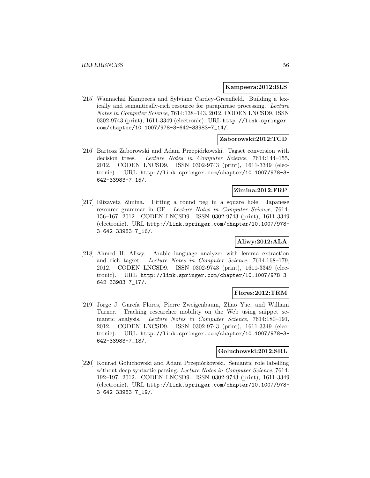## **Kampeera:2012:BLS**

[215] Wannachai Kampeera and Sylviane Cardey-Greenfield. Building a lexically and semantically-rich resource for paraphrase processing. Lecture Notes in Computer Science, 7614:138–143, 2012. CODEN LNCSD9. ISSN 0302-9743 (print), 1611-3349 (electronic). URL http://link.springer. com/chapter/10.1007/978-3-642-33983-7\_14/.

## **Zaborowski:2012:TCD**

[216] Bartosz Zaborowski and Adam Przepiórkowski. Tagset conversion with decision trees. Lecture Notes in Computer Science, 7614:144–155, 2012. CODEN LNCSD9. ISSN 0302-9743 (print), 1611-3349 (electronic). URL http://link.springer.com/chapter/10.1007/978-3- 642-33983-7\_15/.

#### **Zimina:2012:FRP**

[217] Elizaveta Zimina. Fitting a round peg in a square hole: Japanese resource grammar in GF. Lecture Notes in Computer Science, 7614: 156–167, 2012. CODEN LNCSD9. ISSN 0302-9743 (print), 1611-3349 (electronic). URL http://link.springer.com/chapter/10.1007/978- 3-642-33983-7\_16/.

# **Aliwy:2012:ALA**

[218] Ahmed H. Aliwy. Arabic language analyzer with lemma extraction and rich tagset. Lecture Notes in Computer Science, 7614:168–179, 2012. CODEN LNCSD9. ISSN 0302-9743 (print), 1611-3349 (electronic). URL http://link.springer.com/chapter/10.1007/978-3- 642-33983-7\_17/.

#### **Flores:2012:TRM**

[219] Jorge J. García Flores, Pierre Zweigenbaum, Zhao Yue, and William Turner. Tracking researcher mobility on the Web using snippet semantic analysis. Lecture Notes in Computer Science, 7614:180–191, 2012. CODEN LNCSD9. ISSN 0302-9743 (print), 1611-3349 (electronic). URL http://link.springer.com/chapter/10.1007/978-3- 642-33983-7\_18/.

## **Goluchowski:2012:SRL**

[220] Konrad Gołuchowski and Adam Przepiórkowski. Semantic role labelling without deep syntactic parsing. Lecture Notes in Computer Science, 7614: 192–197, 2012. CODEN LNCSD9. ISSN 0302-9743 (print), 1611-3349 (electronic). URL http://link.springer.com/chapter/10.1007/978- 3-642-33983-7\_19/.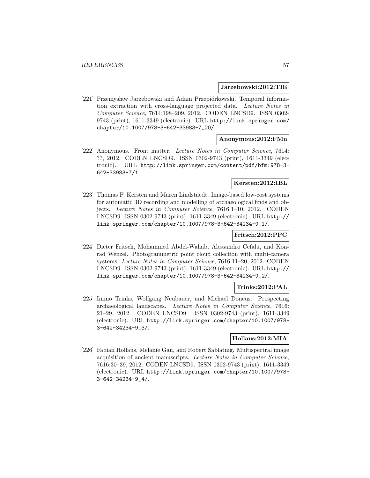#### **Jarzebowski:2012:TIE**

[221] Przemysław Jarzebowski and Adam Przepiórkowski. Temporal information extraction with cross-language projected data. Lecture Notes in Computer Science, 7614:198–209, 2012. CODEN LNCSD9. ISSN 0302- 9743 (print), 1611-3349 (electronic). URL http://link.springer.com/ chapter/10.1007/978-3-642-33983-7\_20/.

#### **Anonymous:2012:FMn**

[222] Anonymous. Front matter. Lecture Notes in Computer Science, 7614: ??, 2012. CODEN LNCSD9. ISSN 0302-9743 (print), 1611-3349 (electronic). URL http://link.springer.com/content/pdf/bfm:978-3- 642-33983-7/1.

## **Kersten:2012:IBL**

[223] Thomas P. Kersten and Maren Lindstaedt. Image-based low-cost systems for automatic 3D recording and modelling of archaeological finds and objects. Lecture Notes in Computer Science, 7616:1–10, 2012. CODEN LNCSD9. ISSN 0302-9743 (print), 1611-3349 (electronic). URL http:// link.springer.com/chapter/10.1007/978-3-642-34234-9\_1/.

#### **Fritsch:2012:PPC**

[224] Dieter Fritsch, Mohammed Abdel-Wahab, Alessandro Cefalu, and Konrad Wenzel. Photogrammetric point cloud collection with multi-camera systems. Lecture Notes in Computer Science, 7616:11–20, 2012. CODEN LNCSD9. ISSN 0302-9743 (print), 1611-3349 (electronic). URL http:// link.springer.com/chapter/10.1007/978-3-642-34234-9\_2/.

## **Trinks:2012:PAL**

[225] Immo Trinks, Wolfgang Neubauer, and Michael Doneus. Prospecting archaeological landscapes. Lecture Notes in Computer Science, 7616: 21–29, 2012. CODEN LNCSD9. ISSN 0302-9743 (print), 1611-3349 (electronic). URL http://link.springer.com/chapter/10.1007/978- 3-642-34234-9\_3/.

## **Hollaus:2012:MIA**

[226] Fabian Hollaus, Melanie Gau, and Robert Sablatnig. Multispectral image acquisition of ancient manuscripts. Lecture Notes in Computer Science, 7616:30–39, 2012. CODEN LNCSD9. ISSN 0302-9743 (print), 1611-3349 (electronic). URL http://link.springer.com/chapter/10.1007/978- 3-642-34234-9\_4/.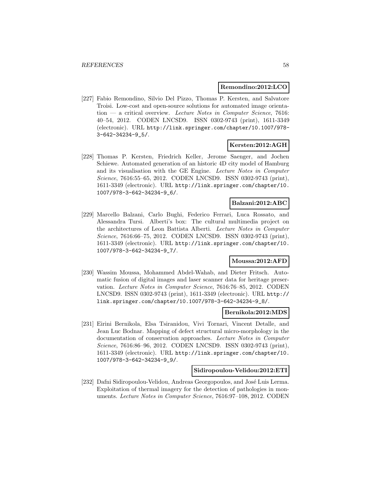#### **Remondino:2012:LCO**

[227] Fabio Remondino, Silvio Del Pizzo, Thomas P. Kersten, and Salvatore Troisi. Low-cost and open-source solutions for automated image orienta- $\tau$  tion — a critical overview. Lecture Notes in Computer Science, 7616: 40–54, 2012. CODEN LNCSD9. ISSN 0302-9743 (print), 1611-3349 (electronic). URL http://link.springer.com/chapter/10.1007/978- 3-642-34234-9\_5/.

### **Kersten:2012:AGH**

[228] Thomas P. Kersten, Friedrich Keller, Jerome Saenger, and Jochen Schiewe. Automated generation of an historic 4D city model of Hamburg and its visualisation with the GE Engine. Lecture Notes in Computer Science, 7616:55–65, 2012. CODEN LNCSD9. ISSN 0302-9743 (print), 1611-3349 (electronic). URL http://link.springer.com/chapter/10. 1007/978-3-642-34234-9\_6/.

### **Balzani:2012:ABC**

[229] Marcello Balzani, Carlo Bughi, Federico Ferrari, Luca Rossato, and Alessandra Tursi. Alberti's box: The cultural multimedia project on the architectures of Leon Battista Alberti. Lecture Notes in Computer Science, 7616:66–75, 2012. CODEN LNCSD9. ISSN 0302-9743 (print), 1611-3349 (electronic). URL http://link.springer.com/chapter/10. 1007/978-3-642-34234-9\_7/.

## **Moussa:2012:AFD**

[230] Wassim Moussa, Mohammed Abdel-Wahab, and Dieter Fritsch. Automatic fusion of digital images and laser scanner data for heritage preservation. Lecture Notes in Computer Science, 7616:76–85, 2012. CODEN LNCSD9. ISSN 0302-9743 (print), 1611-3349 (electronic). URL http:// link.springer.com/chapter/10.1007/978-3-642-34234-9\_8/.

#### **Bernikola:2012:MDS**

[231] Eirini Bernikola, Elsa Tsiranidou, Vivi Tornari, Vincent Detalle, and Jean Luc Bodnar. Mapping of defect structural micro-morphology in the documentation of conservation approaches. Lecture Notes in Computer Science, 7616:86–96, 2012. CODEN LNCSD9. ISSN 0302-9743 (print), 1611-3349 (electronic). URL http://link.springer.com/chapter/10. 1007/978-3-642-34234-9\_9/.

#### **Sidiropoulou-Velidou:2012:ETI**

[232] Dafni Sidiropoulou-Velidou, Andreas Georgopoulos, and José Luis Lerma. Exploitation of thermal imagery for the detection of pathologies in monuments. Lecture Notes in Computer Science, 7616:97–108, 2012. CODEN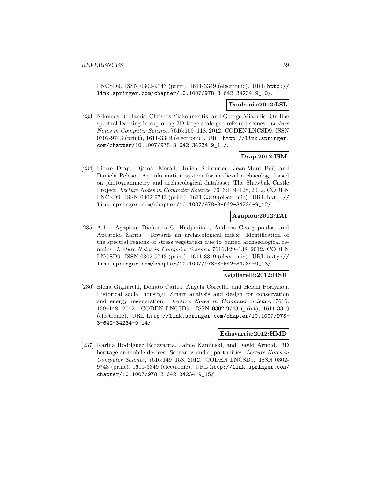LNCSD9. ISSN 0302-9743 (print), 1611-3349 (electronic). URL http:// link.springer.com/chapter/10.1007/978-3-642-34234-9\_10/.

#### **Doulamis:2012:LSL**

[233] Nikolaos Doulamis, Christos Yiakoumettis, and George Miaoulis. On-line spectral learning in exploring 3D large scale geo-referred scenes. Lecture Notes in Computer Science, 7616:109–118, 2012. CODEN LNCSD9. ISSN 0302-9743 (print), 1611-3349 (electronic). URL http://link.springer. com/chapter/10.1007/978-3-642-34234-9\_11/.

## **Drap:2012:ISM**

[234] Pierre Drap, Djamal Merad, Julien Seinturier, Jean-Marc Boï, and Daniela Peloso. An information system for medieval archaeology based on photogrammetry and archaeological database: The Shawbak Castle Project. Lecture Notes in Computer Science, 7616:119–128, 2012. CODEN LNCSD9. ISSN 0302-9743 (print), 1611-3349 (electronic). URL http:// link.springer.com/chapter/10.1007/978-3-642-34234-9\_12/.

### **Agapiou:2012:TAI**

[235] Athos Agapiou, Diofantos G. Hadjimitsis, Andreas Georgopoulos, and Apostolos Sarris. Towards an archaeological index: Identification of the spectral regions of stress vegetation due to buried archaeological remains. Lecture Notes in Computer Science, 7616:129–138, 2012. CODEN LNCSD9. ISSN 0302-9743 (print), 1611-3349 (electronic). URL http:// link.springer.com/chapter/10.1007/978-3-642-34234-9\_13/.

#### **Gigliarelli:2012:HSH**

[236] Elena Gigliarelli, Donato Carlea, Angela Corcella, and Heleni Porfyriou. Historical social housing: Smart analysis and design for conservation and energy regeneration. Lecture Notes in Computer Science, 7616: 139–148, 2012. CODEN LNCSD9. ISSN 0302-9743 (print), 1611-3349 (electronic). URL http://link.springer.com/chapter/10.1007/978- 3-642-34234-9\_14/.

#### **Echavarria:2012:HMD**

[237] Karina Rodriguez Echavarria, Jaime Kaminski, and David Arnold. 3D heritage on mobile devices: Scenarios and opportunities. Lecture Notes in Computer Science, 7616:149–158, 2012. CODEN LNCSD9. ISSN 0302- 9743 (print), 1611-3349 (electronic). URL http://link.springer.com/ chapter/10.1007/978-3-642-34234-9\_15/.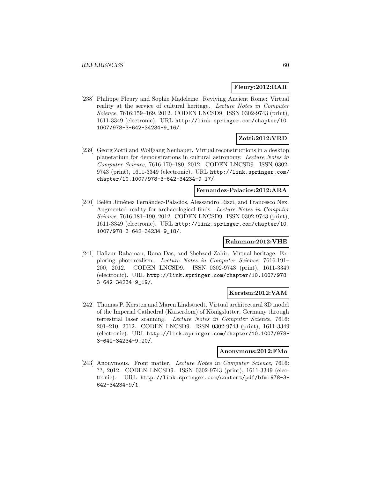## **Fleury:2012:RAR**

[238] Philippe Fleury and Sophie Madeleine. Reviving Ancient Rome: Virtual reality at the service of cultural heritage. Lecture Notes in Computer Science, 7616:159–169, 2012. CODEN LNCSD9. ISSN 0302-9743 (print), 1611-3349 (electronic). URL http://link.springer.com/chapter/10. 1007/978-3-642-34234-9\_16/.

# **Zotti:2012:VRD**

[239] Georg Zotti and Wolfgang Neubauer. Virtual reconstructions in a desktop planetarium for demonstrations in cultural astronomy. Lecture Notes in Computer Science, 7616:170–180, 2012. CODEN LNCSD9. ISSN 0302- 9743 (print), 1611-3349 (electronic). URL http://link.springer.com/ chapter/10.1007/978-3-642-34234-9\_17/.

#### **Fernandez-Palacios:2012:ARA**

[240] Belén Jiménez Fernández-Palacios, Alessandro Rizzi, and Francesco Nex. Augmented reality for archaeological finds. Lecture Notes in Computer Science, 7616:181–190, 2012. CODEN LNCSD9. ISSN 0302-9743 (print), 1611-3349 (electronic). URL http://link.springer.com/chapter/10. 1007/978-3-642-34234-9\_18/.

## **Rahaman:2012:VHE**

[241] Hafizur Rahaman, Rana Das, and Shehzad Zahir. Virtual heritage: Exploring photorealism. Lecture Notes in Computer Science, 7616:191– 200, 2012. CODEN LNCSD9. ISSN 0302-9743 (print), 1611-3349 (electronic). URL http://link.springer.com/chapter/10.1007/978- 3-642-34234-9\_19/.

#### **Kersten:2012:VAM**

[242] Thomas P. Kersten and Maren Lindstaedt. Virtual architectural 3D model of the Imperial Cathedral (Kaiserdom) of Königslutter, Germany through terrestrial laser scanning. Lecture Notes in Computer Science, 7616: 201–210, 2012. CODEN LNCSD9. ISSN 0302-9743 (print), 1611-3349 (electronic). URL http://link.springer.com/chapter/10.1007/978- 3-642-34234-9\_20/.

#### **Anonymous:2012:FMo**

[243] Anonymous. Front matter. Lecture Notes in Computer Science, 7616: ??, 2012. CODEN LNCSD9. ISSN 0302-9743 (print), 1611-3349 (electronic). URL http://link.springer.com/content/pdf/bfm:978-3- 642-34234-9/1.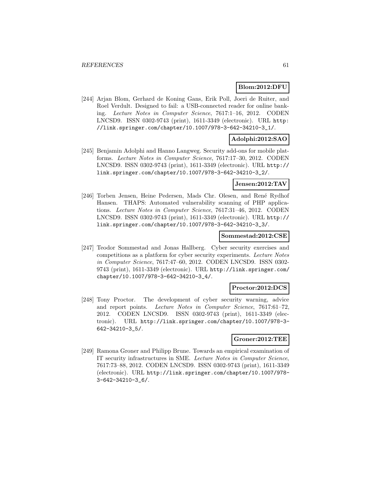#### **Blom:2012:DFU**

[244] Arjan Blom, Gerhard de Koning Gans, Erik Poll, Joeri de Ruiter, and Roel Verdult. Designed to fail: a USB-connected reader for online banking. Lecture Notes in Computer Science, 7617:1–16, 2012. CODEN LNCSD9. ISSN 0302-9743 (print), 1611-3349 (electronic). URL http: //link.springer.com/chapter/10.1007/978-3-642-34210-3\_1/.

## **Adolphi:2012:SAO**

[245] Benjamin Adolphi and Hanno Langweg. Security add-ons for mobile platforms. Lecture Notes in Computer Science, 7617:17–30, 2012. CODEN LNCSD9. ISSN 0302-9743 (print), 1611-3349 (electronic). URL http:// link.springer.com/chapter/10.1007/978-3-642-34210-3\_2/.

#### **Jensen:2012:TAV**

[246] Torben Jensen, Heine Pedersen, Mads Chr. Olesen, and René Rydhof Hansen. THAPS: Automated vulnerability scanning of PHP applications. Lecture Notes in Computer Science, 7617:31–46, 2012. CODEN LNCSD9. ISSN 0302-9743 (print), 1611-3349 (electronic). URL http:// link.springer.com/chapter/10.1007/978-3-642-34210-3\_3/.

#### **Sommestad:2012:CSE**

[247] Teodor Sommestad and Jonas Hallberg. Cyber security exercises and competitions as a platform for cyber security experiments. Lecture Notes in Computer Science, 7617:47–60, 2012. CODEN LNCSD9. ISSN 0302- 9743 (print), 1611-3349 (electronic). URL http://link.springer.com/ chapter/10.1007/978-3-642-34210-3\_4/.

#### **Proctor:2012:DCS**

[248] Tony Proctor. The development of cyber security warning, advice and report points. Lecture Notes in Computer Science, 7617:61–72, 2012. CODEN LNCSD9. ISSN 0302-9743 (print), 1611-3349 (electronic). URL http://link.springer.com/chapter/10.1007/978-3- 642-34210-3\_5/.

### **Groner:2012:TEE**

[249] Ramona Groner and Philipp Brune. Towards an empirical examination of IT security infrastructures in SME. Lecture Notes in Computer Science, 7617:73–88, 2012. CODEN LNCSD9. ISSN 0302-9743 (print), 1611-3349 (electronic). URL http://link.springer.com/chapter/10.1007/978- 3-642-34210-3\_6/.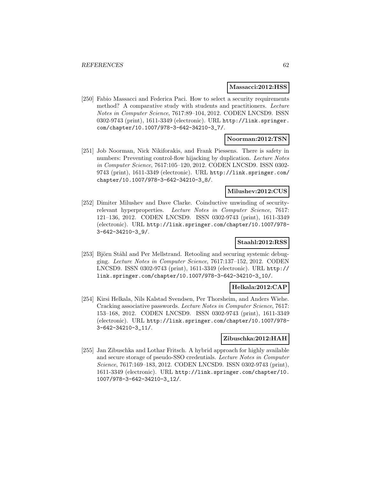#### **Massacci:2012:HSS**

[250] Fabio Massacci and Federica Paci. How to select a security requirements method? A comparative study with students and practitioners. Lecture Notes in Computer Science, 7617:89–104, 2012. CODEN LNCSD9. ISSN 0302-9743 (print), 1611-3349 (electronic). URL http://link.springer. com/chapter/10.1007/978-3-642-34210-3\_7/.

### **Noorman:2012:TSN**

[251] Job Noorman, Nick Nikiforakis, and Frank Piessens. There is safety in numbers: Preventing control-flow hijacking by duplication. Lecture Notes in Computer Science, 7617:105–120, 2012. CODEN LNCSD9. ISSN 0302- 9743 (print), 1611-3349 (electronic). URL http://link.springer.com/ chapter/10.1007/978-3-642-34210-3\_8/.

## **Milushev:2012:CUS**

[252] Dimiter Milushev and Dave Clarke. Coinductive unwinding of securityrelevant hyperproperties. Lecture Notes in Computer Science, 7617: 121–136, 2012. CODEN LNCSD9. ISSN 0302-9743 (print), 1611-3349 (electronic). URL http://link.springer.com/chapter/10.1007/978- 3-642-34210-3\_9/.

## **Staahl:2012:RSS**

[253] Björn Ståhl and Per Mellstrand. Retooling and securing systemic debugging. Lecture Notes in Computer Science, 7617:137–152, 2012. CODEN LNCSD9. ISSN 0302-9743 (print), 1611-3349 (electronic). URL http:// link.springer.com/chapter/10.1007/978-3-642-34210-3\_10/.

#### **Helkala:2012:CAP**

[254] Kirsi Helkala, Nils Kalstad Svendsen, Per Thorsheim, and Anders Wiehe. Cracking associative passwords. Lecture Notes in Computer Science, 7617: 153–168, 2012. CODEN LNCSD9. ISSN 0302-9743 (print), 1611-3349 (electronic). URL http://link.springer.com/chapter/10.1007/978- 3-642-34210-3\_11/.

## **Zibuschka:2012:HAH**

[255] Jan Zibuschka and Lothar Fritsch. A hybrid approach for highly available and secure storage of pseudo-SSO credentials. Lecture Notes in Computer Science, 7617:169–183, 2012. CODEN LNCSD9. ISSN 0302-9743 (print), 1611-3349 (electronic). URL http://link.springer.com/chapter/10. 1007/978-3-642-34210-3\_12/.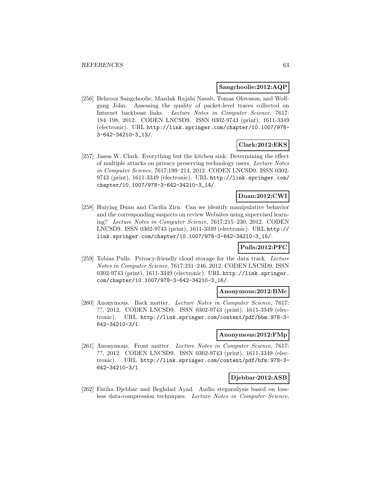#### **Sangchoolie:2012:AQP**

[256] Behrooz Sangchoolie, Mazdak Rajabi Nasab, Tomas Olovsson, and Wolfgang John. Assessing the quality of packet-level traces collected on Internet backbone links. Lecture Notes in Computer Science, 7617: 184–198, 2012. CODEN LNCSD9. ISSN 0302-9743 (print), 1611-3349 (electronic). URL http://link.springer.com/chapter/10.1007/978- 3-642-34210-3\_13/.

# **Clark:2012:EKS**

[257] Jason W. Clark. Everything but the kitchen sink: Determining the effect of multiple attacks on privacy preserving technology users. Lecture Notes in Computer Science, 7617:199–214, 2012. CODEN LNCSD9. ISSN 0302- 9743 (print), 1611-3349 (electronic). URL http://link.springer.com/ chapter/10.1007/978-3-642-34210-3\_14/.

## **Duan:2012:CWI**

[258] Huiying Duan and Cäcilia Zirn. Can we identify manipulative behavior and the corresponding suspects on review Websites using supervised learning? Lecture Notes in Computer Science, 7617:215–230, 2012. CODEN LNCSD9. ISSN 0302-9743 (print), 1611-3349 (electronic). URL http:// link.springer.com/chapter/10.1007/978-3-642-34210-3\_15/.

#### **Pulls:2012:PFC**

[259] Tobias Pulls. Privacy-friendly cloud storage for the data track. Lecture Notes in Computer Science, 7617:231–246, 2012. CODEN LNCSD9. ISSN 0302-9743 (print), 1611-3349 (electronic). URL http://link.springer. com/chapter/10.1007/978-3-642-34210-3\_16/.

#### **Anonymous:2012:BMc**

[260] Anonymous. Back matter. Lecture Notes in Computer Science, 7617: ??, 2012. CODEN LNCSD9. ISSN 0302-9743 (print), 1611-3349 (electronic). URL http://link.springer.com/content/pdf/bbm:978-3- 642-34210-3/1.

#### **Anonymous:2012:FMp**

[261] Anonymous. Front matter. Lecture Notes in Computer Science, 7617: ??, 2012. CODEN LNCSD9. ISSN 0302-9743 (print), 1611-3349 (electronic). URL http://link.springer.com/content/pdf/bfm:978-3- 642-34210-3/1.

## **Djebbar:2012:ASB**

[262] Fatiha Djebbar and Beghdad Ayad. Audio steganalysis based on lossless data-compression techniques. Lecture Notes in Computer Science,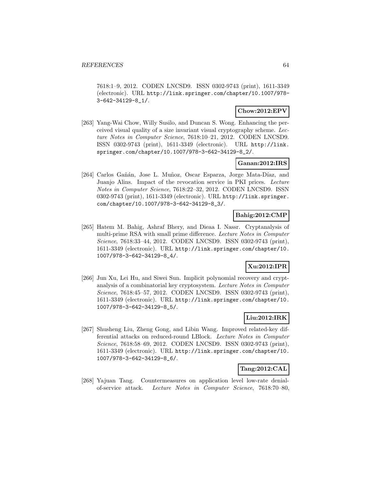7618:1–9, 2012. CODEN LNCSD9. ISSN 0302-9743 (print), 1611-3349 (electronic). URL http://link.springer.com/chapter/10.1007/978- 3-642-34129-8\_1/.

## **Chow:2012:EPV**

[263] Yang-Wai Chow, Willy Susilo, and Duncan S. Wong. Enhancing the perceived visual quality of a size invariant visual cryptography scheme. Lecture Notes in Computer Science, 7618:10–21, 2012. CODEN LNCSD9. ISSN 0302-9743 (print), 1611-3349 (electronic). URL http://link. springer.com/chapter/10.1007/978-3-642-34129-8\_2/.

## **Ganan:2012:IRS**

[264] Carlos Gañán, Jose L. Muñoz, Oscar Esparza, Jorge Mata-Díaz, and Juanjo Alins. Impact of the revocation service in PKI prices. Lecture Notes in Computer Science, 7618:22–32, 2012. CODEN LNCSD9. ISSN 0302-9743 (print), 1611-3349 (electronic). URL http://link.springer. com/chapter/10.1007/978-3-642-34129-8\_3/.

## **Bahig:2012:CMP**

[265] Hatem M. Bahig, Ashraf Bhery, and Dieaa I. Nassr. Cryptanalysis of multi-prime RSA with small prime difference. Lecture Notes in Computer Science, 7618:33–44, 2012. CODEN LNCSD9. ISSN 0302-9743 (print), 1611-3349 (electronic). URL http://link.springer.com/chapter/10. 1007/978-3-642-34129-8\_4/.

## **Xu:2012:IPR**

[266] Jun Xu, Lei Hu, and Siwei Sun. Implicit polynomial recovery and cryptanalysis of a combinatorial key cryptosystem. Lecture Notes in Computer Science, 7618:45–57, 2012. CODEN LNCSD9. ISSN 0302-9743 (print), 1611-3349 (electronic). URL http://link.springer.com/chapter/10. 1007/978-3-642-34129-8\_5/.

# **Liu:2012:IRK**

[267] Shusheng Liu, Zheng Gong, and Libin Wang. Improved related-key differential attacks on reduced-round LBlock. Lecture Notes in Computer Science, 7618:58–69, 2012. CODEN LNCSD9. ISSN 0302-9743 (print), 1611-3349 (electronic). URL http://link.springer.com/chapter/10. 1007/978-3-642-34129-8\_6/.

## **Tang:2012:CAL**

[268] Yajuan Tang. Countermeasures on application level low-rate denialof-service attack. Lecture Notes in Computer Science, 7618:70–80,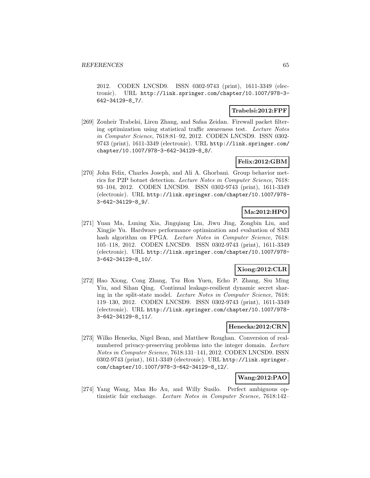2012. CODEN LNCSD9. ISSN 0302-9743 (print), 1611-3349 (electronic). URL http://link.springer.com/chapter/10.1007/978-3- 642-34129-8\_7/.

## **Trabelsi:2012:FPF**

[269] Zouheir Trabelsi, Liren Zhang, and Safaa Zeidan. Firewall packet filtering optimization using statistical traffic awareness test. Lecture Notes in Computer Science, 7618:81–92, 2012. CODEN LNCSD9. ISSN 0302- 9743 (print), 1611-3349 (electronic). URL http://link.springer.com/ chapter/10.1007/978-3-642-34129-8\_8/.

# **Felix:2012:GBM**

[270] John Felix, Charles Joseph, and Ali A. Ghorbani. Group behavior metrics for P2P botnet detection. Lecture Notes in Computer Science, 7618: 93–104, 2012. CODEN LNCSD9. ISSN 0302-9743 (print), 1611-3349 (electronic). URL http://link.springer.com/chapter/10.1007/978- 3-642-34129-8\_9/.

# **Ma:2012:HPO**

[271] Yuan Ma, Luning Xia, Jingqiang Lin, Jiwu Jing, Zongbin Liu, and Xingjie Yu. Hardware performance optimization and evaluation of SM3 hash algorithm on FPGA. Lecture Notes in Computer Science, 7618: 105–118, 2012. CODEN LNCSD9. ISSN 0302-9743 (print), 1611-3349 (electronic). URL http://link.springer.com/chapter/10.1007/978- 3-642-34129-8\_10/.

# **Xiong:2012:CLR**

[272] Hao Xiong, Cong Zhang, Tsz Hon Yuen, Echo P. Zhang, Siu Ming Yiu, and Sihan Qing. Continual leakage-resilient dynamic secret sharing in the split-state model. Lecture Notes in Computer Science, 7618: 119–130, 2012. CODEN LNCSD9. ISSN 0302-9743 (print), 1611-3349 (electronic). URL http://link.springer.com/chapter/10.1007/978- 3-642-34129-8\_11/.

#### **Henecka:2012:CRN**

[273] Wilko Henecka, Nigel Bean, and Matthew Roughan. Conversion of realnumbered privacy-preserving problems into the integer domain. Lecture Notes in Computer Science, 7618:131–141, 2012. CODEN LNCSD9. ISSN 0302-9743 (print), 1611-3349 (electronic). URL http://link.springer. com/chapter/10.1007/978-3-642-34129-8\_12/.

# **Wang:2012:PAO**

[274] Yang Wang, Man Ho Au, and Willy Susilo. Perfect ambiguous optimistic fair exchange. Lecture Notes in Computer Science, 7618:142–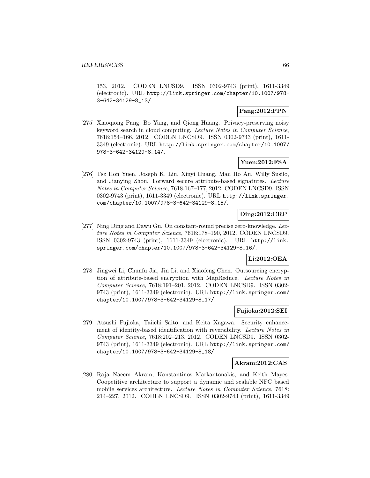153, 2012. CODEN LNCSD9. ISSN 0302-9743 (print), 1611-3349 (electronic). URL http://link.springer.com/chapter/10.1007/978- 3-642-34129-8\_13/.

## **Pang:2012:PPN**

[275] Xiaoqiong Pang, Bo Yang, and Qiong Huang. Privacy-preserving noisy keyword search in cloud computing. Lecture Notes in Computer Science, 7618:154–166, 2012. CODEN LNCSD9. ISSN 0302-9743 (print), 1611- 3349 (electronic). URL http://link.springer.com/chapter/10.1007/ 978-3-642-34129-8\_14/.

## **Yuen:2012:FSA**

[276] Tsz Hon Yuen, Joseph K. Liu, Xinyi Huang, Man Ho Au, Willy Susilo, and Jianying Zhou. Forward secure attribute-based signatures. Lecture Notes in Computer Science, 7618:167–177, 2012. CODEN LNCSD9. ISSN 0302-9743 (print), 1611-3349 (electronic). URL http://link.springer. com/chapter/10.1007/978-3-642-34129-8\_15/.

# **Ding:2012:CRP**

[277] Ning Ding and Dawu Gu. On constant-round precise zero-knowledge. Lecture Notes in Computer Science, 7618:178–190, 2012. CODEN LNCSD9. ISSN 0302-9743 (print), 1611-3349 (electronic). URL http://link. springer.com/chapter/10.1007/978-3-642-34129-8\_16/.

## **Li:2012:OEA**

[278] Jingwei Li, Chunfu Jia, Jin Li, and Xiaofeng Chen. Outsourcing encryption of attribute-based encryption with MapReduce. Lecture Notes in Computer Science, 7618:191–201, 2012. CODEN LNCSD9. ISSN 0302- 9743 (print), 1611-3349 (electronic). URL http://link.springer.com/ chapter/10.1007/978-3-642-34129-8\_17/.

## **Fujioka:2012:SEI**

[279] Atsushi Fujioka, Taiichi Saito, and Keita Xagawa. Security enhancement of identity-based identification with reversibility. Lecture Notes in Computer Science, 7618:202–213, 2012. CODEN LNCSD9. ISSN 0302- 9743 (print), 1611-3349 (electronic). URL http://link.springer.com/ chapter/10.1007/978-3-642-34129-8\_18/.

#### **Akram:2012:CAS**

[280] Raja Naeem Akram, Konstantinos Markantonakis, and Keith Mayes. Coopetitive architecture to support a dynamic and scalable NFC based mobile services architecture. Lecture Notes in Computer Science, 7618: 214–227, 2012. CODEN LNCSD9. ISSN 0302-9743 (print), 1611-3349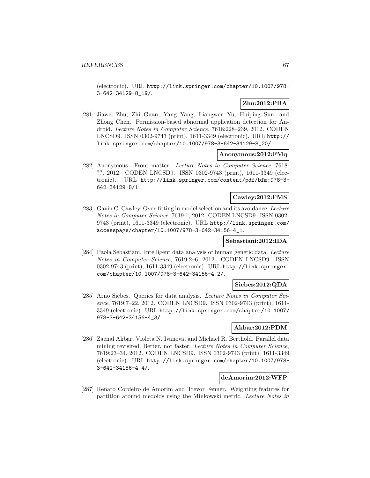(electronic). URL http://link.springer.com/chapter/10.1007/978- 3-642-34129-8\_19/.

# **Zhu:2012:PBA**

[281] Jiawei Zhu, Zhi Guan, Yang Yang, Liangwen Yu, Huiping Sun, and Zhong Chen. Permission-based abnormal application detection for Android. Lecture Notes in Computer Science, 7618:228–239, 2012. CODEN LNCSD9. ISSN 0302-9743 (print), 1611-3349 (electronic). URL http:// link.springer.com/chapter/10.1007/978-3-642-34129-8\_20/.

#### **Anonymous:2012:FMq**

[282] Anonymous. Front matter. Lecture Notes in Computer Science, 7618: ??, 2012. CODEN LNCSD9. ISSN 0302-9743 (print), 1611-3349 (electronic). URL http://link.springer.com/content/pdf/bfm:978-3- 642-34129-8/1.

#### **Cawley:2012:FMS**

[283] Gavin C. Cawley. Over-fitting in model selection and its avoidance. Lecture Notes in Computer Science, 7619:1, 2012. CODEN LNCSD9. ISSN 0302- 9743 (print), 1611-3349 (electronic). URL http://link.springer.com/ accesspage/chapter/10.1007/978-3-642-34156-4\_1.

## **Sebastiani:2012:IDA**

[284] Paola Sebastiani. Intelligent data analysis of human genetic data. Lecture Notes in Computer Science, 7619:2–6, 2012. CODEN LNCSD9. ISSN 0302-9743 (print), 1611-3349 (electronic). URL http://link.springer. com/chapter/10.1007/978-3-642-34156-4\_2/.

#### **Siebes:2012:QDA**

[285] Arno Siebes. Queries for data analysis. Lecture Notes in Computer Science, 7619:7–22, 2012. CODEN LNCSD9. ISSN 0302-9743 (print), 1611- 3349 (electronic). URL http://link.springer.com/chapter/10.1007/ 978-3-642-34156-4\_3/.

## **Akbar:2012:PDM**

[286] Zaenal Akbar, Violeta N. Ivanova, and Michael R. Berthold. Parallel data mining revisited. Better, not faster. Lecture Notes in Computer Science, 7619:23–34, 2012. CODEN LNCSD9. ISSN 0302-9743 (print), 1611-3349 (electronic). URL http://link.springer.com/chapter/10.1007/978- 3-642-34156-4\_4/.

#### **deAmorim:2012:WFP**

[287] Renato Cordeiro de Amorim and Trevor Fenner. Weighting features for partition around medoids using the Minkowski metric. Lecture Notes in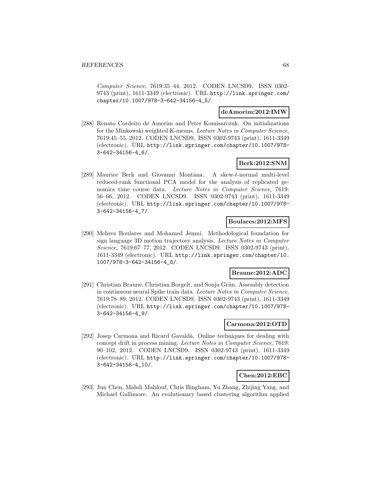Computer Science, 7619:35–44, 2012. CODEN LNCSD9. ISSN 0302- 9743 (print), 1611-3349 (electronic). URL http://link.springer.com/ chapter/10.1007/978-3-642-34156-4\_5/.

#### **deAmorim:2012:IMW**

[288] Renato Cordeiro de Amorim and Peter Komisarczuk. On initializations for the Minkowski weighted K-means. Lecture Notes in Computer Science, 7619:45–55, 2012. CODEN LNCSD9. ISSN 0302-9743 (print), 1611-3349 (electronic). URL http://link.springer.com/chapter/10.1007/978- 3-642-34156-4\_6/.

## **Berk:2012:SNM**

[289] Maurice Berk and Giovanni Montana. A skew-t-normal multi-level reduced-rank functional PCA model for the analysis of replicated genomics time course data. Lecture Notes in Computer Science, 7619: 56–66, 2012. CODEN LNCSD9. ISSN 0302-9743 (print), 1611-3349 (electronic). URL http://link.springer.com/chapter/10.1007/978- 3-642-34156-4\_7/.

## **Boulares:2012:MFS**

[290] Mehrez Boulares and Mohamed Jemni. Methodological foundation for sign language 3D motion trajectory analysis. Lecture Notes in Computer Science, 7619:67–77, 2012. CODEN LNCSD9. ISSN 0302-9743 (print), 1611-3349 (electronic). URL http://link.springer.com/chapter/10. 1007/978-3-642-34156-4\_8/.

#### **Braune:2012:ADC**

[291] Christian Braune, Christian Borgelt, and Sonja Grün. Assembly detection in continuous neural Spike train data. Lecture Notes in Computer Science, 7619:78–89, 2012. CODEN LNCSD9. ISSN 0302-9743 (print), 1611-3349 (electronic). URL http://link.springer.com/chapter/10.1007/978- 3-642-34156-4\_9/.

#### **Carmona:2012:OTD**

[292] Josep Carmona and Ricard Gavald`a. Online techniques for dealing with concept drift in process mining. Lecture Notes in Computer Science, 7619: 90–102, 2012. CODEN LNCSD9. ISSN 0302-9743 (print), 1611-3349 (electronic). URL http://link.springer.com/chapter/10.1007/978- 3-642-34156-4\_10/.

## **Chen:2012:EBC**

[293] Jun Chen, Mahdi Mahfouf, Chris Bingham, Yu Zhang, Zhijing Yang, and Michael Gallimore. An evolutionary based clustering algorithm applied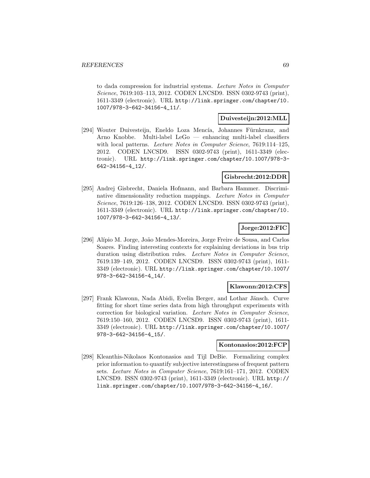to dada compression for industrial systems. Lecture Notes in Computer Science, 7619:103–113, 2012. CODEN LNCSD9. ISSN 0302-9743 (print), 1611-3349 (electronic). URL http://link.springer.com/chapter/10. 1007/978-3-642-34156-4\_11/.

#### **Duivesteijn:2012:MLL**

[294] Wouter Duivesteijn, Eneldo Loza Mencía, Johannes Fürnkranz, and Arno Knobbe. Multi-label LeGo — enhancing multi-label classifiers with local patterns. Lecture Notes in Computer Science, 7619:114-125, 2012. CODEN LNCSD9. ISSN 0302-9743 (print), 1611-3349 (electronic). URL http://link.springer.com/chapter/10.1007/978-3- 642-34156-4\_12/.

#### **Gisbrecht:2012:DDR**

[295] Andrej Gisbrecht, Daniela Hofmann, and Barbara Hammer. Discriminative dimensionality reduction mappings. Lecture Notes in Computer Science, 7619:126–138, 2012. CODEN LNCSD9. ISSN 0302-9743 (print), 1611-3349 (electronic). URL http://link.springer.com/chapter/10. 1007/978-3-642-34156-4\_13/.

## **Jorge:2012:FIC**

[296] Alípio M. Jorge, João Mendes-Moreira, Jorge Freire de Sousa, and Carlos Soares. Finding interesting contexts for explaining deviations in bus trip duration using distribution rules. Lecture Notes in Computer Science, 7619:139–149, 2012. CODEN LNCSD9. ISSN 0302-9743 (print), 1611- 3349 (electronic). URL http://link.springer.com/chapter/10.1007/ 978-3-642-34156-4\_14/.

#### **Klawonn:2012:CFS**

[297] Frank Klawonn, Nada Abidi, Evelin Berger, and Lothar Jänsch. Curve fitting for short time series data from high throughput experiments with correction for biological variation. Lecture Notes in Computer Science, 7619:150–160, 2012. CODEN LNCSD9. ISSN 0302-9743 (print), 1611- 3349 (electronic). URL http://link.springer.com/chapter/10.1007/ 978-3-642-34156-4\_15/.

#### **Kontonasios:2012:FCP**

[298] Kleanthis-Nikolaos Kontonasios and Tijl DeBie. Formalizing complex prior information to quantify subjective interestingness of frequent pattern sets. Lecture Notes in Computer Science, 7619:161–171, 2012. CODEN LNCSD9. ISSN 0302-9743 (print), 1611-3349 (electronic). URL http:// link.springer.com/chapter/10.1007/978-3-642-34156-4\_16/.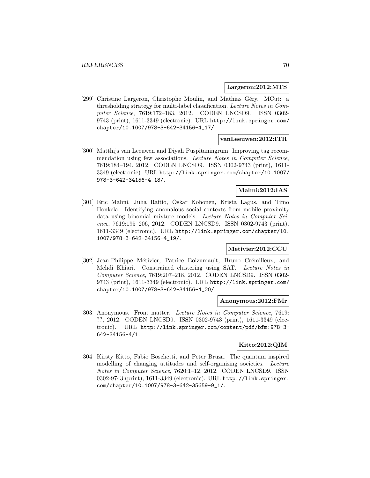#### **Largeron:2012:MTS**

[299] Christine Largeron, Christophe Moulin, and Mathias Géry. MCut: a thresholding strategy for multi-label classification. Lecture Notes in Computer Science, 7619:172–183, 2012. CODEN LNCSD9. ISSN 0302- 9743 (print), 1611-3349 (electronic). URL http://link.springer.com/ chapter/10.1007/978-3-642-34156-4\_17/.

## **vanLeeuwen:2012:ITR**

[300] Matthijs van Leeuwen and Diyah Puspitaningrum. Improving tag recommendation using few associations. Lecture Notes in Computer Science, 7619:184–194, 2012. CODEN LNCSD9. ISSN 0302-9743 (print), 1611- 3349 (electronic). URL http://link.springer.com/chapter/10.1007/ 978-3-642-34156-4\_18/.

### **Malmi:2012:IAS**

[301] Eric Malmi, Juha Raitio, Oskar Kohonen, Krista Lagus, and Timo Honkela. Identifying anomalous social contexts from mobile proximity data using binomial mixture models. Lecture Notes in Computer Science, 7619:195–206, 2012. CODEN LNCSD9. ISSN 0302-9743 (print), 1611-3349 (electronic). URL http://link.springer.com/chapter/10. 1007/978-3-642-34156-4\_19/.

# **Metivier:2012:CCU**

[302] Jean-Philippe Métivier, Patrice Boizumault, Bruno Crémilleux, and Mehdi Khiari. Constrained clustering using SAT. Lecture Notes in Computer Science, 7619:207–218, 2012. CODEN LNCSD9. ISSN 0302- 9743 (print), 1611-3349 (electronic). URL http://link.springer.com/ chapter/10.1007/978-3-642-34156-4\_20/.

#### **Anonymous:2012:FMr**

[303] Anonymous. Front matter. Lecture Notes in Computer Science, 7619: ??, 2012. CODEN LNCSD9. ISSN 0302-9743 (print), 1611-3349 (electronic). URL http://link.springer.com/content/pdf/bfm:978-3- 642-34156-4/1.

## **Kitto:2012:QIM**

[304] Kirsty Kitto, Fabio Boschetti, and Peter Bruza. The quantum inspired modelling of changing attitudes and self-organising societies. Lecture Notes in Computer Science, 7620:1–12, 2012. CODEN LNCSD9. ISSN 0302-9743 (print), 1611-3349 (electronic). URL http://link.springer. com/chapter/10.1007/978-3-642-35659-9\_1/.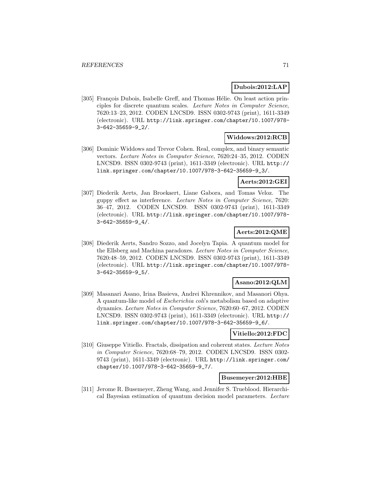## **Dubois:2012:LAP**

[305] François Dubois, Isabelle Greff, and Thomas Hélie. On least action principles for discrete quantum scales. Lecture Notes in Computer Science, 7620:13–23, 2012. CODEN LNCSD9. ISSN 0302-9743 (print), 1611-3349 (electronic). URL http://link.springer.com/chapter/10.1007/978- 3-642-35659-9\_2/.

#### **Widdows:2012:RCB**

[306] Dominic Widdows and Trevor Cohen. Real, complex, and binary semantic vectors. Lecture Notes in Computer Science, 7620:24–35, 2012. CODEN LNCSD9. ISSN 0302-9743 (print), 1611-3349 (electronic). URL http:// link.springer.com/chapter/10.1007/978-3-642-35659-9\_3/.

## **Aerts:2012:GEI**

[307] Diederik Aerts, Jan Broekaert, Liane Gabora, and Tomas Veloz. The guppy effect as interference. Lecture Notes in Computer Science, 7620: 36–47, 2012. CODEN LNCSD9. ISSN 0302-9743 (print), 1611-3349 (electronic). URL http://link.springer.com/chapter/10.1007/978- 3-642-35659-9\_4/.

## **Aerts:2012:QME**

[308] Diederik Aerts, Sandro Sozzo, and Jocelyn Tapia. A quantum model for the Ellsberg and Machina paradoxes. Lecture Notes in Computer Science, 7620:48–59, 2012. CODEN LNCSD9. ISSN 0302-9743 (print), 1611-3349 (electronic). URL http://link.springer.com/chapter/10.1007/978- 3-642-35659-9\_5/.

## **Asano:2012:QLM**

[309] Masanari Asano, Irina Basieva, Andrei Khrennikov, and Masanori Ohya. A quantum-like model of Escherichia coli's metabolism based on adaptive dynamics. Lecture Notes in Computer Science, 7620:60–67, 2012. CODEN LNCSD9. ISSN 0302-9743 (print), 1611-3349 (electronic). URL http:// link.springer.com/chapter/10.1007/978-3-642-35659-9\_6/.

#### **Vitiello:2012:FDC**

[310] Giuseppe Vitiello. Fractals, dissipation and coherent states. Lecture Notes in Computer Science, 7620:68–79, 2012. CODEN LNCSD9. ISSN 0302- 9743 (print), 1611-3349 (electronic). URL http://link.springer.com/ chapter/10.1007/978-3-642-35659-9\_7/.

## **Busemeyer:2012:HBE**

[311] Jerome R. Busemeyer, Zheng Wang, and Jennifer S. Trueblood. Hierarchical Bayesian estimation of quantum decision model parameters. Lecture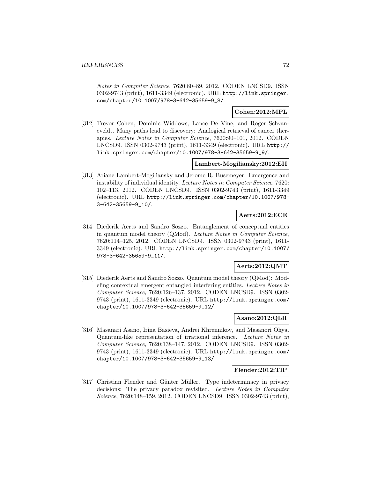Notes in Computer Science, 7620:80–89, 2012. CODEN LNCSD9. ISSN 0302-9743 (print), 1611-3349 (electronic). URL http://link.springer. com/chapter/10.1007/978-3-642-35659-9\_8/.

## **Cohen:2012:MPL**

[312] Trevor Cohen, Dominic Widdows, Lance De Vine, and Roger Schvaneveldt. Many paths lead to discovery: Analogical retrieval of cancer therapies. Lecture Notes in Computer Science, 7620:90–101, 2012. CODEN LNCSD9. ISSN 0302-9743 (print), 1611-3349 (electronic). URL http:// link.springer.com/chapter/10.1007/978-3-642-35659-9\_9/.

#### **Lambert-Mogiliansky:2012:EII**

[313] Ariane Lambert-Mogiliansky and Jerome R. Busemeyer. Emergence and instability of individual identity. Lecture Notes in Computer Science, 7620: 102–113, 2012. CODEN LNCSD9. ISSN 0302-9743 (print), 1611-3349 (electronic). URL http://link.springer.com/chapter/10.1007/978- 3-642-35659-9\_10/.

# **Aerts:2012:ECE**

[314] Diederik Aerts and Sandro Sozzo. Entanglement of conceptual entities in quantum model theory (QMod). Lecture Notes in Computer Science, 7620:114–125, 2012. CODEN LNCSD9. ISSN 0302-9743 (print), 1611- 3349 (electronic). URL http://link.springer.com/chapter/10.1007/ 978-3-642-35659-9\_11/.

## **Aerts:2012:QMT**

[315] Diederik Aerts and Sandro Sozzo. Quantum model theory (QMod): Modeling contextual emergent entangled interfering entities. Lecture Notes in Computer Science, 7620:126–137, 2012. CODEN LNCSD9. ISSN 0302- 9743 (print), 1611-3349 (electronic). URL http://link.springer.com/ chapter/10.1007/978-3-642-35659-9\_12/.

# **Asano:2012:QLR**

[316] Masanari Asano, Irina Basieva, Andrei Khrennikov, and Masanori Ohya. Quantum-like representation of irrational inference. Lecture Notes in Computer Science, 7620:138–147, 2012. CODEN LNCSD9. ISSN 0302- 9743 (print), 1611-3349 (electronic). URL http://link.springer.com/ chapter/10.1007/978-3-642-35659-9\_13/.

## **Flender:2012:TIP**

[317] Christian Flender and Günter Müller. Type indeterminacy in privacy decisions: The privacy paradox revisited. Lecture Notes in Computer Science, 7620:148–159, 2012. CODEN LNCSD9. ISSN 0302-9743 (print),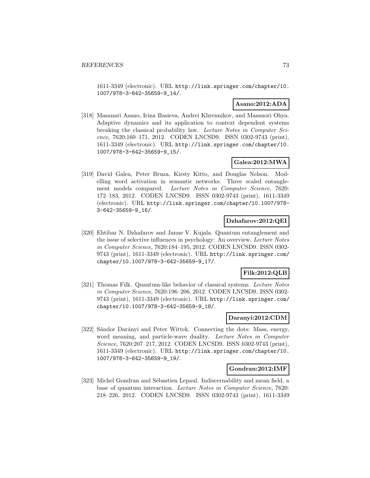1611-3349 (electronic). URL http://link.springer.com/chapter/10. 1007/978-3-642-35659-9\_14/.

# **Asano:2012:ADA**

[318] Masanari Asano, Irina Basieva, Andrei Khrennikov, and Masanori Ohya. Adaptive dynamics and its application to context dependent systems breaking the classical probability law. Lecture Notes in Computer Science, 7620:160–171, 2012. CODEN LNCSD9. ISSN 0302-9743 (print), 1611-3349 (electronic). URL http://link.springer.com/chapter/10. 1007/978-3-642-35659-9\_15/.

# **Galea:2012:MWA**

[319] David Galea, Peter Bruza, Kirsty Kitto, and Douglas Nelson. Modelling word activation in semantic networks: Three scaled entanglement models compared. Lecture Notes in Computer Science, 7620: 172–183, 2012. CODEN LNCSD9. ISSN 0302-9743 (print), 1611-3349 (electronic). URL http://link.springer.com/chapter/10.1007/978- 3-642-35659-9\_16/.

### **Dzhafarov:2012:QEI**

[320] Ehtibar N. Dzhafarov and Janne V. Kujala. Quantum entanglement and the issue of selective influences in psychology: An overview. Lecture Notes in Computer Science, 7620:184–195, 2012. CODEN LNCSD9. ISSN 0302- 9743 (print), 1611-3349 (electronic). URL http://link.springer.com/ chapter/10.1007/978-3-642-35659-9\_17/.

# **Filk:2012:QLB**

[321] Thomas Filk. Quantum-like behavior of classical systems. Lecture Notes in Computer Science, 7620:196–206, 2012. CODEN LNCSD9. ISSN 0302- 9743 (print), 1611-3349 (electronic). URL http://link.springer.com/ chapter/10.1007/978-3-642-35659-9\_18/.

### **Daranyi:2012:CDM**

[322] Sándor Darányi and Peter Wittek. Connecting the dots: Mass, energy, word meaning, and particle-wave duality. Lecture Notes in Computer Science, 7620:207–217, 2012. CODEN LNCSD9. ISSN 0302-9743 (print), 1611-3349 (electronic). URL http://link.springer.com/chapter/10. 1007/978-3-642-35659-9\_19/.

### **Gondran:2012:IMF**

[323] Michel Gondran and Sébastien Lepaul. Indiscernability and mean field, a base of quantum interaction. Lecture Notes in Computer Science, 7620: 218–226, 2012. CODEN LNCSD9. ISSN 0302-9743 (print), 1611-3349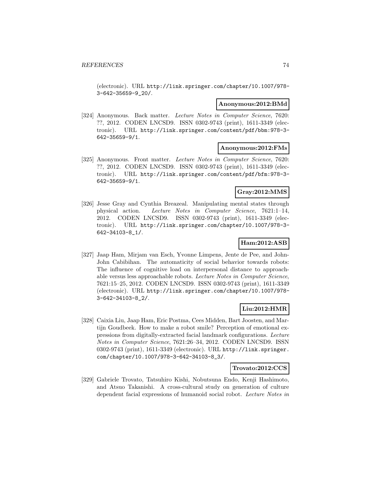(electronic). URL http://link.springer.com/chapter/10.1007/978- 3-642-35659-9\_20/.

### **Anonymous:2012:BMd**

[324] Anonymous. Back matter. Lecture Notes in Computer Science, 7620: ??, 2012. CODEN LNCSD9. ISSN 0302-9743 (print), 1611-3349 (electronic). URL http://link.springer.com/content/pdf/bbm:978-3- 642-35659-9/1.

#### **Anonymous:2012:FMs**

[325] Anonymous. Front matter. Lecture Notes in Computer Science, 7620: ??, 2012. CODEN LNCSD9. ISSN 0302-9743 (print), 1611-3349 (electronic). URL http://link.springer.com/content/pdf/bfm:978-3- 642-35659-9/1.

## **Gray:2012:MMS**

[326] Jesse Gray and Cynthia Breazeal. Manipulating mental states through physical action. Lecture Notes in Computer Science, 7621:1–14, 2012. CODEN LNCSD9. ISSN 0302-9743 (print), 1611-3349 (electronic). URL http://link.springer.com/chapter/10.1007/978-3- 642-34103-8\_1/.

### **Ham:2012:ASB**

[327] Jaap Ham, Mirjam van Esch, Yvonne Limpens, Jente de Pee, and John-John Cabibihan. The automaticity of social behavior towards robots: The influence of cognitive load on interpersonal distance to approachable versus less approachable robots. Lecture Notes in Computer Science, 7621:15–25, 2012. CODEN LNCSD9. ISSN 0302-9743 (print), 1611-3349 (electronic). URL http://link.springer.com/chapter/10.1007/978- 3-642-34103-8\_2/.

#### **Liu:2012:HMR**

[328] Caixia Liu, Jaap Ham, Eric Postma, Cees Midden, Bart Joosten, and Martijn Goudbeek. How to make a robot smile? Perception of emotional expressions from digitally-extracted facial landmark configurations. Lecture Notes in Computer Science, 7621:26–34, 2012. CODEN LNCSD9. ISSN 0302-9743 (print), 1611-3349 (electronic). URL http://link.springer. com/chapter/10.1007/978-3-642-34103-8\_3/.

### **Trovato:2012:CCS**

[329] Gabriele Trovato, Tatsuhiro Kishi, Nobutsuna Endo, Kenji Hashimoto, and Atsuo Takanishi. A cross-cultural study on generation of culture dependent facial expressions of humanoid social robot. Lecture Notes in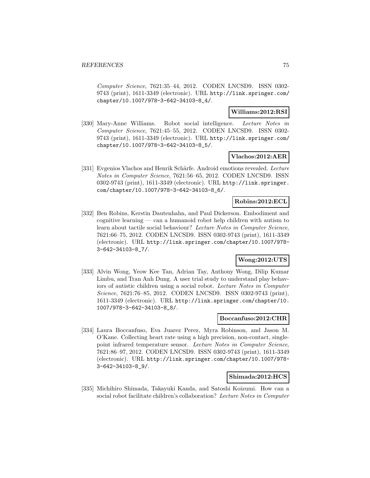Computer Science, 7621:35–44, 2012. CODEN LNCSD9. ISSN 0302- 9743 (print), 1611-3349 (electronic). URL http://link.springer.com/ chapter/10.1007/978-3-642-34103-8\_4/.

### **Williams:2012:RSI**

[330] Mary-Anne Williams. Robot social intelligence. Lecture Notes in Computer Science, 7621:45–55, 2012. CODEN LNCSD9. ISSN 0302- 9743 (print), 1611-3349 (electronic). URL http://link.springer.com/ chapter/10.1007/978-3-642-34103-8\_5/.

#### **Vlachos:2012:AER**

[331] Evgenios Vlachos and Henrik Schärfe. Android emotions revealed. Lecture Notes in Computer Science, 7621:56–65, 2012. CODEN LNCSD9. ISSN 0302-9743 (print), 1611-3349 (electronic). URL http://link.springer. com/chapter/10.1007/978-3-642-34103-8\_6/.

### **Robins:2012:ECL**

[332] Ben Robins, Kerstin Dautenhahn, and Paul Dickerson. Embodiment and cognitive learning — can a humanoid robot help children with autism to learn about tactile social behaviour? Lecture Notes in Computer Science, 7621:66–75, 2012. CODEN LNCSD9. ISSN 0302-9743 (print), 1611-3349 (electronic). URL http://link.springer.com/chapter/10.1007/978- 3-642-34103-8\_7/.

# **Wong:2012:UTS**

[333] Alvin Wong, Yeow Kee Tan, Adrian Tay, Anthony Wong, Dilip Kumar Limbu, and Tran Anh Dung. A user trial study to understand play behaviors of autistic children using a social robot. Lecture Notes in Computer Science, 7621:76–85, 2012. CODEN LNCSD9. ISSN 0302-9743 (print), 1611-3349 (electronic). URL http://link.springer.com/chapter/10. 1007/978-3-642-34103-8\_8/.

### **Boccanfuso:2012:CHR**

[334] Laura Boccanfuso, Eva Juarez Perez, Myra Robinson, and Jason M. O'Kane. Collecting heart rate using a high precision, non-contact, singlepoint infrared temperature sensor. Lecture Notes in Computer Science, 7621:86–97, 2012. CODEN LNCSD9. ISSN 0302-9743 (print), 1611-3349 (electronic). URL http://link.springer.com/chapter/10.1007/978- 3-642-34103-8\_9/.

#### **Shimada:2012:HCS**

[335] Michihiro Shimada, Takayuki Kanda, and Satoshi Koizumi. How can a social robot facilitate children's collaboration? Lecture Notes in Computer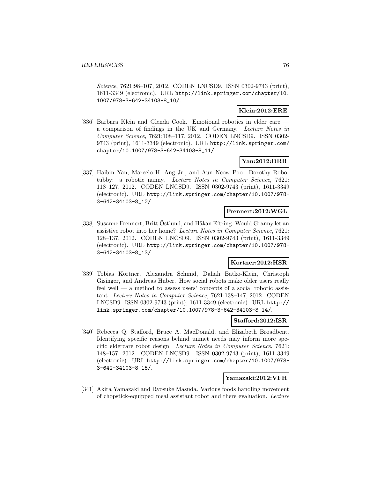Science, 7621:98–107, 2012. CODEN LNCSD9. ISSN 0302-9743 (print), 1611-3349 (electronic). URL http://link.springer.com/chapter/10. 1007/978-3-642-34103-8\_10/.

## **Klein:2012:ERE**

[336] Barbara Klein and Glenda Cook. Emotional robotics in elder care – a comparison of findings in the UK and Germany. Lecture Notes in Computer Science, 7621:108–117, 2012. CODEN LNCSD9. ISSN 0302- 9743 (print), 1611-3349 (electronic). URL http://link.springer.com/ chapter/10.1007/978-3-642-34103-8\_11/.

### **Yan:2012:DRR**

[337] Haibin Yan, Marcelo H. Ang Jr., and Aun Neow Poo. Dorothy Robotubby: a robotic nanny. Lecture Notes in Computer Science, 7621: 118–127, 2012. CODEN LNCSD9. ISSN 0302-9743 (print), 1611-3349 (electronic). URL http://link.springer.com/chapter/10.1007/978- 3-642-34103-8\_12/.

# **Frennert:2012:WGL**

[338] Susanne Frennert, Britt Östlund, and Håkan Eftring. Would Granny let an assistive robot into her home? Lecture Notes in Computer Science, 7621: 128–137, 2012. CODEN LNCSD9. ISSN 0302-9743 (print), 1611-3349 (electronic). URL http://link.springer.com/chapter/10.1007/978- 3-642-34103-8\_13/.

# **Kortner:2012:HSR**

[339] Tobias Körtner, Alexandra Schmid, Daliah Batko-Klein, Christoph Gisinger, and Andreas Huber. How social robots make older users really feel well — a method to assess users' concepts of a social robotic assistant. Lecture Notes in Computer Science, 7621:138–147, 2012. CODEN LNCSD9. ISSN 0302-9743 (print), 1611-3349 (electronic). URL http:// link.springer.com/chapter/10.1007/978-3-642-34103-8\_14/.

### **Stafford:2012:ISR**

[340] Rebecca Q. Stafford, Bruce A. MacDonald, and Elizabeth Broadbent. Identifying specific reasons behind unmet needs may inform more specific eldercare robot design. Lecture Notes in Computer Science, 7621: 148–157, 2012. CODEN LNCSD9. ISSN 0302-9743 (print), 1611-3349 (electronic). URL http://link.springer.com/chapter/10.1007/978- 3-642-34103-8\_15/.

### **Yamazaki:2012:VFH**

[341] Akira Yamazaki and Ryosuke Masuda. Various foods handling movement of chopstick-equipped meal assistant robot and there evaluation. Lecture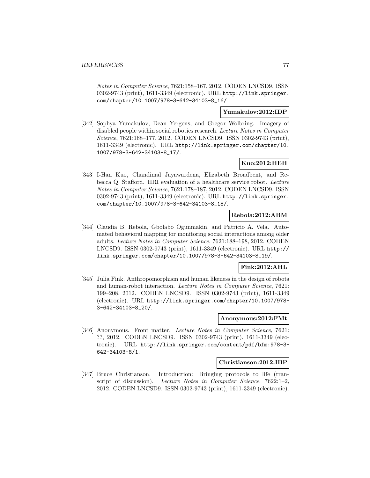Notes in Computer Science, 7621:158–167, 2012. CODEN LNCSD9. ISSN 0302-9743 (print), 1611-3349 (electronic). URL http://link.springer. com/chapter/10.1007/978-3-642-34103-8\_16/.

#### **Yumakulov:2012:IDP**

[342] Sophya Yumakulov, Dean Yergens, and Gregor Wolbring. Imagery of disabled people within social robotics research. Lecture Notes in Computer Science, 7621:168–177, 2012. CODEN LNCSD9. ISSN 0302-9743 (print), 1611-3349 (electronic). URL http://link.springer.com/chapter/10. 1007/978-3-642-34103-8\_17/.

### **Kuo:2012:HEH**

[343] I-Han Kuo, Chandimal Jayawardena, Elizabeth Broadbent, and Rebecca Q. Stafford. HRI evaluation of a healthcare service robot. Lecture Notes in Computer Science, 7621:178–187, 2012. CODEN LNCSD9. ISSN 0302-9743 (print), 1611-3349 (electronic). URL http://link.springer. com/chapter/10.1007/978-3-642-34103-8\_18/.

#### **Rebola:2012:ABM**

[344] Claudia B. Rebola, Gbolabo Ogunmakin, and Patricio A. Vela. Automated behavioral mapping for monitoring social interactions among older adults. Lecture Notes in Computer Science, 7621:188–198, 2012. CODEN LNCSD9. ISSN 0302-9743 (print), 1611-3349 (electronic). URL http:// link.springer.com/chapter/10.1007/978-3-642-34103-8\_19/.

### **Fink:2012:AHL**

[345] Julia Fink. Anthropomorphism and human likeness in the design of robots and human-robot interaction. Lecture Notes in Computer Science, 7621: 199–208, 2012. CODEN LNCSD9. ISSN 0302-9743 (print), 1611-3349 (electronic). URL http://link.springer.com/chapter/10.1007/978- 3-642-34103-8\_20/.

### **Anonymous:2012:FMt**

[346] Anonymous. Front matter. Lecture Notes in Computer Science, 7621: ??, 2012. CODEN LNCSD9. ISSN 0302-9743 (print), 1611-3349 (electronic). URL http://link.springer.com/content/pdf/bfm:978-3- 642-34103-8/1.

#### **Christianson:2012:IBP**

[347] Bruce Christianson. Introduction: Bringing protocols to life (transcript of discussion). Lecture Notes in Computer Science, 7622:1-2, 2012. CODEN LNCSD9. ISSN 0302-9743 (print), 1611-3349 (electronic).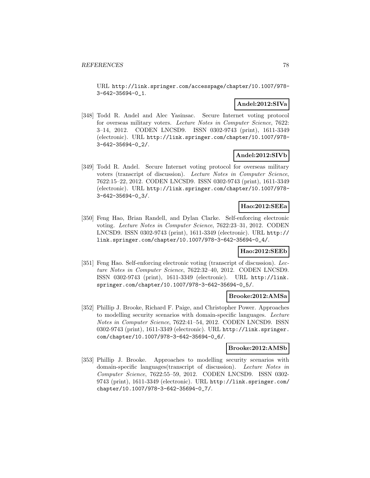URL http://link.springer.com/accesspage/chapter/10.1007/978- 3-642-35694-0\_1.

# **Andel:2012:SIVa**

[348] Todd R. Andel and Alec Yasinsac. Secure Internet voting protocol for overseas military voters. Lecture Notes in Computer Science, 7622: 3–14, 2012. CODEN LNCSD9. ISSN 0302-9743 (print), 1611-3349 (electronic). URL http://link.springer.com/chapter/10.1007/978- 3-642-35694-0\_2/.

### **Andel:2012:SIVb**

[349] Todd R. Andel. Secure Internet voting protocol for overseas military voters (transcript of discussion). Lecture Notes in Computer Science, 7622:15–22, 2012. CODEN LNCSD9. ISSN 0302-9743 (print), 1611-3349 (electronic). URL http://link.springer.com/chapter/10.1007/978- 3-642-35694-0\_3/.

### **Hao:2012:SEEa**

[350] Feng Hao, Brian Randell, and Dylan Clarke. Self-enforcing electronic voting. Lecture Notes in Computer Science, 7622:23–31, 2012. CODEN LNCSD9. ISSN 0302-9743 (print), 1611-3349 (electronic). URL http:// link.springer.com/chapter/10.1007/978-3-642-35694-0\_4/.

#### **Hao:2012:SEEb**

[351] Feng Hao. Self-enforcing electronic voting (transcript of discussion). Lecture Notes in Computer Science, 7622:32–40, 2012. CODEN LNCSD9. ISSN 0302-9743 (print), 1611-3349 (electronic). URL http://link. springer.com/chapter/10.1007/978-3-642-35694-0\_5/.

#### **Brooke:2012:AMSa**

[352] Phillip J. Brooke, Richard F. Paige, and Christopher Power. Approaches to modelling security scenarios with domain-specific languages. Lecture Notes in Computer Science, 7622:41–54, 2012. CODEN LNCSD9. ISSN 0302-9743 (print), 1611-3349 (electronic). URL http://link.springer. com/chapter/10.1007/978-3-642-35694-0\_6/.

### **Brooke:2012:AMSb**

[353] Phillip J. Brooke. Approaches to modelling security scenarios with domain-specific languages(transcript of discussion). Lecture Notes in Computer Science, 7622:55–59, 2012. CODEN LNCSD9. ISSN 0302- 9743 (print), 1611-3349 (electronic). URL http://link.springer.com/ chapter/10.1007/978-3-642-35694-0\_7/.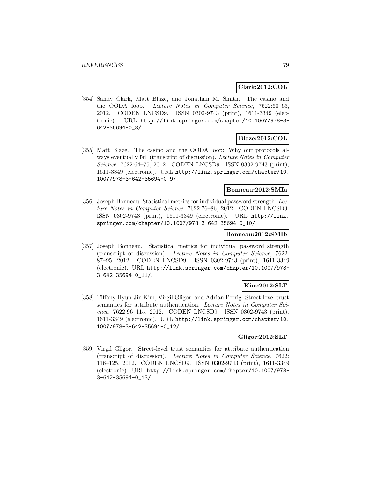### **Clark:2012:COL**

[354] Sandy Clark, Matt Blaze, and Jonathan M. Smith. The casino and the OODA loop. Lecture Notes in Computer Science, 7622:60–63, 2012. CODEN LNCSD9. ISSN 0302-9743 (print), 1611-3349 (electronic). URL http://link.springer.com/chapter/10.1007/978-3- 642-35694-0\_8/.

# **Blaze:2012:COL**

[355] Matt Blaze. The casino and the OODA loop: Why our protocols always eventually fail (transcript of discussion). Lecture Notes in Computer Science, 7622:64–75, 2012. CODEN LNCSD9. ISSN 0302-9743 (print), 1611-3349 (electronic). URL http://link.springer.com/chapter/10. 1007/978-3-642-35694-0\_9/.

### **Bonneau:2012:SMIa**

[356] Joseph Bonneau. Statistical metrics for individual password strength. Lecture Notes in Computer Science, 7622:76–86, 2012. CODEN LNCSD9. ISSN 0302-9743 (print), 1611-3349 (electronic). URL http://link. springer.com/chapter/10.1007/978-3-642-35694-0\_10/.

#### **Bonneau:2012:SMIb**

[357] Joseph Bonneau. Statistical metrics for individual password strength (transcript of discussion). Lecture Notes in Computer Science, 7622: 87–95, 2012. CODEN LNCSD9. ISSN 0302-9743 (print), 1611-3349 (electronic). URL http://link.springer.com/chapter/10.1007/978- 3-642-35694-0\_11/.

# **Kim:2012:SLT**

[358] Tiffany Hyun-Jin Kim, Virgil Gligor, and Adrian Perrig. Street-level trust semantics for attribute authentication. Lecture Notes in Computer Science, 7622:96-115, 2012. CODEN LNCSD9. ISSN 0302-9743 (print), 1611-3349 (electronic). URL http://link.springer.com/chapter/10. 1007/978-3-642-35694-0\_12/.

### **Gligor:2012:SLT**

[359] Virgil Gligor. Street-level trust semantics for attribute authentication (transcript of discussion). Lecture Notes in Computer Science, 7622: 116–125, 2012. CODEN LNCSD9. ISSN 0302-9743 (print), 1611-3349 (electronic). URL http://link.springer.com/chapter/10.1007/978- 3-642-35694-0\_13/.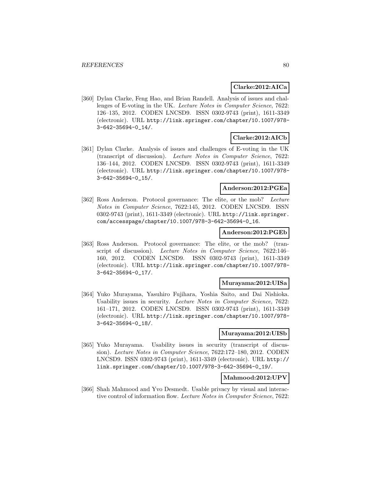### **Clarke:2012:AICa**

[360] Dylan Clarke, Feng Hao, and Brian Randell. Analysis of issues and challenges of E-voting in the UK. Lecture Notes in Computer Science, 7622: 126–135, 2012. CODEN LNCSD9. ISSN 0302-9743 (print), 1611-3349 (electronic). URL http://link.springer.com/chapter/10.1007/978- 3-642-35694-0\_14/.

# **Clarke:2012:AICb**

[361] Dylan Clarke. Analysis of issues and challenges of E-voting in the UK (transcript of discussion). Lecture Notes in Computer Science, 7622: 136–144, 2012. CODEN LNCSD9. ISSN 0302-9743 (print), 1611-3349 (electronic). URL http://link.springer.com/chapter/10.1007/978- 3-642-35694-0\_15/.

# **Anderson:2012:PGEa**

[362] Ross Anderson. Protocol governance: The elite, or the mob? Lecture Notes in Computer Science, 7622:145, 2012. CODEN LNCSD9. ISSN 0302-9743 (print), 1611-3349 (electronic). URL http://link.springer. com/accesspage/chapter/10.1007/978-3-642-35694-0\_16.

#### **Anderson:2012:PGEb**

[363] Ross Anderson. Protocol governance: The elite, or the mob? (transcript of discussion). Lecture Notes in Computer Science, 7622:146– 160, 2012. CODEN LNCSD9. ISSN 0302-9743 (print), 1611-3349 (electronic). URL http://link.springer.com/chapter/10.1007/978- 3-642-35694-0\_17/.

#### **Murayama:2012:UISa**

[364] Yuko Murayama, Yasuhiro Fujihara, Yoshia Saito, and Dai Nishioka. Usability issues in security. Lecture Notes in Computer Science, 7622: 161–171, 2012. CODEN LNCSD9. ISSN 0302-9743 (print), 1611-3349 (electronic). URL http://link.springer.com/chapter/10.1007/978- 3-642-35694-0\_18/.

#### **Murayama:2012:UISb**

[365] Yuko Murayama. Usability issues in security (transcript of discussion). Lecture Notes in Computer Science, 7622:172–180, 2012. CODEN LNCSD9. ISSN 0302-9743 (print), 1611-3349 (electronic). URL http:// link.springer.com/chapter/10.1007/978-3-642-35694-0\_19/.

### **Mahmood:2012:UPV**

[366] Shah Mahmood and Yvo Desmedt. Usable privacy by visual and interactive control of information flow. Lecture Notes in Computer Science, 7622: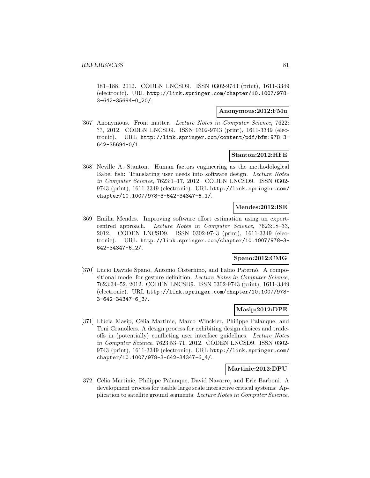181–188, 2012. CODEN LNCSD9. ISSN 0302-9743 (print), 1611-3349 (electronic). URL http://link.springer.com/chapter/10.1007/978- 3-642-35694-0\_20/.

#### **Anonymous:2012:FMu**

[367] Anonymous. Front matter. Lecture Notes in Computer Science, 7622: ??, 2012. CODEN LNCSD9. ISSN 0302-9743 (print), 1611-3349 (electronic). URL http://link.springer.com/content/pdf/bfm:978-3- 642-35694-0/1.

#### **Stanton:2012:HFE**

[368] Neville A. Stanton. Human factors engineering as the methodological Babel fish: Translating user needs into software design. Lecture Notes in Computer Science, 7623:1–17, 2012. CODEN LNCSD9. ISSN 0302- 9743 (print), 1611-3349 (electronic). URL http://link.springer.com/ chapter/10.1007/978-3-642-34347-6\_1/.

#### **Mendes:2012:ISE**

[369] Emilia Mendes. Improving software effort estimation using an expertcentred approach. Lecture Notes in Computer Science, 7623:18–33, 2012. CODEN LNCSD9. ISSN 0302-9743 (print), 1611-3349 (electronic). URL http://link.springer.com/chapter/10.1007/978-3- 642-34347-6\_2/.

# **Spano:2012:CMG**

[370] Lucio Davide Spano, Antonio Cisternino, and Fabio Paternò. A compositional model for gesture definition. Lecture Notes in Computer Science, 7623:34–52, 2012. CODEN LNCSD9. ISSN 0302-9743 (print), 1611-3349 (electronic). URL http://link.springer.com/chapter/10.1007/978- 3-642-34347-6\_3/.

### **Masip:2012:DPE**

[371] Llúcia Masip, Célia Martinie, Marco Winckler, Philippe Palanque, and Toni Granollers. A design process for exhibiting design choices and tradeoffs in (potentially) conflicting user interface guidelines. Lecture Notes in Computer Science, 7623:53–71, 2012. CODEN LNCSD9. ISSN 0302- 9743 (print), 1611-3349 (electronic). URL http://link.springer.com/ chapter/10.1007/978-3-642-34347-6\_4/.

#### **Martinie:2012:DPU**

[372] Célia Martinie, Philippe Palanque, David Navarre, and Eric Barboni. A development process for usable large scale interactive critical systems: Application to satellite ground segments. Lecture Notes in Computer Science,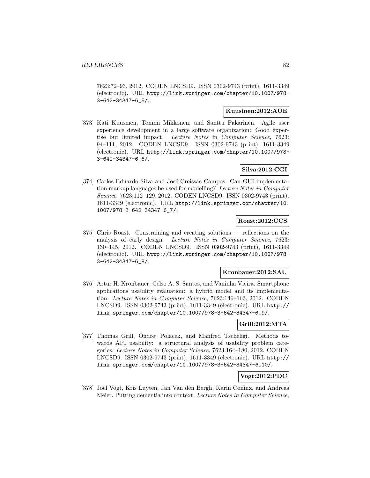7623:72–93, 2012. CODEN LNCSD9. ISSN 0302-9743 (print), 1611-3349 (electronic). URL http://link.springer.com/chapter/10.1007/978- 3-642-34347-6\_5/.

### **Kuusinen:2012:AUE**

[373] Kati Kuusinen, Tommi Mikkonen, and Santtu Pakarinen. Agile user experience development in a large software organization: Good expertise but limited impact. Lecture Notes in Computer Science, 7623: 94–111, 2012. CODEN LNCSD9. ISSN 0302-9743 (print), 1611-3349 (electronic). URL http://link.springer.com/chapter/10.1007/978- 3-642-34347-6\_6/.

# **Silva:2012:CGI**

[374] Carlos Eduardo Silva and José Creissac Campos. Can GUI implementation markup languages be used for modelling? Lecture Notes in Computer Science, 7623:112–129, 2012. CODEN LNCSD9. ISSN 0302-9743 (print), 1611-3349 (electronic). URL http://link.springer.com/chapter/10. 1007/978-3-642-34347-6\_7/.

### **Roast:2012:CCS**

[375] Chris Roast. Constraining and creating solutions — reflections on the analysis of early design. Lecture Notes in Computer Science, 7623: 130–145, 2012. CODEN LNCSD9. ISSN 0302-9743 (print), 1611-3349 (electronic). URL http://link.springer.com/chapter/10.1007/978- 3-642-34347-6\_8/.

#### **Kronbauer:2012:SAU**

[376] Artur H. Kronbauer, Celso A. S. Santos, and Vaninha Vieira. Smartphone applications usability evaluation: a hybrid model and its implementation. Lecture Notes in Computer Science, 7623:146–163, 2012. CODEN LNCSD9. ISSN 0302-9743 (print), 1611-3349 (electronic). URL http:// link.springer.com/chapter/10.1007/978-3-642-34347-6\_9/.

### **Grill:2012:MTA**

[377] Thomas Grill, Ondrej Polacek, and Manfred Tscheligi. Methods towards API usability: a structural analysis of usability problem categories. Lecture Notes in Computer Science, 7623:164–180, 2012. CODEN LNCSD9. ISSN 0302-9743 (print), 1611-3349 (electronic). URL http:// link.springer.com/chapter/10.1007/978-3-642-34347-6\_10/.

### **Vogt:2012:PDC**

[378] Joël Vogt, Kris Luyten, Jan Van den Bergh, Karin Coninx, and Andreas Meier. Putting dementia into context. Lecture Notes in Computer Science,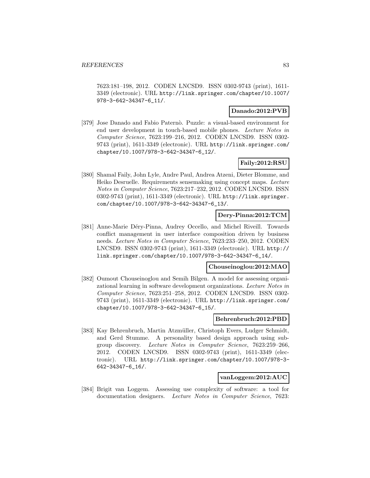7623:181–198, 2012. CODEN LNCSD9. ISSN 0302-9743 (print), 1611- 3349 (electronic). URL http://link.springer.com/chapter/10.1007/ 978-3-642-34347-6\_11/.

### **Danado:2012:PVB**

[379] Jose Danado and Fabio Paternò. Puzzle: a visual-based environment for end user development in touch-based mobile phones. Lecture Notes in Computer Science, 7623:199–216, 2012. CODEN LNCSD9. ISSN 0302- 9743 (print), 1611-3349 (electronic). URL http://link.springer.com/ chapter/10.1007/978-3-642-34347-6\_12/.

# **Faily:2012:RSU**

[380] Shamal Faily, John Lyle, Andre Paul, Andrea Atzeni, Dieter Blomme, and Heiko Desruelle. Requirements sensemaking using concept maps. Lecture Notes in Computer Science, 7623:217–232, 2012. CODEN LNCSD9. ISSN 0302-9743 (print), 1611-3349 (electronic). URL http://link.springer. com/chapter/10.1007/978-3-642-34347-6\_13/.

#### **Dery-Pinna:2012:TCM**

[381] Anne-Marie Déry-Pinna, Audrey Occello, and Michel Riveill. Towards conflict management in user interface composition driven by business needs. Lecture Notes in Computer Science, 7623:233–250, 2012. CODEN LNCSD9. ISSN 0302-9743 (print), 1611-3349 (electronic). URL http:// link.springer.com/chapter/10.1007/978-3-642-34347-6\_14/.

#### **Chouseinoglou:2012:MAO**

[382] Oumout Chouseinoglou and Semih Bilgen. A model for assessing organizational learning in software development organizations. Lecture Notes in Computer Science, 7623:251–258, 2012. CODEN LNCSD9. ISSN 0302- 9743 (print), 1611-3349 (electronic). URL http://link.springer.com/ chapter/10.1007/978-3-642-34347-6\_15/.

#### **Behrenbruch:2012:PBD**

[383] Kay Behrenbruch, Martin Atzmüller, Christoph Evers, Ludger Schmidt, and Gerd Stumme. A personality based design approach using subgroup discovery. Lecture Notes in Computer Science, 7623:259–266, 2012. CODEN LNCSD9. ISSN 0302-9743 (print), 1611-3349 (electronic). URL http://link.springer.com/chapter/10.1007/978-3- 642-34347-6\_16/.

### **vanLoggem:2012:AUC**

[384] Brigit van Loggem. Assessing use complexity of software: a tool for documentation designers. Lecture Notes in Computer Science, 7623: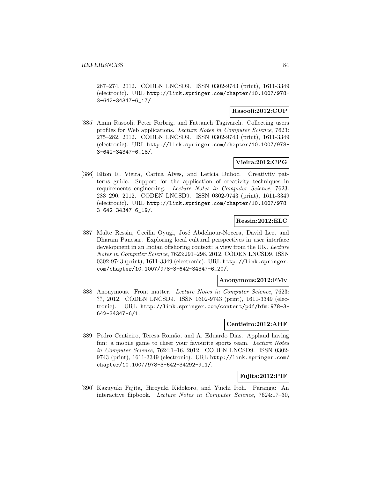267–274, 2012. CODEN LNCSD9. ISSN 0302-9743 (print), 1611-3349 (electronic). URL http://link.springer.com/chapter/10.1007/978- 3-642-34347-6\_17/.

### **Rasooli:2012:CUP**

[385] Amin Rasooli, Peter Forbrig, and Fattaneh Tagivareh. Collecting users profiles for Web applications. Lecture Notes in Computer Science, 7623: 275–282, 2012. CODEN LNCSD9. ISSN 0302-9743 (print), 1611-3349 (electronic). URL http://link.springer.com/chapter/10.1007/978- 3-642-34347-6\_18/.

# **Vieira:2012:CPG**

[386] Elton R. Vieira, Carina Alves, and Letícia Duboc. Creativity patterns guide: Support for the application of creativity techniques in requirements engineering. Lecture Notes in Computer Science, 7623: 283–290, 2012. CODEN LNCSD9. ISSN 0302-9743 (print), 1611-3349 (electronic). URL http://link.springer.com/chapter/10.1007/978- 3-642-34347-6\_19/.

### **Ressin:2012:ELC**

[387] Malte Ressin, Cecilia Oyugi, José Abdelnour-Nocera, David Lee, and Dharam Panesar. Exploring local cultural perspectives in user interface development in an Indian offshoring context: a view from the UK. Lecture Notes in Computer Science, 7623:291–298, 2012. CODEN LNCSD9. ISSN 0302-9743 (print), 1611-3349 (electronic). URL http://link.springer. com/chapter/10.1007/978-3-642-34347-6\_20/.

#### **Anonymous:2012:FMv**

[388] Anonymous. Front matter. Lecture Notes in Computer Science, 7623: ??, 2012. CODEN LNCSD9. ISSN 0302-9743 (print), 1611-3349 (electronic). URL http://link.springer.com/content/pdf/bfm:978-3- 642-34347-6/1.

#### **Centieiro:2012:AHF**

[389] Pedro Centieiro, Teresa Romão, and A. Eduardo Dias. Applaud having fun: a mobile game to cheer your favourite sports team. Lecture Notes in Computer Science, 7624:1–16, 2012. CODEN LNCSD9. ISSN 0302- 9743 (print), 1611-3349 (electronic). URL http://link.springer.com/ chapter/10.1007/978-3-642-34292-9\_1/.

#### **Fujita:2012:PIF**

[390] Kazuyuki Fujita, Hiroyuki Kidokoro, and Yuichi Itoh. Paranga: An interactive flipbook. Lecture Notes in Computer Science, 7624:17–30,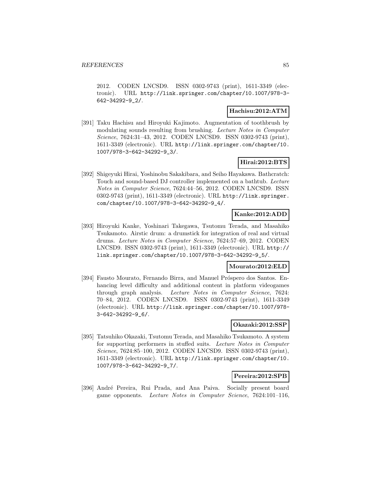2012. CODEN LNCSD9. ISSN 0302-9743 (print), 1611-3349 (electronic). URL http://link.springer.com/chapter/10.1007/978-3- 642-34292-9\_2/.

### **Hachisu:2012:ATM**

[391] Taku Hachisu and Hiroyuki Kajimoto. Augmentation of toothbrush by modulating sounds resulting from brushing. Lecture Notes in Computer Science, 7624:31–43, 2012. CODEN LNCSD9. ISSN 0302-9743 (print), 1611-3349 (electronic). URL http://link.springer.com/chapter/10. 1007/978-3-642-34292-9\_3/.

# **Hirai:2012:BTS**

[392] Shigeyuki Hirai, Yoshinobu Sakakibara, and Seiho Hayakawa. Bathcratch: Touch and sound-based DJ controller implemented on a bathtub. Lecture Notes in Computer Science, 7624:44–56, 2012. CODEN LNCSD9. ISSN 0302-9743 (print), 1611-3349 (electronic). URL http://link.springer. com/chapter/10.1007/978-3-642-34292-9\_4/.

# **Kanke:2012:ADD**

[393] Hiroyuki Kanke, Yoshinari Takegawa, Tsutomu Terada, and Masahiko Tsukamoto. Airstic drum: a drumstick for integration of real and virtual drums. Lecture Notes in Computer Science, 7624:57–69, 2012. CODEN LNCSD9. ISSN 0302-9743 (print), 1611-3349 (electronic). URL http:// link.springer.com/chapter/10.1007/978-3-642-34292-9\_5/.

### **Mourato:2012:ELD**

[394] Fausto Mourato, Fernando Birra, and Manuel Próspero dos Santos. Enhancing level difficulty and additional content in platform videogames through graph analysis. Lecture Notes in Computer Science, 7624: 70–84, 2012. CODEN LNCSD9. ISSN 0302-9743 (print), 1611-3349 (electronic). URL http://link.springer.com/chapter/10.1007/978- 3-642-34292-9\_6/.

#### **Okazaki:2012:SSP**

[395] Tatsuhiko Okazaki, Tsutomu Terada, and Masahiko Tsukamoto. A system for supporting performers in stuffed suits. Lecture Notes in Computer Science, 7624:85–100, 2012. CODEN LNCSD9. ISSN 0302-9743 (print), 1611-3349 (electronic). URL http://link.springer.com/chapter/10. 1007/978-3-642-34292-9\_7/.

#### **Pereira:2012:SPB**

[396] André Pereira, Rui Prada, and Ana Paiva. Socially present board game opponents. Lecture Notes in Computer Science, 7624:101–116,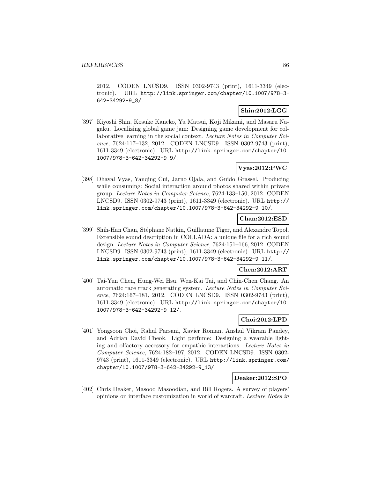2012. CODEN LNCSD9. ISSN 0302-9743 (print), 1611-3349 (electronic). URL http://link.springer.com/chapter/10.1007/978-3- 642-34292-9\_8/.

# **Shin:2012:LGG**

[397] Kiyoshi Shin, Kosuke Kaneko, Yu Matsui, Koji Mikami, and Masaru Nagaku. Localizing global game jam: Designing game development for collaborative learning in the social context. Lecture Notes in Computer Science, 7624:117–132, 2012. CODEN LNCSD9. ISSN 0302-9743 (print), 1611-3349 (electronic). URL http://link.springer.com/chapter/10. 1007/978-3-642-34292-9\_9/.

# **Vyas:2012:PWC**

[398] Dhaval Vyas, Yanqing Cui, Jarno Ojala, and Guido Grassel. Producing while consuming: Social interaction around photos shared within private group. Lecture Notes in Computer Science, 7624:133–150, 2012. CODEN LNCSD9. ISSN 0302-9743 (print), 1611-3349 (electronic). URL http:// link.springer.com/chapter/10.1007/978-3-642-34292-9\_10/.

# **Chan:2012:ESD**

[399] Shih-Han Chan, Stéphane Natkin, Guillaume Tiger, and Alexandre Topol. Extensible sound description in COLLADA: a unique file for a rich sound design. Lecture Notes in Computer Science, 7624:151–166, 2012. CODEN LNCSD9. ISSN 0302-9743 (print), 1611-3349 (electronic). URL http:// link.springer.com/chapter/10.1007/978-3-642-34292-9\_11/.

# **Chen:2012:ART**

[400] Tai-Yun Chen, Hung-Wei Hsu, Wen-Kai Tai, and Chin-Chen Chang. An automatic race track generating system. Lecture Notes in Computer Science, 7624:167–181, 2012. CODEN LNCSD9. ISSN 0302-9743 (print), 1611-3349 (electronic). URL http://link.springer.com/chapter/10. 1007/978-3-642-34292-9\_12/.

### **Choi:2012:LPD**

[401] Yongsoon Choi, Rahul Parsani, Xavier Roman, Anshul Vikram Pandey, and Adrian David Cheok. Light perfume: Designing a wearable lighting and olfactory accessory for empathic interactions. Lecture Notes in Computer Science, 7624:182–197, 2012. CODEN LNCSD9. ISSN 0302- 9743 (print), 1611-3349 (electronic). URL http://link.springer.com/ chapter/10.1007/978-3-642-34292-9\_13/.

### **Deaker:2012:SPO**

[402] Chris Deaker, Masood Masoodian, and Bill Rogers. A survey of players' opinions on interface customization in world of warcraft. Lecture Notes in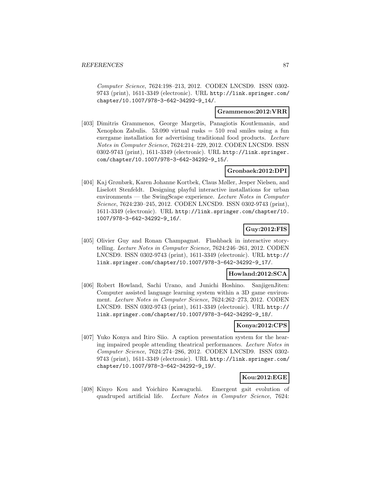Computer Science, 7624:198–213, 2012. CODEN LNCSD9. ISSN 0302- 9743 (print), 1611-3349 (electronic). URL http://link.springer.com/ chapter/10.1007/978-3-642-34292-9\_14/.

#### **Grammenos:2012:VRR**

[403] Dimitris Grammenos, George Margetis, Panagiotis Koutlemanis, and Xenophon Zabulis.  $53.090$  virtual rusks  $= 510$  real smiles using a fun exergame installation for advertising traditional food products. Lecture Notes in Computer Science, 7624:214–229, 2012. CODEN LNCSD9. ISSN 0302-9743 (print), 1611-3349 (electronic). URL http://link.springer. com/chapter/10.1007/978-3-642-34292-9\_15/.

## **Gronbaek:2012:DPI**

[404] Kaj Grønbæk, Karen Johanne Kortbek, Claus Møller, Jesper Nielsen, and Liselott Stenfeldt. Designing playful interactive installations for urban environments — the SwingScape experience. Lecture Notes in Computer Science, 7624:230–245, 2012. CODEN LNCSD9. ISSN 0302-9743 (print), 1611-3349 (electronic). URL http://link.springer.com/chapter/10. 1007/978-3-642-34292-9\_16/.

### **Guy:2012:FIS**

[405] Olivier Guy and Ronan Champagnat. Flashback in interactive storytelling. Lecture Notes in Computer Science, 7624:246–261, 2012. CODEN LNCSD9. ISSN 0302-9743 (print), 1611-3349 (electronic). URL http:// link.springer.com/chapter/10.1007/978-3-642-34292-9\_17/.

#### **Howland:2012:SCA**

[406] Robert Howland, Sachi Urano, and Junichi Hoshino. SanjigenJiten: Computer assisted language learning system within a 3D game environment. Lecture Notes in Computer Science, 7624:262–273, 2012. CODEN LNCSD9. ISSN 0302-9743 (print), 1611-3349 (electronic). URL http:// link.springer.com/chapter/10.1007/978-3-642-34292-9\_18/.

#### **Konya:2012:CPS**

[407] Yuko Konya and Itiro Siio. A caption presentation system for the hearing impaired people attending theatrical performances. Lecture Notes in Computer Science, 7624:274–286, 2012. CODEN LNCSD9. ISSN 0302- 9743 (print), 1611-3349 (electronic). URL http://link.springer.com/ chapter/10.1007/978-3-642-34292-9\_19/.

### **Kou:2012:EGE**

[408] Kinyo Kou and Yoichiro Kawaguchi. Emergent gait evolution of quadruped artificial life. Lecture Notes in Computer Science, 7624: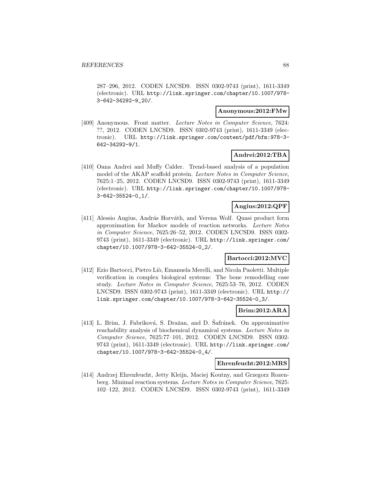287–296, 2012. CODEN LNCSD9. ISSN 0302-9743 (print), 1611-3349 (electronic). URL http://link.springer.com/chapter/10.1007/978- 3-642-34292-9\_20/.

#### **Anonymous:2012:FMw**

[409] Anonymous. Front matter. Lecture Notes in Computer Science, 7624: ??, 2012. CODEN LNCSD9. ISSN 0302-9743 (print), 1611-3349 (electronic). URL http://link.springer.com/content/pdf/bfm:978-3- 642-34292-9/1.

### **Andrei:2012:TBA**

[410] Oana Andrei and Muffy Calder. Trend-based analysis of a population model of the AKAP scaffold protein. Lecture Notes in Computer Science, 7625:1–25, 2012. CODEN LNCSD9. ISSN 0302-9743 (print), 1611-3349 (electronic). URL http://link.springer.com/chapter/10.1007/978- 3-642-35524-0\_1/.

# **Angius:2012:QPF**

[411] Alessio Angius, András Horváth, and Verena Wolf. Quasi product form approximation for Markov models of reaction networks. Lecture Notes in Computer Science, 7625:26–52, 2012. CODEN LNCSD9. ISSN 0302- 9743 (print), 1611-3349 (electronic). URL http://link.springer.com/ chapter/10.1007/978-3-642-35524-0\_2/.

# **Bartocci:2012:MVC**

[412] Ezio Bartocci, Pietro Liò, Emanuela Merelli, and Nicola Paoletti. Multiple verification in complex biological systems: The bone remodelling case study. Lecture Notes in Computer Science, 7625:53–76, 2012. CODEN LNCSD9. ISSN 0302-9743 (print), 1611-3349 (electronic). URL http:// link.springer.com/chapter/10.1007/978-3-642-35524-0\_3/.

#### **Brim:2012:ARA**

[413] L. Brim, J. Fabriková, S. Dražan, and D. Safránek. On approximative reachability analysis of biochemical dynamical systems. Lecture Notes in Computer Science, 7625:77–101, 2012. CODEN LNCSD9. ISSN 0302- 9743 (print), 1611-3349 (electronic). URL http://link.springer.com/ chapter/10.1007/978-3-642-35524-0\_4/.

#### **Ehrenfeucht:2012:MRS**

[414] Andrzej Ehrenfeucht, Jetty Kleijn, Maciej Koutny, and Grzegorz Rozenberg. Minimal reaction systems. Lecture Notes in Computer Science, 7625: 102–122, 2012. CODEN LNCSD9. ISSN 0302-9743 (print), 1611-3349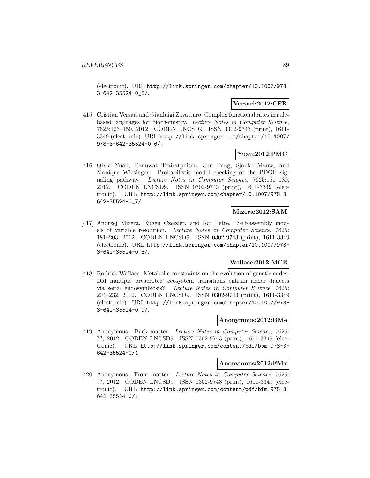(electronic). URL http://link.springer.com/chapter/10.1007/978- 3-642-35524-0\_5/.

### **Versari:2012:CFR**

[415] Cristian Versari and Gianluigi Zavattaro. Complex functional rates in rulebased languages for biochemistry. Lecture Notes in Computer Science, 7625:123–150, 2012. CODEN LNCSD9. ISSN 0302-9743 (print), 1611- 3349 (electronic). URL http://link.springer.com/chapter/10.1007/ 978-3-642-35524-0\_6/.

# **Yuan:2012:PMC**

[416] Qixia Yuan, Panuwat Trairatphisan, Jun Pang, Sjouke Mauw, and Monique Wiesinger. Probabilistic model checking of the PDGF signaling pathway. Lecture Notes in Computer Science, 7625:151–180, 2012. CODEN LNCSD9. ISSN 0302-9743 (print), 1611-3349 (electronic). URL http://link.springer.com/chapter/10.1007/978-3- 642-35524-0\_7/.

#### **Mizera:2012:SAM**

[417] Andrzej Mizera, Eugen Czeizler, and Ion Petre. Self-assembly models of variable resolution. Lecture Notes in Computer Science, 7625: 181–203, 2012. CODEN LNCSD9. ISSN 0302-9743 (print), 1611-3349 (electronic). URL http://link.springer.com/chapter/10.1007/978- 3-642-35524-0\_8/.

### **Wallace:2012:MCE**

[418] Rodrick Wallace. Metabolic constraints on the evolution of genetic codes: Did multiple preaerobic' ecosystem transitions entrain richer dialects via serial endosymbiosis? Lecture Notes in Computer Science, 7625: 204–232, 2012. CODEN LNCSD9. ISSN 0302-9743 (print), 1611-3349 (electronic). URL http://link.springer.com/chapter/10.1007/978- 3-642-35524-0\_9/.

#### **Anonymous:2012:BMe**

[419] Anonymous. Back matter. Lecture Notes in Computer Science, 7625: ??, 2012. CODEN LNCSD9. ISSN 0302-9743 (print), 1611-3349 (electronic). URL http://link.springer.com/content/pdf/bbm:978-3- 642-35524-0/1.

#### **Anonymous:2012:FMx**

[420] Anonymous. Front matter. Lecture Notes in Computer Science, 7625: ??, 2012. CODEN LNCSD9. ISSN 0302-9743 (print), 1611-3349 (electronic). URL http://link.springer.com/content/pdf/bfm:978-3- 642-35524-0/1.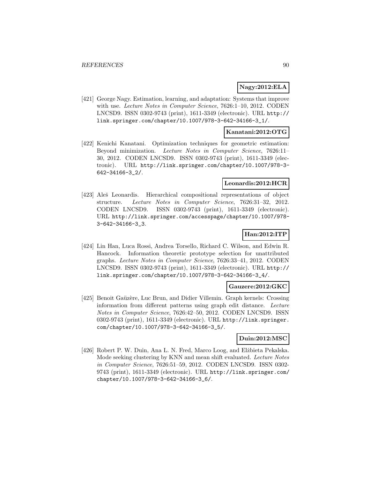#### **Nagy:2012:ELA**

[421] George Nagy. Estimation, learning, and adaptation: Systems that improve with use. Lecture Notes in Computer Science, 7626:1-10, 2012. CODEN LNCSD9. ISSN 0302-9743 (print), 1611-3349 (electronic). URL http:// link.springer.com/chapter/10.1007/978-3-642-34166-3\_1/.

### **Kanatani:2012:OTG**

[422] Kenichi Kanatani. Optimization techniques for geometric estimation: Beyond minimization. Lecture Notes in Computer Science, 7626:11– 30, 2012. CODEN LNCSD9. ISSN 0302-9743 (print), 1611-3349 (electronic). URL http://link.springer.com/chapter/10.1007/978-3- 642-34166-3\_2/.

### **Leonardis:2012:HCR**

[423] Aleš Leonardis. Hierarchical compositional representations of object structure. Lecture Notes in Computer Science, 7626:31–32, 2012. CODEN LNCSD9. ISSN 0302-9743 (print), 1611-3349 (electronic). URL http://link.springer.com/accesspage/chapter/10.1007/978- 3-642-34166-3\_3.

# **Han:2012:ITP**

[424] Lin Han, Luca Rossi, Andrea Torsello, Richard C. Wilson, and Edwin R. Hancock. Information theoretic prototype selection for unattributed graphs. Lecture Notes in Computer Science, 7626:33–41, 2012. CODEN LNCSD9. ISSN 0302-9743 (print), 1611-3349 (electronic). URL http:// link.springer.com/chapter/10.1007/978-3-642-34166-3\_4/.

#### **Gauzere:2012:GKC**

[425] Benoit Gaüzère, Luc Brun, and Didier Villemin. Graph kernels: Crossing information from different patterns using graph edit distance. Lecture Notes in Computer Science, 7626:42–50, 2012. CODEN LNCSD9. ISSN 0302-9743 (print), 1611-3349 (electronic). URL http://link.springer. com/chapter/10.1007/978-3-642-34166-3\_5/.

# **Duin:2012:MSC**

[426] Robert P. W. Duin, Ana L. N. Fred, Marco Loog, and Elżbieta Pekalska. Mode seeking clustering by KNN and mean shift evaluated. Lecture Notes in Computer Science, 7626:51–59, 2012. CODEN LNCSD9. ISSN 0302- 9743 (print), 1611-3349 (electronic). URL http://link.springer.com/ chapter/10.1007/978-3-642-34166-3\_6/.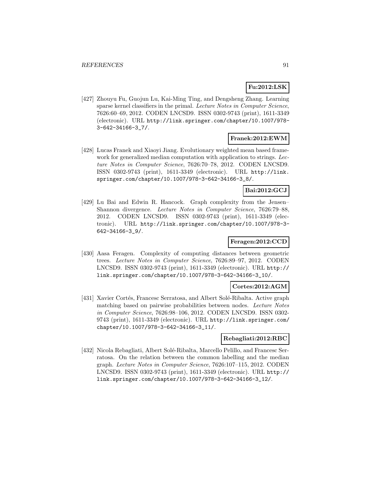### **Fu:2012:LSK**

[427] Zhouyu Fu, Guojun Lu, Kai-Ming Ting, and Dengsheng Zhang. Learning sparse kernel classifiers in the primal. Lecture Notes in Computer Science, 7626:60–69, 2012. CODEN LNCSD9. ISSN 0302-9743 (print), 1611-3349 (electronic). URL http://link.springer.com/chapter/10.1007/978- 3-642-34166-3\_7/.

### **Franek:2012:EWM**

[428] Lucas Franek and Xiaoyi Jiang. Evolutionary weighted mean based framework for generalized median computation with application to strings. Lecture Notes in Computer Science, 7626:70–78, 2012. CODEN LNCSD9. ISSN 0302-9743 (print), 1611-3349 (electronic). URL http://link. springer.com/chapter/10.1007/978-3-642-34166-3\_8/.

# **Bai:2012:GCJ**

[429] Lu Bai and Edwin R. Hancock. Graph complexity from the Jensen– Shannon divergence. Lecture Notes in Computer Science, 7626:79–88, 2012. CODEN LNCSD9. ISSN 0302-9743 (print), 1611-3349 (electronic). URL http://link.springer.com/chapter/10.1007/978-3- 642-34166-3\_9/.

# **Feragen:2012:CCD**

[430] Aasa Feragen. Complexity of computing distances between geometric trees. Lecture Notes in Computer Science, 7626:89–97, 2012. CODEN LNCSD9. ISSN 0302-9743 (print), 1611-3349 (electronic). URL http:// link.springer.com/chapter/10.1007/978-3-642-34166-3\_10/.

#### **Cortes:2012:AGM**

[431] Xavier Cortés, Francesc Serratosa, and Albert Solé-Ribalta. Active graph matching based on pairwise probabilities between nodes. Lecture Notes in Computer Science, 7626:98–106, 2012. CODEN LNCSD9. ISSN 0302- 9743 (print), 1611-3349 (electronic). URL http://link.springer.com/ chapter/10.1007/978-3-642-34166-3\_11/.

# **Rebagliati:2012:RBC**

[432] Nicola Rebagliati, Albert Solé-Ribalta, Marcello Pelillo, and Francesc Serratosa. On the relation between the common labelling and the median graph. Lecture Notes in Computer Science, 7626:107–115, 2012. CODEN LNCSD9. ISSN 0302-9743 (print), 1611-3349 (electronic). URL http:// link.springer.com/chapter/10.1007/978-3-642-34166-3\_12/.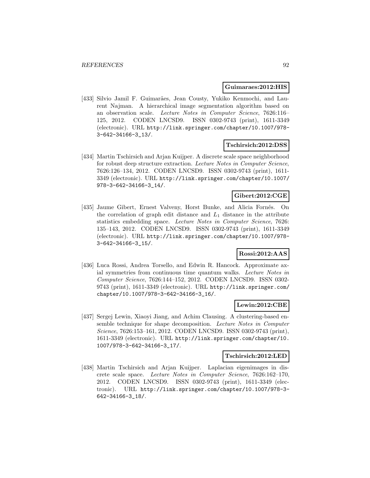#### **Guimaraes:2012:HIS**

[433] Silvio Jamil F. Guimarães, Jean Cousty, Yukiko Kenmochi, and Laurent Najman. A hierarchical image segmentation algorithm based on an observation scale. Lecture Notes in Computer Science, 7626:116– 125, 2012. CODEN LNCSD9. ISSN 0302-9743 (print), 1611-3349 (electronic). URL http://link.springer.com/chapter/10.1007/978- 3-642-34166-3\_13/.

### **Tschirsich:2012:DSS**

[434] Martin Tschirsich and Arjan Kuijper. A discrete scale space neighborhood for robust deep structure extraction. Lecture Notes in Computer Science, 7626:126–134, 2012. CODEN LNCSD9. ISSN 0302-9743 (print), 1611- 3349 (electronic). URL http://link.springer.com/chapter/10.1007/ 978-3-642-34166-3\_14/.

# **Gibert:2012:CGE**

[435] Jaume Gibert, Ernest Valveny, Horst Bunke, and Alicia Forn´es. On the correlation of graph edit distance and  $L_1$  distance in the attribute statistics embedding space. Lecture Notes in Computer Science, 7626: 135–143, 2012. CODEN LNCSD9. ISSN 0302-9743 (print), 1611-3349 (electronic). URL http://link.springer.com/chapter/10.1007/978- 3-642-34166-3\_15/.

### **Rossi:2012:AAS**

[436] Luca Rossi, Andrea Torsello, and Edwin R. Hancock. Approximate axial symmetries from continuous time quantum walks. Lecture Notes in Computer Science, 7626:144–152, 2012. CODEN LNCSD9. ISSN 0302- 9743 (print), 1611-3349 (electronic). URL http://link.springer.com/ chapter/10.1007/978-3-642-34166-3\_16/.

#### **Lewin:2012:CBE**

[437] Sergej Lewin, Xiaoyi Jiang, and Achim Clausing. A clustering-based ensemble technique for shape decomposition. Lecture Notes in Computer Science, 7626:153–161, 2012. CODEN LNCSD9. ISSN 0302-9743 (print), 1611-3349 (electronic). URL http://link.springer.com/chapter/10. 1007/978-3-642-34166-3\_17/.

#### **Tschirsich:2012:LED**

[438] Martin Tschirsich and Arjan Kuijper. Laplacian eigenimages in discrete scale space. Lecture Notes in Computer Science, 7626:162–170, 2012. CODEN LNCSD9. ISSN 0302-9743 (print), 1611-3349 (electronic). URL http://link.springer.com/chapter/10.1007/978-3- 642-34166-3\_18/.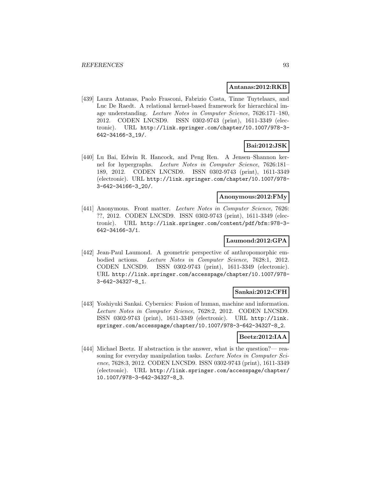#### **Antanas:2012:RKB**

[439] Laura Antanas, Paolo Frasconi, Fabrizio Costa, Tinne Tuytelaars, and Luc De Raedt. A relational kernel-based framework for hierarchical image understanding. Lecture Notes in Computer Science, 7626:171–180, 2012. CODEN LNCSD9. ISSN 0302-9743 (print), 1611-3349 (electronic). URL http://link.springer.com/chapter/10.1007/978-3- 642-34166-3\_19/.

### **Bai:2012:JSK**

[440] Lu Bai, Edwin R. Hancock, and Peng Ren. A Jensen–Shannon kernel for hypergraphs. Lecture Notes in Computer Science, 7626:181– 189, 2012. CODEN LNCSD9. ISSN 0302-9743 (print), 1611-3349 (electronic). URL http://link.springer.com/chapter/10.1007/978- 3-642-34166-3\_20/.

# **Anonymous:2012:FMy**

[441] Anonymous. Front matter. Lecture Notes in Computer Science, 7626: ??, 2012. CODEN LNCSD9. ISSN 0302-9743 (print), 1611-3349 (electronic). URL http://link.springer.com/content/pdf/bfm:978-3- 642-34166-3/1.

### **Laumond:2012:GPA**

[442] Jean-Paul Laumond. A geometric perspective of anthropomorphic embodied actions. Lecture Notes in Computer Science, 7628:1, 2012. CODEN LNCSD9. ISSN 0302-9743 (print), 1611-3349 (electronic). URL http://link.springer.com/accesspage/chapter/10.1007/978- 3-642-34327-8\_1.

#### **Sankai:2012:CFH**

[443] Yoshiyuki Sankai. Cybernics: Fusion of human, machine and information. Lecture Notes in Computer Science, 7628:2, 2012. CODEN LNCSD9. ISSN 0302-9743 (print), 1611-3349 (electronic). URL http://link. springer.com/accesspage/chapter/10.1007/978-3-642-34327-8\_2.

#### **Beetz:2012:IAA**

[444] Michael Beetz. If abstraction is the answer, what is the question?— reasoning for everyday manipulation tasks. Lecture Notes in Computer Science, 7628:3, 2012. CODEN LNCSD9. ISSN 0302-9743 (print), 1611-3349 (electronic). URL http://link.springer.com/accesspage/chapter/ 10.1007/978-3-642-34327-8\_3.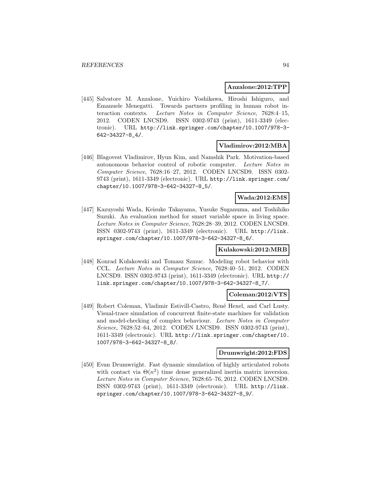#### **Anzalone:2012:TPP**

[445] Salvatore M. Anzalone, Yuichiro Yoshikawa, Hiroshi Ishiguro, and Emanuele Menegatti. Towards partners profiling in human robot interaction contexts. Lecture Notes in Computer Science, 7628:4–15, 2012. CODEN LNCSD9. ISSN 0302-9743 (print), 1611-3349 (electronic). URL http://link.springer.com/chapter/10.1007/978-3- 642-34327-8\_4/.

#### **Vladimirov:2012:MBA**

[446] Blagovest Vladimirov, Hyun Kim, and Namshik Park. Motivation-based autonomous behavior control of robotic computer. Lecture Notes in Computer Science, 7628:16–27, 2012. CODEN LNCSD9. ISSN 0302- 9743 (print), 1611-3349 (electronic). URL http://link.springer.com/ chapter/10.1007/978-3-642-34327-8\_5/.

## **Wada:2012:EMS**

[447] Kazuyoshi Wada, Keisuke Takayama, Yusuke Suganuma, and Toshihiko Suzuki. An evaluation method for smart variable space in living space. Lecture Notes in Computer Science, 7628:28–39, 2012. CODEN LNCSD9. ISSN 0302-9743 (print), 1611-3349 (electronic). URL http://link. springer.com/chapter/10.1007/978-3-642-34327-8\_6/.

#### **Kulakowski:2012:MRB**

[448] Konrad Kułakowski and Tomasz Szmuc. Modeling robot behavior with CCL. Lecture Notes in Computer Science, 7628:40–51, 2012. CODEN LNCSD9. ISSN 0302-9743 (print), 1611-3349 (electronic). URL http:// link.springer.com/chapter/10.1007/978-3-642-34327-8\_7/.

#### **Coleman:2012:VTS**

[449] Robert Coleman, Vladimir Estivill-Castro, René Hexel, and Carl Lusty. Visual-trace simulation of concurrent finite-state machines for validation and model-checking of complex behaviour. Lecture Notes in Computer Science, 7628:52–64, 2012. CODEN LNCSD9. ISSN 0302-9743 (print), 1611-3349 (electronic). URL http://link.springer.com/chapter/10. 1007/978-3-642-34327-8\_8/.

#### **Drumwright:2012:FDS**

[450] Evan Drumwright. Fast dynamic simulation of highly articulated robots with contact via  $\Theta(n^2)$  time dense generalized inertia matrix inversion. Lecture Notes in Computer Science, 7628:65–76, 2012. CODEN LNCSD9. ISSN 0302-9743 (print), 1611-3349 (electronic). URL http://link. springer.com/chapter/10.1007/978-3-642-34327-8\_9/.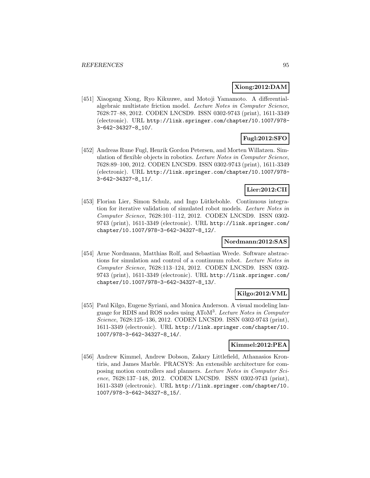### **Xiong:2012:DAM**

[451] Xiaogang Xiong, Ryo Kikuuwe, and Motoji Yamamoto. A differentialalgebraic multistate friction model. Lecture Notes in Computer Science, 7628:77–88, 2012. CODEN LNCSD9. ISSN 0302-9743 (print), 1611-3349 (electronic). URL http://link.springer.com/chapter/10.1007/978- 3-642-34327-8\_10/.

# **Fugl:2012:SFO**

[452] Andreas Rune Fugl, Henrik Gordon Petersen, and Morten Willatzen. Simulation of flexible objects in robotics. Lecture Notes in Computer Science, 7628:89–100, 2012. CODEN LNCSD9. ISSN 0302-9743 (print), 1611-3349 (electronic). URL http://link.springer.com/chapter/10.1007/978- 3-642-34327-8\_11/.

# **Lier:2012:CII**

[453] Florian Lier, Simon Schulz, and Ingo Lütkebohle. Continuous integration for iterative validation of simulated robot models. Lecture Notes in Computer Science, 7628:101–112, 2012. CODEN LNCSD9. ISSN 0302- 9743 (print), 1611-3349 (electronic). URL http://link.springer.com/ chapter/10.1007/978-3-642-34327-8\_12/.

### **Nordmann:2012:SAS**

[454] Arne Nordmann, Matthias Rolf, and Sebastian Wrede. Software abstractions for simulation and control of a continuum robot. Lecture Notes in Computer Science, 7628:113–124, 2012. CODEN LNCSD9. ISSN 0302- 9743 (print), 1611-3349 (electronic). URL http://link.springer.com/ chapter/10.1007/978-3-642-34327-8\_13/.

### **Kilgo:2012:VML**

[455] Paul Kilgo, Eugene Syriani, and Monica Anderson. A visual modeling language for RDIS and ROS nodes using AToM<sup>3</sup>. Lecture Notes in Computer Science, 7628:125–136, 2012. CODEN LNCSD9. ISSN 0302-9743 (print), 1611-3349 (electronic). URL http://link.springer.com/chapter/10. 1007/978-3-642-34327-8\_14/.

# **Kimmel:2012:PEA**

[456] Andrew Kimmel, Andrew Dobson, Zakary Littlefield, Athanasios Krontiris, and James Marble. PRACSYS: An extensible architecture for composing motion controllers and planners. Lecture Notes in Computer Science, 7628:137–148, 2012. CODEN LNCSD9. ISSN 0302-9743 (print), 1611-3349 (electronic). URL http://link.springer.com/chapter/10. 1007/978-3-642-34327-8\_15/.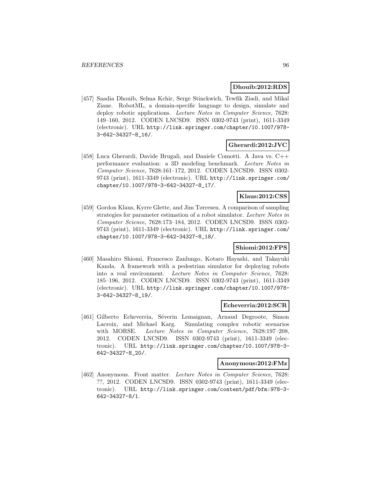#### **Dhouib:2012:RDS**

[457] Saadia Dhouib, Selma Kchir, Serge Stinckwich, Tewfik Ziadi, and Mikal Ziane. RobotML, a domain-specific language to design, simulate and deploy robotic applications. Lecture Notes in Computer Science, 7628: 149–160, 2012. CODEN LNCSD9. ISSN 0302-9743 (print), 1611-3349 (electronic). URL http://link.springer.com/chapter/10.1007/978- 3-642-34327-8\_16/.

# **Gherardi:2012:JVC**

[458] Luca Gherardi, Davide Brugali, and Daniele Comotti. A Java vs. C++ performance evaluation: a 3D modeling benchmark. Lecture Notes in Computer Science, 7628:161–172, 2012. CODEN LNCSD9. ISSN 0302- 9743 (print), 1611-3349 (electronic). URL http://link.springer.com/ chapter/10.1007/978-3-642-34327-8\_17/.

### **Klaus:2012:CSS**

[459] Gordon Klaus, Kyrre Glette, and Jim Tørresen. A comparison of sampling strategies for parameter estimation of a robot simulator. Lecture Notes in Computer Science, 7628:173–184, 2012. CODEN LNCSD9. ISSN 0302- 9743 (print), 1611-3349 (electronic). URL http://link.springer.com/ chapter/10.1007/978-3-642-34327-8\_18/.

### **Shiomi:2012:FPS**

[460] Masahiro Shiomi, Francesco Zanlungo, Kotaro Hayashi, and Takayuki Kanda. A framework with a pedestrian simulator for deploying robots into a real environment. Lecture Notes in Computer Science, 7628: 185–196, 2012. CODEN LNCSD9. ISSN 0302-9743 (print), 1611-3349 (electronic). URL http://link.springer.com/chapter/10.1007/978- 3-642-34327-8\_19/.

#### **Echeverria:2012:SCR**

[461] Gilberto Echeverria, Séverin Lemaignan, Arnaud Degroote, Simon Lacroix, and Michael Karg. Simulating complex robotic scenarios with MORSE. Lecture Notes in Computer Science, 7628:197-208, 2012. CODEN LNCSD9. ISSN 0302-9743 (print), 1611-3349 (electronic). URL http://link.springer.com/chapter/10.1007/978-3- 642-34327-8\_20/.

#### **Anonymous:2012:FMz**

[462] Anonymous. Front matter. Lecture Notes in Computer Science, 7628: ??, 2012. CODEN LNCSD9. ISSN 0302-9743 (print), 1611-3349 (electronic). URL http://link.springer.com/content/pdf/bfm:978-3- 642-34327-8/1.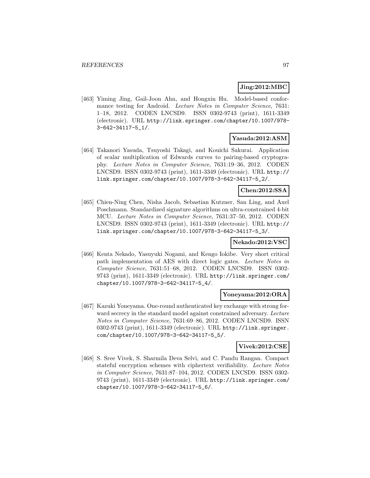#### **Jing:2012:MBC**

[463] Yiming Jing, Gail-Joon Ahn, and Hongxin Hu. Model-based conformance testing for Android. Lecture Notes in Computer Science, 7631: 1–18, 2012. CODEN LNCSD9. ISSN 0302-9743 (print), 1611-3349 (electronic). URL http://link.springer.com/chapter/10.1007/978- 3-642-34117-5\_1/.

### **Yasuda:2012:ASM**

[464] Takanori Yasuda, Tsuyoshi Takagi, and Kouichi Sakurai. Application of scalar multiplication of Edwards curves to pairing-based cryptography. Lecture Notes in Computer Science, 7631:19–36, 2012. CODEN LNCSD9. ISSN 0302-9743 (print), 1611-3349 (electronic). URL http:// link.springer.com/chapter/10.1007/978-3-642-34117-5\_2/.

#### **Chen:2012:SSA**

[465] Chien-Ning Chen, Nisha Jacob, Sebastian Kutzner, San Ling, and Axel Poschmann. Standardized signature algorithms on ultra-constrained 4-bit MCU. Lecture Notes in Computer Science, 7631:37–50, 2012. CODEN LNCSD9. ISSN 0302-9743 (print), 1611-3349 (electronic). URL http:// link.springer.com/chapter/10.1007/978-3-642-34117-5\_3/.

#### **Nekado:2012:VSC**

[466] Kenta Nekado, Yasuyuki Nogami, and Kengo Iokibe. Very short critical path implementation of AES with direct logic gates. Lecture Notes in Computer Science, 7631:51–68, 2012. CODEN LNCSD9. ISSN 0302- 9743 (print), 1611-3349 (electronic). URL http://link.springer.com/ chapter/10.1007/978-3-642-34117-5\_4/.

#### **Yoneyama:2012:ORA**

[467] Kazuki Yoneyama. One-round authenticated key exchange with strong forward secrecy in the standard model against constrained adversary. Lecture Notes in Computer Science, 7631:69–86, 2012. CODEN LNCSD9. ISSN 0302-9743 (print), 1611-3349 (electronic). URL http://link.springer. com/chapter/10.1007/978-3-642-34117-5\_5/.

### **Vivek:2012:CSE**

[468] S. Sree Vivek, S. Sharmila Deva Selvi, and C. Pandu Rangan. Compact stateful encryption schemes with ciphertext verifiability. Lecture Notes in Computer Science, 7631:87–104, 2012. CODEN LNCSD9. ISSN 0302- 9743 (print), 1611-3349 (electronic). URL http://link.springer.com/ chapter/10.1007/978-3-642-34117-5\_6/.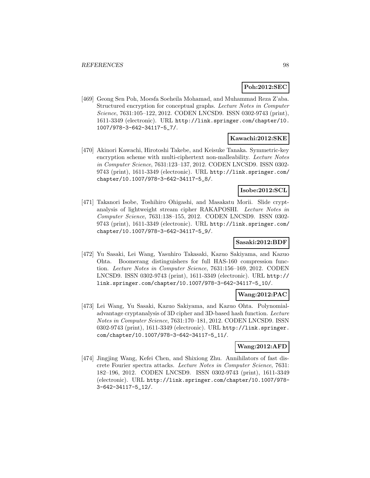### **Poh:2012:SEC**

[469] Geong Sen Poh, Moesfa Soeheila Mohamad, and Muhammad Reza Z'aba. Structured encryption for conceptual graphs. Lecture Notes in Computer Science, 7631:105–122, 2012. CODEN LNCSD9. ISSN 0302-9743 (print), 1611-3349 (electronic). URL http://link.springer.com/chapter/10. 1007/978-3-642-34117-5\_7/.

#### **Kawachi:2012:SKE**

[470] Akinori Kawachi, Hirotoshi Takebe, and Keisuke Tanaka. Symmetric-key encryption scheme with multi-ciphertext non-malleability. Lecture Notes in Computer Science, 7631:123–137, 2012. CODEN LNCSD9. ISSN 0302- 9743 (print), 1611-3349 (electronic). URL http://link.springer.com/ chapter/10.1007/978-3-642-34117-5\_8/.

### **Isobe:2012:SCL**

[471] Takanori Isobe, Toshihiro Ohigashi, and Masakatu Morii. Slide cryptanalysis of lightweight stream cipher RAKAPOSHI. Lecture Notes in Computer Science, 7631:138–155, 2012. CODEN LNCSD9. ISSN 0302- 9743 (print), 1611-3349 (electronic). URL http://link.springer.com/ chapter/10.1007/978-3-642-34117-5\_9/.

### **Sasaki:2012:BDF**

[472] Yu Sasaki, Lei Wang, Yasuhiro Takasaki, Kazuo Sakiyama, and Kazuo Ohta. Boomerang distinguishers for full HAS-160 compression function. Lecture Notes in Computer Science, 7631:156–169, 2012. CODEN LNCSD9. ISSN 0302-9743 (print), 1611-3349 (electronic). URL http:// link.springer.com/chapter/10.1007/978-3-642-34117-5\_10/.

#### **Wang:2012:PAC**

[473] Lei Wang, Yu Sasaki, Kazuo Sakiyama, and Kazuo Ohta. Polynomialadvantage cryptanalysis of 3D cipher and 3D-based hash function. Lecture Notes in Computer Science, 7631:170–181, 2012. CODEN LNCSD9. ISSN 0302-9743 (print), 1611-3349 (electronic). URL http://link.springer. com/chapter/10.1007/978-3-642-34117-5\_11/.

### **Wang:2012:AFD**

[474] Jingjing Wang, Kefei Chen, and Shixiong Zhu. Annihilators of fast discrete Fourier spectra attacks. Lecture Notes in Computer Science, 7631: 182–196, 2012. CODEN LNCSD9. ISSN 0302-9743 (print), 1611-3349 (electronic). URL http://link.springer.com/chapter/10.1007/978- 3-642-34117-5\_12/.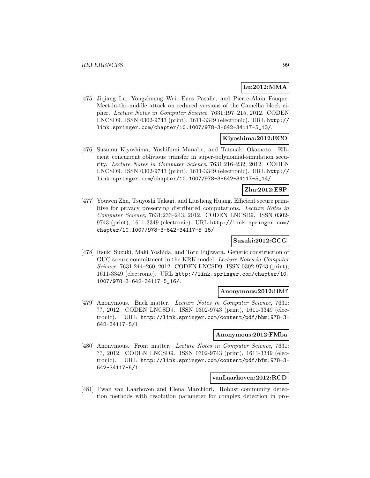# **Lu:2012:MMA**

[475] Jiqiang Lu, Yongzhuang Wei, Enes Pasalic, and Pierre-Alain Fouque. Meet-in-the-middle attack on reduced versions of the Camellia block cipher. Lecture Notes in Computer Science, 7631:197–215, 2012. CODEN LNCSD9. ISSN 0302-9743 (print), 1611-3349 (electronic). URL http:// link.springer.com/chapter/10.1007/978-3-642-34117-5\_13/.

# **Kiyoshima:2012:ECO**

[476] Susumu Kiyoshima, Yoshifumi Manabe, and Tatsuaki Okamoto. Efficient concurrent oblivious transfer in super-polynomial-simulation security. Lecture Notes in Computer Science, 7631:216–232, 2012. CODEN LNCSD9. ISSN 0302-9743 (print), 1611-3349 (electronic). URL http:// link.springer.com/chapter/10.1007/978-3-642-34117-5\_14/.

# **Zhu:2012:ESP**

[477] Youwen Zhu, Tsuyoshi Takagi, and Liusheng Huang. Efficient secure primitive for privacy preserving distributed computations. Lecture Notes in Computer Science, 7631:233–243, 2012. CODEN LNCSD9. ISSN 0302- 9743 (print), 1611-3349 (electronic). URL http://link.springer.com/ chapter/10.1007/978-3-642-34117-5\_15/.

### **Suzuki:2012:GCG**

[478] Itsuki Suzuki, Maki Yoshida, and Toru Fujiwara. Generic construction of GUC secure commitment in the KRK model. Lecture Notes in Computer Science, 7631:244–260, 2012. CODEN LNCSD9. ISSN 0302-9743 (print), 1611-3349 (electronic). URL http://link.springer.com/chapter/10. 1007/978-3-642-34117-5\_16/.

### **Anonymous:2012:BMf**

[479] Anonymous. Back matter. Lecture Notes in Computer Science, 7631: ??, 2012. CODEN LNCSD9. ISSN 0302-9743 (print), 1611-3349 (electronic). URL http://link.springer.com/content/pdf/bbm:978-3- 642-34117-5/1.

#### **Anonymous:2012:FMba**

[480] Anonymous. Front matter. Lecture Notes in Computer Science, 7631: ??, 2012. CODEN LNCSD9. ISSN 0302-9743 (print), 1611-3349 (electronic). URL http://link.springer.com/content/pdf/bfm:978-3- 642-34117-5/1.

### **vanLaarhoven:2012:RCD**

[481] Twan van Laarhoven and Elena Marchiori. Robust community detection methods with resolution parameter for complex detection in pro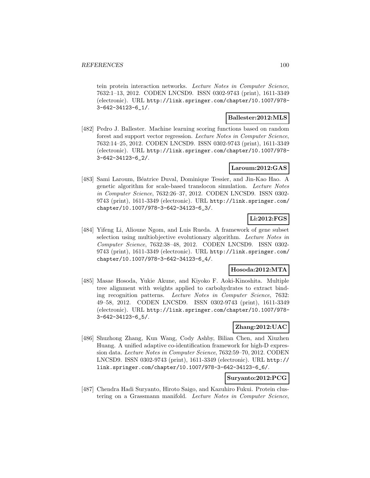tein protein interaction networks. Lecture Notes in Computer Science, 7632:1–13, 2012. CODEN LNCSD9. ISSN 0302-9743 (print), 1611-3349 (electronic). URL http://link.springer.com/chapter/10.1007/978- 3-642-34123-6\_1/.

### **Ballester:2012:MLS**

[482] Pedro J. Ballester. Machine learning scoring functions based on random forest and support vector regression. Lecture Notes in Computer Science, 7632:14–25, 2012. CODEN LNCSD9. ISSN 0302-9743 (print), 1611-3349 (electronic). URL http://link.springer.com/chapter/10.1007/978- 3-642-34123-6\_2/.

# **Laroum:2012:GAS**

[483] Sami Laroum, Béatrice Duval, Dominique Tessier, and Jin-Kao Hao. A genetic algorithm for scale-based translocon simulation. Lecture Notes in Computer Science, 7632:26–37, 2012. CODEN LNCSD9. ISSN 0302- 9743 (print), 1611-3349 (electronic). URL http://link.springer.com/ chapter/10.1007/978-3-642-34123-6\_3/.

# **Li:2012:FGS**

[484] Yifeng Li, Alioune Ngom, and Luis Rueda. A framework of gene subset selection using multiobjective evolutionary algorithm. Lecture Notes in Computer Science, 7632:38–48, 2012. CODEN LNCSD9. ISSN 0302- 9743 (print), 1611-3349 (electronic). URL http://link.springer.com/ chapter/10.1007/978-3-642-34123-6\_4/.

### **Hosoda:2012:MTA**

[485] Masae Hosoda, Yukie Akune, and Kiyoko F. Aoki-Kinoshita. Multiple tree alignment with weights applied to carbohydrates to extract binding recognition patterns. Lecture Notes in Computer Science, 7632: 49–58, 2012. CODEN LNCSD9. ISSN 0302-9743 (print), 1611-3349 (electronic). URL http://link.springer.com/chapter/10.1007/978- 3-642-34123-6\_5/.

### **Zhang:2012:UAC**

[486] Shuzhong Zhang, Kun Wang, Cody Ashby, Bilian Chen, and Xiuzhen Huang. A unified adaptive co-identification framework for high-D expression data. Lecture Notes in Computer Science, 7632:59–70, 2012. CODEN LNCSD9. ISSN 0302-9743 (print), 1611-3349 (electronic). URL http:// link.springer.com/chapter/10.1007/978-3-642-34123-6\_6/.

# **Suryanto:2012:PCG**

[487] Chendra Hadi Suryanto, Hiroto Saigo, and Kazuhiro Fukui. Protein clustering on a Grassmann manifold. Lecture Notes in Computer Science,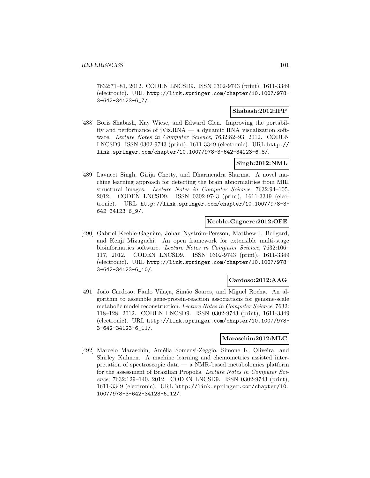7632:71–81, 2012. CODEN LNCSD9. ISSN 0302-9743 (print), 1611-3349 (electronic). URL http://link.springer.com/chapter/10.1007/978- 3-642-34123-6\_7/.

### **Shabash:2012:IPP**

[488] Boris Shabash, Kay Wiese, and Edward Glen. Improving the portability and performance of jViz.RNA — a dynamic RNA visualization software. Lecture Notes in Computer Science, 7632:82–93, 2012. CODEN LNCSD9. ISSN 0302-9743 (print), 1611-3349 (electronic). URL http:// link.springer.com/chapter/10.1007/978-3-642-34123-6\_8/.

### **Singh:2012:NML**

[489] Lavneet Singh, Girija Chetty, and Dharmendra Sharma. A novel machine learning approach for detecting the brain abnormalities from MRI structural images. Lecture Notes in Computer Science, 7632:94–105, 2012. CODEN LNCSD9. ISSN 0302-9743 (print), 1611-3349 (electronic). URL http://link.springer.com/chapter/10.1007/978-3- 642-34123-6\_9/.

### **Keeble-Gagnere:2012:OFE**

[490] Gabriel Keeble-Gagnère, Johan Nyström-Persson, Matthew I. Bellgard, and Kenji Mizuguchi. An open framework for extensible multi-stage bioinformatics software. Lecture Notes in Computer Science, 7632:106– 117, 2012. CODEN LNCSD9. ISSN 0302-9743 (print), 1611-3349 (electronic). URL http://link.springer.com/chapter/10.1007/978- 3-642-34123-6\_10/.

### **Cardoso:2012:AAG**

[491] João Cardoso, Paulo Vilaça, Simão Soares, and Miguel Rocha. An algorithm to assemble gene-protein-reaction associations for genome-scale metabolic model reconstruction. Lecture Notes in Computer Science, 7632: 118–128, 2012. CODEN LNCSD9. ISSN 0302-9743 (print), 1611-3349 (electronic). URL http://link.springer.com/chapter/10.1007/978- 3-642-34123-6\_11/.

# **Maraschin:2012:MLC**

[492] Marcelo Maraschin, Am´elia Somensi-Zeggio, Simone K. Oliveira, and Shirley Kuhnen. A machine learning and chemometrics assisted interpretation of spectroscopic data — a NMR-based metabolomics platform for the assessment of Brazilian Propolis. Lecture Notes in Computer Science, 7632:129–140, 2012. CODEN LNCSD9. ISSN 0302-9743 (print), 1611-3349 (electronic). URL http://link.springer.com/chapter/10. 1007/978-3-642-34123-6\_12/.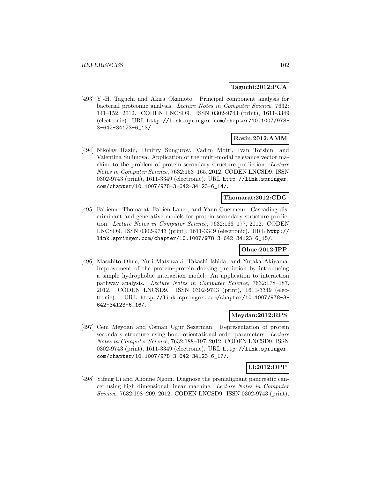### **Taguchi:2012:PCA**

[493] Y.-H. Taguchi and Akira Okamoto. Principal component analysis for bacterial proteomic analysis. Lecture Notes in Computer Science, 7632: 141–152, 2012. CODEN LNCSD9. ISSN 0302-9743 (print), 1611-3349 (electronic). URL http://link.springer.com/chapter/10.1007/978- 3-642-34123-6\_13/.

# **Razin:2012:AMM**

[494] Nikolay Razin, Dmitry Sungurov, Vadim Mottl, Ivan Torshin, and Valentina Sulimova. Application of the multi-modal relevance vector machine to the problem of protein secondary structure prediction. Lecture Notes in Computer Science, 7632:153–165, 2012. CODEN LNCSD9. ISSN 0302-9743 (print), 1611-3349 (electronic). URL http://link.springer. com/chapter/10.1007/978-3-642-34123-6\_14/.

### **Thomarat:2012:CDG**

[495] Fabienne Thomarat, Fabien Lauer, and Yann Guermeur. Cascading discriminant and generative models for protein secondary structure prediction. Lecture Notes in Computer Science, 7632:166–177, 2012. CODEN LNCSD9. ISSN 0302-9743 (print), 1611-3349 (electronic). URL http:// link.springer.com/chapter/10.1007/978-3-642-34123-6\_15/.

#### **Ohue:2012:IPP**

[496] Masahito Ohue, Yuri Matsuzaki, Takashi Ishida, and Yutaka Akiyama. Improvement of the protein–protein docking prediction by introducing a simple hydrophobic interaction model: An application to interaction pathway analysis. Lecture Notes in Computer Science, 7632:178–187, 2012. CODEN LNCSD9. ISSN 0302-9743 (print), 1611-3349 (electronic). URL http://link.springer.com/chapter/10.1007/978-3- 642-34123-6\_16/.

#### **Meydan:2012:RPS**

[497] Cem Meydan and Osman Ugur Sezerman. Representation of protein secondary structure using bond-orientational order parameters. Lecture Notes in Computer Science, 7632:188–197, 2012. CODEN LNCSD9. ISSN 0302-9743 (print), 1611-3349 (electronic). URL http://link.springer. com/chapter/10.1007/978-3-642-34123-6\_17/.

# **Li:2012:DPP**

[498] Yifeng Li and Alioune Ngom. Diagnose the premalignant pancreatic cancer using high dimensional linear machine. Lecture Notes in Computer Science, 7632:198–209, 2012. CODEN LNCSD9. ISSN 0302-9743 (print),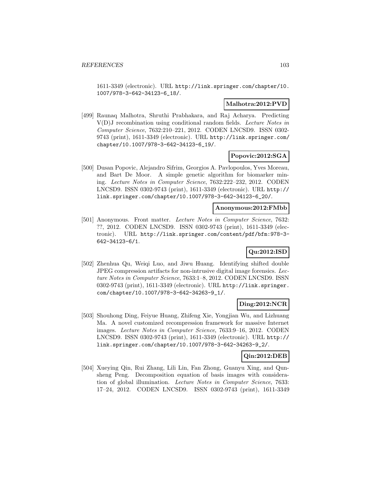1611-3349 (electronic). URL http://link.springer.com/chapter/10. 1007/978-3-642-34123-6\_18/.

### **Malhotra:2012:PVD**

[499] Raunaq Malhotra, Shruthi Prabhakara, and Raj Acharya. Predicting V(D)J recombination using conditional random fields. Lecture Notes in Computer Science, 7632:210–221, 2012. CODEN LNCSD9. ISSN 0302- 9743 (print), 1611-3349 (electronic). URL http://link.springer.com/ chapter/10.1007/978-3-642-34123-6\_19/.

### **Popovic:2012:SGA**

[500] Dusan Popovic, Alejandro Sifrim, Georgios A. Pavlopoulos, Yves Moreau, and Bart De Moor. A simple genetic algorithm for biomarker mining. Lecture Notes in Computer Science, 7632:222–232, 2012. CODEN LNCSD9. ISSN 0302-9743 (print), 1611-3349 (electronic). URL http:// link.springer.com/chapter/10.1007/978-3-642-34123-6\_20/.

### **Anonymous:2012:FMbb**

[501] Anonymous. Front matter. Lecture Notes in Computer Science, 7632: ??, 2012. CODEN LNCSD9. ISSN 0302-9743 (print), 1611-3349 (electronic). URL http://link.springer.com/content/pdf/bfm:978-3- 642-34123-6/1.

# **Qu:2012:ISD**

[502] Zhenhua Qu, Weiqi Luo, and Jiwu Huang. Identifying shifted double JPEG compression artifacts for non-intrusive digital image forensics. Lecture Notes in Computer Science, 7633:1–8, 2012. CODEN LNCSD9. ISSN 0302-9743 (print), 1611-3349 (electronic). URL http://link.springer. com/chapter/10.1007/978-3-642-34263-9\_1/.

### **Ding:2012:NCR**

[503] Shouhong Ding, Feiyue Huang, Zhifeng Xie, Yongjian Wu, and Lizhuang Ma. A novel customized recompression framework for massive Internet images. Lecture Notes in Computer Science, 7633:9–16, 2012. CODEN LNCSD9. ISSN 0302-9743 (print), 1611-3349 (electronic). URL http:// link.springer.com/chapter/10.1007/978-3-642-34263-9\_2/.

### **Qin:2012:DEB**

[504] Xueying Qin, Rui Zhang, Lili Lin, Fan Zhong, Guanyu Xing, and Qunsheng Peng. Decomposition equation of basis images with consideration of global illumination. Lecture Notes in Computer Science, 7633: 17–24, 2012. CODEN LNCSD9. ISSN 0302-9743 (print), 1611-3349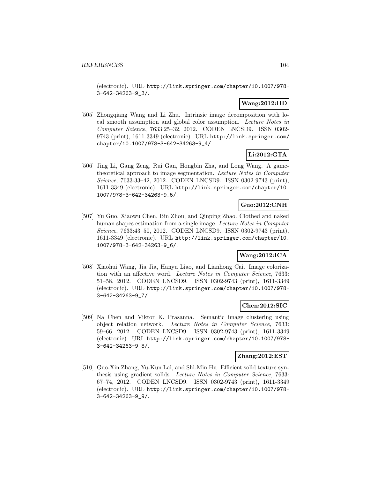(electronic). URL http://link.springer.com/chapter/10.1007/978- 3-642-34263-9\_3/.

# **Wang:2012:IID**

[505] Zhongqiang Wang and Li Zhu. Intrinsic image decomposition with local smooth assumption and global color assumption. Lecture Notes in Computer Science, 7633:25–32, 2012. CODEN LNCSD9. ISSN 0302- 9743 (print), 1611-3349 (electronic). URL http://link.springer.com/ chapter/10.1007/978-3-642-34263-9\_4/.

# **Li:2012:GTA**

[506] Jing Li, Gang Zeng, Rui Gan, Hongbin Zha, and Long Wang. A gametheoretical approach to image segmentation. Lecture Notes in Computer Science, 7633:33–42, 2012. CODEN LNCSD9. ISSN 0302-9743 (print), 1611-3349 (electronic). URL http://link.springer.com/chapter/10. 1007/978-3-642-34263-9\_5/.

# **Guo:2012:CNH**

[507] Yu Guo, Xiaowu Chen, Bin Zhou, and Qinping Zhao. Clothed and naked human shapes estimation from a single image. Lecture Notes in Computer Science, 7633:43–50, 2012. CODEN LNCSD9. ISSN 0302-9743 (print), 1611-3349 (electronic). URL http://link.springer.com/chapter/10. 1007/978-3-642-34263-9\_6/.

### **Wang:2012:ICA**

[508] Xiaohui Wang, Jia Jia, Hanyu Liao, and Lianhong Cai. Image colorization with an affective word. Lecture Notes in Computer Science, 7633: 51–58, 2012. CODEN LNCSD9. ISSN 0302-9743 (print), 1611-3349 (electronic). URL http://link.springer.com/chapter/10.1007/978- 3-642-34263-9\_7/.

# **Chen:2012:SIC**

[509] Na Chen and Viktor K. Prasanna. Semantic image clustering using object relation network. Lecture Notes in Computer Science, 7633: 59–66, 2012. CODEN LNCSD9. ISSN 0302-9743 (print), 1611-3349 (electronic). URL http://link.springer.com/chapter/10.1007/978- 3-642-34263-9\_8/.

### **Zhang:2012:EST**

[510] Guo-Xin Zhang, Yu-Kun Lai, and Shi-Min Hu. Efficient solid texture synthesis using gradient solids. Lecture Notes in Computer Science, 7633: 67–74, 2012. CODEN LNCSD9. ISSN 0302-9743 (print), 1611-3349 (electronic). URL http://link.springer.com/chapter/10.1007/978- 3-642-34263-9\_9/.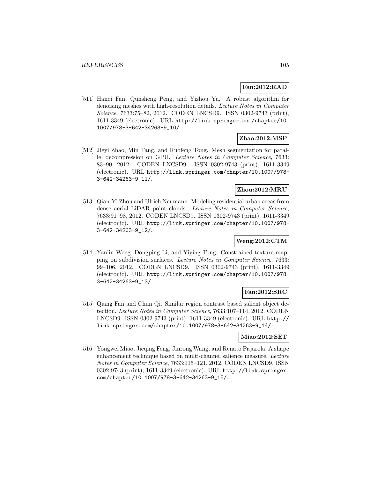# **Fan:2012:RAD**

[511] Hanqi Fan, Qunsheng Peng, and Yizhou Yu. A robust algorithm for denoising meshes with high-resolution details. Lecture Notes in Computer Science, 7633:75–82, 2012. CODEN LNCSD9. ISSN 0302-9743 (print), 1611-3349 (electronic). URL http://link.springer.com/chapter/10. 1007/978-3-642-34263-9\_10/.

### **Zhao:2012:MSP**

[512] Jieyi Zhao, Min Tang, and Ruofeng Tong. Mesh segmentation for parallel decompression on GPU. Lecture Notes in Computer Science, 7633: 83–90, 2012. CODEN LNCSD9. ISSN 0302-9743 (print), 1611-3349 (electronic). URL http://link.springer.com/chapter/10.1007/978- 3-642-34263-9\_11/.

### **Zhou:2012:MRU**

[513] Qian-Yi Zhou and Ulrich Neumann. Modeling residential urban areas from dense aerial LiDAR point clouds. Lecture Notes in Computer Science, 7633:91–98, 2012. CODEN LNCSD9. ISSN 0302-9743 (print), 1611-3349 (electronic). URL http://link.springer.com/chapter/10.1007/978- 3-642-34263-9\_12/.

### **Weng:2012:CTM**

[514] Yanlin Weng, Dongping Li, and Yiying Tong. Constrained texture mapping on subdivision surfaces. Lecture Notes in Computer Science, 7633: 99–106, 2012. CODEN LNCSD9. ISSN 0302-9743 (print), 1611-3349 (electronic). URL http://link.springer.com/chapter/10.1007/978- 3-642-34263-9\_13/.

### **Fan:2012:SRC**

[515] Qiang Fan and Chun Qi. Similar region contrast based salient object detection. Lecture Notes in Computer Science, 7633:107–114, 2012. CODEN LNCSD9. ISSN 0302-9743 (print), 1611-3349 (electronic). URL http:// link.springer.com/chapter/10.1007/978-3-642-34263-9\_14/.

#### **Miao:2012:SET**

[516] Yongwei Miao, Jieqing Feng, Jinrong Wang, and Renato Pajarola. A shape enhancement technique based on multi-channel salience measure. Lecture Notes in Computer Science, 7633:115–121, 2012. CODEN LNCSD9. ISSN 0302-9743 (print), 1611-3349 (electronic). URL http://link.springer. com/chapter/10.1007/978-3-642-34263-9\_15/.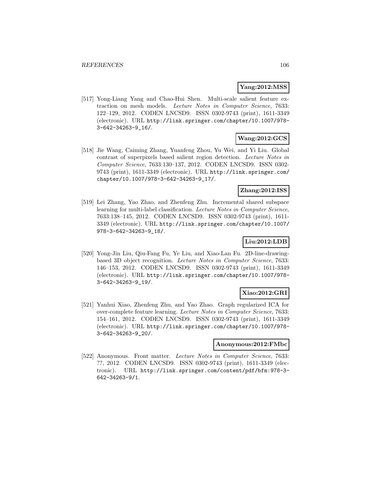### **Yang:2012:MSS**

[517] Yong-Liang Yang and Chao-Hui Shen. Multi-scale salient feature extraction on mesh models. Lecture Notes in Computer Science, 7633: 122–129, 2012. CODEN LNCSD9. ISSN 0302-9743 (print), 1611-3349 (electronic). URL http://link.springer.com/chapter/10.1007/978- 3-642-34263-9\_16/.

# **Wang:2012:GCS**

[518] Jie Wang, Caiming Zhang, Yuanfeng Zhou, Yu Wei, and Yi Liu. Global contrast of superpixels based salient region detection. Lecture Notes in Computer Science, 7633:130–137, 2012. CODEN LNCSD9. ISSN 0302- 9743 (print), 1611-3349 (electronic). URL http://link.springer.com/ chapter/10.1007/978-3-642-34263-9\_17/.

### **Zhang:2012:ISS**

[519] Lei Zhang, Yao Zhao, and Zhenfeng Zhu. Incremental shared subspace learning for multi-label classification. Lecture Notes in Computer Science, 7633:138–145, 2012. CODEN LNCSD9. ISSN 0302-9743 (print), 1611- 3349 (electronic). URL http://link.springer.com/chapter/10.1007/ 978-3-642-34263-9\_18/.

### **Liu:2012:LDB**

[520] Yong-Jin Liu, Qiu-Fang Fu, Ye Liu, and Xiao-Lan Fu. 2D-line-drawingbased 3D object recognition. Lecture Notes in Computer Science, 7633: 146–153, 2012. CODEN LNCSD9. ISSN 0302-9743 (print), 1611-3349 (electronic). URL http://link.springer.com/chapter/10.1007/978- 3-642-34263-9\_19/.

### **Xiao:2012:GRI**

[521] Yanhui Xiao, Zhenfeng Zhu, and Yao Zhao. Graph regularized ICA for over-complete feature learning. Lecture Notes in Computer Science, 7633: 154–161, 2012. CODEN LNCSD9. ISSN 0302-9743 (print), 1611-3349 (electronic). URL http://link.springer.com/chapter/10.1007/978- 3-642-34263-9\_20/.

#### **Anonymous:2012:FMbc**

[522] Anonymous. Front matter. Lecture Notes in Computer Science, 7633: ??, 2012. CODEN LNCSD9. ISSN 0302-9743 (print), 1611-3349 (electronic). URL http://link.springer.com/content/pdf/bfm:978-3- 642-34263-9/1.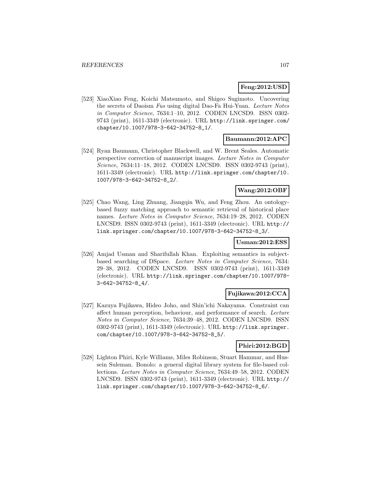# **Feng:2012:USD**

[523] XiaoXiao Feng, Koichi Matsumoto, and Shigeo Sugimoto. Uncovering the secrets of Daoism Fus using digital Dao-Fa Hui-Yuan. Lecture Notes in Computer Science, 7634:1–10, 2012. CODEN LNCSD9. ISSN 0302- 9743 (print), 1611-3349 (electronic). URL http://link.springer.com/ chapter/10.1007/978-3-642-34752-8\_1/.

# **Baumann:2012:APC**

[524] Ryan Baumann, Christopher Blackwell, and W. Brent Seales. Automatic perspective correction of manuscript images. Lecture Notes in Computer Science, 7634:11–18, 2012. CODEN LNCSD9. ISSN 0302-9743 (print), 1611-3349 (electronic). URL http://link.springer.com/chapter/10. 1007/978-3-642-34752-8\_2/.

### **Wang:2012:OBF**

[525] Chao Wang, Ling Zhuang, Jiangqin Wu, and Feng Zhou. An ontologybased fuzzy matching approach to semantic retrieval of historical place names. Lecture Notes in Computer Science, 7634:19–28, 2012. CODEN LNCSD9. ISSN 0302-9743 (print), 1611-3349 (electronic). URL http:// link.springer.com/chapter/10.1007/978-3-642-34752-8\_3/.

#### **Usman:2012:ESS**

[526] Amjad Usman and Sharifullah Khan. Exploiting semantics in subjectbased searching of DSpace. Lecture Notes in Computer Science, 7634: 29–38, 2012. CODEN LNCSD9. ISSN 0302-9743 (print), 1611-3349 (electronic). URL http://link.springer.com/chapter/10.1007/978- 3-642-34752-8\_4/.

#### **Fujikawa:2012:CCA**

[527] Kazuya Fujikawa, Hideo Joho, and Shin'ichi Nakayama. Constraint can affect human perception, behaviour, and performance of search. Lecture Notes in Computer Science, 7634:39–48, 2012. CODEN LNCSD9. ISSN 0302-9743 (print), 1611-3349 (electronic). URL http://link.springer. com/chapter/10.1007/978-3-642-34752-8\_5/.

### **Phiri:2012:BGD**

[528] Lighton Phiri, Kyle Williams, Miles Robinson, Stuart Hammar, and Hussein Suleman. Bonolo: a general digital library system for file-based collections. Lecture Notes in Computer Science, 7634:49–58, 2012. CODEN LNCSD9. ISSN 0302-9743 (print), 1611-3349 (electronic). URL http:// link.springer.com/chapter/10.1007/978-3-642-34752-8\_6/.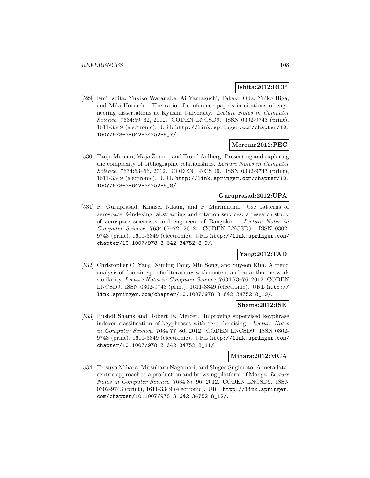# **Ishita:2012:RCP**

[529] Emi Ishita, Yukiko Watanabe, Ai Yamaguchi, Takako Oda, Yuiko Higa, and Miki Horiuchi. The ratio of conference papers in citations of engineering dissertations at Kyushu University. Lecture Notes in Computer Science, 7634:59–62, 2012. CODEN LNCSD9. ISSN 0302-9743 (print), 1611-3349 (electronic). URL http://link.springer.com/chapter/10. 1007/978-3-642-34752-8\_7/.

# **Mercun:2012:PEC**

[530] Tanja Merčun, Maja Žumer, and Trond Aalberg. Presenting and exploring the complexity of bibliographic relationships. Lecture Notes in Computer Science, 7634:63–66, 2012. CODEN LNCSD9. ISSN 0302-9743 (print), 1611-3349 (electronic). URL http://link.springer.com/chapter/10. 1007/978-3-642-34752-8\_8/.

### **Guruprasad:2012:UPA**

[531] R. Guruprasad, Khaiser Nikam, and P. Marimuthu. Use patterns of aerospace E-indexing, abstracting and citation services: a research study of aerospace scientists and engineers of Bangalore. Lecture Notes in Computer Science, 7634:67–72, 2012. CODEN LNCSD9. ISSN 0302- 9743 (print), 1611-3349 (electronic). URL http://link.springer.com/ chapter/10.1007/978-3-642-34752-8\_9/.

# **Yang:2012:TAD**

[532] Christopher C. Yang, Xuning Tang, Min Song, and Suyeon Kim. A trend analysis of domain-specific literatures with content and co-author network similarity. Lecture Notes in Computer Science, 7634:73–76, 2012. CODEN LNCSD9. ISSN 0302-9743 (print), 1611-3349 (electronic). URL http:// link.springer.com/chapter/10.1007/978-3-642-34752-8\_10/.

#### **Shams:2012:ISK**

[533] Rushdi Shams and Robert E. Mercer. Improving supervised keyphrase indexer classification of keyphrases with text denoising. Lecture Notes in Computer Science, 7634:77–86, 2012. CODEN LNCSD9. ISSN 0302- 9743 (print), 1611-3349 (electronic). URL http://link.springer.com/ chapter/10.1007/978-3-642-34752-8\_11/.

#### **Mihara:2012:MCA**

[534] Tetsuya Mihara, Mitsuharu Nagamori, and Shigeo Sugimoto. A metadatacentric approach to a production and browsing platform of Manga. Lecture Notes in Computer Science, 7634:87–96, 2012. CODEN LNCSD9. ISSN 0302-9743 (print), 1611-3349 (electronic). URL http://link.springer. com/chapter/10.1007/978-3-642-34752-8\_12/.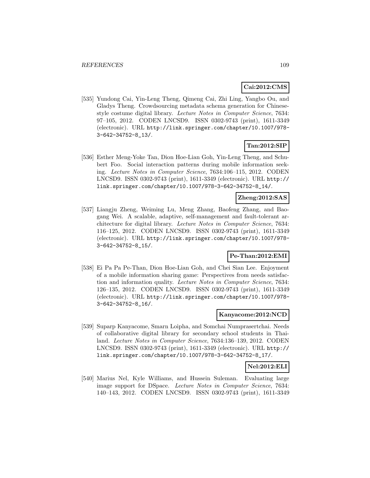### **Cai:2012:CMS**

[535] Yundong Cai, Yin-Leng Theng, Qimeng Cai, Zhi Ling, Yangbo Ou, and Gladys Theng. Crowdsourcing metadata schema generation for Chinesestyle costume digital library. Lecture Notes in Computer Science, 7634: 97–105, 2012. CODEN LNCSD9. ISSN 0302-9743 (print), 1611-3349 (electronic). URL http://link.springer.com/chapter/10.1007/978- 3-642-34752-8\_13/.

# **Tan:2012:SIP**

[536] Esther Meng-Yoke Tan, Dion Hoe-Lian Goh, Yin-Leng Theng, and Schubert Foo. Social interaction patterns during mobile information seeking. Lecture Notes in Computer Science, 7634:106–115, 2012. CODEN LNCSD9. ISSN 0302-9743 (print), 1611-3349 (electronic). URL http:// link.springer.com/chapter/10.1007/978-3-642-34752-8\_14/.

### **Zheng:2012:SAS**

[537] Liangju Zheng, Weiming Lu, Meng Zhang, Baofeng Zhang, and Baogang Wei. A scalable, adaptive, self-management and fault-tolerant architecture for digital library. Lecture Notes in Computer Science, 7634: 116–125, 2012. CODEN LNCSD9. ISSN 0302-9743 (print), 1611-3349 (electronic). URL http://link.springer.com/chapter/10.1007/978- 3-642-34752-8\_15/.

#### **Pe-Than:2012:EMI**

[538] Ei Pa Pa Pe-Than, Dion Hoe-Lian Goh, and Chei Sian Lee. Enjoyment of a mobile information sharing game: Perspectives from needs satisfaction and information quality. Lecture Notes in Computer Science, 7634: 126–135, 2012. CODEN LNCSD9. ISSN 0302-9743 (print), 1611-3349 (electronic). URL http://link.springer.com/chapter/10.1007/978- 3-642-34752-8\_16/.

#### **Kanyacome:2012:NCD**

[539] Suparp Kanyacome, Smarn Loipha, and Somchai Numprasertchai. Needs of collaborative digital library for secondary school students in Thailand. Lecture Notes in Computer Science, 7634:136–139, 2012. CODEN LNCSD9. ISSN 0302-9743 (print), 1611-3349 (electronic). URL http:// link.springer.com/chapter/10.1007/978-3-642-34752-8\_17/.

### **Nel:2012:ELI**

[540] Marius Nel, Kyle Williams, and Hussein Suleman. Evaluating large image support for DSpace. Lecture Notes in Computer Science, 7634: 140–143, 2012. CODEN LNCSD9. ISSN 0302-9743 (print), 1611-3349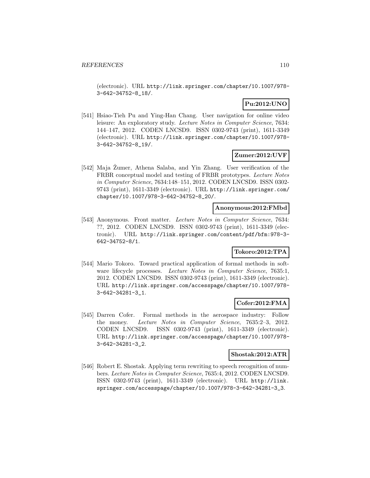(electronic). URL http://link.springer.com/chapter/10.1007/978- 3-642-34752-8\_18/.

# **Pu:2012:UNO**

[541] Hsiao-Tieh Pu and Ying-Han Chang. User navigation for online video leisure: An exploratory study. Lecture Notes in Computer Science, 7634: 144–147, 2012. CODEN LNCSD9. ISSN 0302-9743 (print), 1611-3349 (electronic). URL http://link.springer.com/chapter/10.1007/978- 3-642-34752-8\_19/.

#### **Zumer:2012:UVF**

[542] Maja Zumer, Athena Salaba, and Yin Zhang. User verification of the FRBR conceptual model and testing of FRBR prototypes. Lecture Notes in Computer Science, 7634:148–151, 2012. CODEN LNCSD9. ISSN 0302- 9743 (print), 1611-3349 (electronic). URL http://link.springer.com/ chapter/10.1007/978-3-642-34752-8\_20/.

### **Anonymous:2012:FMbd**

[543] Anonymous. Front matter. Lecture Notes in Computer Science, 7634: ??, 2012. CODEN LNCSD9. ISSN 0302-9743 (print), 1611-3349 (electronic). URL http://link.springer.com/content/pdf/bfm:978-3- 642-34752-8/1.

### **Tokoro:2012:TPA**

[544] Mario Tokoro. Toward practical application of formal methods in software lifecycle processes. Lecture Notes in Computer Science, 7635:1, 2012. CODEN LNCSD9. ISSN 0302-9743 (print), 1611-3349 (electronic). URL http://link.springer.com/accesspage/chapter/10.1007/978- 3-642-34281-3\_1.

### **Cofer:2012:FMA**

[545] Darren Cofer. Formal methods in the aerospace industry: Follow the money. Lecture Notes in Computer Science, 7635:2–3, 2012. CODEN LNCSD9. ISSN 0302-9743 (print), 1611-3349 (electronic). URL http://link.springer.com/accesspage/chapter/10.1007/978- 3-642-34281-3\_2.

#### **Shostak:2012:ATR**

[546] Robert E. Shostak. Applying term rewriting to speech recognition of numbers. Lecture Notes in Computer Science, 7635:4, 2012. CODEN LNCSD9. ISSN 0302-9743 (print), 1611-3349 (electronic). URL http://link. springer.com/accesspage/chapter/10.1007/978-3-642-34281-3\_3.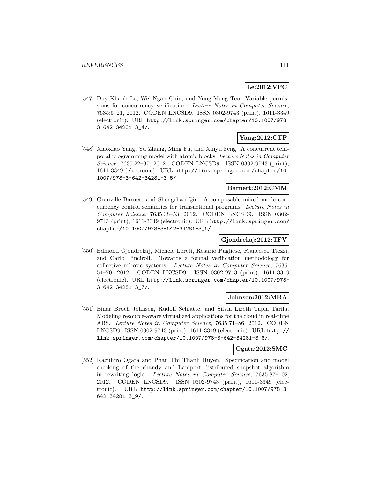# **Le:2012:VPC**

[547] Duy-Khanh Le, Wei-Ngan Chin, and Yong-Meng Teo. Variable permissions for concurrency verification. Lecture Notes in Computer Science, 7635:5–21, 2012. CODEN LNCSD9. ISSN 0302-9743 (print), 1611-3349 (electronic). URL http://link.springer.com/chapter/10.1007/978- 3-642-34281-3\_4/.

# **Yang:2012:CTP**

[548] Xiaoxiao Yang, Yu Zhang, Ming Fu, and Xinyu Feng. A concurrent temporal programming model with atomic blocks. Lecture Notes in Computer Science, 7635:22–37, 2012. CODEN LNCSD9. ISSN 0302-9743 (print), 1611-3349 (electronic). URL http://link.springer.com/chapter/10. 1007/978-3-642-34281-3\_5/.

### **Barnett:2012:CMM**

[549] Granville Barnett and Shengchao Qin. A composable mixed mode concurrency control semantics for transactional programs. Lecture Notes in Computer Science, 7635:38–53, 2012. CODEN LNCSD9. ISSN 0302- 9743 (print), 1611-3349 (electronic). URL http://link.springer.com/ chapter/10.1007/978-3-642-34281-3\_6/.

# **Gjondrekaj:2012:TFV**

[550] Edmond Gjondrekaj, Michele Loreti, Rosario Pugliese, Francesco Tiezzi, and Carlo Pinciroli. Towards a formal verification methodology for collective robotic systems. Lecture Notes in Computer Science, 7635: 54–70, 2012. CODEN LNCSD9. ISSN 0302-9743 (print), 1611-3349 (electronic). URL http://link.springer.com/chapter/10.1007/978- 3-642-34281-3\_7/.

### **Johnsen:2012:MRA**

[551] Einar Broch Johnsen, Rudolf Schlatte, and Silvia Lizeth Tapia Tarifa. Modeling resource-aware virtualized applications for the cloud in real-time ABS. Lecture Notes in Computer Science, 7635:71–86, 2012. CODEN LNCSD9. ISSN 0302-9743 (print), 1611-3349 (electronic). URL http:// link.springer.com/chapter/10.1007/978-3-642-34281-3\_8/.

# **Ogata:2012:SMC**

[552] Kazuhiro Ogata and Phan Thi Thanh Huyen. Specification and model checking of the chandy and Lamport distributed snapshot algorithm in rewriting logic. Lecture Notes in Computer Science, 7635:87–102, 2012. CODEN LNCSD9. ISSN 0302-9743 (print), 1611-3349 (electronic). URL http://link.springer.com/chapter/10.1007/978-3- 642-34281-3\_9/.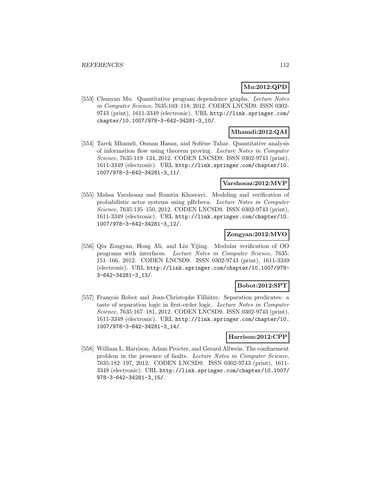### **Mu:2012:QPD**

[553] Chunyan Mu. Quantitative program dependence graphs. Lecture Notes in Computer Science, 7635:103–118, 2012. CODEN LNCSD9. ISSN 0302- 9743 (print), 1611-3349 (electronic). URL http://link.springer.com/ chapter/10.1007/978-3-642-34281-3\_10/.

### **Mhamdi:2012:QAI**

[554] Tarek Mhamdi, Osman Hasan, and Sofiène Tahar. Quantitative analysis of information flow using theorem proving. Lecture Notes in Computer Science, 7635:119–134, 2012. CODEN LNCSD9. ISSN 0302-9743 (print), 1611-3349 (electronic). URL http://link.springer.com/chapter/10. 1007/978-3-642-34281-3\_11/.

### **Varshosaz:2012:MVP**

[555] Mahsa Varshosaz and Ramtin Khosravi. Modeling and verification of probabilistic actor systems using pRebeca. Lecture Notes in Computer Science, 7635:135–150, 2012. CODEN LNCSD9. ISSN 0302-9743 (print), 1611-3349 (electronic). URL http://link.springer.com/chapter/10. 1007/978-3-642-34281-3\_12/.

### **Zongyan:2012:MVO**

[556] Qiu Zongyan, Hong Ali, and Liu Yijing. Modular verification of OO programs with interfaces. Lecture Notes in Computer Science, 7635: 151–166, 2012. CODEN LNCSD9. ISSN 0302-9743 (print), 1611-3349 (electronic). URL http://link.springer.com/chapter/10.1007/978- 3-642-34281-3\_13/.

#### **Bobot:2012:SPT**

[557] François Bobot and Jean-Christophe Filliâtre. Separation predicates: a taste of separation logic in first-order logic. Lecture Notes in Computer Science, 7635:167–181, 2012. CODEN LNCSD9. ISSN 0302-9743 (print), 1611-3349 (electronic). URL http://link.springer.com/chapter/10. 1007/978-3-642-34281-3\_14/.

#### **Harrison:2012:CPP**

[558] William L. Harrison, Adam Procter, and Gerard Allwein. The confinement problem in the presence of faults. Lecture Notes in Computer Science, 7635:182–197, 2012. CODEN LNCSD9. ISSN 0302-9743 (print), 1611- 3349 (electronic). URL http://link.springer.com/chapter/10.1007/ 978-3-642-34281-3\_15/.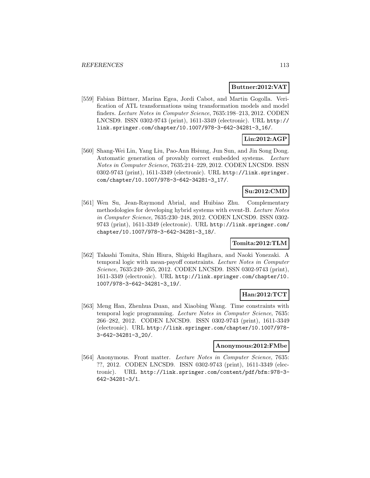#### **Buttner:2012:VAT**

[559] Fabian Büttner, Marina Egea, Jordi Cabot, and Martin Gogolla. Verification of ATL transformations using transformation models and model finders. Lecture Notes in Computer Science, 7635:198–213, 2012. CODEN LNCSD9. ISSN 0302-9743 (print), 1611-3349 (electronic). URL http:// link.springer.com/chapter/10.1007/978-3-642-34281-3\_16/.

# **Lin:2012:AGP**

[560] Shang-Wei Lin, Yang Liu, Pao-Ann Hsiung, Jun Sun, and Jin Song Dong. Automatic generation of provably correct embedded systems. Lecture Notes in Computer Science, 7635:214–229, 2012. CODEN LNCSD9. ISSN 0302-9743 (print), 1611-3349 (electronic). URL http://link.springer. com/chapter/10.1007/978-3-642-34281-3\_17/.

### **Su:2012:CMD**

[561] Wen Su, Jean-Raymond Abrial, and Huibiao Zhu. Complementary methodologies for developing hybrid systems with event-B. Lecture Notes in Computer Science, 7635:230–248, 2012. CODEN LNCSD9. ISSN 0302- 9743 (print), 1611-3349 (electronic). URL http://link.springer.com/ chapter/10.1007/978-3-642-34281-3\_18/.

### **Tomita:2012:TLM**

[562] Takashi Tomita, Shin Hiura, Shigeki Hagihara, and Naoki Yonezaki. A temporal logic with mean-payoff constraints. Lecture Notes in Computer Science, 7635:249–265, 2012. CODEN LNCSD9. ISSN 0302-9743 (print), 1611-3349 (electronic). URL http://link.springer.com/chapter/10. 1007/978-3-642-34281-3\_19/.

# **Han:2012:TCT**

[563] Meng Han, Zhenhua Duan, and Xiaobing Wang. Time constraints with temporal logic programming. Lecture Notes in Computer Science, 7635: 266–282, 2012. CODEN LNCSD9. ISSN 0302-9743 (print), 1611-3349 (electronic). URL http://link.springer.com/chapter/10.1007/978- 3-642-34281-3\_20/.

#### **Anonymous:2012:FMbe**

[564] Anonymous. Front matter. Lecture Notes in Computer Science, 7635: ??, 2012. CODEN LNCSD9. ISSN 0302-9743 (print), 1611-3349 (electronic). URL http://link.springer.com/content/pdf/bfm:978-3- 642-34281-3/1.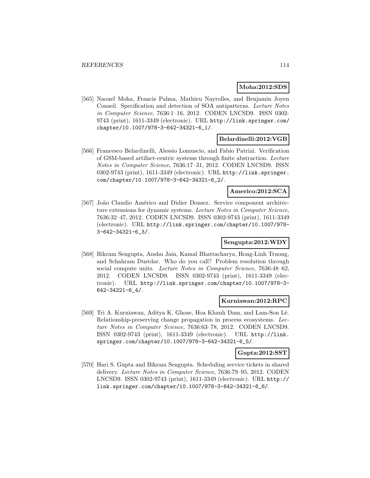#### **Moha:2012:SDS**

[565] Naouel Moha, Francis Palma, Mathieu Nayrolles, and Benjamin Joyen Conseil. Specification and detection of SOA antipatterns. Lecture Notes in Computer Science, 7636:1–16, 2012. CODEN LNCSD9. ISSN 0302- 9743 (print), 1611-3349 (electronic). URL http://link.springer.com/ chapter/10.1007/978-3-642-34321-6\_1/.

### **Belardinelli:2012:VGB**

[566] Francesco Belardinelli, Alessio Lomuscio, and Fabio Patrizi. Verification of GSM-based artifact-centric systems through finite abstraction. Lecture Notes in Computer Science, 7636:17–31, 2012. CODEN LNCSD9. ISSN 0302-9743 (print), 1611-3349 (electronic). URL http://link.springer. com/chapter/10.1007/978-3-642-34321-6\_2/.

### **Americo:2012:SCA**

[567] João Claudio Américo and Didier Donsez. Service component architecture extensions for dynamic systems. Lecture Notes in Computer Science, 7636:32–47, 2012. CODEN LNCSD9. ISSN 0302-9743 (print), 1611-3349 (electronic). URL http://link.springer.com/chapter/10.1007/978- 3-642-34321-6\_3/.

### **Sengupta:2012:WDY**

[568] Bikram Sengupta, Anshu Jain, Kamal Bhattacharya, Hong-Linh Truong, and Schahram Dustdar. Who do you call? Problem resolution through social compute units. Lecture Notes in Computer Science, 7636:48-62, 2012. CODEN LNCSD9. ISSN 0302-9743 (print), 1611-3349 (electronic). URL http://link.springer.com/chapter/10.1007/978-3- 642-34321-6\_4/.

#### **Kurniawan:2012:RPC**

[569] Tri A. Kurniawan, Aditya K. Ghose, Hoa Khanh Dam, and Lam-Son Lê. Relationship-preserving change propagation in process ecosystems. Lecture Notes in Computer Science, 7636:63–78, 2012. CODEN LNCSD9. ISSN 0302-9743 (print), 1611-3349 (electronic). URL http://link. springer.com/chapter/10.1007/978-3-642-34321-6\_5/.

#### **Gupta:2012:SST**

[570] Hari S. Gupta and Bikram Sengupta. Scheduling service tickets in shared delivery. Lecture Notes in Computer Science, 7636:79–95, 2012. CODEN LNCSD9. ISSN 0302-9743 (print), 1611-3349 (electronic). URL http:// link.springer.com/chapter/10.1007/978-3-642-34321-6\_6/.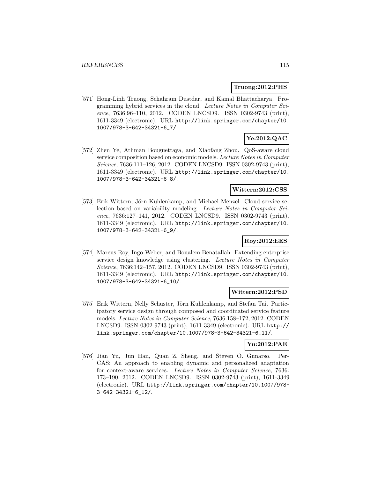#### **Truong:2012:PHS**

[571] Hong-Linh Truong, Schahram Dustdar, and Kamal Bhattacharya. Programming hybrid services in the cloud. Lecture Notes in Computer Science, 7636:96-110, 2012. CODEN LNCSD9. ISSN 0302-9743 (print), 1611-3349 (electronic). URL http://link.springer.com/chapter/10. 1007/978-3-642-34321-6\_7/.

# **Ye:2012:QAC**

[572] Zhen Ye, Athman Bouguettaya, and Xiaofang Zhou. QoS-aware cloud service composition based on economic models. Lecture Notes in Computer Science, 7636:111–126, 2012. CODEN LNCSD9. ISSN 0302-9743 (print), 1611-3349 (electronic). URL http://link.springer.com/chapter/10. 1007/978-3-642-34321-6\_8/.

### **Wittern:2012:CSS**

[573] Erik Wittern, Jörn Kuhlenkamp, and Michael Menzel. Cloud service selection based on variability modeling. Lecture Notes in Computer Science, 7636:127–141, 2012. CODEN LNCSD9. ISSN 0302-9743 (print), 1611-3349 (electronic). URL http://link.springer.com/chapter/10. 1007/978-3-642-34321-6\_9/.

### **Roy:2012:EES**

[574] Marcus Roy, Ingo Weber, and Boualem Benatallah. Extending enterprise service design knowledge using clustering. Lecture Notes in Computer Science, 7636:142–157, 2012. CODEN LNCSD9. ISSN 0302-9743 (print), 1611-3349 (electronic). URL http://link.springer.com/chapter/10. 1007/978-3-642-34321-6\_10/.

#### **Wittern:2012:PSD**

[575] Erik Wittern, Nelly Schuster, Jörn Kuhlenkamp, and Stefan Tai. Participatory service design through composed and coordinated service feature models. Lecture Notes in Computer Science, 7636:158–172, 2012. CODEN LNCSD9. ISSN 0302-9743 (print), 1611-3349 (electronic). URL http:// link.springer.com/chapter/10.1007/978-3-642-34321-6\_11/.

### **Yu:2012:PAE**

[576] Jian Yu, Jun Han, Quan Z. Sheng, and Steven O. Gunarso. Per-CAS: An approach to enabling dynamic and personalized adaptation for context-aware services. Lecture Notes in Computer Science, 7636: 173–190, 2012. CODEN LNCSD9. ISSN 0302-9743 (print), 1611-3349 (electronic). URL http://link.springer.com/chapter/10.1007/978- 3-642-34321-6\_12/.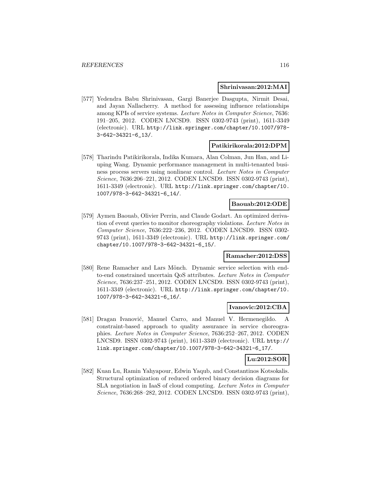#### **Shrinivasan:2012:MAI**

[577] Yedendra Babu Shrinivasan, Gargi Banerjee Dasgupta, Nirmit Desai, and Jayan Nallacherry. A method for assessing influence relationships among KPIs of service systems. Lecture Notes in Computer Science, 7636: 191–205, 2012. CODEN LNCSD9. ISSN 0302-9743 (print), 1611-3349 (electronic). URL http://link.springer.com/chapter/10.1007/978- 3-642-34321-6\_13/.

#### **Patikirikorala:2012:DPM**

[578] Tharindu Patikirikorala, Indika Kumara, Alan Colman, Jun Han, and Liuping Wang. Dynamic performance management in multi-tenanted business process servers using nonlinear control. Lecture Notes in Computer Science, 7636:206–221, 2012. CODEN LNCSD9. ISSN 0302-9743 (print), 1611-3349 (electronic). URL http://link.springer.com/chapter/10. 1007/978-3-642-34321-6\_14/.

#### **Baouab:2012:ODE**

[579] Aymen Baouab, Olivier Perrin, and Claude Godart. An optimized derivation of event queries to monitor choreography violations. Lecture Notes in Computer Science, 7636:222–236, 2012. CODEN LNCSD9. ISSN 0302- 9743 (print), 1611-3349 (electronic). URL http://link.springer.com/ chapter/10.1007/978-3-642-34321-6\_15/.

#### **Ramacher:2012:DSS**

[580] Rene Ramacher and Lars Mönch. Dynamic service selection with endto-end constrained uncertain QoS attributes. Lecture Notes in Computer Science, 7636:237–251, 2012. CODEN LNCSD9. ISSN 0302-9743 (print), 1611-3349 (electronic). URL http://link.springer.com/chapter/10. 1007/978-3-642-34321-6\_16/.

#### **Ivanovic:2012:CBA**

[581] Dragan Ivanović, Manuel Carro, and Manuel V. Hermenegildo. A constraint-based approach to quality assurance in service choreographies. Lecture Notes in Computer Science, 7636:252–267, 2012. CODEN LNCSD9. ISSN 0302-9743 (print), 1611-3349 (electronic). URL http:// link.springer.com/chapter/10.1007/978-3-642-34321-6\_17/.

# **Lu:2012:SOR**

[582] Kuan Lu, Ramin Yahyapour, Edwin Yaqub, and Constantinos Kotsokalis. Structural optimization of reduced ordered binary decision diagrams for SLA negotiation in IaaS of cloud computing. Lecture Notes in Computer Science, 7636:268–282, 2012. CODEN LNCSD9. ISSN 0302-9743 (print),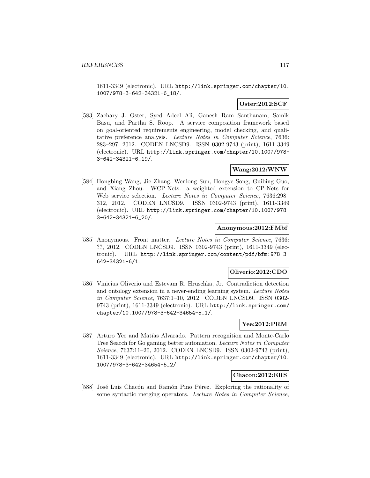1611-3349 (electronic). URL http://link.springer.com/chapter/10. 1007/978-3-642-34321-6\_18/.

### **Oster:2012:SCF**

[583] Zachary J. Oster, Syed Adeel Ali, Ganesh Ram Santhanam, Samik Basu, and Partha S. Roop. A service composition framework based on goal-oriented requirements engineering, model checking, and qualitative preference analysis. Lecture Notes in Computer Science, 7636: 283–297, 2012. CODEN LNCSD9. ISSN 0302-9743 (print), 1611-3349 (electronic). URL http://link.springer.com/chapter/10.1007/978- 3-642-34321-6\_19/.

#### **Wang:2012:WNW**

[584] Hongbing Wang, Jie Zhang, Wenlong Sun, Hongye Song, Guibing Guo, and Xiang Zhou. WCP-Nets: a weighted extension to CP-Nets for Web service selection. Lecture Notes in Computer Science, 7636:298– 312, 2012. CODEN LNCSD9. ISSN 0302-9743 (print), 1611-3349 (electronic). URL http://link.springer.com/chapter/10.1007/978- 3-642-34321-6\_20/.

#### **Anonymous:2012:FMbf**

[585] Anonymous. Front matter. Lecture Notes in Computer Science, 7636: ??, 2012. CODEN LNCSD9. ISSN 0302-9743 (print), 1611-3349 (electronic). URL http://link.springer.com/content/pdf/bfm:978-3- 642-34321-6/1.

#### **Oliverio:2012:CDO**

[586] Vinicius Oliverio and Estevam R. Hruschka, Jr. Contradiction detection and ontology extension in a never-ending learning system. Lecture Notes in Computer Science, 7637:1–10, 2012. CODEN LNCSD9. ISSN 0302- 9743 (print), 1611-3349 (electronic). URL http://link.springer.com/ chapter/10.1007/978-3-642-34654-5\_1/.

### **Yee:2012:PRM**

[587] Arturo Yee and Matías Alvarado. Pattern recognition and Monte-Carlo Tree Search for Go gaming better automation. Lecture Notes in Computer Science, 7637:11–20, 2012. CODEN LNCSD9. ISSN 0302-9743 (print), 1611-3349 (electronic). URL http://link.springer.com/chapter/10. 1007/978-3-642-34654-5\_2/.

#### **Chacon:2012:ERS**

[588] José Luis Chacón and Ramón Pino Pérez. Exploring the rationality of some syntactic merging operators. Lecture Notes in Computer Science,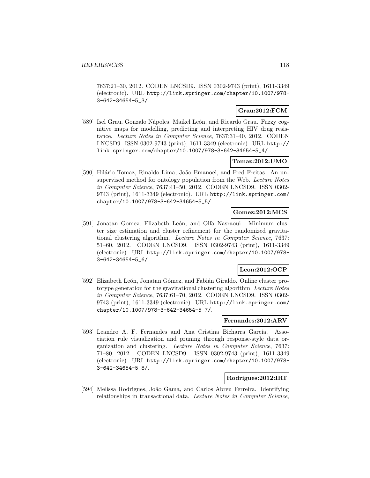7637:21–30, 2012. CODEN LNCSD9. ISSN 0302-9743 (print), 1611-3349 (electronic). URL http://link.springer.com/chapter/10.1007/978- 3-642-34654-5\_3/.

# **Grau:2012:FCM**

[589] Isel Grau, Gonzalo Nápoles, Maikel León, and Ricardo Grau. Fuzzy cognitive maps for modelling, predicting and interpreting HIV drug resistance. Lecture Notes in Computer Science, 7637:31–40, 2012. CODEN LNCSD9. ISSN 0302-9743 (print), 1611-3349 (electronic). URL http:// link.springer.com/chapter/10.1007/978-3-642-34654-5\_4/.

### **Tomaz:2012:UMO**

[590] Hilário Tomaz, Rinaldo Lima, João Emanoel, and Fred Freitas. An unsupervised method for ontology population from the Web. Lecture Notes in Computer Science, 7637:41–50, 2012. CODEN LNCSD9. ISSN 0302- 9743 (print), 1611-3349 (electronic). URL http://link.springer.com/ chapter/10.1007/978-3-642-34654-5\_5/.

### **Gomez:2012:MCS**

[591] Jonatan Gomez, Elizabeth León, and Olfa Nasraoui. Minimum cluster size estimation and cluster refinement for the randomized gravitational clustering algorithm. Lecture Notes in Computer Science, 7637: 51–60, 2012. CODEN LNCSD9. ISSN 0302-9743 (print), 1611-3349 (electronic). URL http://link.springer.com/chapter/10.1007/978- 3-642-34654-5\_6/.

# **Leon:2012:OCP**

[592] Elizabeth León, Jonatan Gómez, and Fabián Giraldo. Online cluster prototype generation for the gravitational clustering algorithm. Lecture Notes in Computer Science, 7637:61–70, 2012. CODEN LNCSD9. ISSN 0302- 9743 (print), 1611-3349 (electronic). URL http://link.springer.com/ chapter/10.1007/978-3-642-34654-5\_7/.

### **Fernandes:2012:ARV**

[593] Leandro A. F. Fernandes and Ana Cristina Bicharra García. Association rule visualization and pruning through response-style data organization and clustering. Lecture Notes in Computer Science, 7637: 71–80, 2012. CODEN LNCSD9. ISSN 0302-9743 (print), 1611-3349 (electronic). URL http://link.springer.com/chapter/10.1007/978- 3-642-34654-5\_8/.

### **Rodrigues:2012:IRT**

[594] Melissa Rodrigues, João Gama, and Carlos Abreu Ferreira. Identifying relationships in transactional data. Lecture Notes in Computer Science,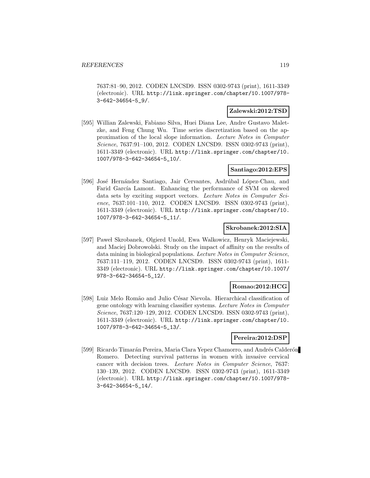7637:81–90, 2012. CODEN LNCSD9. ISSN 0302-9743 (print), 1611-3349 (electronic). URL http://link.springer.com/chapter/10.1007/978- 3-642-34654-5\_9/.

#### **Zalewski:2012:TSD**

[595] Willian Zalewski, Fabiano Silva, Huei Diana Lee, Andre Gustavo Maletzke, and Feng Chung Wu. Time series discretization based on the approximation of the local slope information. Lecture Notes in Computer Science, 7637:91–100, 2012. CODEN LNCSD9. ISSN 0302-9743 (print), 1611-3349 (electronic). URL http://link.springer.com/chapter/10. 1007/978-3-642-34654-5\_10/.

### **Santiago:2012:EPS**

[596] José Hernández Santiago, Jair Cervantes, Asdrúbal López-Chau, and Farid García Lamont. Enhancing the performance of SVM on skewed data sets by exciting support vectors. Lecture Notes in Computer Science, 7637:101–110, 2012. CODEN LNCSD9. ISSN 0302-9743 (print), 1611-3349 (electronic). URL http://link.springer.com/chapter/10. 1007/978-3-642-34654-5\_11/.

#### **Skrobanek:2012:SIA**

[597] Paweł Skrobanek, Olgierd Unold, Ewa Walkowicz, Henryk Maciejewski, and Maciej Dobrowolski. Study on the impact of affinity on the results of data mining in biological populations. Lecture Notes in Computer Science, 7637:111–119, 2012. CODEN LNCSD9. ISSN 0302-9743 (print), 1611- 3349 (electronic). URL http://link.springer.com/chapter/10.1007/ 978-3-642-34654-5\_12/.

#### **Romao:2012:HCG**

[598] Luiz Melo Romão and Julio César Nievola. Hierarchical classification of gene ontology with learning classifier systems. Lecture Notes in Computer Science, 7637:120–129, 2012. CODEN LNCSD9. ISSN 0302-9743 (print), 1611-3349 (electronic). URL http://link.springer.com/chapter/10. 1007/978-3-642-34654-5\_13/.

### **Pereira:2012:DSP**

[599] Ricardo Timarán Pereira, Maria Clara Yepez Chamorro, and Andrés Calderón Romero. Detecting survival patterns in women with invasive cervical cancer with decision trees. Lecture Notes in Computer Science, 7637: 130–139, 2012. CODEN LNCSD9. ISSN 0302-9743 (print), 1611-3349 (electronic). URL http://link.springer.com/chapter/10.1007/978- 3-642-34654-5\_14/.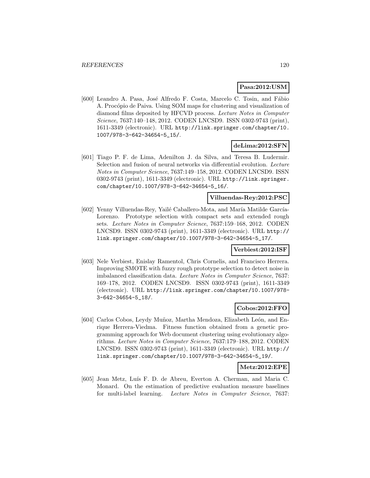#### **Pasa:2012:USM**

[600] Leandro A. Pasa, José Alfredo F. Costa, Marcelo C. Tosin, and Fábio A. Procópio de Paiva. Using SOM maps for clustering and visualization of diamond films deposited by HFCVD process. Lecture Notes in Computer Science, 7637:140–148, 2012. CODEN LNCSD9. ISSN 0302-9743 (print), 1611-3349 (electronic). URL http://link.springer.com/chapter/10. 1007/978-3-642-34654-5\_15/.

#### **deLima:2012:SFN**

[601] Tiago P. F. de Lima, Adenilton J. da Silva, and Teresa B. Ludermir. Selection and fusion of neural networks via differential evolution. Lecture Notes in Computer Science, 7637:149–158, 2012. CODEN LNCSD9. ISSN 0302-9743 (print), 1611-3349 (electronic). URL http://link.springer. com/chapter/10.1007/978-3-642-34654-5\_16/.

### **Villuendas-Rey:2012:PSC**

[602] Yenny Villuendas-Rey, Yailé Caballero-Mota, and María Matilde García-Lorenzo. Prototype selection with compact sets and extended rough sets. Lecture Notes in Computer Science, 7637:159–168, 2012. CODEN LNCSD9. ISSN 0302-9743 (print), 1611-3349 (electronic). URL http:// link.springer.com/chapter/10.1007/978-3-642-34654-5\_17/.

#### **Verbiest:2012:ISF**

[603] Nele Verbiest, Enislay Ramentol, Chris Cornelis, and Francisco Herrera. Improving SMOTE with fuzzy rough prototype selection to detect noise in imbalanced classification data. Lecture Notes in Computer Science, 7637: 169–178, 2012. CODEN LNCSD9. ISSN 0302-9743 (print), 1611-3349 (electronic). URL http://link.springer.com/chapter/10.1007/978- 3-642-34654-5\_18/.

# **Cobos:2012:FFO**

[604] Carlos Cobos, Leydy Muñoz, Martha Mendoza, Elizabeth León, and Enrique Herrera-Viedma. Fitness function obtained from a genetic programming approach for Web document clustering using evolutionary algorithms. Lecture Notes in Computer Science, 7637:179–188, 2012. CODEN LNCSD9. ISSN 0302-9743 (print), 1611-3349 (electronic). URL http:// link.springer.com/chapter/10.1007/978-3-642-34654-5\_19/.

#### **Metz:2012:EPE**

[605] Jean Metz, Luís F. D. de Abreu, Everton A. Cherman, and Maria C. Monard. On the estimation of predictive evaluation measure baselines for multi-label learning. Lecture Notes in Computer Science, 7637: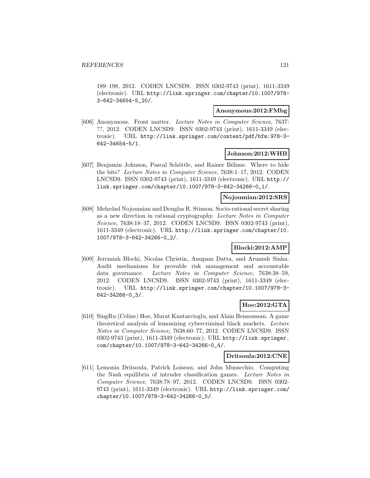189–198, 2012. CODEN LNCSD9. ISSN 0302-9743 (print), 1611-3349 (electronic). URL http://link.springer.com/chapter/10.1007/978- 3-642-34654-5\_20/.

#### **Anonymous:2012:FMbg**

[606] Anonymous. Front matter. Lecture Notes in Computer Science, 7637: ??, 2012. CODEN LNCSD9. ISSN 0302-9743 (print), 1611-3349 (electronic). URL http://link.springer.com/content/pdf/bfm:978-3- 642-34654-5/1.

#### **Johnson:2012:WHB**

[607] Benjamin Johnson, Pascal Schöttle, and Rainer Böhme. Where to hide the bits? Lecture Notes in Computer Science, 7638:1–17, 2012. CODEN LNCSD9. ISSN 0302-9743 (print), 1611-3349 (electronic). URL http:// link.springer.com/chapter/10.1007/978-3-642-34266-0\_1/.

#### **Nojoumian:2012:SRS**

[608] Mehrdad Nojoumian and Douglas R. Stinson. Socio-rational secret sharing as a new direction in rational cryptography. Lecture Notes in Computer Science, 7638:18–37, 2012. CODEN LNCSD9. ISSN 0302-9743 (print), 1611-3349 (electronic). URL http://link.springer.com/chapter/10. 1007/978-3-642-34266-0\_2/.

### **Blocki:2012:AMP**

[609] Jeremiah Blocki, Nicolas Christin, Anupam Datta, and Arunesh Sinha. Audit mechanisms for provable risk management and accountable data governance. Lecture Notes in Computer Science, 7638:38–59, 2012. CODEN LNCSD9. ISSN 0302-9743 (print), 1611-3349 (electronic). URL http://link.springer.com/chapter/10.1007/978-3- 642-34266-0\_3/.

### **Hoe:2012:GTA**

[610] SingRu (Celine) Hoe, Murat Kantarcioglu, and Alain Bensoussan. A game theoretical analysis of lemonizing cybercriminal black markets. Lecture Notes in Computer Science, 7638:60–77, 2012. CODEN LNCSD9. ISSN 0302-9743 (print), 1611-3349 (electronic). URL http://link.springer. com/chapter/10.1007/978-3-642-34266-0\_4/.

#### **Dritsoula:2012:CNE**

[611] Lemonia Dritsoula, Patrick Loiseau, and John Musacchio. Computing the Nash equilibria of intruder classification games. Lecture Notes in Computer Science, 7638:78–97, 2012. CODEN LNCSD9. ISSN 0302- 9743 (print), 1611-3349 (electronic). URL http://link.springer.com/ chapter/10.1007/978-3-642-34266-0\_5/.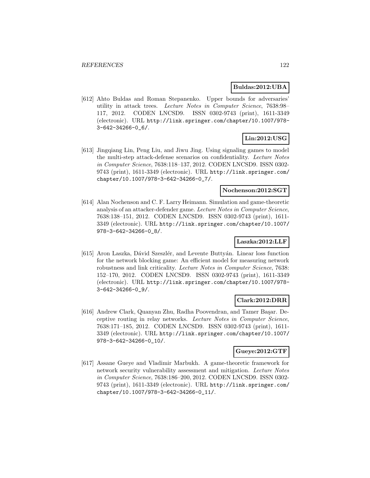#### **Buldas:2012:UBA**

[612] Ahto Buldas and Roman Stepanenko. Upper bounds for adversaries' utility in attack trees. Lecture Notes in Computer Science, 7638:98– 117, 2012. CODEN LNCSD9. ISSN 0302-9743 (print), 1611-3349 (electronic). URL http://link.springer.com/chapter/10.1007/978- 3-642-34266-0\_6/.

# **Lin:2012:USG**

[613] Jingqiang Lin, Peng Liu, and Jiwu Jing. Using signaling games to model the multi-step attack-defense scenarios on confidentiality. Lecture Notes in Computer Science, 7638:118–137, 2012. CODEN LNCSD9. ISSN 0302- 9743 (print), 1611-3349 (electronic). URL http://link.springer.com/ chapter/10.1007/978-3-642-34266-0\_7/.

#### **Nochenson:2012:SGT**

[614] Alan Nochenson and C. F. Larry Heimann. Simulation and game-theoretic analysis of an attacker-defender game. Lecture Notes in Computer Science, 7638:138–151, 2012. CODEN LNCSD9. ISSN 0302-9743 (print), 1611- 3349 (electronic). URL http://link.springer.com/chapter/10.1007/ 978-3-642-34266-0\_8/.

### **Laszka:2012:LLF**

[615] Aron Laszka, Dávid Szeszlér, and Levente Buttyán. Linear loss function for the network blocking game: An efficient model for measuring network robustness and link criticality. Lecture Notes in Computer Science, 7638: 152–170, 2012. CODEN LNCSD9. ISSN 0302-9743 (print), 1611-3349 (electronic). URL http://link.springer.com/chapter/10.1007/978- 3-642-34266-0\_9/.

#### **Clark:2012:DRR**

[616] Andrew Clark, Quanyan Zhu, Radha Poovendran, and Tamer Başar. Deceptive routing in relay networks. Lecture Notes in Computer Science, 7638:171–185, 2012. CODEN LNCSD9. ISSN 0302-9743 (print), 1611- 3349 (electronic). URL http://link.springer.com/chapter/10.1007/ 978-3-642-34266-0\_10/.

### **Gueye:2012:GTF**

[617] Assane Gueye and Vladimir Marbukh. A game-theoretic framework for network security vulnerability assessment and mitigation. Lecture Notes in Computer Science, 7638:186–200, 2012. CODEN LNCSD9. ISSN 0302- 9743 (print), 1611-3349 (electronic). URL http://link.springer.com/ chapter/10.1007/978-3-642-34266-0\_11/.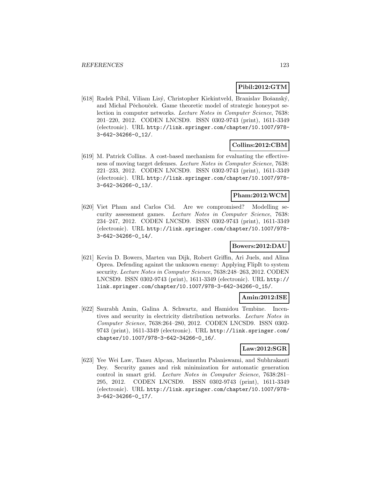### **Pibil:2012:GTM**

[618] Radek Píbil, Viliam Lisý, Christopher Kiekintveld, Branislav Bošanský, and Michal Pěchouček. Game theoretic model of strategic honeypot selection in computer networks. Lecture Notes in Computer Science, 7638: 201–220, 2012. CODEN LNCSD9. ISSN 0302-9743 (print), 1611-3349 (electronic). URL http://link.springer.com/chapter/10.1007/978- 3-642-34266-0\_12/.

### **Collins:2012:CBM**

[619] M. Patrick Collins. A cost-based mechanism for evaluating the effectiveness of moving target defenses. Lecture Notes in Computer Science, 7638: 221–233, 2012. CODEN LNCSD9. ISSN 0302-9743 (print), 1611-3349 (electronic). URL http://link.springer.com/chapter/10.1007/978- 3-642-34266-0\_13/.

### **Pham:2012:WCM**

[620] Viet Pham and Carlos Cid. Are we compromised? Modelling security assessment games. Lecture Notes in Computer Science, 7638: 234–247, 2012. CODEN LNCSD9. ISSN 0302-9743 (print), 1611-3349 (electronic). URL http://link.springer.com/chapter/10.1007/978- 3-642-34266-0\_14/.

#### **Bowers:2012:DAU**

[621] Kevin D. Bowers, Marten van Dijk, Robert Griffin, Ari Juels, and Alina Oprea. Defending against the unknown enemy: Applying FlipIt to system security. Lecture Notes in Computer Science, 7638:248–263, 2012. CODEN LNCSD9. ISSN 0302-9743 (print), 1611-3349 (electronic). URL http:// link.springer.com/chapter/10.1007/978-3-642-34266-0\_15/.

# **Amin:2012:ISE**

[622] Saurabh Amin, Galina A. Schwartz, and Hamidou Tembine. Incentives and security in electricity distribution networks. Lecture Notes in Computer Science, 7638:264–280, 2012. CODEN LNCSD9. ISSN 0302- 9743 (print), 1611-3349 (electronic). URL http://link.springer.com/ chapter/10.1007/978-3-642-34266-0\_16/.

### **Law:2012:SGR**

[623] Yee Wei Law, Tansu Alpcan, Marimuthu Palaniswami, and Subhrakanti Dey. Security games and risk minimization for automatic generation control in smart grid. Lecture Notes in Computer Science, 7638:281– 295, 2012. CODEN LNCSD9. ISSN 0302-9743 (print), 1611-3349 (electronic). URL http://link.springer.com/chapter/10.1007/978- 3-642-34266-0\_17/.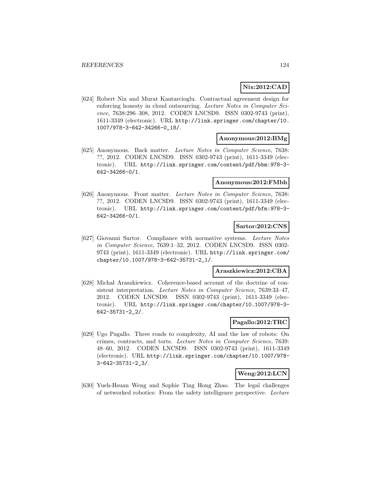### **Nix:2012:CAD**

[624] Robert Nix and Murat Kantarcioglu. Contractual agreement design for enforcing honesty in cloud outsourcing. Lecture Notes in Computer Science, 7638:296–308, 2012. CODEN LNCSD9. ISSN 0302-9743 (print), 1611-3349 (electronic). URL http://link.springer.com/chapter/10. 1007/978-3-642-34266-0\_18/.

#### **Anonymous:2012:BMg**

[625] Anonymous. Back matter. Lecture Notes in Computer Science, 7638: ??, 2012. CODEN LNCSD9. ISSN 0302-9743 (print), 1611-3349 (electronic). URL http://link.springer.com/content/pdf/bbm:978-3- 642-34266-0/1.

#### **Anonymous:2012:FMbh**

[626] Anonymous. Front matter. Lecture Notes in Computer Science, 7638: ??, 2012. CODEN LNCSD9. ISSN 0302-9743 (print), 1611-3349 (electronic). URL http://link.springer.com/content/pdf/bfm:978-3- 642-34266-0/1.

#### **Sartor:2012:CNS**

[627] Giovanni Sartor. Compliance with normative systems. Lecture Notes in Computer Science, 7639:1–32, 2012. CODEN LNCSD9. ISSN 0302- 9743 (print), 1611-3349 (electronic). URL http://link.springer.com/ chapter/10.1007/978-3-642-35731-2\_1/.

#### **Araszkiewicz:2012:CBA**

[628] Michał Araszkiewicz. Coherence-based account of the doctrine of consistent interpretation. Lecture Notes in Computer Science, 7639:33–47, 2012. CODEN LNCSD9. ISSN 0302-9743 (print), 1611-3349 (electronic). URL http://link.springer.com/chapter/10.1007/978-3- 642-35731-2\_2/.

### **Pagallo:2012:TRC**

[629] Ugo Pagallo. Three roads to complexity, AI and the law of robots: On crimes, contracts, and torts. Lecture Notes in Computer Science, 7639: 48–60, 2012. CODEN LNCSD9. ISSN 0302-9743 (print), 1611-3349 (electronic). URL http://link.springer.com/chapter/10.1007/978- 3-642-35731-2\_3/.

# **Weng:2012:LCN**

[630] Yueh-Hsuan Weng and Sophie Ting Hong Zhao. The legal challenges of networked robotics: From the safety intelligence perspective. Lecture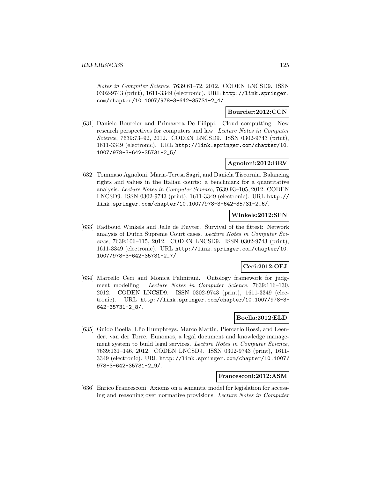Notes in Computer Science, 7639:61–72, 2012. CODEN LNCSD9. ISSN 0302-9743 (print), 1611-3349 (electronic). URL http://link.springer. com/chapter/10.1007/978-3-642-35731-2\_4/.

### **Bourcier:2012:CCN**

[631] Daniele Bourcier and Primavera De Filippi. Cloud computting: New research perspectives for computers and law. Lecture Notes in Computer Science, 7639:73–92, 2012. CODEN LNCSD9. ISSN 0302-9743 (print), 1611-3349 (electronic). URL http://link.springer.com/chapter/10. 1007/978-3-642-35731-2\_5/.

### **Agnoloni:2012:BRV**

[632] Tommaso Agnoloni, Maria-Teresa Sagri, and Daniela Tiscornia. Balancing rights and values in the Italian courts: a benchmark for a quantitative analysis. Lecture Notes in Computer Science, 7639:93–105, 2012. CODEN LNCSD9. ISSN 0302-9743 (print), 1611-3349 (electronic). URL http:// link.springer.com/chapter/10.1007/978-3-642-35731-2\_6/.

### **Winkels:2012:SFN**

[633] Radboud Winkels and Jelle de Ruyter. Survival of the fittest: Network analysis of Dutch Supreme Court cases. Lecture Notes in Computer Science, 7639:106–115, 2012. CODEN LNCSD9. ISSN 0302-9743 (print), 1611-3349 (electronic). URL http://link.springer.com/chapter/10. 1007/978-3-642-35731-2\_7/.

# **Ceci:2012:OFJ**

[634] Marcello Ceci and Monica Palmirani. Ontology framework for judgment modelling. Lecture Notes in Computer Science, 7639:116–130, 2012. CODEN LNCSD9. ISSN 0302-9743 (print), 1611-3349 (electronic). URL http://link.springer.com/chapter/10.1007/978-3- 642-35731-2\_8/.

### **Boella:2012:ELD**

[635] Guido Boella, Llio Humphreys, Marco Martin, Piercarlo Rossi, and Leendert van der Torre. Eunomos, a legal document and knowledge management system to build legal services. Lecture Notes in Computer Science, 7639:131–146, 2012. CODEN LNCSD9. ISSN 0302-9743 (print), 1611- 3349 (electronic). URL http://link.springer.com/chapter/10.1007/ 978-3-642-35731-2\_9/.

#### **Francesconi:2012:ASM**

[636] Enrico Francesconi. Axioms on a semantic model for legislation for accessing and reasoning over normative provisions. Lecture Notes in Computer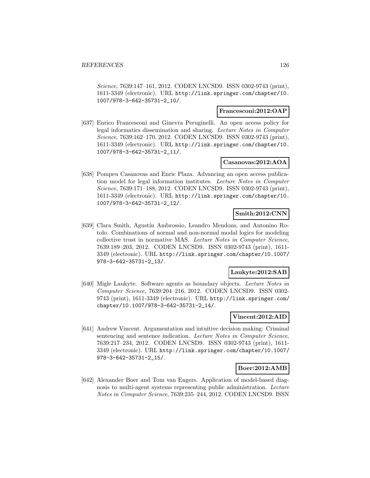Science, 7639:147–161, 2012. CODEN LNCSD9. ISSN 0302-9743 (print), 1611-3349 (electronic). URL http://link.springer.com/chapter/10. 1007/978-3-642-35731-2\_10/.

#### **Francesconi:2012:OAP**

[637] Enrico Francesconi and Ginevra Peruginelli. An open access policy for legal informatics dissemination and sharing. Lecture Notes in Computer Science, 7639:162–170, 2012. CODEN LNCSD9. ISSN 0302-9743 (print), 1611-3349 (electronic). URL http://link.springer.com/chapter/10. 1007/978-3-642-35731-2\_11/.

### **Casanovas:2012:AOA**

[638] Pompeu Casanovas and Enric Plaza. Advancing an open access publication model for legal information institutes. Lecture Notes in Computer Science, 7639:171–188, 2012. CODEN LNCSD9. ISSN 0302-9743 (print), 1611-3349 (electronic). URL http://link.springer.com/chapter/10. 1007/978-3-642-35731-2\_12/.

### **Smith:2012:CNN**

[639] Clara Smith, Agustín Ambrossio, Leandro Mendoza, and Antonino Rotolo. Combinations of normal and non-normal modal logics for modeling collective trust in normative MAS. Lecture Notes in Computer Science, 7639:189–203, 2012. CODEN LNCSD9. ISSN 0302-9743 (print), 1611- 3349 (electronic). URL http://link.springer.com/chapter/10.1007/ 978-3-642-35731-2\_13/.

### **Laukyte:2012:SAB**

[640] Migle Laukyte. Software agents as boundary objects. Lecture Notes in Computer Science, 7639:204–216, 2012. CODEN LNCSD9. ISSN 0302- 9743 (print), 1611-3349 (electronic). URL http://link.springer.com/ chapter/10.1007/978-3-642-35731-2\_14/.

#### **Vincent:2012:AID**

[641] Andrew Vincent. Argumentation and intuitive decision making: Criminal sentencing and sentence indication. Lecture Notes in Computer Science, 7639:217–234, 2012. CODEN LNCSD9. ISSN 0302-9743 (print), 1611- 3349 (electronic). URL http://link.springer.com/chapter/10.1007/ 978-3-642-35731-2\_15/.

### **Boer:2012:AMB**

[642] Alexander Boer and Tom van Engers. Application of model-based diagnosis to multi-agent systems representing public administration. Lecture Notes in Computer Science, 7639:235–244, 2012. CODEN LNCSD9. ISSN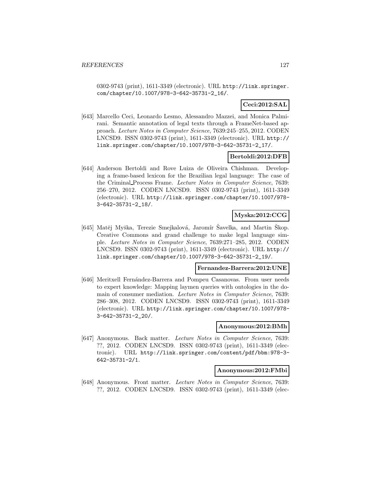0302-9743 (print), 1611-3349 (electronic). URL http://link.springer. com/chapter/10.1007/978-3-642-35731-2\_16/.

# **Ceci:2012:SAL**

[643] Marcello Ceci, Leonardo Lesmo, Alessandro Mazzei, and Monica Palmirani. Semantic annotation of legal texts through a FrameNet-based approach. Lecture Notes in Computer Science, 7639:245–255, 2012. CODEN LNCSD9. ISSN 0302-9743 (print), 1611-3349 (electronic). URL http:// link.springer.com/chapter/10.1007/978-3-642-35731-2\_17/.

### **Bertoldi:2012:DFB**

[644] Anderson Bertoldi and Rove Luiza de Oliveira Chishman. Developing a frame-based lexicon for the Brazilian legal language: The case of the Criminal Process Frame. Lecture Notes in Computer Science, 7639: 256–270, 2012. CODEN LNCSD9. ISSN 0302-9743 (print), 1611-3349 (electronic). URL http://link.springer.com/chapter/10.1007/978- 3-642-35731-2\_18/.

# **Myska:2012:CCG**

[645] Matěj Myška, Terezie Smejkalová, Jaromír Šavelka, and Martin Škop. Creative Commons and grand challenge to make legal language simple. Lecture Notes in Computer Science, 7639:271–285, 2012. CODEN LNCSD9. ISSN 0302-9743 (print), 1611-3349 (electronic). URL http:// link.springer.com/chapter/10.1007/978-3-642-35731-2\_19/.

#### **Fernandez-Barrera:2012:UNE**

[646] Meritxell Fernández-Barrera and Pompeu Casanovas. From user needs to expert knowledge: Mapping laymen queries with ontologies in the domain of consumer mediation. Lecture Notes in Computer Science, 7639: 286–308, 2012. CODEN LNCSD9. ISSN 0302-9743 (print), 1611-3349 (electronic). URL http://link.springer.com/chapter/10.1007/978- 3-642-35731-2\_20/.

#### **Anonymous:2012:BMh**

[647] Anonymous. Back matter. Lecture Notes in Computer Science, 7639: ??, 2012. CODEN LNCSD9. ISSN 0302-9743 (print), 1611-3349 (electronic). URL http://link.springer.com/content/pdf/bbm:978-3- 642-35731-2/1.

#### **Anonymous:2012:FMbi**

[648] Anonymous. Front matter. Lecture Notes in Computer Science, 7639: ??, 2012. CODEN LNCSD9. ISSN 0302-9743 (print), 1611-3349 (elec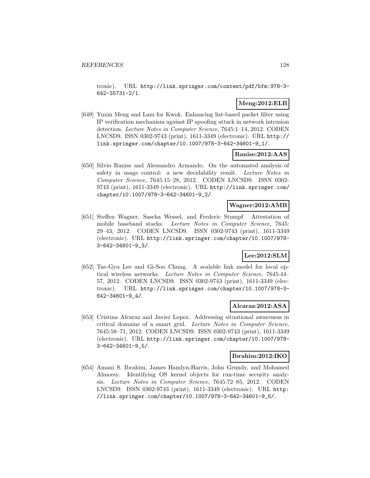tronic). URL http://link.springer.com/content/pdf/bfm:978-3- 642-35731-2/1.

### **Meng:2012:ELB**

[649] Yuxin Meng and Lam for Kwok. Enhancing list-based packet filter using IP verification mechanism against IP spoofing attack in network intrusion detection. Lecture Notes in Computer Science, 7645:1–14, 2012. CODEN LNCSD9. ISSN 0302-9743 (print), 1611-3349 (electronic). URL http:// link.springer.com/chapter/10.1007/978-3-642-34601-9\_1/.

#### **Ranise:2012:AAS**

[650] Silvio Ranise and Alessandro Armando. On the automated analysis of safety in usage control: a new decidability result. Lecture Notes in Computer Science, 7645:15–28, 2012. CODEN LNCSD9. ISSN 0302- 9743 (print), 1611-3349 (electronic). URL http://link.springer.com/ chapter/10.1007/978-3-642-34601-9\_2/.

### **Wagner:2012:AMB**

[651] Steffen Wagner, Sascha Wessel, and Frederic Stumpf. Attestation of mobile baseband stacks. Lecture Notes in Computer Science, 7645: 29–43, 2012. CODEN LNCSD9. ISSN 0302-9743 (print), 1611-3349 (electronic). URL http://link.springer.com/chapter/10.1007/978- 3-642-34601-9\_3/.

# **Lee:2012:SLM**

[652] Tae-Gyu Lee and Gi-Soo Chung. A scalable link model for local optical wireless networks. Lecture Notes in Computer Science, 7645:44– 57, 2012. CODEN LNCSD9. ISSN 0302-9743 (print), 1611-3349 (electronic). URL http://link.springer.com/chapter/10.1007/978-3- 642-34601-9\_4/.

### **Alcaraz:2012:ASA**

[653] Cristina Alcaraz and Javier Lopez. Addressing situational awareness in critical domains of a smart grid. Lecture Notes in Computer Science, 7645:58–71, 2012. CODEN LNCSD9. ISSN 0302-9743 (print), 1611-3349 (electronic). URL http://link.springer.com/chapter/10.1007/978- 3-642-34601-9\_5/.

#### **Ibrahim:2012:IKO**

[654] Amani S. Ibrahim, James Hamlyn-Harris, John Grundy, and Mohamed Almorsy. Identifying OS kernel objects for run-time security analysis. Lecture Notes in Computer Science, 7645:72–85, 2012. CODEN LNCSD9. ISSN 0302-9743 (print), 1611-3349 (electronic). URL http: //link.springer.com/chapter/10.1007/978-3-642-34601-9\_6/.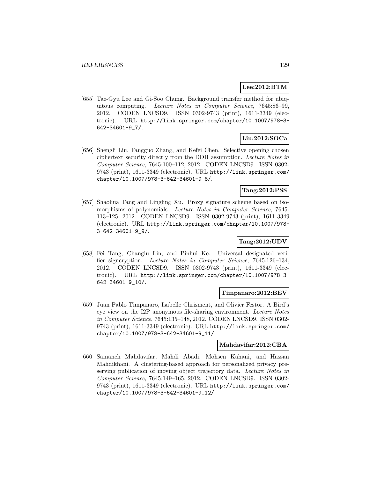# **Lee:2012:BTM**

[655] Tae-Gyu Lee and Gi-Soo Chung. Background transfer method for ubiquitous computing. Lecture Notes in Computer Science, 7645:86–99, 2012. CODEN LNCSD9. ISSN 0302-9743 (print), 1611-3349 (electronic). URL http://link.springer.com/chapter/10.1007/978-3- 642-34601-9\_7/.

# **Liu:2012:SOCa**

[656] Shengli Liu, Fangguo Zhang, and Kefei Chen. Selective opening chosen ciphertext security directly from the DDH assumption. Lecture Notes in Computer Science, 7645:100–112, 2012. CODEN LNCSD9. ISSN 0302- 9743 (print), 1611-3349 (electronic). URL http://link.springer.com/ chapter/10.1007/978-3-642-34601-9\_8/.

### **Tang:2012:PSS**

[657] Shaohua Tang and Lingling Xu. Proxy signature scheme based on isomorphisms of polynomials. Lecture Notes in Computer Science, 7645: 113–125, 2012. CODEN LNCSD9. ISSN 0302-9743 (print), 1611-3349 (electronic). URL http://link.springer.com/chapter/10.1007/978- 3-642-34601-9\_9/.

### **Tang:2012:UDV**

[658] Fei Tang, Changlu Lin, and Pinhui Ke. Universal designated verifier signcryption. Lecture Notes in Computer Science, 7645:126–134, 2012. CODEN LNCSD9. ISSN 0302-9743 (print), 1611-3349 (electronic). URL http://link.springer.com/chapter/10.1007/978-3- 642-34601-9\_10/.

#### **Timpanaro:2012:BEV**

[659] Juan Pablo Timpanaro, Isabelle Chrisment, and Olivier Festor. A Bird's eye view on the I2P anonymous file-sharing environment. Lecture Notes in Computer Science, 7645:135–148, 2012. CODEN LNCSD9. ISSN 0302- 9743 (print), 1611-3349 (electronic). URL http://link.springer.com/ chapter/10.1007/978-3-642-34601-9\_11/.

#### **Mahdavifar:2012:CBA**

[660] Samaneh Mahdavifar, Mahdi Abadi, Mohsen Kahani, and Hassan Mahdikhani. A clustering-based approach for personalized privacy preserving publication of moving object trajectory data. Lecture Notes in Computer Science, 7645:149–165, 2012. CODEN LNCSD9. ISSN 0302- 9743 (print), 1611-3349 (electronic). URL http://link.springer.com/ chapter/10.1007/978-3-642-34601-9\_12/.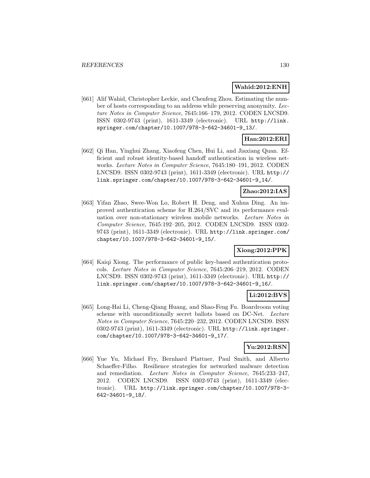#### **Wahid:2012:ENH**

[661] Alif Wahid, Christopher Leckie, and Chenfeng Zhou. Estimating the number of hosts corresponding to an address while preserving anonymity. Lecture Notes in Computer Science, 7645:166–179, 2012. CODEN LNCSD9. ISSN 0302-9743 (print), 1611-3349 (electronic). URL http://link. springer.com/chapter/10.1007/978-3-642-34601-9\_13/.

# **Han:2012:ERI**

[662] Qi Han, Yinghui Zhang, Xiaofeng Chen, Hui Li, and Jiaxiang Quan. Efficient and robust identity-based handoff authentication in wireless networks. Lecture Notes in Computer Science, 7645:180–191, 2012. CODEN LNCSD9. ISSN 0302-9743 (print), 1611-3349 (electronic). URL http:// link.springer.com/chapter/10.1007/978-3-642-34601-9\_14/.

### **Zhao:2012:IAS**

[663] Yifan Zhao, Swee-Won Lo, Robert H. Deng, and Xuhua Ding. An improved authentication scheme for H.264/SVC and its performance evaluation over non-stationary wireless mobile networks. Lecture Notes in Computer Science, 7645:192–205, 2012. CODEN LNCSD9. ISSN 0302- 9743 (print), 1611-3349 (electronic). URL http://link.springer.com/ chapter/10.1007/978-3-642-34601-9\_15/.

### **Xiong:2012:PPK**

[664] Kaiqi Xiong. The performance of public key-based authentication protocols. Lecture Notes in Computer Science, 7645:206–219, 2012. CODEN LNCSD9. ISSN 0302-9743 (print), 1611-3349 (electronic). URL http:// link.springer.com/chapter/10.1007/978-3-642-34601-9\_16/.

### **Li:2012:BVS**

[665] Long-Hai Li, Cheng-Qiang Huang, and Shao-Feng Fu. Boardroom voting scheme with unconditionally secret ballots based on DC-Net. Lecture Notes in Computer Science, 7645:220–232, 2012. CODEN LNCSD9. ISSN 0302-9743 (print), 1611-3349 (electronic). URL http://link.springer. com/chapter/10.1007/978-3-642-34601-9\_17/.

### **Yu:2012:RSN**

[666] Yue Yu, Michael Fry, Bernhard Plattner, Paul Smith, and Alberto Schaeffer-Filho. Resilience strategies for networked malware detection and remediation. Lecture Notes in Computer Science, 7645:233–247, 2012. CODEN LNCSD9. ISSN 0302-9743 (print), 1611-3349 (electronic). URL http://link.springer.com/chapter/10.1007/978-3- 642-34601-9\_18/.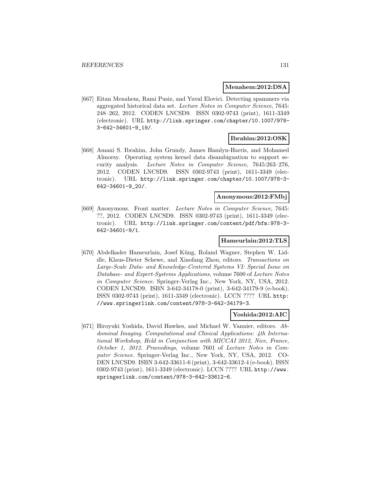#### **Menahem:2012:DSA**

[667] Eitan Menahem, Rami Pusiz, and Yuval Elovici. Detecting spammers via aggregated historical data set. Lecture Notes in Computer Science, 7645: 248–262, 2012. CODEN LNCSD9. ISSN 0302-9743 (print), 1611-3349 (electronic). URL http://link.springer.com/chapter/10.1007/978- 3-642-34601-9\_19/.

### **Ibrahim:2012:OSK**

[668] Amani S. Ibrahim, John Grundy, James Hamlyn-Harris, and Mohamed Almorsy. Operating system kernel data disambiguation to support security analysis. Lecture Notes in Computer Science, 7645:263–276, 2012. CODEN LNCSD9. ISSN 0302-9743 (print), 1611-3349 (electronic). URL http://link.springer.com/chapter/10.1007/978-3- 642-34601-9\_20/.

### **Anonymous:2012:FMbj**

[669] Anonymous. Front matter. Lecture Notes in Computer Science, 7645: ??, 2012. CODEN LNCSD9. ISSN 0302-9743 (print), 1611-3349 (electronic). URL http://link.springer.com/content/pdf/bfm:978-3- 642-34601-9/1.

### **Hameurlain:2012:TLS**

[670] Abdelkader Hameurlain, Josef Küng, Roland Wagner, Stephen W. Liddle, Klaus-Dieter Schewe, and Xiaofang Zhou, editors. Transactions on Large-Scale Data- and Knowledge-Centered Systems VI: Special Issue on Database- and Expert-Systems Applications, volume 7600 of Lecture Notes in Computer Science. Springer-Verlag Inc., New York, NY, USA, 2012. CODEN LNCSD9. ISBN 3-642-34178-0 (print), 3-642-34179-9 (e-book). ISSN 0302-9743 (print), 1611-3349 (electronic). LCCN ???? URL http: //www.springerlink.com/content/978-3-642-34179-3.

#### **Yoshida:2012:AIC**

[671] Hiroyuki Yoshida, David Hawkes, and Michael W. Vannier, editors. Abdominal Imaging. Computational and Clinical Applications: 4th International Workshop, Held in Conjunction with MICCAI 2012, Nice, France, October 1, 2012. Proceedings, volume 7601 of Lecture Notes in Computer Science. Springer-Verlag Inc., New York, NY, USA, 2012. CO-DEN LNCSD9. ISBN 3-642-33611-6 (print), 3-642-33612-4 (e-book). ISSN 0302-9743 (print), 1611-3349 (electronic). LCCN ???? URL http://www. springerlink.com/content/978-3-642-33612-6.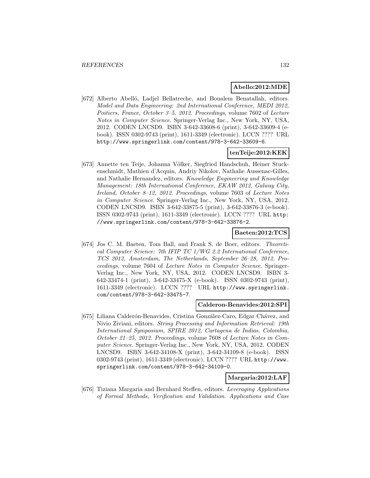#### **Abello:2012:MDE**

[672] Alberto Abelló, Ladjel Bellatreche, and Boualem Benatallah, editors. Model and Data Engineering: 2nd International Conference, MEDI 2012, Poitiers, France, October 3–5, 2012. Proceedings, volume 7602 of Lecture Notes in Computer Science. Springer-Verlag Inc., New York, NY, USA, 2012. CODEN LNCSD9. ISBN 3-642-33608-6 (print), 3-642-33609-4 (ebook). ISSN 0302-9743 (print), 1611-3349 (electronic). LCCN ???? URL http://www.springerlink.com/content/978-3-642-33609-6.

### **tenTeije:2012:KEK**

[673] Annette ten Teije, Johanna Völker, Siegfried Handschuh, Heiner Stuckenschmidt, Mathieu d'Acquin, Andriy Nikolov, Nathalie Aussenac-Gilles, and Nathalie Hernandez, editors. Knowledge Engineering and Knowledge Management: 18th International Conference, EKAW 2012, Galway City, Ireland, October 8–12, 2012. Proceedings, volume 7603 of Lecture Notes in Computer Science. Springer-Verlag Inc., New York, NY, USA, 2012. CODEN LNCSD9. ISBN 3-642-33875-5 (print), 3-642-33876-3 (e-book). ISSN 0302-9743 (print), 1611-3349 (electronic). LCCN ???? URL http: //www.springerlink.com/content/978-3-642-33876-2.

#### **Baeten:2012:TCS**

[674] Jos C. M. Baeten, Tom Ball, and Frank S. de Boer, editors. Theoretical Computer Science: 7th IFIP TC 1/WG 2.2 International Conference, TCS 2012, Amsterdam, The Netherlands, September 26–28, 2012. Proceedings, volume 7604 of Lecture Notes in Computer Science. Springer-Verlag Inc., New York, NY, USA, 2012. CODEN LNCSD9. ISBN 3- 642-33474-1 (print), 3-642-33475-X (e-book). ISSN 0302-9743 (print), 1611-3349 (electronic). LCCN ???? URL http://www.springerlink. com/content/978-3-642-33475-7.

#### **Calderon-Benavides:2012:SPI**

[675] Liliana Calderón-Benavides, Cristina González-Caro, Edgar Chávez, and Nivio Ziviani, editors. String Processing and Information Retrieval: 19th International Symposium, SPIRE 2012, Cartagena de Indias, Colombia, October 21–25, 2012. Proceedings, volume 7608 of Lecture Notes in Computer Science. Springer-Verlag Inc., New York, NY, USA, 2012. CODEN LNCSD9. ISBN 3-642-34108-X (print), 3-642-34109-8 (e-book). ISSN 0302-9743 (print), 1611-3349 (electronic). LCCN ???? URL http://www. springerlink.com/content/978-3-642-34109-0.

### **Margaria:2012:LAF**

[676] Tiziana Margaria and Bernhard Steffen, editors. Leveraging Applications of Formal Methods, Verification and Validation. Applications and Case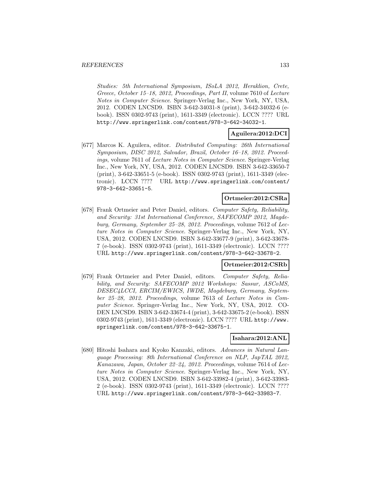Studies: 5th International Symposium, ISoLA 2012, Heraklion, Crete, Greece, October 15–18, 2012, Proceedings, Part II, volume 7610 of Lecture Notes in Computer Science. Springer-Verlag Inc., New York, NY, USA, 2012. CODEN LNCSD9. ISBN 3-642-34031-8 (print), 3-642-34032-6 (ebook). ISSN 0302-9743 (print), 1611-3349 (electronic). LCCN ???? URL http://www.springerlink.com/content/978-3-642-34032-1.

#### **Aguilera:2012:DCI**

[677] Marcos K. Aguilera, editor. Distributed Computing: 26th International Symposium, DISC 2012, Salvador, Brazil, October 16–18, 2012. Proceedings, volume 7611 of Lecture Notes in Computer Science. Springer-Verlag Inc., New York, NY, USA, 2012. CODEN LNCSD9. ISBN 3-642-33650-7 (print), 3-642-33651-5 (e-book). ISSN 0302-9743 (print), 1611-3349 (electronic). LCCN ???? URL http://www.springerlink.com/content/ 978-3-642-33651-5.

### **Ortmeier:2012:CSRa**

[678] Frank Ortmeier and Peter Daniel, editors. Computer Safety, Reliability, and Security: 31st International Conference, SAFECOMP 2012, Magdeburg, Germany, September 25–28, 2012. Proceedings, volume 7612 of Lecture Notes in Computer Science. Springer-Verlag Inc., New York, NY, USA, 2012. CODEN LNCSD9. ISBN 3-642-33677-9 (print), 3-642-33678- 7 (e-book). ISSN 0302-9743 (print), 1611-3349 (electronic). LCCN ???? URL http://www.springerlink.com/content/978-3-642-33678-2.

### **Ortmeier:2012:CSRb**

[679] Frank Ortmeier and Peter Daniel, editors. Computer Safety, Reliability, and Security: SAFECOMP 2012 Workshops: Sassur, ASCoMS, DESEC4LCCI, ERCIM/EWICS, IWDE, Magdeburg, Germany, September 25–28, 2012. Proceedings, volume 7613 of Lecture Notes in Computer Science. Springer-Verlag Inc., New York, NY, USA, 2012. CO-DEN LNCSD9. ISBN 3-642-33674-4 (print), 3-642-33675-2 (e-book). ISSN 0302-9743 (print), 1611-3349 (electronic). LCCN ???? URL http://www. springerlink.com/content/978-3-642-33675-1.

### **Isahara:2012:ANL**

[680] Hitoshi Isahara and Kyoko Kanzaki, editors. Advances in Natural Language Processing: 8th International Conference on NLP, JapTAL 2012, Kanazawa, Japan, October 22–24, 2012. Proceedings, volume 7614 of Lecture Notes in Computer Science. Springer-Verlag Inc., New York, NY, USA, 2012. CODEN LNCSD9. ISBN 3-642-33982-4 (print), 3-642-33983- 2 (e-book). ISSN 0302-9743 (print), 1611-3349 (electronic). LCCN ???? URL http://www.springerlink.com/content/978-3-642-33983-7.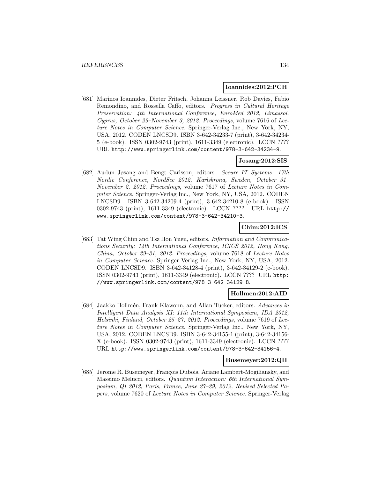#### **Ioannides:2012:PCH**

[681] Marinos Ioannides, Dieter Fritsch, Johanna Leissner, Rob Davies, Fabio Remondino, and Rossella Caffo, editors. Progress in Cultural Heritage Preservation: 4th International Conference, EuroMed 2012, Limassol, Cyprus, October 29–November 3, 2012. Proceedings, volume 7616 of Lecture Notes in Computer Science. Springer-Verlag Inc., New York, NY, USA, 2012. CODEN LNCSD9. ISBN 3-642-34233-7 (print), 3-642-34234- 5 (e-book). ISSN 0302-9743 (print), 1611-3349 (electronic). LCCN ???? URL http://www.springerlink.com/content/978-3-642-34234-9.

### **Josang:2012:SIS**

[682] Audun Jøsang and Bengt Carlsson, editors. Secure IT Systems: 17th Nordic Conference, NordSec 2012, Karlskrona, Sweden, October 31– November 2, 2012. Proceedings, volume 7617 of Lecture Notes in Computer Science. Springer-Verlag Inc., New York, NY, USA, 2012. CODEN LNCSD9. ISBN 3-642-34209-4 (print), 3-642-34210-8 (e-book). ISSN 0302-9743 (print), 1611-3349 (electronic). LCCN ???? URL http:// www.springerlink.com/content/978-3-642-34210-3.

### **Chim:2012:ICS**

[683] Tat Wing Chim and Tsz Hon Yuen, editors. Information and Communications Security: 14th International Conference, ICICS 2012, Hong Kong, China, October 29–31, 2012. Proceedings, volume 7618 of Lecture Notes in Computer Science. Springer-Verlag Inc., New York, NY, USA, 2012. CODEN LNCSD9. ISBN 3-642-34128-4 (print), 3-642-34129-2 (e-book). ISSN 0302-9743 (print), 1611-3349 (electronic). LCCN ???? URL http: //www.springerlink.com/content/978-3-642-34129-8.

#### **Hollmen:2012:AID**

[684] Jaakko Hollmén, Frank Klawonn, and Allan Tucker, editors. Advances in Intelligent Data Analysis XI: 11th International Symposium, IDA 2012, Helsinki, Finland, October 25–27, 2012. Proceedings, volume 7619 of Lecture Notes in Computer Science. Springer-Verlag Inc., New York, NY, USA, 2012. CODEN LNCSD9. ISBN 3-642-34155-1 (print), 3-642-34156- X (e-book). ISSN 0302-9743 (print), 1611-3349 (electronic). LCCN ???? URL http://www.springerlink.com/content/978-3-642-34156-4.

#### **Busemeyer:2012:QII**

[685] Jerome R. Busemeyer, François Dubois, Ariane Lambert-Mogiliansky, and Massimo Melucci, editors. Quantum Interaction: 6th International Symposium, QI 2012, Paris, France, June 27–29, 2012, Revised Selected Papers, volume 7620 of Lecture Notes in Computer Science. Springer-Verlag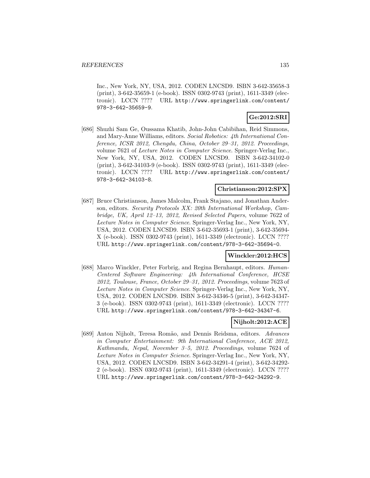Inc., New York, NY, USA, 2012. CODEN LNCSD9. ISBN 3-642-35658-3 (print), 3-642-35659-1 (e-book). ISSN 0302-9743 (print), 1611-3349 (electronic). LCCN ???? URL http://www.springerlink.com/content/ 978-3-642-35659-9.

### **Ge:2012:SRI**

[686] Shuzhi Sam Ge, Oussama Khatib, John-John Cabibihan, Reid Simmons, and Mary-Anne Williams, editors. Social Robotics: 4th International Conference, ICSR 2012, Chengdu, China, October 29–31, 2012. Proceedings, volume 7621 of Lecture Notes in Computer Science. Springer-Verlag Inc., New York, NY, USA, 2012. CODEN LNCSD9. ISBN 3-642-34102-0 (print), 3-642-34103-9 (e-book). ISSN 0302-9743 (print), 1611-3349 (electronic). LCCN ???? URL http://www.springerlink.com/content/ 978-3-642-34103-8.

### **Christianson:2012:SPX**

[687] Bruce Christianson, James Malcolm, Frank Stajano, and Jonathan Anderson, editors. Security Protocols XX: 20th International Workshop, Cambridge, UK, April 12–13, 2012, Revised Selected Papers, volume 7622 of Lecture Notes in Computer Science. Springer-Verlag Inc., New York, NY, USA, 2012. CODEN LNCSD9. ISBN 3-642-35693-1 (print), 3-642-35694- X (e-book). ISSN 0302-9743 (print), 1611-3349 (electronic). LCCN ???? URL http://www.springerlink.com/content/978-3-642-35694-0.

#### **Winckler:2012:HCS**

[688] Marco Winckler, Peter Forbrig, and Regina Bernhaupt, editors. Human-Centered Software Engineering: 4th International Conference, HCSE 2012, Toulouse, France, October 29–31, 2012. Proceedings, volume 7623 of Lecture Notes in Computer Science. Springer-Verlag Inc., New York, NY, USA, 2012. CODEN LNCSD9. ISBN 3-642-34346-5 (print), 3-642-34347- 3 (e-book). ISSN 0302-9743 (print), 1611-3349 (electronic). LCCN ???? URL http://www.springerlink.com/content/978-3-642-34347-6.

#### **Nijholt:2012:ACE**

[689] Anton Nijholt, Teresa Rom˜ao, and Dennis Reidsma, editors. Advances in Computer Entertainment: 9th International Conference, ACE 2012, Kathmandu, Nepal, November 3–5, 2012. Proceedings, volume 7624 of Lecture Notes in Computer Science. Springer-Verlag Inc., New York, NY, USA, 2012. CODEN LNCSD9. ISBN 3-642-34291-4 (print), 3-642-34292- 2 (e-book). ISSN 0302-9743 (print), 1611-3349 (electronic). LCCN ???? URL http://www.springerlink.com/content/978-3-642-34292-9.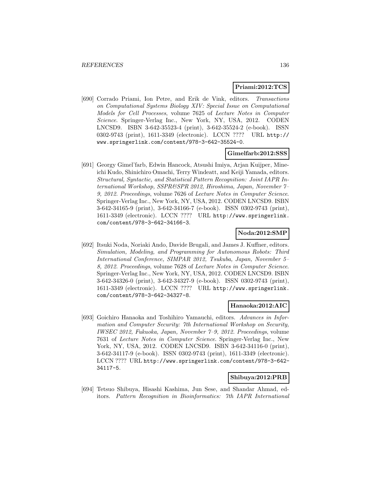#### **Priami:2012:TCS**

[690] Corrado Priami, Ion Petre, and Erik de Vink, editors. Transactions on Computational Systems Biology XIV: Special Issue on Computational Models for Cell Processes, volume 7625 of Lecture Notes in Computer Science. Springer-Verlag Inc., New York, NY, USA, 2012. CODEN LNCSD9. ISBN 3-642-35523-4 (print), 3-642-35524-2 (e-book). ISSN 0302-9743 (print), 1611-3349 (electronic). LCCN ???? URL http:// www.springerlink.com/content/978-3-642-35524-0.

#### **Gimelfarb:2012:SSS**

[691] Georgy Gimel'farb, Edwin Hancock, Atsushi Imiya, Arjan Kuijper, Mineichi Kudo, Shinichiro Omachi, Terry Windeatt, and Keiji Yamada, editors. Structural, Syntactic, and Statistical Pattern Recognition: Joint IAPR International Workshop, SSPR&SPR 2012, Hiroshima, Japan, November 7– 9, 2012. Proceedings, volume 7626 of Lecture Notes in Computer Science. Springer-Verlag Inc., New York, NY, USA, 2012. CODEN LNCSD9. ISBN 3-642-34165-9 (print), 3-642-34166-7 (e-book). ISSN 0302-9743 (print), 1611-3349 (electronic). LCCN ???? URL http://www.springerlink. com/content/978-3-642-34166-3.

### **Noda:2012:SMP**

[692] Itsuki Noda, Noriaki Ando, Davide Brugali, and James J. Kuffner, editors. Simulation, Modeling, and Programming for Autonomous Robots: Third International Conference, SIMPAR 2012, Tsukuba, Japan, November 5– 8, 2012. Proceedings, volume 7628 of Lecture Notes in Computer Science. Springer-Verlag Inc., New York, NY, USA, 2012. CODEN LNCSD9. ISBN 3-642-34326-0 (print), 3-642-34327-9 (e-book). ISSN 0302-9743 (print), 1611-3349 (electronic). LCCN ???? URL http://www.springerlink. com/content/978-3-642-34327-8.

#### **Hanaoka:2012:AIC**

[693] Goichiro Hanaoka and Toshihiro Yamauchi, editors. Advances in Information and Computer Security: 7th International Workshop on Security, IWSEC 2012, Fukuoka, Japan, November 7–9, 2012. Proceedings, volume 7631 of Lecture Notes in Computer Science. Springer-Verlag Inc., New York, NY, USA, 2012. CODEN LNCSD9. ISBN 3-642-34116-0 (print), 3-642-34117-9 (e-book). ISSN 0302-9743 (print), 1611-3349 (electronic). LCCN ???? URL http://www.springerlink.com/content/978-3-642- 34117-5.

#### **Shibuya:2012:PRB**

[694] Tetsuo Shibuya, Hisashi Kashima, Jun Sese, and Shandar Ahmad, editors. Pattern Recognition in Bioinformatics: 7th IAPR International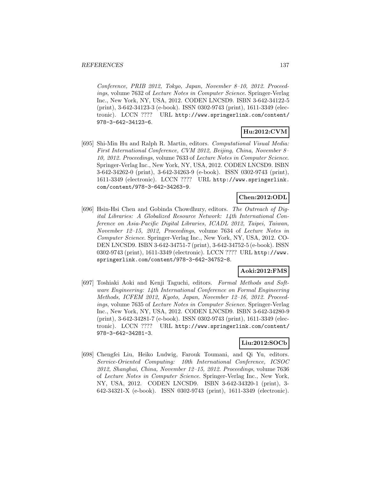Conference, PRIB 2012, Tokyo, Japan, November 8–10, 2012. Proceedings, volume 7632 of Lecture Notes in Computer Science. Springer-Verlag Inc., New York, NY, USA, 2012. CODEN LNCSD9. ISBN 3-642-34122-5 (print), 3-642-34123-3 (e-book). ISSN 0302-9743 (print), 1611-3349 (electronic). LCCN ???? URL http://www.springerlink.com/content/ 978-3-642-34123-6.

# **Hu:2012:CVM**

[695] Shi-Min Hu and Ralph R. Martin, editors. Computational Visual Media: First International Conference, CVM 2012, Beijing, China, November 8– 10, 2012. Proceedings, volume 7633 of Lecture Notes in Computer Science. Springer-Verlag Inc., New York, NY, USA, 2012. CODEN LNCSD9. ISBN 3-642-34262-0 (print), 3-642-34263-9 (e-book). ISSN 0302-9743 (print), 1611-3349 (electronic). LCCN ???? URL http://www.springerlink. com/content/978-3-642-34263-9.

### **Chen:2012:ODL**

[696] Hsin-Hsi Chen and Gobinda Chowdhury, editors. The Outreach of Digital Libraries: A Globalized Resource Network: 14th International Conference on Asia-Pacific Digital Libraries, ICADL 2012, Taipei, Taiwan, November 12–15, 2012, Proceedings, volume 7634 of Lecture Notes in Computer Science. Springer-Verlag Inc., New York, NY, USA, 2012. CO-DEN LNCSD9. ISBN 3-642-34751-7 (print), 3-642-34752-5 (e-book). ISSN 0302-9743 (print), 1611-3349 (electronic). LCCN ???? URL http://www. springerlink.com/content/978-3-642-34752-8.

### **Aoki:2012:FMS**

[697] Toshiaki Aoki and Kenji Taguchi, editors. Formal Methods and Software Engineering: 14th International Conference on Formal Engineering Methods, ICFEM 2012, Kyoto, Japan, November 12–16, 2012. Proceedings, volume 7635 of Lecture Notes in Computer Science. Springer-Verlag Inc., New York, NY, USA, 2012. CODEN LNCSD9. ISBN 3-642-34280-9 (print), 3-642-34281-7 (e-book). ISSN 0302-9743 (print), 1611-3349 (electronic). LCCN ???? URL http://www.springerlink.com/content/ 978-3-642-34281-3.

### **Liu:2012:SOCb**

[698] Chengfei Liu, Heiko Ludwig, Farouk Toumani, and Qi Yu, editors. Service-Oriented Computing: 10th International Conference, ICSOC 2012, Shanghai, China, November 12–15, 2012. Proceedings, volume 7636 of Lecture Notes in Computer Science. Springer-Verlag Inc., New York, NY, USA, 2012. CODEN LNCSD9. ISBN 3-642-34320-1 (print), 3- 642-34321-X (e-book). ISSN 0302-9743 (print), 1611-3349 (electronic).